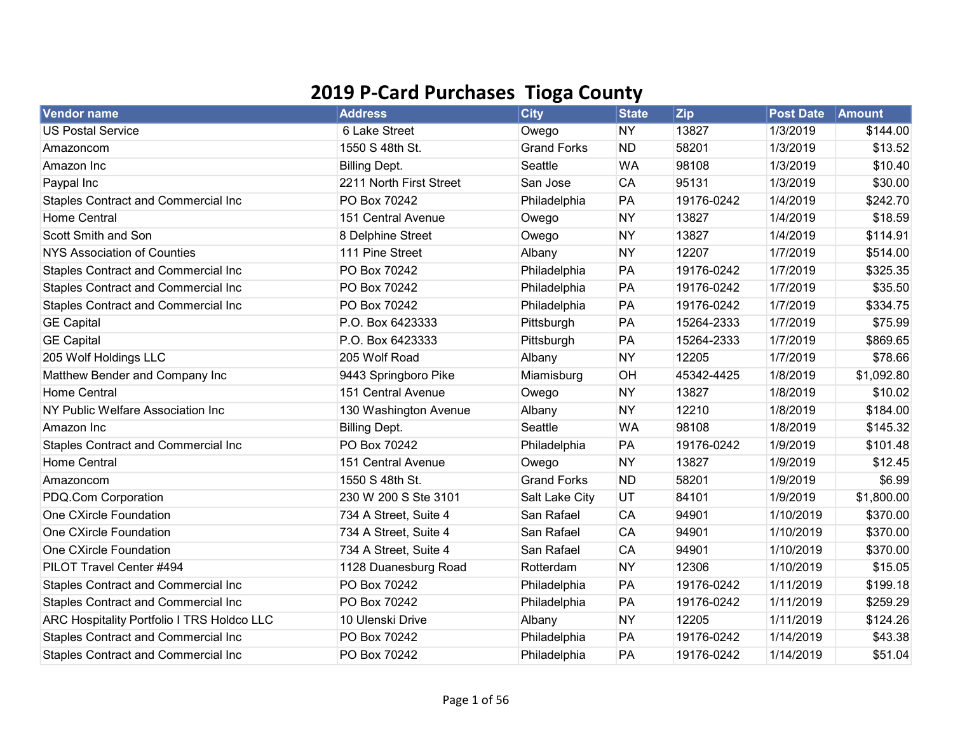## 2019 P-Card Purchases Tioga County

| Vendor name                                | <b>Address</b>          | <b>City</b>        | <b>State</b> | <b>Zip</b> | <b>Post Date</b> | Amount     |
|--------------------------------------------|-------------------------|--------------------|--------------|------------|------------------|------------|
| <b>US Postal Service</b>                   | 6 Lake Street           | Owego              | <b>NY</b>    | 13827      | 1/3/2019         | \$144.00   |
| Amazoncom                                  | 1550 S 48th St.         | <b>Grand Forks</b> | <b>ND</b>    | 58201      | 1/3/2019         | \$13.52    |
| Amazon Inc                                 | <b>Billing Dept.</b>    | Seattle            | <b>WA</b>    | 98108      | 1/3/2019         | \$10.40    |
| Paypal Inc                                 | 2211 North First Street | San Jose           | CA           | 95131      | 1/3/2019         | \$30.00    |
| Staples Contract and Commercial Inc        | PO Box 70242            | Philadelphia       | PA           | 19176-0242 | 1/4/2019         | \$242.70   |
| <b>Home Central</b>                        | 151 Central Avenue      | Owego              | <b>NY</b>    | 13827      | 1/4/2019         | \$18.59    |
| Scott Smith and Son                        | 8 Delphine Street       | Owego              | <b>NY</b>    | 13827      | 1/4/2019         | \$114.91   |
| NYS Association of Counties                | 111 Pine Street         | Albany             | <b>NY</b>    | 12207      | 1/7/2019         | \$514.00   |
| Staples Contract and Commercial Inc        | PO Box 70242            | Philadelphia       | PA           | 19176-0242 | 1/7/2019         | \$325.35   |
| <b>Staples Contract and Commercial Inc</b> | PO Box 70242            | Philadelphia       | PA           | 19176-0242 | 1/7/2019         | \$35.50    |
| <b>Staples Contract and Commercial Inc</b> | PO Box 70242            | Philadelphia       | PA           | 19176-0242 | 1/7/2019         | \$334.75   |
| <b>GE Capital</b>                          | P.O. Box 6423333        | Pittsburgh         | PA           | 15264-2333 | 1/7/2019         | \$75.99    |
| <b>GE Capital</b>                          | P.O. Box 6423333        | Pittsburgh         | PA           | 15264-2333 | 1/7/2019         | \$869.65   |
| 205 Wolf Holdings LLC                      | 205 Wolf Road           | Albany             | <b>NY</b>    | 12205      | 1/7/2019         | \$78.66    |
| Matthew Bender and Company Inc             | 9443 Springboro Pike    | Miamisburg         | OH           | 45342-4425 | 1/8/2019         | \$1,092.80 |
| <b>Home Central</b>                        | 151 Central Avenue      | Owego              | <b>NY</b>    | 13827      | 1/8/2019         | \$10.02    |
| NY Public Welfare Association Inc          | 130 Washington Avenue   | Albany             | <b>NY</b>    | 12210      | 1/8/2019         | \$184.00   |
| Amazon Inc                                 | <b>Billing Dept.</b>    | Seattle            | <b>WA</b>    | 98108      | 1/8/2019         | \$145.32   |
| Staples Contract and Commercial Inc        | PO Box 70242            | Philadelphia       | PA           | 19176-0242 | 1/9/2019         | \$101.48   |
| <b>Home Central</b>                        | 151 Central Avenue      | Owego              | <b>NY</b>    | 13827      | 1/9/2019         | \$12.45    |
| Amazoncom                                  | 1550 S 48th St.         | <b>Grand Forks</b> | <b>ND</b>    | 58201      | 1/9/2019         | \$6.99     |
| PDQ.Com Corporation                        | 230 W 200 S Ste 3101    | Salt Lake City     | UT           | 84101      | 1/9/2019         | \$1,800.00 |
| One CXircle Foundation                     | 734 A Street, Suite 4   | San Rafael         | CA           | 94901      | 1/10/2019        | \$370.00   |
| One CXircle Foundation                     | 734 A Street, Suite 4   | San Rafael         | CA           | 94901      | 1/10/2019        | \$370.00   |
| One CXircle Foundation                     | 734 A Street, Suite 4   | San Rafael         | CA           | 94901      | 1/10/2019        | \$370.00   |
| PILOT Travel Center #494                   | 1128 Duanesburg Road    | Rotterdam          | <b>NY</b>    | 12306      | 1/10/2019        | \$15.05    |
| Staples Contract and Commercial Inc        | PO Box 70242            | Philadelphia       | PA           | 19176-0242 | 1/11/2019        | \$199.18   |
| Staples Contract and Commercial Inc        | PO Box 70242            | Philadelphia       | PA           | 19176-0242 | 1/11/2019        | \$259.29   |
| ARC Hospitality Portfolio I TRS Holdco LLC | 10 Ulenski Drive        | Albany             | <b>NY</b>    | 12205      | 1/11/2019        | \$124.26   |
| Staples Contract and Commercial Inc        | PO Box 70242            | Philadelphia       | PA           | 19176-0242 | 1/14/2019        | \$43.38    |
| Staples Contract and Commercial Inc        | PO Box 70242            | Philadelphia       | PA           | 19176-0242 | 1/14/2019        | \$51.04    |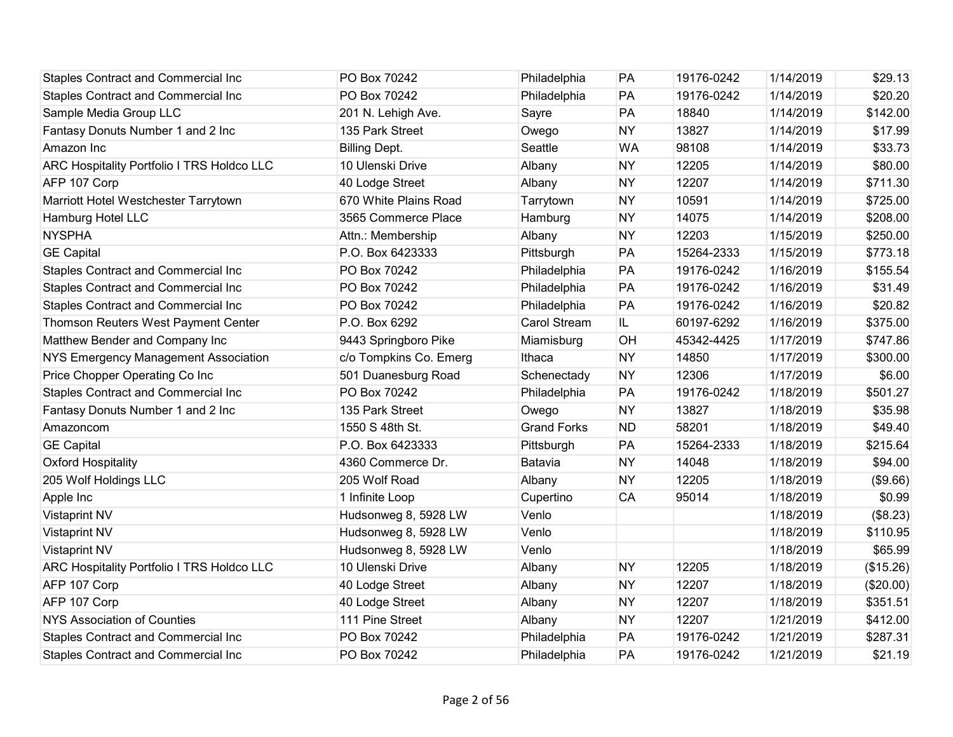| <b>Staples Contract and Commercial Inc</b>        | PO Box 70242           | Philadelphia        | PA        | 19176-0242 | 1/14/2019 | \$29.13   |
|---------------------------------------------------|------------------------|---------------------|-----------|------------|-----------|-----------|
| Staples Contract and Commercial Inc               | PO Box 70242           | Philadelphia        | <b>PA</b> | 19176-0242 | 1/14/2019 | \$20.20   |
| Sample Media Group LLC                            | 201 N. Lehigh Ave.     | Sayre               | PA        | 18840      | 1/14/2019 | \$142.00  |
| Fantasy Donuts Number 1 and 2 Inc                 | 135 Park Street        | Owego               | <b>NY</b> | 13827      | 1/14/2019 | \$17.99   |
| Amazon Inc                                        | <b>Billing Dept.</b>   | Seattle             | WA        | 98108      | 1/14/2019 | \$33.73   |
| <b>ARC Hospitality Portfolio I TRS Holdco LLC</b> | 10 Ulenski Drive       | Albany              | <b>NY</b> | 12205      | 1/14/2019 | \$80.00   |
| AFP 107 Corp                                      | 40 Lodge Street        | Albany              | <b>NY</b> | 12207      | 1/14/2019 | \$711.30  |
| Marriott Hotel Westchester Tarrytown              | 670 White Plains Road  | Tarrytown           | <b>NY</b> | 10591      | 1/14/2019 | \$725.00  |
| Hamburg Hotel LLC                                 | 3565 Commerce Place    | Hamburg             | <b>NY</b> | 14075      | 1/14/2019 | \$208.00  |
| <b>NYSPHA</b>                                     | Attn.: Membership      | Albany              | <b>NY</b> | 12203      | 1/15/2019 | \$250.00  |
| <b>GE Capital</b>                                 | P.O. Box 6423333       | Pittsburgh          | PA        | 15264-2333 | 1/15/2019 | \$773.18  |
| Staples Contract and Commercial Inc               | PO Box 70242           | Philadelphia        | PA        | 19176-0242 | 1/16/2019 | \$155.54  |
| <b>Staples Contract and Commercial Inc</b>        | PO Box 70242           | Philadelphia        | PA        | 19176-0242 | 1/16/2019 | \$31.49   |
| <b>Staples Contract and Commercial Inc</b>        | PO Box 70242           | Philadelphia        | PA        | 19176-0242 | 1/16/2019 | \$20.82   |
| Thomson Reuters West Payment Center               | P.O. Box 6292          | <b>Carol Stream</b> | IL.       | 60197-6292 | 1/16/2019 | \$375.00  |
| Matthew Bender and Company Inc                    | 9443 Springboro Pike   | Miamisburg          | OH        | 45342-4425 | 1/17/2019 | \$747.86  |
| <b>NYS Emergency Management Association</b>       | c/o Tompkins Co. Emerg | Ithaca              | <b>NY</b> | 14850      | 1/17/2019 | \$300.00  |
| Price Chopper Operating Co Inc                    | 501 Duanesburg Road    | Schenectady         | <b>NY</b> | 12306      | 1/17/2019 | \$6.00    |
| Staples Contract and Commercial Inc               | PO Box 70242           | Philadelphia        | PA        | 19176-0242 | 1/18/2019 | \$501.27  |
| Fantasy Donuts Number 1 and 2 Inc                 | 135 Park Street        | Owego               | <b>NY</b> | 13827      | 1/18/2019 | \$35.98   |
| Amazoncom                                         | 1550 S 48th St.        | <b>Grand Forks</b>  | <b>ND</b> | 58201      | 1/18/2019 | \$49.40   |
| <b>GE Capital</b>                                 | P.O. Box 6423333       | Pittsburgh          | PA        | 15264-2333 | 1/18/2019 | \$215.64  |
| <b>Oxford Hospitality</b>                         | 4360 Commerce Dr.      | Batavia             | <b>NY</b> | 14048      | 1/18/2019 | \$94.00   |
| 205 Wolf Holdings LLC                             | 205 Wolf Road          | Albany              | <b>NY</b> | 12205      | 1/18/2019 | (\$9.66)  |
| Apple Inc                                         | 1 Infinite Loop        | Cupertino           | CA        | 95014      | 1/18/2019 | \$0.99    |
| <b>Vistaprint NV</b>                              | Hudsonweg 8, 5928 LW   | Venlo               |           |            | 1/18/2019 | (\$8.23)  |
| <b>Vistaprint NV</b>                              | Hudsonweg 8, 5928 LW   | Venlo               |           |            | 1/18/2019 | \$110.95  |
| <b>Vistaprint NV</b>                              | Hudsonweg 8, 5928 LW   | Venlo               |           |            | 1/18/2019 | \$65.99   |
| <b>ARC Hospitality Portfolio I TRS Holdco LLC</b> | 10 Ulenski Drive       | Albany              | <b>NY</b> | 12205      | 1/18/2019 | (\$15.26) |
| AFP 107 Corp                                      | 40 Lodge Street        | Albany              | <b>NY</b> | 12207      | 1/18/2019 | (\$20.00) |
| AFP 107 Corp                                      | 40 Lodge Street        | Albany              | <b>NY</b> | 12207      | 1/18/2019 | \$351.51  |
| <b>NYS Association of Counties</b>                | 111 Pine Street        | Albany              | <b>NY</b> | 12207      | 1/21/2019 | \$412.00  |
| <b>Staples Contract and Commercial Inc</b>        | PO Box 70242           | Philadelphia        | PA        | 19176-0242 | 1/21/2019 | \$287.31  |
| <b>Staples Contract and Commercial Inc</b>        | PO Box 70242           | Philadelphia        | PA        | 19176-0242 | 1/21/2019 | \$21.19   |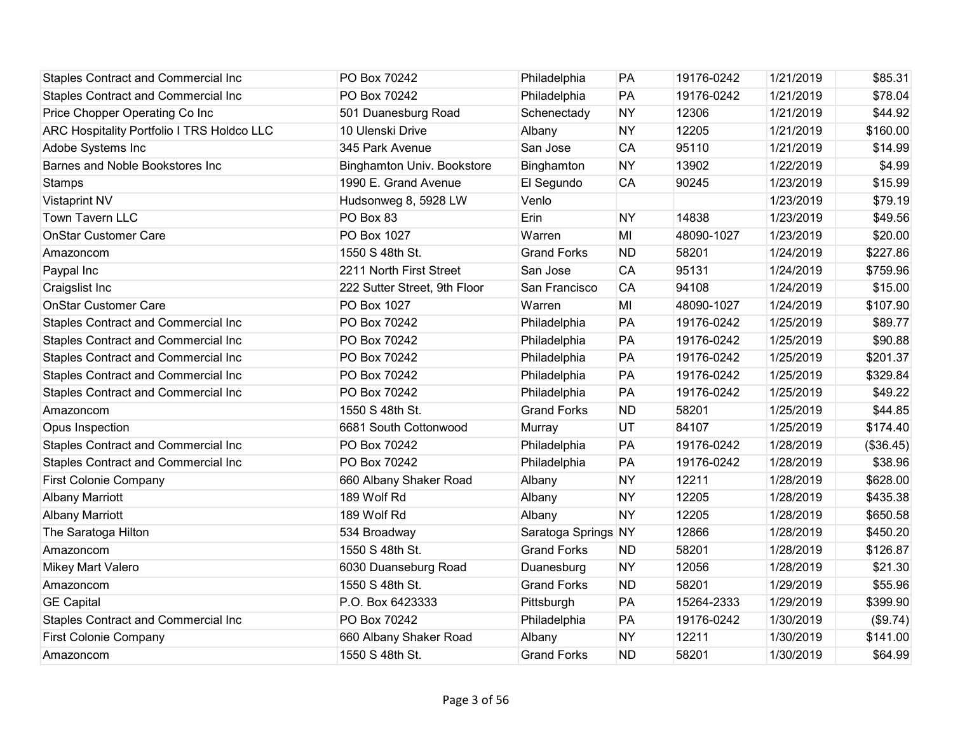| <b>Staples Contract and Commercial Inc</b> | PO Box 70242                      | Philadelphia        | PA        | 19176-0242 | 1/21/2019 | \$85.31   |
|--------------------------------------------|-----------------------------------|---------------------|-----------|------------|-----------|-----------|
| Staples Contract and Commercial Inc        | PO Box 70242                      | Philadelphia        | PA        | 19176-0242 | 1/21/2019 | \$78.04   |
| Price Chopper Operating Co Inc             | 501 Duanesburg Road               | Schenectady         | <b>NY</b> | 12306      | 1/21/2019 | \$44.92   |
| ARC Hospitality Portfolio I TRS Holdco LLC | 10 Ulenski Drive                  | Albany              | <b>NY</b> | 12205      | 1/21/2019 | \$160.00  |
| Adobe Systems Inc                          | 345 Park Avenue                   | San Jose            | CA        | 95110      | 1/21/2019 | \$14.99   |
| Barnes and Noble Bookstores Inc            | <b>Binghamton Univ. Bookstore</b> | Binghamton          | <b>NY</b> | 13902      | 1/22/2019 | \$4.99    |
| <b>Stamps</b>                              | 1990 E. Grand Avenue              | El Segundo          | <b>CA</b> | 90245      | 1/23/2019 | \$15.99   |
| Vistaprint NV                              | Hudsonweg 8, 5928 LW              | Venlo               |           |            | 1/23/2019 | \$79.19   |
| Town Tavern LLC                            | PO Box 83                         | Erin                | <b>NY</b> | 14838      | 1/23/2019 | \$49.56   |
| <b>OnStar Customer Care</b>                | PO Box 1027                       | Warren              | MI        | 48090-1027 | 1/23/2019 | \$20.00   |
| Amazoncom                                  | 1550 S 48th St.                   | <b>Grand Forks</b>  | <b>ND</b> | 58201      | 1/24/2019 | \$227.86  |
| Paypal Inc                                 | 2211 North First Street           | San Jose            | <b>CA</b> | 95131      | 1/24/2019 | \$759.96  |
| Craigslist Inc                             | 222 Sutter Street, 9th Floor      | San Francisco       | <b>CA</b> | 94108      | 1/24/2019 | \$15.00   |
| <b>OnStar Customer Care</b>                | PO Box 1027                       | Warren              | MI        | 48090-1027 | 1/24/2019 | \$107.90  |
| <b>Staples Contract and Commercial Inc</b> | PO Box 70242                      | Philadelphia        | PA        | 19176-0242 | 1/25/2019 | \$89.77   |
| Staples Contract and Commercial Inc        | PO Box 70242                      | Philadelphia        | PA        | 19176-0242 | 1/25/2019 | \$90.88   |
| Staples Contract and Commercial Inc        | PO Box 70242                      | Philadelphia        | PA        | 19176-0242 | 1/25/2019 | \$201.37  |
| <b>Staples Contract and Commercial Inc</b> | PO Box 70242                      | Philadelphia        | PA        | 19176-0242 | 1/25/2019 | \$329.84  |
| <b>Staples Contract and Commercial Inc</b> | PO Box 70242                      | Philadelphia        | PA        | 19176-0242 | 1/25/2019 | \$49.22   |
| Amazoncom                                  | 1550 S 48th St.                   | <b>Grand Forks</b>  | <b>ND</b> | 58201      | 1/25/2019 | \$44.85   |
| Opus Inspection                            | 6681 South Cottonwood             | Murray              | UT        | 84107      | 1/25/2019 | \$174.40  |
| Staples Contract and Commercial Inc        | PO Box 70242                      | Philadelphia        | PA        | 19176-0242 | 1/28/2019 | (\$36.45) |
| Staples Contract and Commercial Inc        | PO Box 70242                      | Philadelphia        | PA        | 19176-0242 | 1/28/2019 | \$38.96   |
| <b>First Colonie Company</b>               | 660 Albany Shaker Road            | Albany              | <b>NY</b> | 12211      | 1/28/2019 | \$628.00  |
| <b>Albany Marriott</b>                     | 189 Wolf Rd                       | Albany              | <b>NY</b> | 12205      | 1/28/2019 | \$435.38  |
| <b>Albany Marriott</b>                     | 189 Wolf Rd                       | Albany              | <b>NY</b> | 12205      | 1/28/2019 | \$650.58  |
| The Saratoga Hilton                        | 534 Broadway                      | Saratoga Springs NY |           | 12866      | 1/28/2019 | \$450.20  |
| Amazoncom                                  | 1550 S 48th St.                   | <b>Grand Forks</b>  | <b>ND</b> | 58201      | 1/28/2019 | \$126.87  |
| <b>Mikey Mart Valero</b>                   | 6030 Duanseburg Road              | Duanesburg          | <b>NY</b> | 12056      | 1/28/2019 | \$21.30   |
| Amazoncom                                  | 1550 S 48th St.                   | <b>Grand Forks</b>  | <b>ND</b> | 58201      | 1/29/2019 | \$55.96   |
| <b>GE Capital</b>                          | P.O. Box 6423333                  | Pittsburgh          | PA        | 15264-2333 | 1/29/2019 | \$399.90  |
| <b>Staples Contract and Commercial Inc</b> | PO Box 70242                      | Philadelphia        | PA        | 19176-0242 | 1/30/2019 | (\$9.74)  |
| <b>First Colonie Company</b>               | 660 Albany Shaker Road            | Albany              | <b>NY</b> | 12211      | 1/30/2019 | \$141.00  |
| Amazoncom                                  | 1550 S 48th St.                   | <b>Grand Forks</b>  | <b>ND</b> | 58201      | 1/30/2019 | \$64.99   |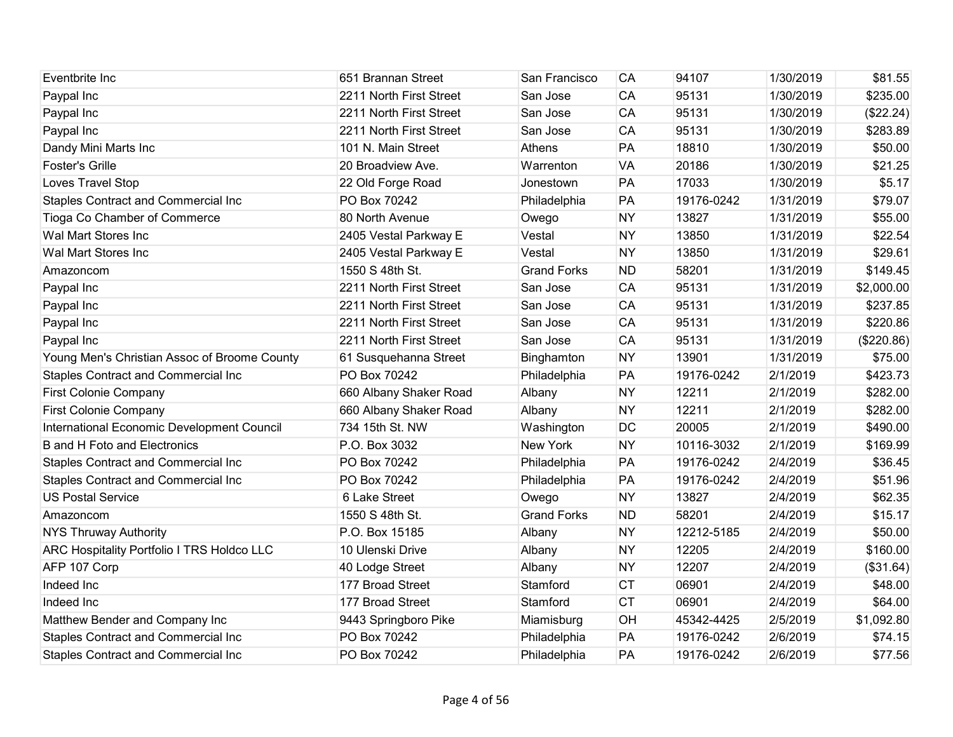| Eventbrite Inc                               | 651 Brannan Street      | San Francisco      | CA        | 94107      | 1/30/2019 | \$81.55    |
|----------------------------------------------|-------------------------|--------------------|-----------|------------|-----------|------------|
| Paypal Inc                                   | 2211 North First Street | San Jose           | CA        | 95131      | 1/30/2019 | \$235.00   |
| Paypal Inc                                   | 2211 North First Street | San Jose           | CA        | 95131      | 1/30/2019 | (\$22.24)  |
| Paypal Inc                                   | 2211 North First Street | San Jose           | CA        | 95131      | 1/30/2019 | \$283.89   |
| Dandy Mini Marts Inc                         | 101 N. Main Street      | Athens             | PA        | 18810      | 1/30/2019 | \$50.00    |
| <b>Foster's Grille</b>                       | 20 Broadview Ave.       | Warrenton          | <b>VA</b> | 20186      | 1/30/2019 | \$21.25    |
| Loves Travel Stop                            | 22 Old Forge Road       | Jonestown          | PA        | 17033      | 1/30/2019 | \$5.17     |
| Staples Contract and Commercial Inc          | PO Box 70242            | Philadelphia       | PA        | 19176-0242 | 1/31/2019 | \$79.07    |
| Tioga Co Chamber of Commerce                 | 80 North Avenue         | Owego              | <b>NY</b> | 13827      | 1/31/2019 | \$55.00    |
| Wal Mart Stores Inc                          | 2405 Vestal Parkway E   | Vestal             | <b>NY</b> | 13850      | 1/31/2019 | \$22.54    |
| Wal Mart Stores Inc                          | 2405 Vestal Parkway E   | Vestal             | <b>NY</b> | 13850      | 1/31/2019 | \$29.61    |
| Amazoncom                                    | 1550 S 48th St.         | <b>Grand Forks</b> | <b>ND</b> | 58201      | 1/31/2019 | \$149.45   |
| Paypal Inc                                   | 2211 North First Street | San Jose           | <b>CA</b> | 95131      | 1/31/2019 | \$2,000.00 |
| Paypal Inc                                   | 2211 North First Street | San Jose           | CA        | 95131      | 1/31/2019 | \$237.85   |
| Paypal Inc                                   | 2211 North First Street | San Jose           | CA        | 95131      | 1/31/2019 | \$220.86   |
| Paypal Inc                                   | 2211 North First Street | San Jose           | CA        | 95131      | 1/31/2019 | (\$220.86) |
| Young Men's Christian Assoc of Broome County | 61 Susquehanna Street   | Binghamton         | <b>NY</b> | 13901      | 1/31/2019 | \$75.00    |
| Staples Contract and Commercial Inc          | PO Box 70242            | Philadelphia       | PA        | 19176-0242 | 2/1/2019  | \$423.73   |
| First Colonie Company                        | 660 Albany Shaker Road  | Albany             | <b>NY</b> | 12211      | 2/1/2019  | \$282.00   |
| First Colonie Company                        | 660 Albany Shaker Road  | Albany             | <b>NY</b> | 12211      | 2/1/2019  | \$282.00   |
| International Economic Development Council   | 734 15th St. NW         | Washington         | DC        | 20005      | 2/1/2019  | \$490.00   |
| <b>B</b> and H Foto and Electronics          | P.O. Box 3032           | New York           | <b>NY</b> | 10116-3032 | 2/1/2019  | \$169.99   |
| Staples Contract and Commercial Inc          | PO Box 70242            | Philadelphia       | PA        | 19176-0242 | 2/4/2019  | \$36.45    |
| <b>Staples Contract and Commercial Inc</b>   | PO Box 70242            | Philadelphia       | PA        | 19176-0242 | 2/4/2019  | \$51.96    |
| <b>US Postal Service</b>                     | 6 Lake Street           | Owego              | <b>NY</b> | 13827      | 2/4/2019  | \$62.35    |
| Amazoncom                                    | 1550 S 48th St.         | <b>Grand Forks</b> | <b>ND</b> | 58201      | 2/4/2019  | \$15.17    |
| <b>NYS Thruway Authority</b>                 | P.O. Box 15185          | Albany             | <b>NY</b> | 12212-5185 | 2/4/2019  | \$50.00    |
| ARC Hospitality Portfolio I TRS Holdco LLC   | 10 Ulenski Drive        | Albany             | <b>NY</b> | 12205      | 2/4/2019  | \$160.00   |
| AFP 107 Corp                                 | 40 Lodge Street         | Albany             | <b>NY</b> | 12207      | 2/4/2019  | (\$31.64)  |
| Indeed Inc                                   | 177 Broad Street        | Stamford           | <b>CT</b> | 06901      | 2/4/2019  | \$48.00    |
| Indeed Inc                                   | 177 Broad Street        | Stamford           | <b>CT</b> | 06901      | 2/4/2019  | \$64.00    |
| Matthew Bender and Company Inc               | 9443 Springboro Pike    | Miamisburg         | OH        | 45342-4425 | 2/5/2019  | \$1,092.80 |
| Staples Contract and Commercial Inc          | PO Box 70242            | Philadelphia       | PA        | 19176-0242 | 2/6/2019  | \$74.15    |
| Staples Contract and Commercial Inc          | PO Box 70242            | Philadelphia       | PA        | 19176-0242 | 2/6/2019  | \$77.56    |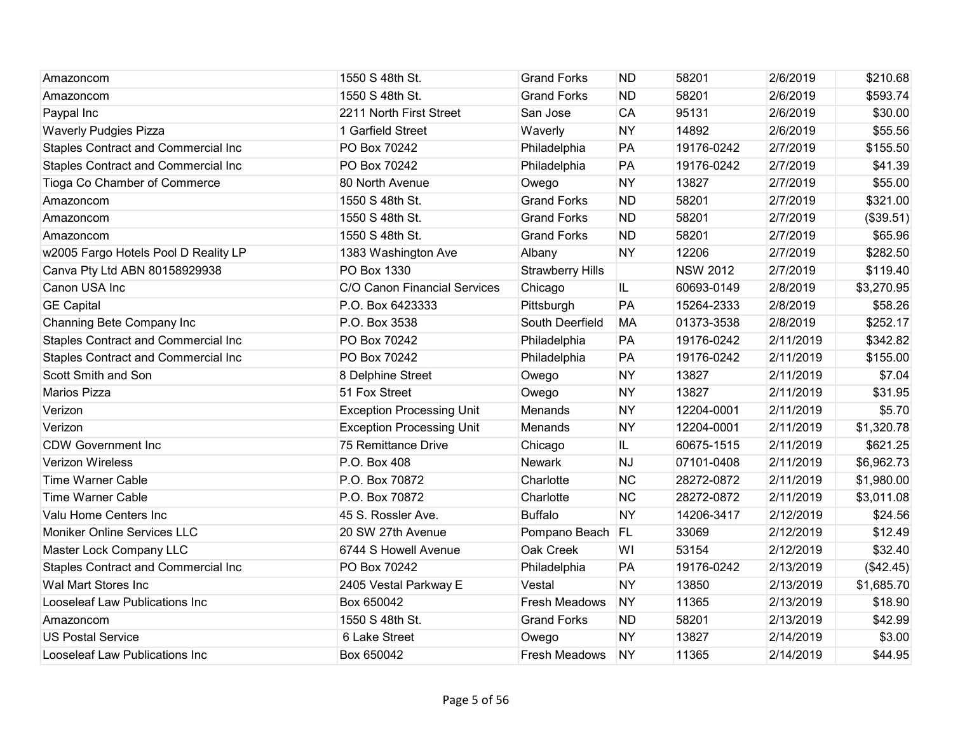| Amazoncom                                  | 1550 S 48th St.                  | <b>Grand Forks</b>      | <b>ND</b> | 58201           | 2/6/2019  | \$210.68   |
|--------------------------------------------|----------------------------------|-------------------------|-----------|-----------------|-----------|------------|
| Amazoncom                                  | 1550 S 48th St.                  | <b>Grand Forks</b>      | <b>ND</b> | 58201           | 2/6/2019  | \$593.74   |
| Paypal Inc                                 | 2211 North First Street          | San Jose                | CA        | 95131           | 2/6/2019  | \$30.00    |
| <b>Waverly Pudgies Pizza</b>               | 1 Garfield Street                | Waverly                 | <b>NY</b> | 14892           | 2/6/2019  | \$55.56    |
| Staples Contract and Commercial Inc        | PO Box 70242                     | Philadelphia            | PA        | 19176-0242      | 2/7/2019  | \$155.50   |
| Staples Contract and Commercial Inc        | PO Box 70242                     | Philadelphia            | PA        | 19176-0242      | 2/7/2019  | \$41.39    |
| Tioga Co Chamber of Commerce               | 80 North Avenue                  | Owego                   | <b>NY</b> | 13827           | 2/7/2019  | \$55.00    |
| Amazoncom                                  | 1550 S 48th St.                  | <b>Grand Forks</b>      | <b>ND</b> | 58201           | 2/7/2019  | \$321.00   |
| Amazoncom                                  | 1550 S 48th St.                  | <b>Grand Forks</b>      | <b>ND</b> | 58201           | 2/7/2019  | (\$39.51)  |
| Amazoncom                                  | 1550 S 48th St.                  | <b>Grand Forks</b>      | <b>ND</b> | 58201           | 2/7/2019  | \$65.96    |
| w2005 Fargo Hotels Pool D Reality LP       | 1383 Washington Ave              | Albany                  | <b>NY</b> | 12206           | 2/7/2019  | \$282.50   |
| Canva Pty Ltd ABN 80158929938              | PO Box 1330                      | <b>Strawberry Hills</b> |           | <b>NSW 2012</b> | 2/7/2019  | \$119.40   |
| Canon USA Inc                              | C/O Canon Financial Services     | Chicago                 | IL.       | 60693-0149      | 2/8/2019  | \$3,270.95 |
| <b>GE Capital</b>                          | P.O. Box 6423333                 | Pittsburgh              | PA        | 15264-2333      | 2/8/2019  | \$58.26    |
| Channing Bete Company Inc                  | P.O. Box 3538                    | South Deerfield         | <b>MA</b> | 01373-3538      | 2/8/2019  | \$252.17   |
| <b>Staples Contract and Commercial Inc</b> | PO Box 70242                     | Philadelphia            | PA        | 19176-0242      | 2/11/2019 | \$342.82   |
| <b>Staples Contract and Commercial Inc</b> | PO Box 70242                     | Philadelphia            | PA        | 19176-0242      | 2/11/2019 | \$155.00   |
| Scott Smith and Son                        | 8 Delphine Street                | Owego                   | <b>NY</b> | 13827           | 2/11/2019 | \$7.04     |
| <b>Marios Pizza</b>                        | 51 Fox Street                    | Owego                   | <b>NY</b> | 13827           | 2/11/2019 | \$31.95    |
| Verizon                                    | <b>Exception Processing Unit</b> | Menands                 | <b>NY</b> | 12204-0001      | 2/11/2019 | \$5.70     |
| Verizon                                    | <b>Exception Processing Unit</b> | Menands                 | <b>NY</b> | 12204-0001      | 2/11/2019 | \$1,320.78 |
| <b>CDW Government Inc</b>                  | 75 Remittance Drive              | Chicago                 | IL.       | 60675-1515      | 2/11/2019 | \$621.25   |
| <b>Verizon Wireless</b>                    | P.O. Box 408                     | <b>Newark</b>           | <b>NJ</b> | 07101-0408      | 2/11/2019 | \$6,962.73 |
| <b>Time Warner Cable</b>                   | P.O. Box 70872                   | Charlotte               | <b>NC</b> | 28272-0872      | 2/11/2019 | \$1,980.00 |
| <b>Time Warner Cable</b>                   | P.O. Box 70872                   | Charlotte               | <b>NC</b> | 28272-0872      | 2/11/2019 | \$3,011.08 |
| Valu Home Centers Inc                      | 45 S. Rossler Ave.               | <b>Buffalo</b>          | <b>NY</b> | 14206-3417      | 2/12/2019 | \$24.56    |
| <b>Moniker Online Services LLC</b>         | 20 SW 27th Avenue                | Pompano Beach           | FL        | 33069           | 2/12/2019 | \$12.49    |
| Master Lock Company LLC                    | 6744 S Howell Avenue             | Oak Creek               | WI        | 53154           | 2/12/2019 | \$32.40    |
| Staples Contract and Commercial Inc        | PO Box 70242                     | Philadelphia            | PA        | 19176-0242      | 2/13/2019 | (\$42.45)  |
| Wal Mart Stores Inc                        | 2405 Vestal Parkway E            | Vestal                  | <b>NY</b> | 13850           | 2/13/2019 | \$1,685.70 |
| Looseleaf Law Publications Inc             | Box 650042                       | Fresh Meadows           | <b>NY</b> | 11365           | 2/13/2019 | \$18.90    |
| Amazoncom                                  | 1550 S 48th St.                  | <b>Grand Forks</b>      | <b>ND</b> | 58201           | 2/13/2019 | \$42.99    |
| <b>US Postal Service</b>                   | 6 Lake Street                    | Owego                   | <b>NY</b> | 13827           | 2/14/2019 | \$3.00     |
| Looseleaf Law Publications Inc             | Box 650042                       | <b>Fresh Meadows</b>    | <b>NY</b> | 11365           | 2/14/2019 | \$44.95    |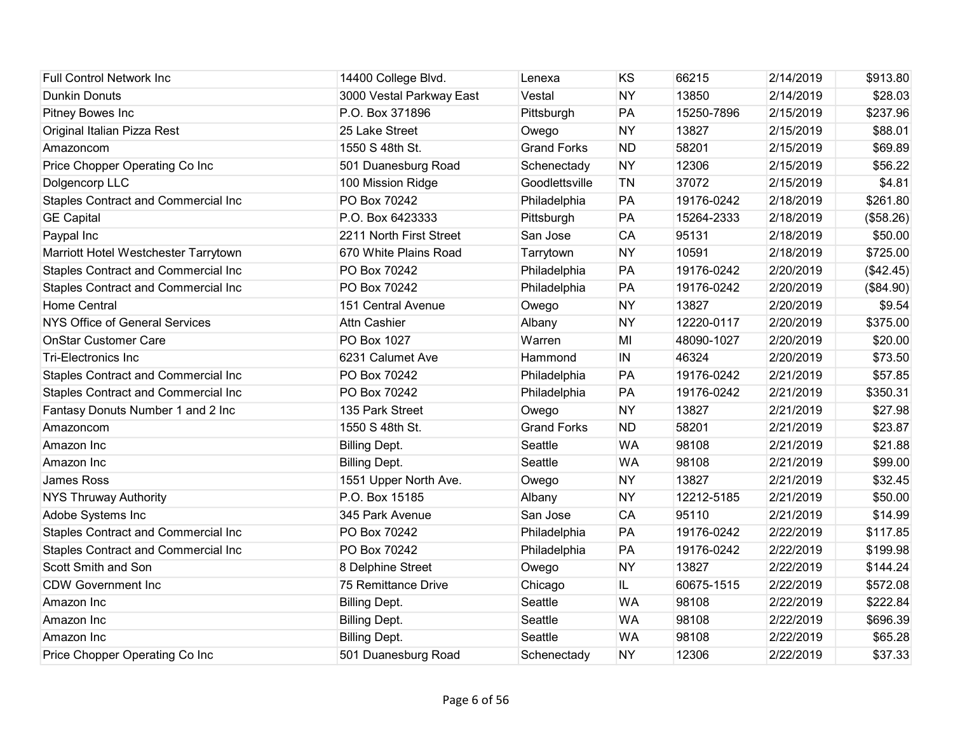| <b>Full Control Network Inc</b>      | 14400 College Blvd.      | Lenexa             | KS        | 66215      | 2/14/2019 | \$913.80  |
|--------------------------------------|--------------------------|--------------------|-----------|------------|-----------|-----------|
| <b>Dunkin Donuts</b>                 | 3000 Vestal Parkway East | Vestal             | <b>NY</b> | 13850      | 2/14/2019 | \$28.03   |
| Pitney Bowes Inc                     | P.O. Box 371896          | Pittsburgh         | PA        | 15250-7896 | 2/15/2019 | \$237.96  |
| Original Italian Pizza Rest          | 25 Lake Street           | Owego              | <b>NY</b> | 13827      | 2/15/2019 | \$88.01   |
| Amazoncom                            | 1550 S 48th St.          | <b>Grand Forks</b> | <b>ND</b> | 58201      | 2/15/2019 | \$69.89   |
| Price Chopper Operating Co Inc       | 501 Duanesburg Road      | Schenectady        | <b>NY</b> | 12306      | 2/15/2019 | \$56.22   |
| Dolgencorp LLC                       | 100 Mission Ridge        | Goodlettsville     | TN        | 37072      | 2/15/2019 | \$4.81    |
| Staples Contract and Commercial Inc  | PO Box 70242             | Philadelphia       | PA        | 19176-0242 | 2/18/2019 | \$261.80  |
| <b>GE Capital</b>                    | P.O. Box 6423333         | Pittsburgh         | PA        | 15264-2333 | 2/18/2019 | (\$58.26) |
| Paypal Inc                           | 2211 North First Street  | San Jose           | CA        | 95131      | 2/18/2019 | \$50.00   |
| Marriott Hotel Westchester Tarrytown | 670 White Plains Road    | Tarrytown          | <b>NY</b> | 10591      | 2/18/2019 | \$725.00  |
| Staples Contract and Commercial Inc  | PO Box 70242             | Philadelphia       | PA        | 19176-0242 | 2/20/2019 | (\$42.45) |
| Staples Contract and Commercial Inc  | PO Box 70242             | Philadelphia       | PA        | 19176-0242 | 2/20/2019 | (\$84.90) |
| <b>Home Central</b>                  | 151 Central Avenue       | Owego              | <b>NY</b> | 13827      | 2/20/2019 | \$9.54    |
| NYS Office of General Services       | <b>Attn Cashier</b>      | Albany             | <b>NY</b> | 12220-0117 | 2/20/2019 | \$375.00  |
| <b>OnStar Customer Care</b>          | PO Box 1027              | Warren             | MI        | 48090-1027 | 2/20/2019 | \$20.00   |
| <b>Tri-Electronics Inc</b>           | 6231 Calumet Ave         | Hammond            | IN        | 46324      | 2/20/2019 | \$73.50   |
| Staples Contract and Commercial Inc  | PO Box 70242             | Philadelphia       | PA        | 19176-0242 | 2/21/2019 | \$57.85   |
| Staples Contract and Commercial Inc  | PO Box 70242             | Philadelphia       | PA        | 19176-0242 | 2/21/2019 | \$350.31  |
| Fantasy Donuts Number 1 and 2 Inc    | 135 Park Street          | Owego              | <b>NY</b> | 13827      | 2/21/2019 | \$27.98   |
| Amazoncom                            | 1550 S 48th St.          | <b>Grand Forks</b> | <b>ND</b> | 58201      | 2/21/2019 | \$23.87   |
| Amazon Inc                           | <b>Billing Dept.</b>     | Seattle            | <b>WA</b> | 98108      | 2/21/2019 | \$21.88   |
| Amazon Inc                           | <b>Billing Dept.</b>     | Seattle            | <b>WA</b> | 98108      | 2/21/2019 | \$99.00   |
| James Ross                           | 1551 Upper North Ave.    | Owego              | <b>NY</b> | 13827      | 2/21/2019 | \$32.45   |
| <b>NYS Thruway Authority</b>         | P.O. Box 15185           | Albany             | <b>NY</b> | 12212-5185 | 2/21/2019 | \$50.00   |
| Adobe Systems Inc                    | 345 Park Avenue          | San Jose           | <b>CA</b> | 95110      | 2/21/2019 | \$14.99   |
| Staples Contract and Commercial Inc  | PO Box 70242             | Philadelphia       | PA        | 19176-0242 | 2/22/2019 | \$117.85  |
| Staples Contract and Commercial Inc  | PO Box 70242             | Philadelphia       | PA        | 19176-0242 | 2/22/2019 | \$199.98  |
| Scott Smith and Son                  | 8 Delphine Street        | Owego              | <b>NY</b> | 13827      | 2/22/2019 | \$144.24  |
| <b>CDW Government Inc</b>            | 75 Remittance Drive      | Chicago            | IL.       | 60675-1515 | 2/22/2019 | \$572.08  |
| Amazon Inc                           | <b>Billing Dept.</b>     | Seattle            | <b>WA</b> | 98108      | 2/22/2019 | \$222.84  |
| Amazon Inc                           | <b>Billing Dept.</b>     | Seattle            | <b>WA</b> | 98108      | 2/22/2019 | \$696.39  |
| Amazon Inc                           | <b>Billing Dept.</b>     | Seattle            | <b>WA</b> | 98108      | 2/22/2019 | \$65.28   |
| Price Chopper Operating Co Inc       | 501 Duanesburg Road      | Schenectady        | <b>NY</b> | 12306      | 2/22/2019 | \$37.33   |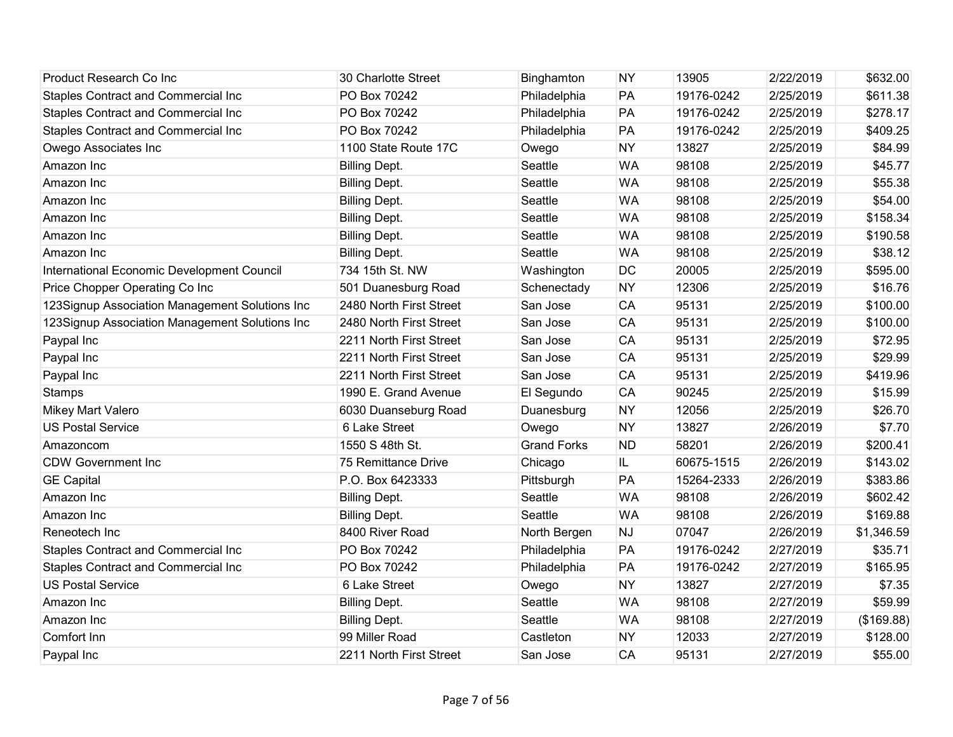| Product Research Co Inc                        | 30 Charlotte Street     | Binghamton         | <b>NY</b> | 13905      | 2/22/2019 | \$632.00   |
|------------------------------------------------|-------------------------|--------------------|-----------|------------|-----------|------------|
| <b>Staples Contract and Commercial Inc</b>     | PO Box 70242            | Philadelphia       | PA        | 19176-0242 | 2/25/2019 | \$611.38   |
| Staples Contract and Commercial Inc            | PO Box 70242            | Philadelphia       | PA        | 19176-0242 | 2/25/2019 | \$278.17   |
| <b>Staples Contract and Commercial Inc</b>     | PO Box 70242            | Philadelphia       | PA        | 19176-0242 | 2/25/2019 | \$409.25   |
| Owego Associates Inc                           | 1100 State Route 17C    | Owego              | <b>NY</b> | 13827      | 2/25/2019 | \$84.99    |
| Amazon Inc                                     | <b>Billing Dept.</b>    | Seattle            | <b>WA</b> | 98108      | 2/25/2019 | \$45.77    |
| Amazon Inc                                     | <b>Billing Dept.</b>    | Seattle            | <b>WA</b> | 98108      | 2/25/2019 | \$55.38    |
| Amazon Inc                                     | <b>Billing Dept.</b>    | Seattle            | <b>WA</b> | 98108      | 2/25/2019 | \$54.00    |
| Amazon Inc                                     | <b>Billing Dept.</b>    | Seattle            | <b>WA</b> | 98108      | 2/25/2019 | \$158.34   |
| Amazon Inc                                     | <b>Billing Dept.</b>    | Seattle            | <b>WA</b> | 98108      | 2/25/2019 | \$190.58   |
| Amazon Inc                                     | <b>Billing Dept.</b>    | Seattle            | <b>WA</b> | 98108      | 2/25/2019 | \$38.12    |
| International Economic Development Council     | 734 15th St. NW         | Washington         | DC        | 20005      | 2/25/2019 | \$595.00   |
| Price Chopper Operating Co Inc                 | 501 Duanesburg Road     | Schenectady        | <b>NY</b> | 12306      | 2/25/2019 | \$16.76    |
| 123Signup Association Management Solutions Inc | 2480 North First Street | San Jose           | <b>CA</b> | 95131      | 2/25/2019 | \$100.00   |
| 123Signup Association Management Solutions Inc | 2480 North First Street | San Jose           | CA        | 95131      | 2/25/2019 | \$100.00   |
| Paypal Inc                                     | 2211 North First Street | San Jose           | <b>CA</b> | 95131      | 2/25/2019 | \$72.95    |
| Paypal Inc                                     | 2211 North First Street | San Jose           | CA        | 95131      | 2/25/2019 | \$29.99    |
| Paypal Inc                                     | 2211 North First Street | San Jose           | <b>CA</b> | 95131      | 2/25/2019 | \$419.96   |
| <b>Stamps</b>                                  | 1990 E. Grand Avenue    | El Segundo         | <b>CA</b> | 90245      | 2/25/2019 | \$15.99    |
| Mikey Mart Valero                              | 6030 Duanseburg Road    | Duanesburg         | <b>NY</b> | 12056      | 2/25/2019 | \$26.70    |
| <b>US Postal Service</b>                       | 6 Lake Street           | Owego              | <b>NY</b> | 13827      | 2/26/2019 | \$7.70     |
| Amazoncom                                      | 1550 S 48th St.         | <b>Grand Forks</b> | <b>ND</b> | 58201      | 2/26/2019 | \$200.41   |
| <b>CDW Government Inc</b>                      | 75 Remittance Drive     | Chicago            | IL.       | 60675-1515 | 2/26/2019 | \$143.02   |
| <b>GE Capital</b>                              | P.O. Box 6423333        | Pittsburgh         | PA        | 15264-2333 | 2/26/2019 | \$383.86   |
| Amazon Inc                                     | <b>Billing Dept.</b>    | Seattle            | <b>WA</b> | 98108      | 2/26/2019 | \$602.42   |
| Amazon Inc                                     | <b>Billing Dept.</b>    | Seattle            | <b>WA</b> | 98108      | 2/26/2019 | \$169.88   |
| Reneotech Inc                                  | 8400 River Road         | North Bergen       | <b>NJ</b> | 07047      | 2/26/2019 | \$1,346.59 |
| <b>Staples Contract and Commercial Inc</b>     | PO Box 70242            | Philadelphia       | PA        | 19176-0242 | 2/27/2019 | \$35.71    |
| <b>Staples Contract and Commercial Inc</b>     | PO Box 70242            | Philadelphia       | PA        | 19176-0242 | 2/27/2019 | \$165.95   |
| <b>US Postal Service</b>                       | 6 Lake Street           | Owego              | <b>NY</b> | 13827      | 2/27/2019 | \$7.35     |
| Amazon Inc                                     | <b>Billing Dept.</b>    | Seattle            | <b>WA</b> | 98108      | 2/27/2019 | \$59.99    |
| Amazon Inc                                     | <b>Billing Dept.</b>    | Seattle            | <b>WA</b> | 98108      | 2/27/2019 | (\$169.88) |
| Comfort Inn                                    | 99 Miller Road          | Castleton          | <b>NY</b> | 12033      | 2/27/2019 | \$128.00   |
| Paypal Inc                                     | 2211 North First Street | San Jose           | CA        | 95131      | 2/27/2019 | \$55.00    |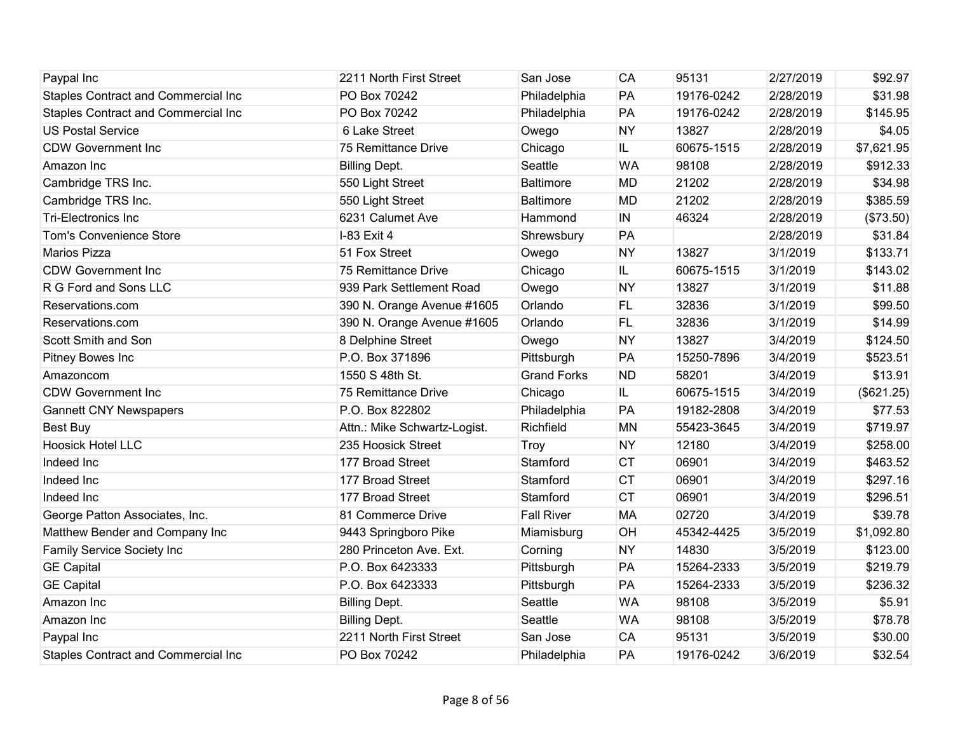| Paypal Inc                                 | 2211 North First Street      | San Jose           | CA        | 95131      | 2/27/2019 | \$92.97    |
|--------------------------------------------|------------------------------|--------------------|-----------|------------|-----------|------------|
| Staples Contract and Commercial Inc        | PO Box 70242                 | Philadelphia       | PA        | 19176-0242 | 2/28/2019 | \$31.98    |
| Staples Contract and Commercial Inc        | PO Box 70242                 | Philadelphia       | PA        | 19176-0242 | 2/28/2019 | \$145.95   |
| <b>US Postal Service</b>                   | 6 Lake Street                | Owego              | <b>NY</b> | 13827      | 2/28/2019 | \$4.05     |
| <b>CDW Government Inc</b>                  | 75 Remittance Drive          | Chicago            | IL.       | 60675-1515 | 2/28/2019 | \$7,621.95 |
| Amazon Inc                                 | <b>Billing Dept.</b>         | Seattle            | <b>WA</b> | 98108      | 2/28/2019 | \$912.33   |
| Cambridge TRS Inc.                         | 550 Light Street             | <b>Baltimore</b>   | <b>MD</b> | 21202      | 2/28/2019 | \$34.98    |
| Cambridge TRS Inc.                         | 550 Light Street             | <b>Baltimore</b>   | <b>MD</b> | 21202      | 2/28/2019 | \$385.59   |
| <b>Tri-Electronics Inc</b>                 | 6231 Calumet Ave             | Hammond            | IN        | 46324      | 2/28/2019 | (\$73.50)  |
| <b>Tom's Convenience Store</b>             | I-83 Exit 4                  | Shrewsbury         | PA        |            | 2/28/2019 | \$31.84    |
| Marios Pizza                               | 51 Fox Street                | Owego              | <b>NY</b> | 13827      | 3/1/2019  | \$133.71   |
| <b>CDW Government Inc</b>                  | 75 Remittance Drive          | Chicago            | IL.       | 60675-1515 | 3/1/2019  | \$143.02   |
| R G Ford and Sons LLC                      | 939 Park Settlement Road     | Owego              | <b>NY</b> | 13827      | 3/1/2019  | \$11.88    |
| Reservations.com                           | 390 N. Orange Avenue #1605   | Orlando            | <b>FL</b> | 32836      | 3/1/2019  | \$99.50    |
| Reservations.com                           | 390 N. Orange Avenue #1605   | Orlando            | FL        | 32836      | 3/1/2019  | \$14.99    |
| Scott Smith and Son                        | 8 Delphine Street            | Owego              | <b>NY</b> | 13827      | 3/4/2019  | \$124.50   |
| Pitney Bowes Inc                           | P.O. Box 371896              | Pittsburgh         | PA        | 15250-7896 | 3/4/2019  | \$523.51   |
| Amazoncom                                  | 1550 S 48th St.              | <b>Grand Forks</b> | <b>ND</b> | 58201      | 3/4/2019  | \$13.91    |
| <b>CDW Government Inc</b>                  | 75 Remittance Drive          | Chicago            | IL.       | 60675-1515 | 3/4/2019  | (\$621.25) |
| <b>Gannett CNY Newspapers</b>              | P.O. Box 822802              | Philadelphia       | PA        | 19182-2808 | 3/4/2019  | \$77.53    |
| <b>Best Buy</b>                            | Attn.: Mike Schwartz-Logist. | Richfield          | <b>MN</b> | 55423-3645 | 3/4/2019  | \$719.97   |
| <b>Hoosick Hotel LLC</b>                   | 235 Hoosick Street           | Troy               | <b>NY</b> | 12180      | 3/4/2019  | \$258.00   |
| Indeed Inc                                 | 177 Broad Street             | Stamford           | <b>CT</b> | 06901      | 3/4/2019  | \$463.52   |
| Indeed Inc                                 | 177 Broad Street             | Stamford           | <b>CT</b> | 06901      | 3/4/2019  | \$297.16   |
| Indeed Inc                                 | 177 Broad Street             | Stamford           | <b>CT</b> | 06901      | 3/4/2019  | \$296.51   |
| George Patton Associates, Inc.             | 81 Commerce Drive            | <b>Fall River</b>  | <b>MA</b> | 02720      | 3/4/2019  | \$39.78    |
| Matthew Bender and Company Inc             | 9443 Springboro Pike         | Miamisburg         | OH        | 45342-4425 | 3/5/2019  | \$1,092.80 |
| Family Service Society Inc                 | 280 Princeton Ave. Ext.      | Corning            | <b>NY</b> | 14830      | 3/5/2019  | \$123.00   |
| <b>GE Capital</b>                          | P.O. Box 6423333             | Pittsburgh         | PA        | 15264-2333 | 3/5/2019  | \$219.79   |
| <b>GE Capital</b>                          | P.O. Box 6423333             | Pittsburgh         | PA        | 15264-2333 | 3/5/2019  | \$236.32   |
| Amazon Inc                                 | <b>Billing Dept.</b>         | Seattle            | <b>WA</b> | 98108      | 3/5/2019  | \$5.91     |
| Amazon Inc                                 | <b>Billing Dept.</b>         | Seattle            | <b>WA</b> | 98108      | 3/5/2019  | \$78.78    |
| Paypal Inc                                 | 2211 North First Street      | San Jose           | <b>CA</b> | 95131      | 3/5/2019  | \$30.00    |
| <b>Staples Contract and Commercial Inc</b> | PO Box 70242                 | Philadelphia       | PA        | 19176-0242 | 3/6/2019  | \$32.54    |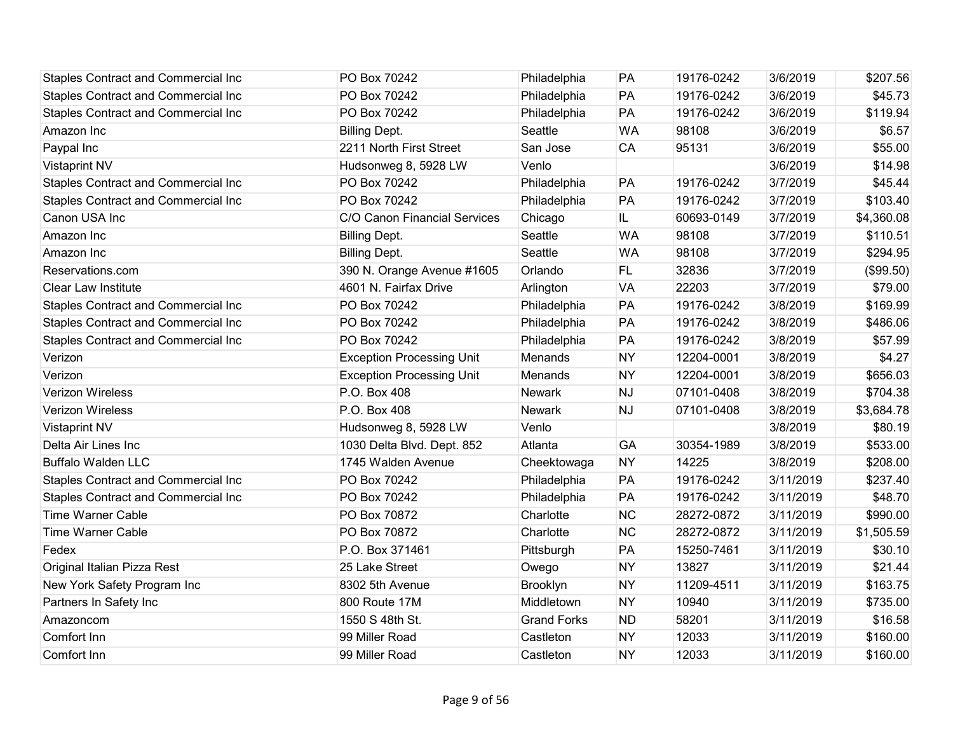| <b>Staples Contract and Commercial Inc</b> | PO Box 70242                     | Philadelphia       | PA        | 19176-0242 | 3/6/2019  | \$207.56   |
|--------------------------------------------|----------------------------------|--------------------|-----------|------------|-----------|------------|
| <b>Staples Contract and Commercial Inc</b> | PO Box 70242                     | Philadelphia       | PA        | 19176-0242 | 3/6/2019  | \$45.73    |
| Staples Contract and Commercial Inc        | PO Box 70242                     | Philadelphia       | PA        | 19176-0242 | 3/6/2019  | \$119.94   |
| Amazon Inc                                 | <b>Billing Dept.</b>             | Seattle            | <b>WA</b> | 98108      | 3/6/2019  | \$6.57     |
| Paypal Inc                                 | 2211 North First Street          | San Jose           | <b>CA</b> | 95131      | 3/6/2019  | \$55.00    |
| Vistaprint NV                              | Hudsonweg 8, 5928 LW             | Venlo              |           |            | 3/6/2019  | \$14.98    |
| <b>Staples Contract and Commercial Inc</b> | PO Box 70242                     | Philadelphia       | PA        | 19176-0242 | 3/7/2019  | \$45.44    |
| Staples Contract and Commercial Inc        | PO Box 70242                     | Philadelphia       | PA        | 19176-0242 | 3/7/2019  | \$103.40   |
| Canon USA Inc                              | C/O Canon Financial Services     | Chicago            | IL        | 60693-0149 | 3/7/2019  | \$4,360.08 |
| Amazon Inc                                 | <b>Billing Dept.</b>             | Seattle            | <b>WA</b> | 98108      | 3/7/2019  | \$110.51   |
| Amazon Inc                                 | <b>Billing Dept.</b>             | Seattle            | <b>WA</b> | 98108      | 3/7/2019  | \$294.95   |
| Reservations.com                           | 390 N. Orange Avenue #1605       | Orlando            | FL.       | 32836      | 3/7/2019  | (\$99.50)  |
| Clear Law Institute                        | 4601 N. Fairfax Drive            | Arlington          | <b>VA</b> | 22203      | 3/7/2019  | \$79.00    |
| Staples Contract and Commercial Inc        | PO Box 70242                     | Philadelphia       | PA        | 19176-0242 | 3/8/2019  | \$169.99   |
| Staples Contract and Commercial Inc        | PO Box 70242                     | Philadelphia       | PA        | 19176-0242 | 3/8/2019  | \$486.06   |
| Staples Contract and Commercial Inc        | PO Box 70242                     | Philadelphia       | PA        | 19176-0242 | 3/8/2019  | \$57.99    |
| Verizon                                    | <b>Exception Processing Unit</b> | Menands            | <b>NY</b> | 12204-0001 | 3/8/2019  | \$4.27     |
| Verizon                                    | <b>Exception Processing Unit</b> | Menands            | <b>NY</b> | 12204-0001 | 3/8/2019  | \$656.03   |
| <b>Verizon Wireless</b>                    | P.O. Box 408                     | <b>Newark</b>      | <b>NJ</b> | 07101-0408 | 3/8/2019  | \$704.38   |
| <b>Verizon Wireless</b>                    | P.O. Box 408                     | <b>Newark</b>      | <b>NJ</b> | 07101-0408 | 3/8/2019  | \$3,684.78 |
| <b>Vistaprint NV</b>                       | Hudsonweg 8, 5928 LW             | Venlo              |           |            | 3/8/2019  | \$80.19    |
| Delta Air Lines Inc                        | 1030 Delta Blvd. Dept. 852       | Atlanta            | GA        | 30354-1989 | 3/8/2019  | \$533.00   |
| <b>Buffalo Walden LLC</b>                  | 1745 Walden Avenue               | Cheektowaga        | <b>NY</b> | 14225      | 3/8/2019  | \$208.00   |
| Staples Contract and Commercial Inc        | PO Box 70242                     | Philadelphia       | PA        | 19176-0242 | 3/11/2019 | \$237.40   |
| <b>Staples Contract and Commercial Inc</b> | PO Box 70242                     | Philadelphia       | PA        | 19176-0242 | 3/11/2019 | \$48.70    |
| <b>Time Warner Cable</b>                   | PO Box 70872                     | Charlotte          | <b>NC</b> | 28272-0872 | 3/11/2019 | \$990.00   |
| <b>Time Warner Cable</b>                   | PO Box 70872                     | Charlotte          | <b>NC</b> | 28272-0872 | 3/11/2019 | \$1,505.59 |
| Fedex                                      | P.O. Box 371461                  | Pittsburgh         | PA        | 15250-7461 | 3/11/2019 | \$30.10    |
| Original Italian Pizza Rest                | 25 Lake Street                   | Owego              | <b>NY</b> | 13827      | 3/11/2019 | \$21.44    |
| New York Safety Program Inc                | 8302 5th Avenue                  | Brooklyn           | <b>NY</b> | 11209-4511 | 3/11/2019 | \$163.75   |
| Partners In Safety Inc                     | 800 Route 17M                    | Middletown         | <b>NY</b> | 10940      | 3/11/2019 | \$735.00   |
| Amazoncom                                  | 1550 S 48th St.                  | <b>Grand Forks</b> | <b>ND</b> | 58201      | 3/11/2019 | \$16.58    |
| Comfort Inn                                | 99 Miller Road                   | Castleton          | <b>NY</b> | 12033      | 3/11/2019 | \$160.00   |
| Comfort Inn                                | 99 Miller Road                   | Castleton          | <b>NY</b> | 12033      | 3/11/2019 | \$160.00   |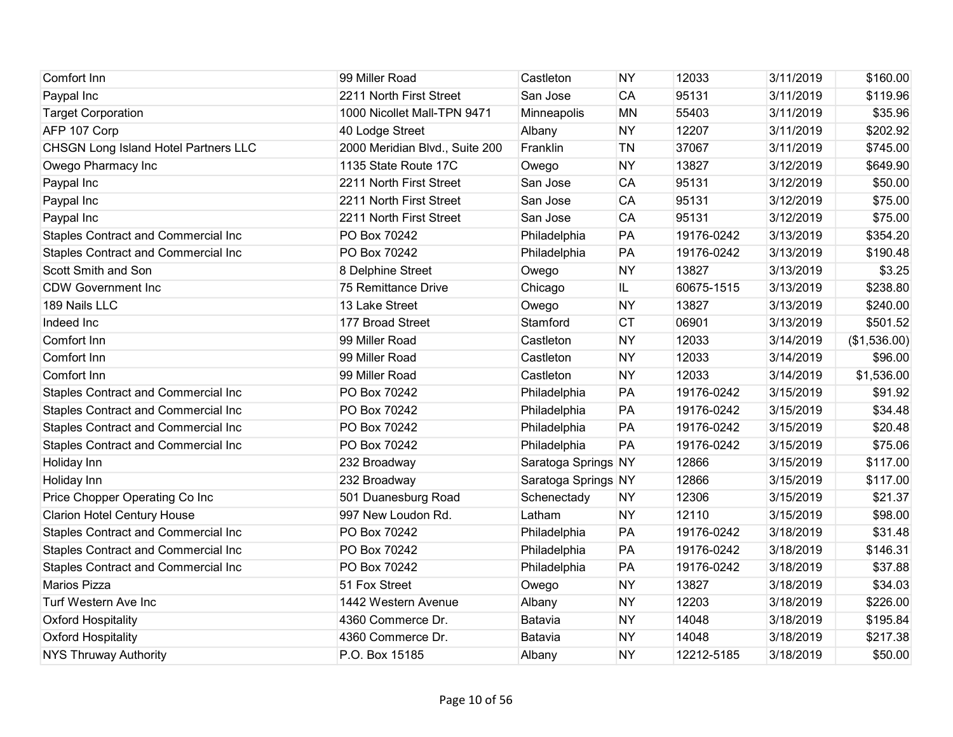| Comfort Inn                                 | 99 Miller Road                 | Castleton           | <b>NY</b> | 12033      | 3/11/2019 | \$160.00     |
|---------------------------------------------|--------------------------------|---------------------|-----------|------------|-----------|--------------|
| Paypal Inc                                  | 2211 North First Street        | San Jose            | CA        | 95131      | 3/11/2019 | \$119.96     |
| <b>Target Corporation</b>                   | 1000 Nicollet Mall-TPN 9471    | Minneapolis         | <b>MN</b> | 55403      | 3/11/2019 | \$35.96      |
| AFP 107 Corp                                | 40 Lodge Street                | Albany              | <b>NY</b> | 12207      | 3/11/2019 | \$202.92     |
| <b>CHSGN Long Island Hotel Partners LLC</b> | 2000 Meridian Blvd., Suite 200 | Franklin            | TN        | 37067      | 3/11/2019 | \$745.00     |
| Owego Pharmacy Inc                          | 1135 State Route 17C           | Owego               | <b>NY</b> | 13827      | 3/12/2019 | \$649.90     |
| Paypal Inc                                  | 2211 North First Street        | San Jose            | CA        | 95131      | 3/12/2019 | \$50.00      |
| Paypal Inc                                  | 2211 North First Street        | San Jose            | <b>CA</b> | 95131      | 3/12/2019 | \$75.00      |
| Paypal Inc                                  | 2211 North First Street        | San Jose            | CA        | 95131      | 3/12/2019 | \$75.00      |
| Staples Contract and Commercial Inc         | PO Box 70242                   | Philadelphia        | PA        | 19176-0242 | 3/13/2019 | \$354.20     |
| Staples Contract and Commercial Inc         | PO Box 70242                   | Philadelphia        | PA        | 19176-0242 | 3/13/2019 | \$190.48     |
| Scott Smith and Son                         | 8 Delphine Street              | Owego               | <b>NY</b> | 13827      | 3/13/2019 | \$3.25       |
| <b>CDW Government Inc</b>                   | 75 Remittance Drive            | Chicago             | IL.       | 60675-1515 | 3/13/2019 | \$238.80     |
| 189 Nails LLC                               | 13 Lake Street                 | Owego               | <b>NY</b> | 13827      | 3/13/2019 | \$240.00     |
| Indeed Inc                                  | 177 Broad Street               | Stamford            | <b>CT</b> | 06901      | 3/13/2019 | \$501.52     |
| Comfort Inn                                 | 99 Miller Road                 | Castleton           | <b>NY</b> | 12033      | 3/14/2019 | (\$1,536.00) |
| Comfort Inn                                 | 99 Miller Road                 | Castleton           | <b>NY</b> | 12033      | 3/14/2019 | \$96.00      |
| Comfort Inn                                 | 99 Miller Road                 | Castleton           | <b>NY</b> | 12033      | 3/14/2019 | \$1,536.00   |
| <b>Staples Contract and Commercial Inc</b>  | PO Box 70242                   | Philadelphia        | PA        | 19176-0242 | 3/15/2019 | \$91.92      |
| Staples Contract and Commercial Inc         | PO Box 70242                   | Philadelphia        | PA        | 19176-0242 | 3/15/2019 | \$34.48      |
| <b>Staples Contract and Commercial Inc</b>  | PO Box 70242                   | Philadelphia        | PA        | 19176-0242 | 3/15/2019 | \$20.48      |
| Staples Contract and Commercial Inc         | PO Box 70242                   | Philadelphia        | PA        | 19176-0242 | 3/15/2019 | \$75.06      |
| Holiday Inn                                 | 232 Broadway                   | Saratoga Springs NY |           | 12866      | 3/15/2019 | \$117.00     |
| Holiday Inn                                 | 232 Broadway                   | Saratoga Springs NY |           | 12866      | 3/15/2019 | \$117.00     |
| Price Chopper Operating Co Inc              | 501 Duanesburg Road            | Schenectady         | <b>NY</b> | 12306      | 3/15/2019 | \$21.37      |
| <b>Clarion Hotel Century House</b>          | 997 New Loudon Rd.             | Latham              | <b>NY</b> | 12110      | 3/15/2019 | \$98.00      |
| Staples Contract and Commercial Inc         | PO Box 70242                   | Philadelphia        | PA        | 19176-0242 | 3/18/2019 | \$31.48      |
| Staples Contract and Commercial Inc         | PO Box 70242                   | Philadelphia        | PA        | 19176-0242 | 3/18/2019 | \$146.31     |
| Staples Contract and Commercial Inc         | PO Box 70242                   | Philadelphia        | PA        | 19176-0242 | 3/18/2019 | \$37.88      |
| <b>Marios Pizza</b>                         | 51 Fox Street                  | Owego               | <b>NY</b> | 13827      | 3/18/2019 | \$34.03      |
| Turf Western Ave Inc                        | 1442 Western Avenue            | Albany              | <b>NY</b> | 12203      | 3/18/2019 | \$226.00     |
| <b>Oxford Hospitality</b>                   | 4360 Commerce Dr.              | Batavia             | <b>NY</b> | 14048      | 3/18/2019 | \$195.84     |
| <b>Oxford Hospitality</b>                   | 4360 Commerce Dr.              | Batavia             | <b>NY</b> | 14048      | 3/18/2019 | \$217.38     |
| <b>NYS Thruway Authority</b>                | P.O. Box 15185                 | Albany              | <b>NY</b> | 12212-5185 | 3/18/2019 | \$50.00      |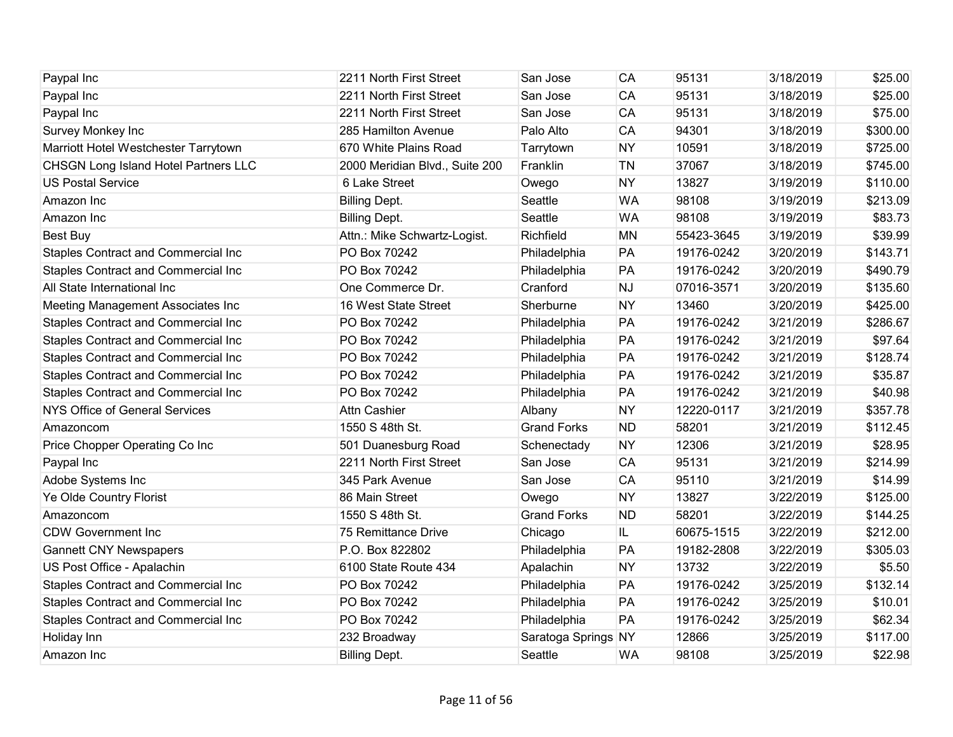| Paypal Inc                                  | 2211 North First Street        | San Jose            | CA        | 95131      | 3/18/2019 | \$25.00  |
|---------------------------------------------|--------------------------------|---------------------|-----------|------------|-----------|----------|
| Paypal Inc                                  | 2211 North First Street        | San Jose            | CA        | 95131      | 3/18/2019 | \$25.00  |
| Paypal Inc                                  | 2211 North First Street        | San Jose            | <b>CA</b> | 95131      | 3/18/2019 | \$75.00  |
| Survey Monkey Inc                           | 285 Hamilton Avenue            | Palo Alto           | <b>CA</b> | 94301      | 3/18/2019 | \$300.00 |
| Marriott Hotel Westchester Tarrytown        | 670 White Plains Road          | Tarrytown           | <b>NY</b> | 10591      | 3/18/2019 | \$725.00 |
| <b>CHSGN Long Island Hotel Partners LLC</b> | 2000 Meridian Blvd., Suite 200 | Franklin            | TN        | 37067      | 3/18/2019 | \$745.00 |
| <b>US Postal Service</b>                    | 6 Lake Street                  | Owego               | <b>NY</b> | 13827      | 3/19/2019 | \$110.00 |
| Amazon Inc                                  | <b>Billing Dept.</b>           | Seattle             | <b>WA</b> | 98108      | 3/19/2019 | \$213.09 |
| Amazon Inc                                  | <b>Billing Dept.</b>           | Seattle             | <b>WA</b> | 98108      | 3/19/2019 | \$83.73  |
| <b>Best Buy</b>                             | Attn.: Mike Schwartz-Logist.   | Richfield           | <b>MN</b> | 55423-3645 | 3/19/2019 | \$39.99  |
| <b>Staples Contract and Commercial Inc</b>  | PO Box 70242                   | Philadelphia        | PA        | 19176-0242 | 3/20/2019 | \$143.71 |
| <b>Staples Contract and Commercial Inc</b>  | PO Box 70242                   | Philadelphia        | PA        | 19176-0242 | 3/20/2019 | \$490.79 |
| All State International Inc                 | One Commerce Dr.               | Cranford            | <b>NJ</b> | 07016-3571 | 3/20/2019 | \$135.60 |
| Meeting Management Associates Inc           | 16 West State Street           | Sherburne           | <b>NY</b> | 13460      | 3/20/2019 | \$425.00 |
| Staples Contract and Commercial Inc         | PO Box 70242                   | Philadelphia        | PA        | 19176-0242 | 3/21/2019 | \$286.67 |
| Staples Contract and Commercial Inc         | PO Box 70242                   | Philadelphia        | PA        | 19176-0242 | 3/21/2019 | \$97.64  |
| <b>Staples Contract and Commercial Inc</b>  | PO Box 70242                   | Philadelphia        | PA        | 19176-0242 | 3/21/2019 | \$128.74 |
| Staples Contract and Commercial Inc         | PO Box 70242                   | Philadelphia        | PA        | 19176-0242 | 3/21/2019 | \$35.87  |
| <b>Staples Contract and Commercial Inc</b>  | PO Box 70242                   | Philadelphia        | PA        | 19176-0242 | 3/21/2019 | \$40.98  |
| <b>NYS Office of General Services</b>       | <b>Attn Cashier</b>            | Albany              | <b>NY</b> | 12220-0117 | 3/21/2019 | \$357.78 |
| Amazoncom                                   | 1550 S 48th St.                | <b>Grand Forks</b>  | <b>ND</b> | 58201      | 3/21/2019 | \$112.45 |
| Price Chopper Operating Co Inc              | 501 Duanesburg Road            | Schenectady         | <b>NY</b> | 12306      | 3/21/2019 | \$28.95  |
| Paypal Inc                                  | 2211 North First Street        | San Jose            | <b>CA</b> | 95131      | 3/21/2019 | \$214.99 |
| Adobe Systems Inc                           | 345 Park Avenue                | San Jose            | CA        | 95110      | 3/21/2019 | \$14.99  |
| Ye Olde Country Florist                     | 86 Main Street                 | Owego               | <b>NY</b> | 13827      | 3/22/2019 | \$125.00 |
| Amazoncom                                   | 1550 S 48th St.                | <b>Grand Forks</b>  | <b>ND</b> | 58201      | 3/22/2019 | \$144.25 |
| <b>CDW Government Inc</b>                   | 75 Remittance Drive            | Chicago             | IL.       | 60675-1515 | 3/22/2019 | \$212.00 |
| <b>Gannett CNY Newspapers</b>               | P.O. Box 822802                | Philadelphia        | PA        | 19182-2808 | 3/22/2019 | \$305.03 |
| US Post Office - Apalachin                  | 6100 State Route 434           | Apalachin           | <b>NY</b> | 13732      | 3/22/2019 | \$5.50   |
| <b>Staples Contract and Commercial Inc</b>  | PO Box 70242                   | Philadelphia        | PA        | 19176-0242 | 3/25/2019 | \$132.14 |
| Staples Contract and Commercial Inc         | PO Box 70242                   | Philadelphia        | PA        | 19176-0242 | 3/25/2019 | \$10.01  |
| <b>Staples Contract and Commercial Inc</b>  | PO Box 70242                   | Philadelphia        | PA        | 19176-0242 | 3/25/2019 | \$62.34  |
| Holiday Inn                                 | 232 Broadway                   | Saratoga Springs NY |           | 12866      | 3/25/2019 | \$117.00 |
| Amazon Inc                                  | <b>Billing Dept.</b>           | Seattle             | <b>WA</b> | 98108      | 3/25/2019 | \$22.98  |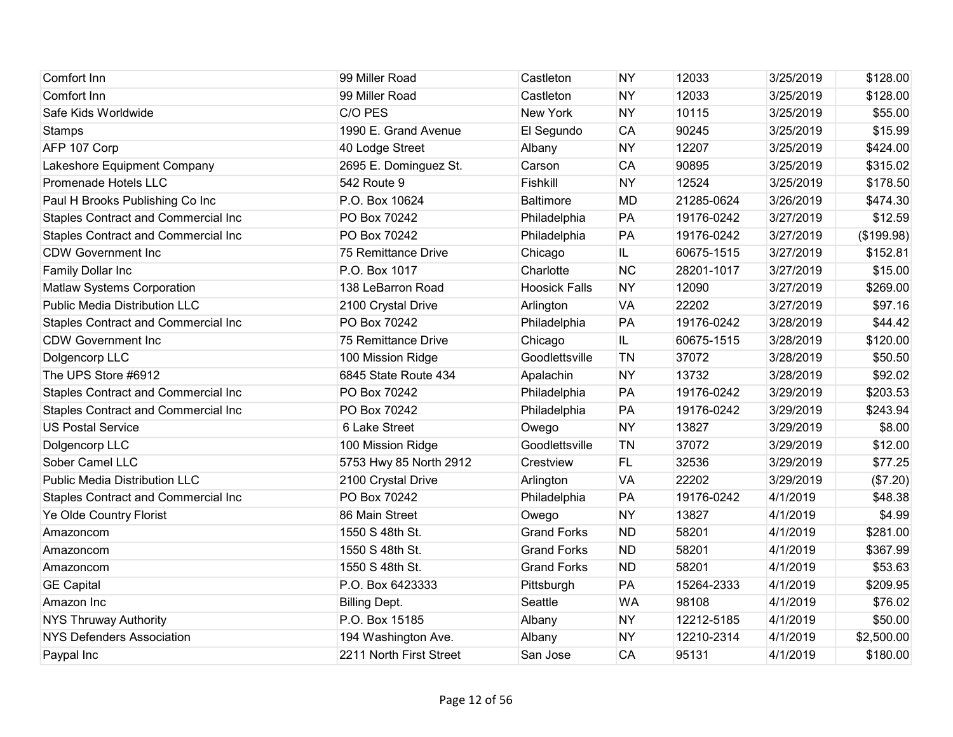| Comfort Inn                                | 99 Miller Road          | Castleton            | <b>NY</b> | 12033      | 3/25/2019 | \$128.00   |
|--------------------------------------------|-------------------------|----------------------|-----------|------------|-----------|------------|
| Comfort Inn                                | 99 Miller Road          | Castleton            | <b>NY</b> | 12033      | 3/25/2019 | \$128.00   |
| Safe Kids Worldwide                        | C/O PES                 | New York             | <b>NY</b> | 10115      | 3/25/2019 | \$55.00    |
| <b>Stamps</b>                              | 1990 E. Grand Avenue    | El Segundo           | <b>CA</b> | 90245      | 3/25/2019 | \$15.99    |
| AFP 107 Corp                               | 40 Lodge Street         | Albany               | <b>NY</b> | 12207      | 3/25/2019 | \$424.00   |
| Lakeshore Equipment Company                | 2695 E. Dominguez St.   | Carson               | CA        | 90895      | 3/25/2019 | \$315.02   |
| Promenade Hotels LLC                       | 542 Route 9             | Fishkill             | <b>NY</b> | 12524      | 3/25/2019 | \$178.50   |
| Paul H Brooks Publishing Co Inc            | P.O. Box 10624          | <b>Baltimore</b>     | <b>MD</b> | 21285-0624 | 3/26/2019 | \$474.30   |
| Staples Contract and Commercial Inc        | PO Box 70242            | Philadelphia         | PA        | 19176-0242 | 3/27/2019 | \$12.59    |
| <b>Staples Contract and Commercial Inc</b> | PO Box 70242            | Philadelphia         | PA        | 19176-0242 | 3/27/2019 | (\$199.98) |
| <b>CDW Government Inc</b>                  | 75 Remittance Drive     | Chicago              | IL.       | 60675-1515 | 3/27/2019 | \$152.81   |
| Family Dollar Inc                          | P.O. Box 1017           | Charlotte            | <b>NC</b> | 28201-1017 | 3/27/2019 | \$15.00    |
| Matlaw Systems Corporation                 | 138 LeBarron Road       | <b>Hoosick Falls</b> | <b>NY</b> | 12090      | 3/27/2019 | \$269.00   |
| <b>Public Media Distribution LLC</b>       | 2100 Crystal Drive      | Arlington            | <b>VA</b> | 22202      | 3/27/2019 | \$97.16    |
| Staples Contract and Commercial Inc        | PO Box 70242            | Philadelphia         | PA        | 19176-0242 | 3/28/2019 | \$44.42    |
| <b>CDW Government Inc</b>                  | 75 Remittance Drive     | Chicago              | IL        | 60675-1515 | 3/28/2019 | \$120.00   |
| Dolgencorp LLC                             | 100 Mission Ridge       | Goodlettsville       | TN        | 37072      | 3/28/2019 | \$50.50    |
| The UPS Store #6912                        | 6845 State Route 434    | Apalachin            | <b>NY</b> | 13732      | 3/28/2019 | \$92.02    |
| Staples Contract and Commercial Inc        | PO Box 70242            | Philadelphia         | PA        | 19176-0242 | 3/29/2019 | \$203.53   |
| <b>Staples Contract and Commercial Inc</b> | PO Box 70242            | Philadelphia         | PA        | 19176-0242 | 3/29/2019 | \$243.94   |
| <b>US Postal Service</b>                   | 6 Lake Street           | Owego                | <b>NY</b> | 13827      | 3/29/2019 | \$8.00     |
| Dolgencorp LLC                             | 100 Mission Ridge       | Goodlettsville       | <b>TN</b> | 37072      | 3/29/2019 | \$12.00    |
| Sober Camel LLC                            | 5753 Hwy 85 North 2912  | Crestview            | FL.       | 32536      | 3/29/2019 | \$77.25    |
| <b>Public Media Distribution LLC</b>       | 2100 Crystal Drive      | Arlington            | <b>VA</b> | 22202      | 3/29/2019 | (\$7.20)   |
| <b>Staples Contract and Commercial Inc</b> | PO Box 70242            | Philadelphia         | PA        | 19176-0242 | 4/1/2019  | \$48.38    |
| Ye Olde Country Florist                    | 86 Main Street          | Owego                | <b>NY</b> | 13827      | 4/1/2019  | \$4.99     |
| Amazoncom                                  | 1550 S 48th St.         | <b>Grand Forks</b>   | <b>ND</b> | 58201      | 4/1/2019  | \$281.00   |
| Amazoncom                                  | 1550 S 48th St.         | <b>Grand Forks</b>   | <b>ND</b> | 58201      | 4/1/2019  | \$367.99   |
| Amazoncom                                  | 1550 S 48th St.         | <b>Grand Forks</b>   | <b>ND</b> | 58201      | 4/1/2019  | \$53.63    |
| <b>GE Capital</b>                          | P.O. Box 6423333        | Pittsburgh           | PA        | 15264-2333 | 4/1/2019  | \$209.95   |
| Amazon Inc                                 | <b>Billing Dept.</b>    | Seattle              | <b>WA</b> | 98108      | 4/1/2019  | \$76.02    |
| <b>NYS Thruway Authority</b>               | P.O. Box 15185          | Albany               | <b>NY</b> | 12212-5185 | 4/1/2019  | \$50.00    |
| <b>NYS Defenders Association</b>           | 194 Washington Ave.     | Albany               | <b>NY</b> | 12210-2314 | 4/1/2019  | \$2,500.00 |
| Paypal Inc                                 | 2211 North First Street | San Jose             | CA        | 95131      | 4/1/2019  | \$180.00   |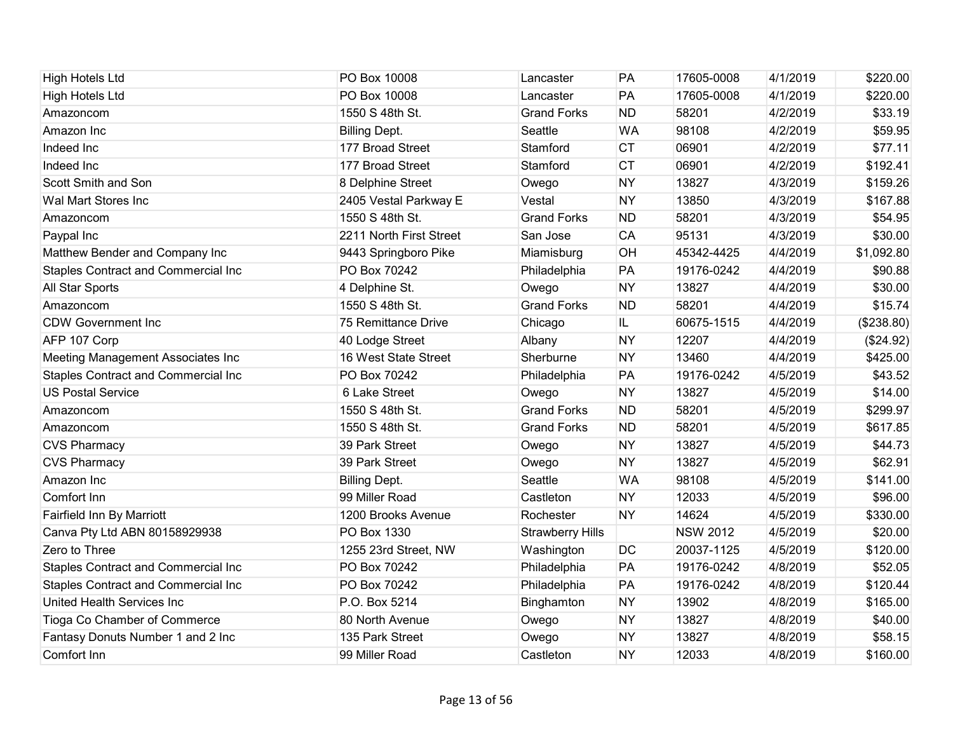| <b>High Hotels Ltd</b>                     | PO Box 10008            | Lancaster               | PA        | 17605-0008      | 4/1/2019 | \$220.00   |
|--------------------------------------------|-------------------------|-------------------------|-----------|-----------------|----------|------------|
| <b>High Hotels Ltd</b>                     | PO Box 10008            | Lancaster               | PA        | 17605-0008      | 4/1/2019 | \$220.00   |
| Amazoncom                                  | 1550 S 48th St.         | <b>Grand Forks</b>      | <b>ND</b> | 58201           | 4/2/2019 | \$33.19    |
| Amazon Inc                                 | <b>Billing Dept.</b>    | Seattle                 | <b>WA</b> | 98108           | 4/2/2019 | \$59.95    |
| Indeed Inc                                 | 177 Broad Street        | Stamford                | <b>CT</b> | 06901           | 4/2/2019 | \$77.11    |
| Indeed Inc                                 | 177 Broad Street        | Stamford                | <b>CT</b> | 06901           | 4/2/2019 | \$192.41   |
| Scott Smith and Son                        | 8 Delphine Street       | Owego                   | <b>NY</b> | 13827           | 4/3/2019 | \$159.26   |
| Wal Mart Stores Inc                        | 2405 Vestal Parkway E   | Vestal                  | <b>NY</b> | 13850           | 4/3/2019 | \$167.88   |
| Amazoncom                                  | 1550 S 48th St.         | <b>Grand Forks</b>      | <b>ND</b> | 58201           | 4/3/2019 | \$54.95    |
| Paypal Inc                                 | 2211 North First Street | San Jose                | <b>CA</b> | 95131           | 4/3/2019 | \$30.00    |
| Matthew Bender and Company Inc             | 9443 Springboro Pike    | Miamisburg              | <b>OH</b> | 45342-4425      | 4/4/2019 | \$1,092.80 |
| Staples Contract and Commercial Inc        | PO Box 70242            | Philadelphia            | PA        | 19176-0242      | 4/4/2019 | \$90.88    |
| All Star Sports                            | 4 Delphine St.          | Owego                   | <b>NY</b> | 13827           | 4/4/2019 | \$30.00    |
| Amazoncom                                  | 1550 S 48th St.         | <b>Grand Forks</b>      | <b>ND</b> | 58201           | 4/4/2019 | \$15.74    |
| <b>CDW Government Inc</b>                  | 75 Remittance Drive     | Chicago                 | IL.       | 60675-1515      | 4/4/2019 | (\$238.80) |
| AFP 107 Corp                               | 40 Lodge Street         | Albany                  | <b>NY</b> | 12207           | 4/4/2019 | (\$24.92)  |
| Meeting Management Associates Inc          | 16 West State Street    | Sherburne               | <b>NY</b> | 13460           | 4/4/2019 | \$425.00   |
| Staples Contract and Commercial Inc        | PO Box 70242            | Philadelphia            | PA        | 19176-0242      | 4/5/2019 | \$43.52    |
| <b>US Postal Service</b>                   | 6 Lake Street           | Owego                   | <b>NY</b> | 13827           | 4/5/2019 | \$14.00    |
| Amazoncom                                  | 1550 S 48th St.         | <b>Grand Forks</b>      | <b>ND</b> | 58201           | 4/5/2019 | \$299.97   |
| Amazoncom                                  | 1550 S 48th St.         | <b>Grand Forks</b>      | <b>ND</b> | 58201           | 4/5/2019 | \$617.85   |
| <b>CVS Pharmacy</b>                        | 39 Park Street          | Owego                   | <b>NY</b> | 13827           | 4/5/2019 | \$44.73    |
| <b>CVS Pharmacy</b>                        | 39 Park Street          | Owego                   | <b>NY</b> | 13827           | 4/5/2019 | \$62.91    |
| Amazon Inc                                 | <b>Billing Dept.</b>    | Seattle                 | <b>WA</b> | 98108           | 4/5/2019 | \$141.00   |
| Comfort Inn                                | 99 Miller Road          | Castleton               | <b>NY</b> | 12033           | 4/5/2019 | \$96.00    |
| Fairfield Inn By Marriott                  | 1200 Brooks Avenue      | Rochester               | <b>NY</b> | 14624           | 4/5/2019 | \$330.00   |
| Canva Pty Ltd ABN 80158929938              | PO Box 1330             | <b>Strawberry Hills</b> |           | <b>NSW 2012</b> | 4/5/2019 | \$20.00    |
| Zero to Three                              | 1255 23rd Street, NW    | Washington              | DC        | 20037-1125      | 4/5/2019 | \$120.00   |
| <b>Staples Contract and Commercial Inc</b> | PO Box 70242            | Philadelphia            | PA        | 19176-0242      | 4/8/2019 | \$52.05    |
| <b>Staples Contract and Commercial Inc</b> | PO Box 70242            | Philadelphia            | PA        | 19176-0242      | 4/8/2019 | \$120.44   |
| United Health Services Inc                 | P.O. Box 5214           | Binghamton              | <b>NY</b> | 13902           | 4/8/2019 | \$165.00   |
| Tioga Co Chamber of Commerce               | 80 North Avenue         | Owego                   | <b>NY</b> | 13827           | 4/8/2019 | \$40.00    |
| Fantasy Donuts Number 1 and 2 Inc          | 135 Park Street         | Owego                   | <b>NY</b> | 13827           | 4/8/2019 | \$58.15    |
| Comfort Inn                                | 99 Miller Road          | Castleton               | <b>NY</b> | 12033           | 4/8/2019 | \$160.00   |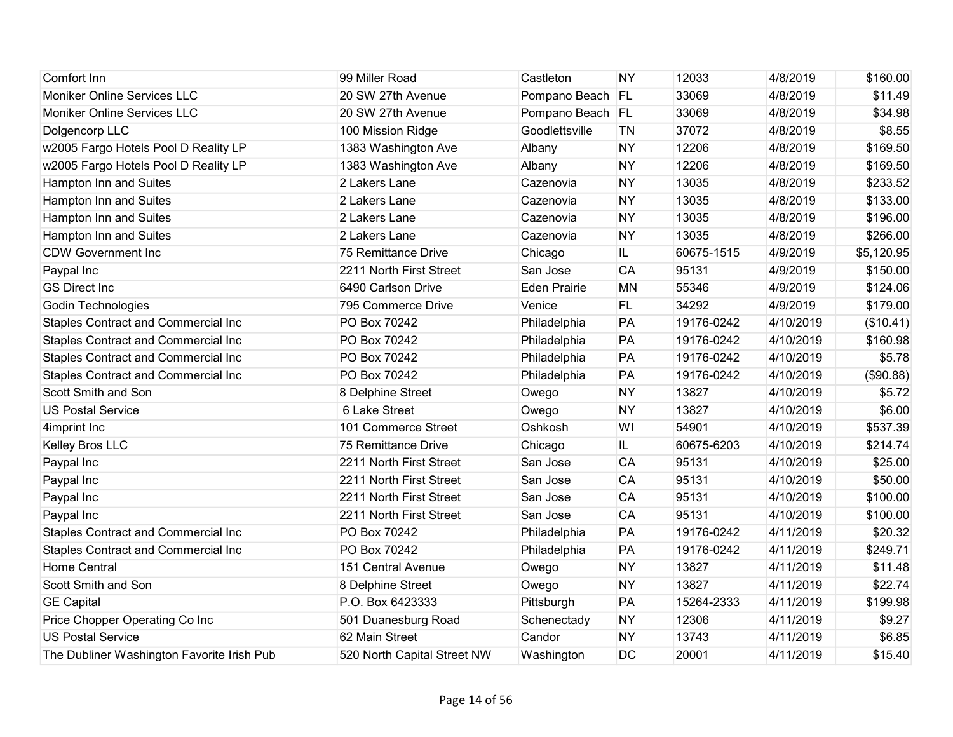| Comfort Inn                                | 99 Miller Road              | Castleton           | <b>NY</b> | 12033      | 4/8/2019  | \$160.00   |
|--------------------------------------------|-----------------------------|---------------------|-----------|------------|-----------|------------|
| Moniker Online Services LLC                | 20 SW 27th Avenue           | Pompano Beach FL    |           | 33069      | 4/8/2019  | \$11.49    |
| Moniker Online Services LLC                | 20 SW 27th Avenue           | Pompano Beach FL    |           | 33069      | 4/8/2019  | \$34.98    |
| Dolgencorp LLC                             | 100 Mission Ridge           | Goodlettsville      | <b>TN</b> | 37072      | 4/8/2019  | \$8.55     |
| w2005 Fargo Hotels Pool D Reality LP       | 1383 Washington Ave         | Albany              | <b>NY</b> | 12206      | 4/8/2019  | \$169.50   |
| w2005 Fargo Hotels Pool D Reality LP       | 1383 Washington Ave         | Albany              | <b>NY</b> | 12206      | 4/8/2019  | \$169.50   |
| Hampton Inn and Suites                     | 2 Lakers Lane               | Cazenovia           | <b>NY</b> | 13035      | 4/8/2019  | \$233.52   |
| Hampton Inn and Suites                     | 2 Lakers Lane               | Cazenovia           | <b>NY</b> | 13035      | 4/8/2019  | \$133.00   |
| Hampton Inn and Suites                     | 2 Lakers Lane               | Cazenovia           | <b>NY</b> | 13035      | 4/8/2019  | \$196.00   |
| Hampton Inn and Suites                     | 2 Lakers Lane               | Cazenovia           | <b>NY</b> | 13035      | 4/8/2019  | \$266.00   |
| <b>CDW Government Inc</b>                  | 75 Remittance Drive         | Chicago             | IL.       | 60675-1515 | 4/9/2019  | \$5,120.95 |
| Paypal Inc                                 | 2211 North First Street     | San Jose            | CA        | 95131      | 4/9/2019  | \$150.00   |
| <b>GS Direct Inc</b>                       | 6490 Carlson Drive          | <b>Eden Prairie</b> | <b>MN</b> | 55346      | 4/9/2019  | \$124.06   |
| <b>Godin Technologies</b>                  | 795 Commerce Drive          | Venice              | <b>FL</b> | 34292      | 4/9/2019  | \$179.00   |
| <b>Staples Contract and Commercial Inc</b> | PO Box 70242                | Philadelphia        | PA        | 19176-0242 | 4/10/2019 | (\$10.41)  |
| <b>Staples Contract and Commercial Inc</b> | PO Box 70242                | Philadelphia        | PA        | 19176-0242 | 4/10/2019 | \$160.98   |
| <b>Staples Contract and Commercial Inc</b> | PO Box 70242                | Philadelphia        | PA        | 19176-0242 | 4/10/2019 | \$5.78     |
| <b>Staples Contract and Commercial Inc</b> | PO Box 70242                | Philadelphia        | PA        | 19176-0242 | 4/10/2019 | (\$90.88)  |
| Scott Smith and Son                        | 8 Delphine Street           | Owego               | <b>NY</b> | 13827      | 4/10/2019 | \$5.72     |
| <b>US Postal Service</b>                   | 6 Lake Street               | Owego               | <b>NY</b> | 13827      | 4/10/2019 | \$6.00     |
| 4imprint Inc                               | 101 Commerce Street         | Oshkosh             | WI        | 54901      | 4/10/2019 | \$537.39   |
| Kelley Bros LLC                            | 75 Remittance Drive         | Chicago             | IL.       | 60675-6203 | 4/10/2019 | \$214.74   |
| Paypal Inc                                 | 2211 North First Street     | San Jose            | CA        | 95131      | 4/10/2019 | \$25.00    |
| Paypal Inc                                 | 2211 North First Street     | San Jose            | CA        | 95131      | 4/10/2019 | \$50.00    |
| Paypal Inc                                 | 2211 North First Street     | San Jose            | CA        | 95131      | 4/10/2019 | \$100.00   |
| Paypal Inc                                 | 2211 North First Street     | San Jose            | CA        | 95131      | 4/10/2019 | \$100.00   |
| Staples Contract and Commercial Inc        | PO Box 70242                | Philadelphia        | PA        | 19176-0242 | 4/11/2019 | \$20.32    |
| <b>Staples Contract and Commercial Inc</b> | PO Box 70242                | Philadelphia        | PA        | 19176-0242 | 4/11/2019 | \$249.71   |
| <b>Home Central</b>                        | 151 Central Avenue          | Owego               | <b>NY</b> | 13827      | 4/11/2019 | \$11.48    |
| Scott Smith and Son                        | 8 Delphine Street           | Owego               | <b>NY</b> | 13827      | 4/11/2019 | \$22.74    |
| <b>GE Capital</b>                          | P.O. Box 6423333            | Pittsburgh          | PA        | 15264-2333 | 4/11/2019 | \$199.98   |
| Price Chopper Operating Co Inc             | 501 Duanesburg Road         | Schenectady         | <b>NY</b> | 12306      | 4/11/2019 | \$9.27     |
| <b>US Postal Service</b>                   | 62 Main Street              | Candor              | <b>NY</b> | 13743      | 4/11/2019 | \$6.85     |
| The Dubliner Washington Favorite Irish Pub | 520 North Capital Street NW | Washington          | DC        | 20001      | 4/11/2019 | \$15.40    |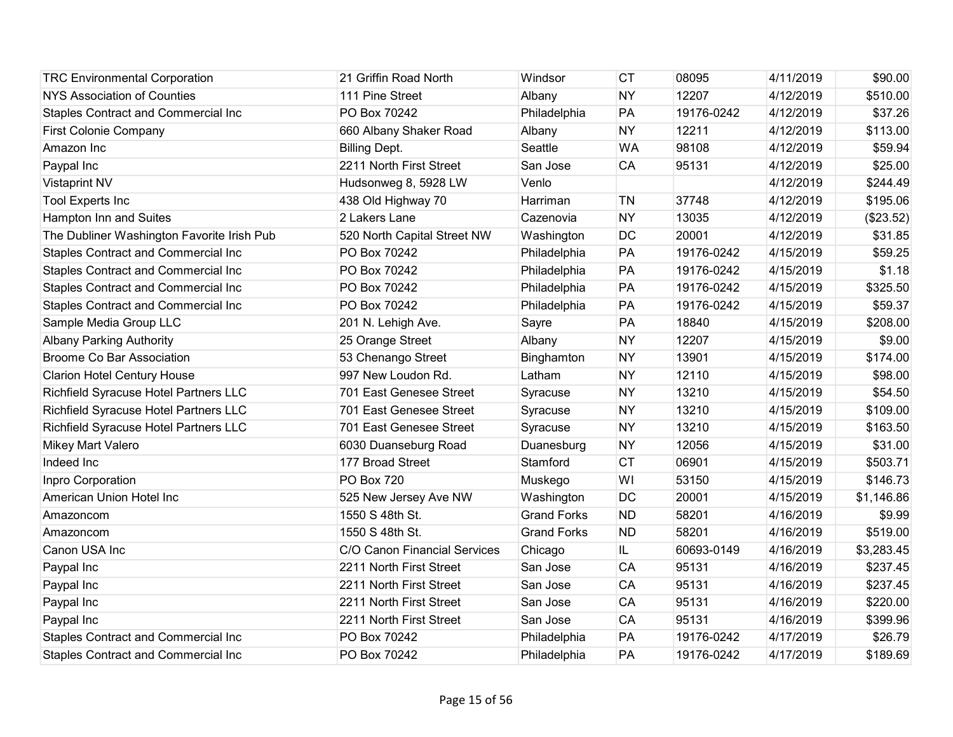| <b>TRC Environmental Corporation</b>       | 21 Griffin Road North        | Windsor            | <b>CT</b> | 08095      | 4/11/2019 | \$90.00    |
|--------------------------------------------|------------------------------|--------------------|-----------|------------|-----------|------------|
| <b>NYS Association of Counties</b>         | 111 Pine Street              | Albany             | <b>NY</b> | 12207      | 4/12/2019 | \$510.00   |
| Staples Contract and Commercial Inc        | PO Box 70242                 | Philadelphia       | PA        | 19176-0242 | 4/12/2019 | \$37.26    |
| <b>First Colonie Company</b>               | 660 Albany Shaker Road       | Albany             | <b>NY</b> | 12211      | 4/12/2019 | \$113.00   |
| Amazon Inc                                 | <b>Billing Dept.</b>         | Seattle            | <b>WA</b> | 98108      | 4/12/2019 | \$59.94    |
| Paypal Inc                                 | 2211 North First Street      | San Jose           | CA        | 95131      | 4/12/2019 | \$25.00    |
| <b>Vistaprint NV</b>                       | Hudsonweg 8, 5928 LW         | Venlo              |           |            | 4/12/2019 | \$244.49   |
| <b>Tool Experts Inc</b>                    | 438 Old Highway 70           | Harriman           | <b>TN</b> | 37748      | 4/12/2019 | \$195.06   |
| Hampton Inn and Suites                     | 2 Lakers Lane                | Cazenovia          | <b>NY</b> | 13035      | 4/12/2019 | (\$23.52)  |
| The Dubliner Washington Favorite Irish Pub | 520 North Capital Street NW  | Washington         | DC        | 20001      | 4/12/2019 | \$31.85    |
| <b>Staples Contract and Commercial Inc</b> | PO Box 70242                 | Philadelphia       | PA        | 19176-0242 | 4/15/2019 | \$59.25    |
| <b>Staples Contract and Commercial Inc</b> | PO Box 70242                 | Philadelphia       | PA        | 19176-0242 | 4/15/2019 | \$1.18     |
| Staples Contract and Commercial Inc        | PO Box 70242                 | Philadelphia       | PA        | 19176-0242 | 4/15/2019 | \$325.50   |
| <b>Staples Contract and Commercial Inc</b> | PO Box 70242                 | Philadelphia       | PA        | 19176-0242 | 4/15/2019 | \$59.37    |
| Sample Media Group LLC                     | 201 N. Lehigh Ave.           | Sayre              | PA        | 18840      | 4/15/2019 | \$208.00   |
| <b>Albany Parking Authority</b>            | 25 Orange Street             | Albany             | <b>NY</b> | 12207      | 4/15/2019 | \$9.00     |
| <b>Broome Co Bar Association</b>           | 53 Chenango Street           | Binghamton         | <b>NY</b> | 13901      | 4/15/2019 | \$174.00   |
| <b>Clarion Hotel Century House</b>         | 997 New Loudon Rd.           | Latham             | <b>NY</b> | 12110      | 4/15/2019 | \$98.00    |
| Richfield Syracuse Hotel Partners LLC      | 701 East Genesee Street      | Syracuse           | <b>NY</b> | 13210      | 4/15/2019 | \$54.50    |
| Richfield Syracuse Hotel Partners LLC      | 701 East Genesee Street      | Syracuse           | <b>NY</b> | 13210      | 4/15/2019 | \$109.00   |
| Richfield Syracuse Hotel Partners LLC      | 701 East Genesee Street      | Syracuse           | <b>NY</b> | 13210      | 4/15/2019 | \$163.50   |
| Mikey Mart Valero                          | 6030 Duanseburg Road         | Duanesburg         | <b>NY</b> | 12056      | 4/15/2019 | \$31.00    |
| Indeed Inc                                 | 177 Broad Street             | Stamford           | <b>CT</b> | 06901      | 4/15/2019 | \$503.71   |
| Inpro Corporation                          | <b>PO Box 720</b>            | Muskego            | WI        | 53150      | 4/15/2019 | \$146.73   |
| American Union Hotel Inc                   | 525 New Jersey Ave NW        | Washington         | DC        | 20001      | 4/15/2019 | \$1,146.86 |
| Amazoncom                                  | 1550 S 48th St.              | <b>Grand Forks</b> | <b>ND</b> | 58201      | 4/16/2019 | \$9.99     |
| Amazoncom                                  | 1550 S 48th St.              | <b>Grand Forks</b> | <b>ND</b> | 58201      | 4/16/2019 | \$519.00   |
| Canon USA Inc                              | C/O Canon Financial Services | Chicago            | IL.       | 60693-0149 | 4/16/2019 | \$3,283.45 |
| Paypal Inc                                 | 2211 North First Street      | San Jose           | <b>CA</b> | 95131      | 4/16/2019 | \$237.45   |
| Paypal Inc                                 | 2211 North First Street      | San Jose           | <b>CA</b> | 95131      | 4/16/2019 | \$237.45   |
| Paypal Inc                                 | 2211 North First Street      | San Jose           | CA        | 95131      | 4/16/2019 | \$220.00   |
| Paypal Inc                                 | 2211 North First Street      | San Jose           | CA        | 95131      | 4/16/2019 | \$399.96   |
| <b>Staples Contract and Commercial Inc</b> | PO Box 70242                 | Philadelphia       | PA        | 19176-0242 | 4/17/2019 | \$26.79    |
| <b>Staples Contract and Commercial Inc</b> | PO Box 70242                 | Philadelphia       | PA        | 19176-0242 | 4/17/2019 | \$189.69   |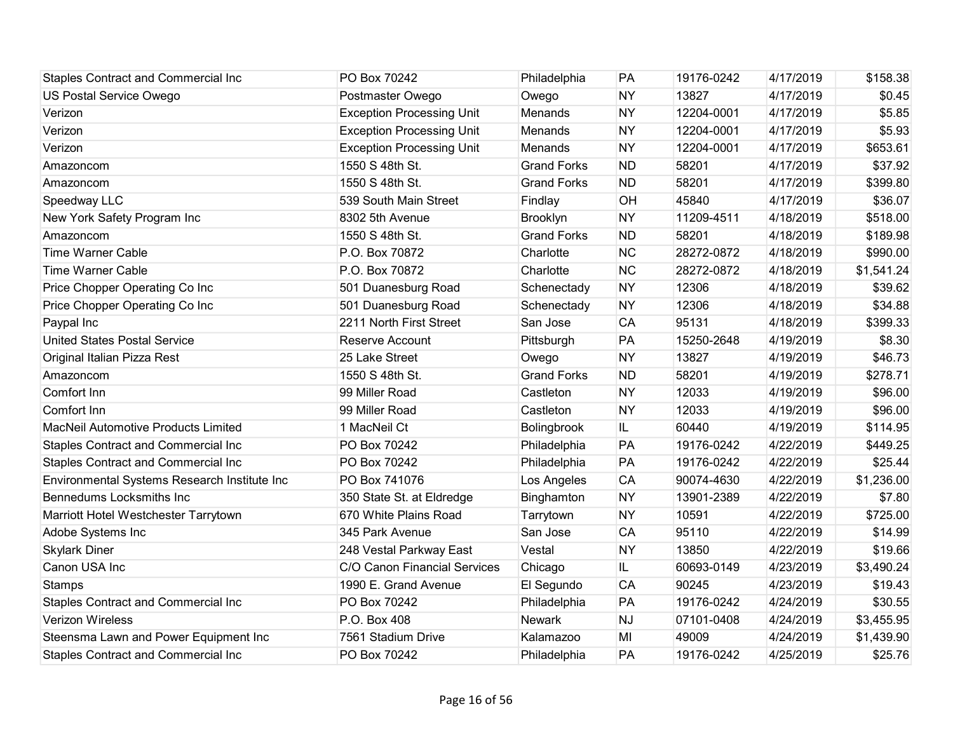| <b>Staples Contract and Commercial Inc</b>   | PO Box 70242                     | Philadelphia       | PA        | 19176-0242 | 4/17/2019 | \$158.38   |
|----------------------------------------------|----------------------------------|--------------------|-----------|------------|-----------|------------|
| US Postal Service Owego                      | Postmaster Owego                 | Owego              | <b>NY</b> | 13827      | 4/17/2019 | \$0.45     |
| Verizon                                      | <b>Exception Processing Unit</b> | Menands            | <b>NY</b> | 12204-0001 | 4/17/2019 | \$5.85     |
| Verizon                                      | <b>Exception Processing Unit</b> | Menands            | <b>NY</b> | 12204-0001 | 4/17/2019 | \$5.93     |
| Verizon                                      | <b>Exception Processing Unit</b> | Menands            | <b>NY</b> | 12204-0001 | 4/17/2019 | \$653.61   |
| Amazoncom                                    | 1550 S 48th St.                  | <b>Grand Forks</b> | <b>ND</b> | 58201      | 4/17/2019 | \$37.92    |
| Amazoncom                                    | 1550 S 48th St.                  | <b>Grand Forks</b> | <b>ND</b> | 58201      | 4/17/2019 | \$399.80   |
| Speedway LLC                                 | 539 South Main Street            | Findlay            | <b>OH</b> | 45840      | 4/17/2019 | \$36.07    |
| New York Safety Program Inc                  | 8302 5th Avenue                  | Brooklyn           | <b>NY</b> | 11209-4511 | 4/18/2019 | \$518.00   |
| Amazoncom                                    | 1550 S 48th St.                  | <b>Grand Forks</b> | <b>ND</b> | 58201      | 4/18/2019 | \$189.98   |
| <b>Time Warner Cable</b>                     | P.O. Box 70872                   | Charlotte          | <b>NC</b> | 28272-0872 | 4/18/2019 | \$990.00   |
| <b>Time Warner Cable</b>                     | P.O. Box 70872                   | Charlotte          | <b>NC</b> | 28272-0872 | 4/18/2019 | \$1,541.24 |
| Price Chopper Operating Co Inc               | 501 Duanesburg Road              | Schenectady        | <b>NY</b> | 12306      | 4/18/2019 | \$39.62    |
| Price Chopper Operating Co Inc               | 501 Duanesburg Road              | Schenectady        | <b>NY</b> | 12306      | 4/18/2019 | \$34.88    |
| Paypal Inc                                   | 2211 North First Street          | San Jose           | <b>CA</b> | 95131      | 4/18/2019 | \$399.33   |
| <b>United States Postal Service</b>          | Reserve Account                  | Pittsburgh         | PA        | 15250-2648 | 4/19/2019 | \$8.30     |
| Original Italian Pizza Rest                  | 25 Lake Street                   | Owego              | <b>NY</b> | 13827      | 4/19/2019 | \$46.73    |
| Amazoncom                                    | 1550 S 48th St.                  | <b>Grand Forks</b> | <b>ND</b> | 58201      | 4/19/2019 | \$278.71   |
| Comfort Inn                                  | 99 Miller Road                   | Castleton          | <b>NY</b> | 12033      | 4/19/2019 | \$96.00    |
| Comfort Inn                                  | 99 Miller Road                   | Castleton          | <b>NY</b> | 12033      | 4/19/2019 | \$96.00    |
| <b>MacNeil Automotive Products Limited</b>   | 1 MacNeil Ct                     | Bolingbrook        | IL        | 60440      | 4/19/2019 | \$114.95   |
| <b>Staples Contract and Commercial Inc</b>   | PO Box 70242                     | Philadelphia       | PA        | 19176-0242 | 4/22/2019 | \$449.25   |
| <b>Staples Contract and Commercial Inc</b>   | PO Box 70242                     | Philadelphia       | PA        | 19176-0242 | 4/22/2019 | \$25.44    |
| Environmental Systems Research Institute Inc | PO Box 741076                    | Los Angeles        | CA        | 90074-4630 | 4/22/2019 | \$1,236.00 |
| Bennedums Locksmiths Inc                     | 350 State St. at Eldredge        | Binghamton         | <b>NY</b> | 13901-2389 | 4/22/2019 | \$7.80     |
| Marriott Hotel Westchester Tarrytown         | 670 White Plains Road            | Tarrytown          | <b>NY</b> | 10591      | 4/22/2019 | \$725.00   |
| Adobe Systems Inc                            | 345 Park Avenue                  | San Jose           | <b>CA</b> | 95110      | 4/22/2019 | \$14.99    |
| <b>Skylark Diner</b>                         | 248 Vestal Parkway East          | Vestal             | <b>NY</b> | 13850      | 4/22/2019 | \$19.66    |
| Canon USA Inc                                | C/O Canon Financial Services     | Chicago            | IL        | 60693-0149 | 4/23/2019 | \$3,490.24 |
| <b>Stamps</b>                                | 1990 E. Grand Avenue             | El Segundo         | <b>CA</b> | 90245      | 4/23/2019 | \$19.43    |
| <b>Staples Contract and Commercial Inc</b>   | PO Box 70242                     | Philadelphia       | PA        | 19176-0242 | 4/24/2019 | \$30.55    |
| Verizon Wireless                             | P.O. Box 408                     | <b>Newark</b>      | <b>NJ</b> | 07101-0408 | 4/24/2019 | \$3,455.95 |
| Steensma Lawn and Power Equipment Inc        | 7561 Stadium Drive               | Kalamazoo          | MI        | 49009      | 4/24/2019 | \$1,439.90 |
| <b>Staples Contract and Commercial Inc</b>   | PO Box 70242                     | Philadelphia       | PA        | 19176-0242 | 4/25/2019 | \$25.76    |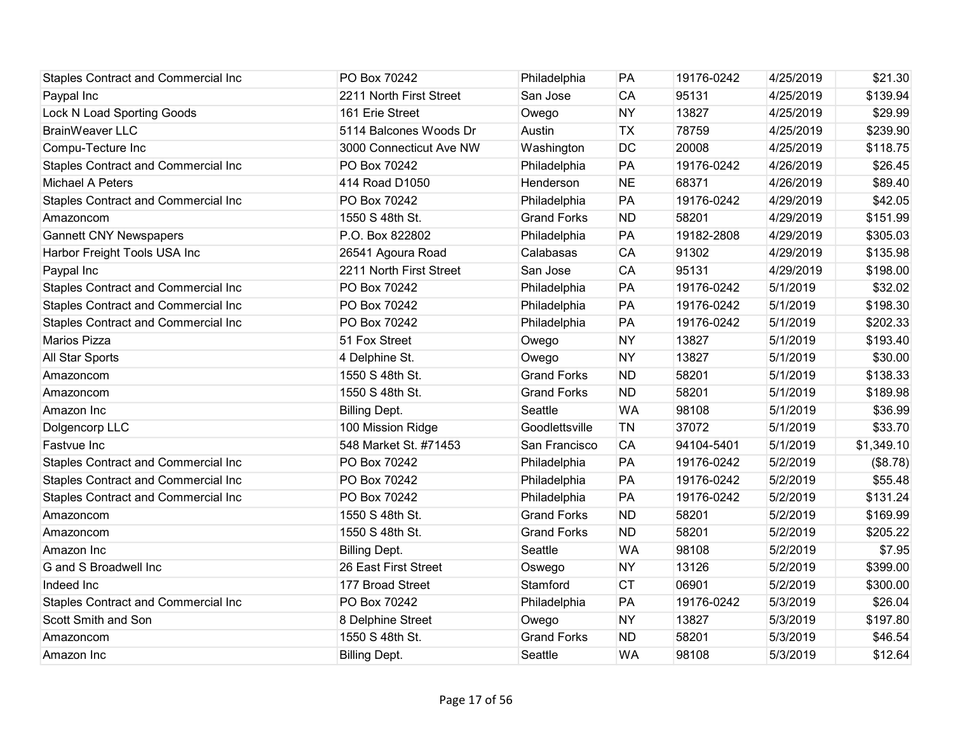| <b>Staples Contract and Commercial Inc</b> | PO Box 70242            | Philadelphia       | PA        | 19176-0242 | 4/25/2019 | \$21.30    |
|--------------------------------------------|-------------------------|--------------------|-----------|------------|-----------|------------|
| Paypal Inc                                 | 2211 North First Street | San Jose           | <b>CA</b> | 95131      | 4/25/2019 | \$139.94   |
| <b>Lock N Load Sporting Goods</b>          | 161 Erie Street         | Owego              | <b>NY</b> | 13827      | 4/25/2019 | \$29.99    |
| <b>BrainWeaver LLC</b>                     | 5114 Balcones Woods Dr  | Austin             | <b>TX</b> | 78759      | 4/25/2019 | \$239.90   |
| Compu-Tecture Inc                          | 3000 Connecticut Ave NW | Washington         | <b>DC</b> | 20008      | 4/25/2019 | \$118.75   |
| Staples Contract and Commercial Inc        | PO Box 70242            | Philadelphia       | PA        | 19176-0242 | 4/26/2019 | \$26.45    |
| Michael A Peters                           | 414 Road D1050          | Henderson          | <b>NE</b> | 68371      | 4/26/2019 | \$89.40    |
| Staples Contract and Commercial Inc        | PO Box 70242            | Philadelphia       | PA        | 19176-0242 | 4/29/2019 | \$42.05    |
| Amazoncom                                  | 1550 S 48th St.         | <b>Grand Forks</b> | <b>ND</b> | 58201      | 4/29/2019 | \$151.99   |
| <b>Gannett CNY Newspapers</b>              | P.O. Box 822802         | Philadelphia       | PA        | 19182-2808 | 4/29/2019 | \$305.03   |
| Harbor Freight Tools USA Inc               | 26541 Agoura Road       | Calabasas          | <b>CA</b> | 91302      | 4/29/2019 | \$135.98   |
| Paypal Inc                                 | 2211 North First Street | San Jose           | <b>CA</b> | 95131      | 4/29/2019 | \$198.00   |
| <b>Staples Contract and Commercial Inc</b> | PO Box 70242            | Philadelphia       | PA        | 19176-0242 | 5/1/2019  | \$32.02    |
| <b>Staples Contract and Commercial Inc</b> | PO Box 70242            | Philadelphia       | PA        | 19176-0242 | 5/1/2019  | \$198.30   |
| <b>Staples Contract and Commercial Inc</b> | PO Box 70242            | Philadelphia       | PA        | 19176-0242 | 5/1/2019  | \$202.33   |
| Marios Pizza                               | 51 Fox Street           | Owego              | <b>NY</b> | 13827      | 5/1/2019  | \$193.40   |
| All Star Sports                            | 4 Delphine St.          | Owego              | <b>NY</b> | 13827      | 5/1/2019  | \$30.00    |
| Amazoncom                                  | 1550 S 48th St.         | <b>Grand Forks</b> | <b>ND</b> | 58201      | 5/1/2019  | \$138.33   |
| Amazoncom                                  | 1550 S 48th St.         | <b>Grand Forks</b> | <b>ND</b> | 58201      | 5/1/2019  | \$189.98   |
| Amazon Inc                                 | <b>Billing Dept.</b>    | Seattle            | <b>WA</b> | 98108      | 5/1/2019  | \$36.99    |
| Dolgencorp LLC                             | 100 Mission Ridge       | Goodlettsville     | TN        | 37072      | 5/1/2019  | \$33.70    |
| Fastvue Inc                                | 548 Market St. #71453   | San Francisco      | <b>CA</b> | 94104-5401 | 5/1/2019  | \$1,349.10 |
| Staples Contract and Commercial Inc        | PO Box 70242            | Philadelphia       | PA        | 19176-0242 | 5/2/2019  | (\$8.78)   |
| Staples Contract and Commercial Inc        | PO Box 70242            | Philadelphia       | PA        | 19176-0242 | 5/2/2019  | \$55.48    |
| <b>Staples Contract and Commercial Inc</b> | PO Box 70242            | Philadelphia       | PA        | 19176-0242 | 5/2/2019  | \$131.24   |
| Amazoncom                                  | 1550 S 48th St.         | <b>Grand Forks</b> | <b>ND</b> | 58201      | 5/2/2019  | \$169.99   |
| Amazoncom                                  | 1550 S 48th St.         | <b>Grand Forks</b> | <b>ND</b> | 58201      | 5/2/2019  | \$205.22   |
| Amazon Inc                                 | <b>Billing Dept.</b>    | Seattle            | <b>WA</b> | 98108      | 5/2/2019  | \$7.95     |
| G and S Broadwell Inc                      | 26 East First Street    | Oswego             | <b>NY</b> | 13126      | 5/2/2019  | \$399.00   |
| Indeed Inc                                 | 177 Broad Street        | Stamford           | <b>CT</b> | 06901      | 5/2/2019  | \$300.00   |
| <b>Staples Contract and Commercial Inc</b> | PO Box 70242            | Philadelphia       | PA        | 19176-0242 | 5/3/2019  | \$26.04    |
| Scott Smith and Son                        | 8 Delphine Street       | Owego              | <b>NY</b> | 13827      | 5/3/2019  | \$197.80   |
| Amazoncom                                  | 1550 S 48th St.         | <b>Grand Forks</b> | <b>ND</b> | 58201      | 5/3/2019  | \$46.54    |
| Amazon Inc                                 | <b>Billing Dept.</b>    | Seattle            | <b>WA</b> | 98108      | 5/3/2019  | \$12.64    |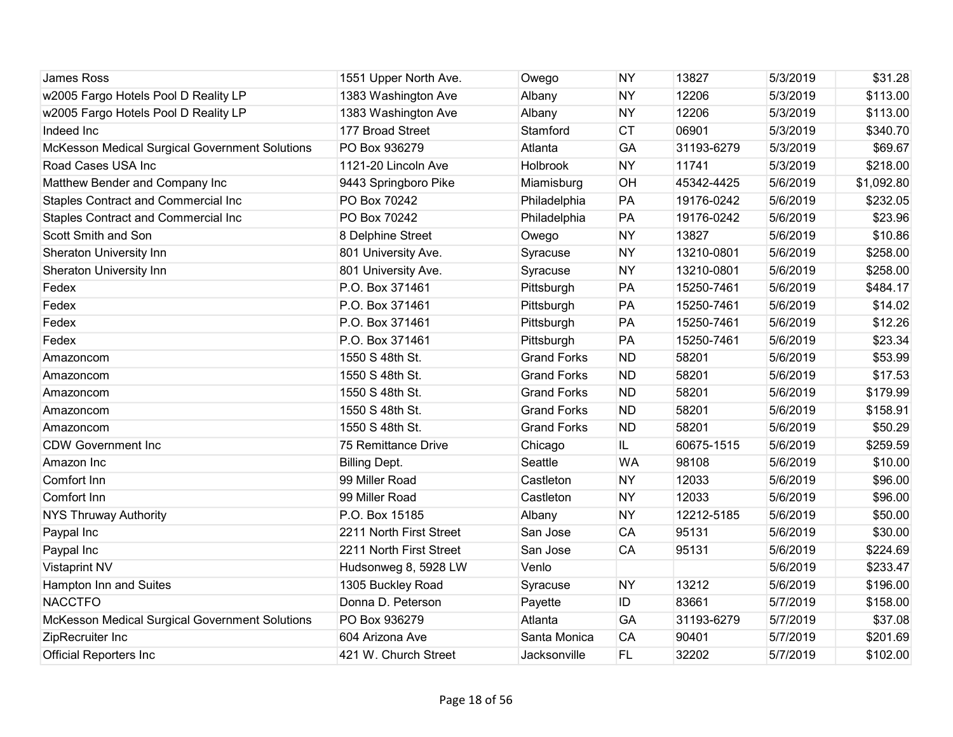| <b>James Ross</b>                              | 1551 Upper North Ave.   | Owego              | <b>NY</b> | 13827      | 5/3/2019 | \$31.28    |
|------------------------------------------------|-------------------------|--------------------|-----------|------------|----------|------------|
| w2005 Fargo Hotels Pool D Reality LP           | 1383 Washington Ave     | Albany             | <b>NY</b> | 12206      | 5/3/2019 | \$113.00   |
| w2005 Fargo Hotels Pool D Reality LP           | 1383 Washington Ave     | Albany             | <b>NY</b> | 12206      | 5/3/2019 | \$113.00   |
| Indeed Inc                                     | 177 Broad Street        | Stamford           | <b>CT</b> | 06901      | 5/3/2019 | \$340.70   |
| McKesson Medical Surgical Government Solutions | PO Box 936279           | Atlanta            | GA        | 31193-6279 | 5/3/2019 | \$69.67    |
| Road Cases USA Inc                             | 1121-20 Lincoln Ave     | Holbrook           | <b>NY</b> | 11741      | 5/3/2019 | \$218.00   |
| Matthew Bender and Company Inc                 | 9443 Springboro Pike    | Miamisburg         | <b>OH</b> | 45342-4425 | 5/6/2019 | \$1,092.80 |
| Staples Contract and Commercial Inc            | PO Box 70242            | Philadelphia       | PA        | 19176-0242 | 5/6/2019 | \$232.05   |
| <b>Staples Contract and Commercial Inc</b>     | PO Box 70242            | Philadelphia       | PA        | 19176-0242 | 5/6/2019 | \$23.96    |
| Scott Smith and Son                            | 8 Delphine Street       | Owego              | <b>NY</b> | 13827      | 5/6/2019 | \$10.86    |
| <b>Sheraton University Inn</b>                 | 801 University Ave.     | Syracuse           | <b>NY</b> | 13210-0801 | 5/6/2019 | \$258.00   |
| <b>Sheraton University Inn</b>                 | 801 University Ave.     | Syracuse           | <b>NY</b> | 13210-0801 | 5/6/2019 | \$258.00   |
| Fedex                                          | P.O. Box 371461         | Pittsburgh         | PA        | 15250-7461 | 5/6/2019 | \$484.17   |
| Fedex                                          | P.O. Box 371461         | Pittsburgh         | PA        | 15250-7461 | 5/6/2019 | \$14.02    |
| Fedex                                          | P.O. Box 371461         | Pittsburgh         | PA        | 15250-7461 | 5/6/2019 | \$12.26    |
| Fedex                                          | P.O. Box 371461         | Pittsburgh         | PA        | 15250-7461 | 5/6/2019 | \$23.34    |
| Amazoncom                                      | 1550 S 48th St.         | <b>Grand Forks</b> | <b>ND</b> | 58201      | 5/6/2019 | \$53.99    |
| Amazoncom                                      | 1550 S 48th St.         | <b>Grand Forks</b> | <b>ND</b> | 58201      | 5/6/2019 | \$17.53    |
| Amazoncom                                      | 1550 S 48th St.         | <b>Grand Forks</b> | <b>ND</b> | 58201      | 5/6/2019 | \$179.99   |
| Amazoncom                                      | 1550 S 48th St.         | <b>Grand Forks</b> | <b>ND</b> | 58201      | 5/6/2019 | \$158.91   |
| Amazoncom                                      | 1550 S 48th St.         | <b>Grand Forks</b> | <b>ND</b> | 58201      | 5/6/2019 | \$50.29    |
| <b>CDW Government Inc</b>                      | 75 Remittance Drive     | Chicago            | IL.       | 60675-1515 | 5/6/2019 | \$259.59   |
| Amazon Inc                                     | <b>Billing Dept.</b>    | Seattle            | <b>WA</b> | 98108      | 5/6/2019 | \$10.00    |
| Comfort Inn                                    | 99 Miller Road          | Castleton          | <b>NY</b> | 12033      | 5/6/2019 | \$96.00    |
| Comfort Inn                                    | 99 Miller Road          | Castleton          | <b>NY</b> | 12033      | 5/6/2019 | \$96.00    |
| <b>NYS Thruway Authority</b>                   | P.O. Box 15185          | Albany             | <b>NY</b> | 12212-5185 | 5/6/2019 | \$50.00    |
| Paypal Inc                                     | 2211 North First Street | San Jose           | <b>CA</b> | 95131      | 5/6/2019 | \$30.00    |
| Paypal Inc                                     | 2211 North First Street | San Jose           | <b>CA</b> | 95131      | 5/6/2019 | \$224.69   |
| <b>Vistaprint NV</b>                           | Hudsonweg 8, 5928 LW    | Venlo              |           |            | 5/6/2019 | \$233.47   |
| Hampton Inn and Suites                         | 1305 Buckley Road       | Syracuse           | <b>NY</b> | 13212      | 5/6/2019 | \$196.00   |
| <b>NACCTFO</b>                                 | Donna D. Peterson       | Payette            | ID        | 83661      | 5/7/2019 | \$158.00   |
| McKesson Medical Surgical Government Solutions | PO Box 936279           | Atlanta            | GA        | 31193-6279 | 5/7/2019 | \$37.08    |
| ZipRecruiter Inc                               | 604 Arizona Ave         | Santa Monica       | <b>CA</b> | 90401      | 5/7/2019 | \$201.69   |
| <b>Official Reporters Inc</b>                  | 421 W. Church Street    | Jacksonville       | <b>FL</b> | 32202      | 5/7/2019 | \$102.00   |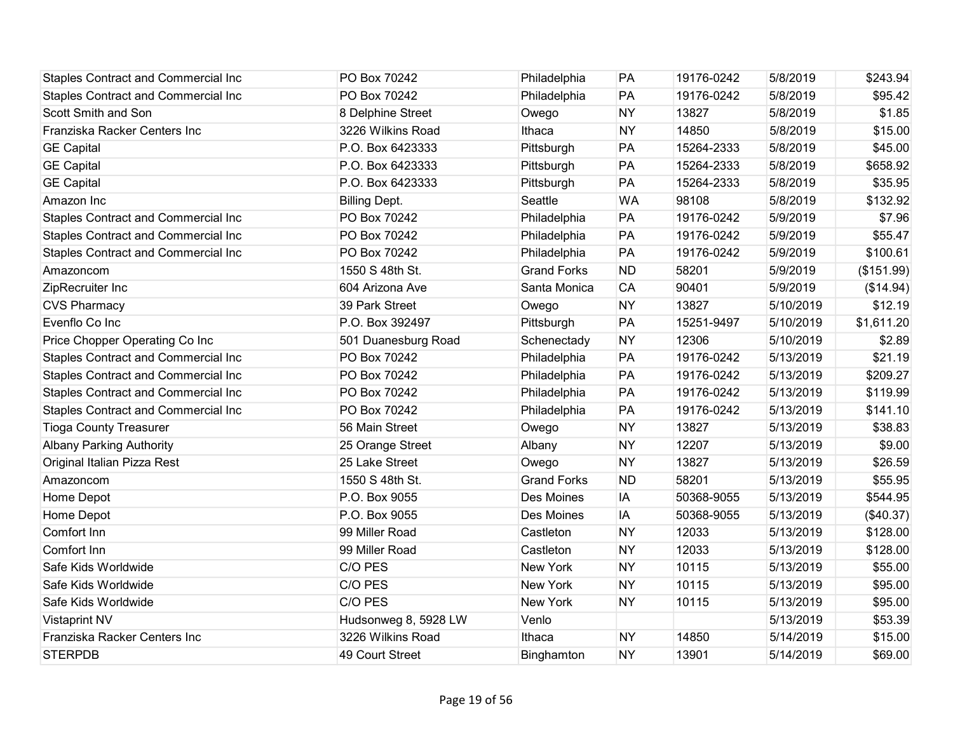| <b>Staples Contract and Commercial Inc</b> | PO Box 70242         | Philadelphia       | PA        | 19176-0242 | 5/8/2019  | \$243.94   |
|--------------------------------------------|----------------------|--------------------|-----------|------------|-----------|------------|
| <b>Staples Contract and Commercial Inc</b> | PO Box 70242         | Philadelphia       | PA        | 19176-0242 | 5/8/2019  | \$95.42    |
| Scott Smith and Son                        | 8 Delphine Street    | Owego              | <b>NY</b> | 13827      | 5/8/2019  | \$1.85     |
| Franziska Racker Centers Inc               | 3226 Wilkins Road    | Ithaca             | <b>NY</b> | 14850      | 5/8/2019  | \$15.00    |
| <b>GE Capital</b>                          | P.O. Box 6423333     | Pittsburgh         | PA        | 15264-2333 | 5/8/2019  | \$45.00    |
| <b>GE Capital</b>                          | P.O. Box 6423333     | Pittsburgh         | PA        | 15264-2333 | 5/8/2019  | \$658.92   |
| <b>GE Capital</b>                          | P.O. Box 6423333     | Pittsburgh         | PA        | 15264-2333 | 5/8/2019  | \$35.95    |
| Amazon Inc                                 | <b>Billing Dept.</b> | Seattle            | <b>WA</b> | 98108      | 5/8/2019  | \$132.92   |
| <b>Staples Contract and Commercial Inc</b> | PO Box 70242         | Philadelphia       | PA        | 19176-0242 | 5/9/2019  | \$7.96     |
| <b>Staples Contract and Commercial Inc</b> | PO Box 70242         | Philadelphia       | PA        | 19176-0242 | 5/9/2019  | \$55.47    |
| <b>Staples Contract and Commercial Inc</b> | PO Box 70242         | Philadelphia       | PA        | 19176-0242 | 5/9/2019  | \$100.61   |
| Amazoncom                                  | 1550 S 48th St.      | <b>Grand Forks</b> | <b>ND</b> | 58201      | 5/9/2019  | (\$151.99) |
| ZipRecruiter Inc                           | 604 Arizona Ave      | Santa Monica       | <b>CA</b> | 90401      | 5/9/2019  | (\$14.94)  |
| <b>CVS Pharmacy</b>                        | 39 Park Street       | Owego              | <b>NY</b> | 13827      | 5/10/2019 | \$12.19    |
| Evenflo Co Inc                             | P.O. Box 392497      | Pittsburgh         | PA        | 15251-9497 | 5/10/2019 | \$1,611.20 |
| Price Chopper Operating Co Inc             | 501 Duanesburg Road  | Schenectady        | <b>NY</b> | 12306      | 5/10/2019 | \$2.89     |
| <b>Staples Contract and Commercial Inc</b> | PO Box 70242         | Philadelphia       | PA        | 19176-0242 | 5/13/2019 | \$21.19    |
| Staples Contract and Commercial Inc        | PO Box 70242         | Philadelphia       | PA        | 19176-0242 | 5/13/2019 | \$209.27   |
| <b>Staples Contract and Commercial Inc</b> | PO Box 70242         | Philadelphia       | PA        | 19176-0242 | 5/13/2019 | \$119.99   |
| <b>Staples Contract and Commercial Inc</b> | PO Box 70242         | Philadelphia       | PA        | 19176-0242 | 5/13/2019 | \$141.10   |
| <b>Tioga County Treasurer</b>              | 56 Main Street       | Owego              | <b>NY</b> | 13827      | 5/13/2019 | \$38.83    |
| <b>Albany Parking Authority</b>            | 25 Orange Street     | Albany             | <b>NY</b> | 12207      | 5/13/2019 | \$9.00     |
| Original Italian Pizza Rest                | 25 Lake Street       | Owego              | <b>NY</b> | 13827      | 5/13/2019 | \$26.59    |
| Amazoncom                                  | 1550 S 48th St.      | <b>Grand Forks</b> | <b>ND</b> | 58201      | 5/13/2019 | \$55.95    |
| Home Depot                                 | P.O. Box 9055        | Des Moines         | IA        | 50368-9055 | 5/13/2019 | \$544.95   |
| Home Depot                                 | P.O. Box 9055        | Des Moines         | IA        | 50368-9055 | 5/13/2019 | (\$40.37)  |
| Comfort Inn                                | 99 Miller Road       | Castleton          | <b>NY</b> | 12033      | 5/13/2019 | \$128.00   |
| Comfort Inn                                | 99 Miller Road       | Castleton          | <b>NY</b> | 12033      | 5/13/2019 | \$128.00   |
| Safe Kids Worldwide                        | C/O PES              | New York           | <b>NY</b> | 10115      | 5/13/2019 | \$55.00    |
| Safe Kids Worldwide                        | C/O PES              | New York           | <b>NY</b> | 10115      | 5/13/2019 | \$95.00    |
| Safe Kids Worldwide                        | C/O PES              | New York           | <b>NY</b> | 10115      | 5/13/2019 | \$95.00    |
| <b>Vistaprint NV</b>                       | Hudsonweg 8, 5928 LW | Venlo              |           |            | 5/13/2019 | \$53.39    |
| Franziska Racker Centers Inc               | 3226 Wilkins Road    | Ithaca             | <b>NY</b> | 14850      | 5/14/2019 | \$15.00    |
| <b>STERPDB</b>                             | 49 Court Street      | Binghamton         | <b>NY</b> | 13901      | 5/14/2019 | \$69.00    |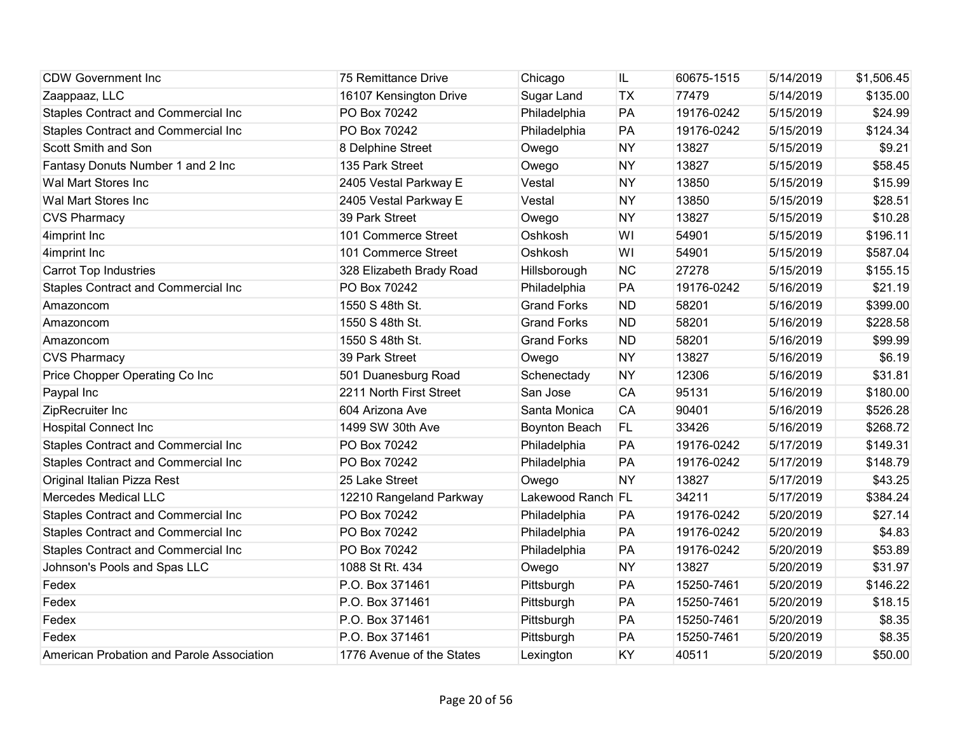| <b>CDW Government Inc</b>                  | 75 Remittance Drive       | Chicago            | IL        | 60675-1515 | 5/14/2019 | \$1,506.45 |
|--------------------------------------------|---------------------------|--------------------|-----------|------------|-----------|------------|
| Zaappaaz, LLC                              | 16107 Kensington Drive    | Sugar Land         | <b>TX</b> | 77479      | 5/14/2019 | \$135.00   |
| Staples Contract and Commercial Inc        | PO Box 70242              | Philadelphia       | PA        | 19176-0242 | 5/15/2019 | \$24.99    |
| <b>Staples Contract and Commercial Inc</b> | PO Box 70242              | Philadelphia       | PA        | 19176-0242 | 5/15/2019 | \$124.34   |
| Scott Smith and Son                        | 8 Delphine Street         | Owego              | <b>NY</b> | 13827      | 5/15/2019 | \$9.21     |
| Fantasy Donuts Number 1 and 2 Inc          | 135 Park Street           | Owego              | <b>NY</b> | 13827      | 5/15/2019 | \$58.45    |
| Wal Mart Stores Inc                        | 2405 Vestal Parkway E     | Vestal             | <b>NY</b> | 13850      | 5/15/2019 | \$15.99    |
| Wal Mart Stores Inc                        | 2405 Vestal Parkway E     | Vestal             | <b>NY</b> | 13850      | 5/15/2019 | \$28.51    |
| <b>CVS Pharmacy</b>                        | 39 Park Street            | Owego              | <b>NY</b> | 13827      | 5/15/2019 | \$10.28    |
| 4imprint Inc                               | 101 Commerce Street       | Oshkosh            | WI        | 54901      | 5/15/2019 | \$196.11   |
| 4imprint Inc                               | 101 Commerce Street       | Oshkosh            | WI        | 54901      | 5/15/2019 | \$587.04   |
| <b>Carrot Top Industries</b>               | 328 Elizabeth Brady Road  | Hillsborough       | <b>NC</b> | 27278      | 5/15/2019 | \$155.15   |
| Staples Contract and Commercial Inc        | PO Box 70242              | Philadelphia       | PA        | 19176-0242 | 5/16/2019 | \$21.19    |
| Amazoncom                                  | 1550 S 48th St.           | <b>Grand Forks</b> | <b>ND</b> | 58201      | 5/16/2019 | \$399.00   |
| Amazoncom                                  | 1550 S 48th St.           | <b>Grand Forks</b> | <b>ND</b> | 58201      | 5/16/2019 | \$228.58   |
| Amazoncom                                  | 1550 S 48th St.           | <b>Grand Forks</b> | <b>ND</b> | 58201      | 5/16/2019 | \$99.99    |
| <b>CVS Pharmacy</b>                        | 39 Park Street            | Owego              | <b>NY</b> | 13827      | 5/16/2019 | \$6.19     |
| Price Chopper Operating Co Inc             | 501 Duanesburg Road       | Schenectady        | <b>NY</b> | 12306      | 5/16/2019 | \$31.81    |
| Paypal Inc                                 | 2211 North First Street   | San Jose           | <b>CA</b> | 95131      | 5/16/2019 | \$180.00   |
| ZipRecruiter Inc                           | 604 Arizona Ave           | Santa Monica       | CA        | 90401      | 5/16/2019 | \$526.28   |
| <b>Hospital Connect Inc</b>                | 1499 SW 30th Ave          | Boynton Beach      | FL.       | 33426      | 5/16/2019 | \$268.72   |
| <b>Staples Contract and Commercial Inc</b> | PO Box 70242              | Philadelphia       | PA        | 19176-0242 | 5/17/2019 | \$149.31   |
| Staples Contract and Commercial Inc        | PO Box 70242              | Philadelphia       | PA        | 19176-0242 | 5/17/2019 | \$148.79   |
| Original Italian Pizza Rest                | 25 Lake Street            | Owego              | <b>NY</b> | 13827      | 5/17/2019 | \$43.25    |
| <b>Mercedes Medical LLC</b>                | 12210 Rangeland Parkway   | Lakewood Ranch FL  |           | 34211      | 5/17/2019 | \$384.24   |
| Staples Contract and Commercial Inc        | PO Box 70242              | Philadelphia       | PA        | 19176-0242 | 5/20/2019 | \$27.14    |
| Staples Contract and Commercial Inc        | PO Box 70242              | Philadelphia       | PA        | 19176-0242 | 5/20/2019 | \$4.83     |
| <b>Staples Contract and Commercial Inc</b> | PO Box 70242              | Philadelphia       | PA        | 19176-0242 | 5/20/2019 | \$53.89    |
| Johnson's Pools and Spas LLC               | 1088 St Rt. 434           | Owego              | <b>NY</b> | 13827      | 5/20/2019 | \$31.97    |
| Fedex                                      | P.O. Box 371461           | Pittsburgh         | PA        | 15250-7461 | 5/20/2019 | \$146.22   |
| Fedex                                      | P.O. Box 371461           | Pittsburgh         | PA        | 15250-7461 | 5/20/2019 | \$18.15    |
| Fedex                                      | P.O. Box 371461           | Pittsburgh         | PA        | 15250-7461 | 5/20/2019 | \$8.35     |
| Fedex                                      | P.O. Box 371461           | Pittsburgh         | PA        | 15250-7461 | 5/20/2019 | \$8.35     |
| American Probation and Parole Association  | 1776 Avenue of the States | Lexington          | KY        | 40511      | 5/20/2019 | \$50.00    |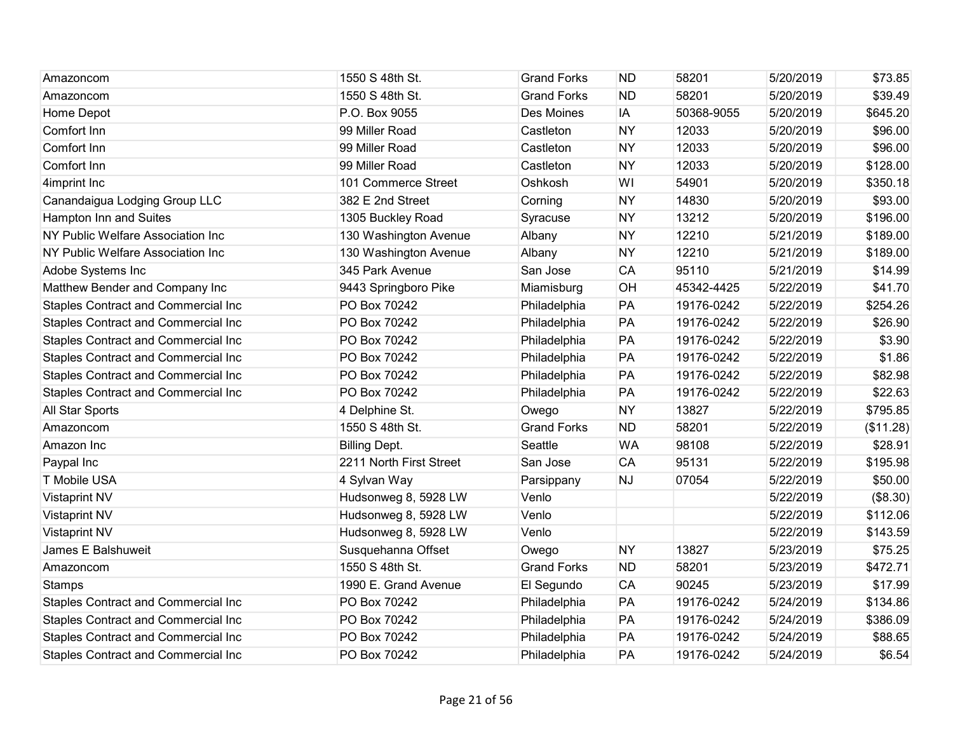| Amazoncom                                  | 1550 S 48th St.         | <b>Grand Forks</b> | <b>ND</b> | 58201      | 5/20/2019 | \$73.85   |
|--------------------------------------------|-------------------------|--------------------|-----------|------------|-----------|-----------|
| Amazoncom                                  | 1550 S 48th St.         | <b>Grand Forks</b> | <b>ND</b> | 58201      | 5/20/2019 | \$39.49   |
| Home Depot                                 | P.O. Box 9055           | Des Moines         | IA        | 50368-9055 | 5/20/2019 | \$645.20  |
| Comfort Inn                                | 99 Miller Road          | Castleton          | <b>NY</b> | 12033      | 5/20/2019 | \$96.00   |
| Comfort Inn                                | 99 Miller Road          | Castleton          | <b>NY</b> | 12033      | 5/20/2019 | \$96.00   |
| Comfort Inn                                | 99 Miller Road          | Castleton          | <b>NY</b> | 12033      | 5/20/2019 | \$128.00  |
| 4imprint Inc                               | 101 Commerce Street     | Oshkosh            | WI        | 54901      | 5/20/2019 | \$350.18  |
| Canandaigua Lodging Group LLC              | 382 E 2nd Street        | Corning            | <b>NY</b> | 14830      | 5/20/2019 | \$93.00   |
| Hampton Inn and Suites                     | 1305 Buckley Road       | Syracuse           | <b>NY</b> | 13212      | 5/20/2019 | \$196.00  |
| NY Public Welfare Association Inc          | 130 Washington Avenue   | Albany             | <b>NY</b> | 12210      | 5/21/2019 | \$189.00  |
| NY Public Welfare Association Inc          | 130 Washington Avenue   | Albany             | <b>NY</b> | 12210      | 5/21/2019 | \$189.00  |
| Adobe Systems Inc                          | 345 Park Avenue         | San Jose           | <b>CA</b> | 95110      | 5/21/2019 | \$14.99   |
| Matthew Bender and Company Inc             | 9443 Springboro Pike    | Miamisburg         | <b>OH</b> | 45342-4425 | 5/22/2019 | \$41.70   |
| Staples Contract and Commercial Inc        | PO Box 70242            | Philadelphia       | PA        | 19176-0242 | 5/22/2019 | \$254.26  |
| <b>Staples Contract and Commercial Inc</b> | PO Box 70242            | Philadelphia       | PA        | 19176-0242 | 5/22/2019 | \$26.90   |
| Staples Contract and Commercial Inc        | PO Box 70242            | Philadelphia       | PA        | 19176-0242 | 5/22/2019 | \$3.90    |
| <b>Staples Contract and Commercial Inc</b> | PO Box 70242            | Philadelphia       | PA        | 19176-0242 | 5/22/2019 | \$1.86    |
| Staples Contract and Commercial Inc        | PO Box 70242            | Philadelphia       | PA        | 19176-0242 | 5/22/2019 | \$82.98   |
| <b>Staples Contract and Commercial Inc</b> | PO Box 70242            | Philadelphia       | PA        | 19176-0242 | 5/22/2019 | \$22.63   |
| All Star Sports                            | 4 Delphine St.          | Owego              | <b>NY</b> | 13827      | 5/22/2019 | \$795.85  |
| Amazoncom                                  | 1550 S 48th St.         | <b>Grand Forks</b> | <b>ND</b> | 58201      | 5/22/2019 | (\$11.28) |
| Amazon Inc                                 | <b>Billing Dept.</b>    | Seattle            | <b>WA</b> | 98108      | 5/22/2019 | \$28.91   |
| Paypal Inc                                 | 2211 North First Street | San Jose           | <b>CA</b> | 95131      | 5/22/2019 | \$195.98  |
| T Mobile USA                               | 4 Sylvan Way            | Parsippany         | <b>NJ</b> | 07054      | 5/22/2019 | \$50.00   |
| <b>Vistaprint NV</b>                       | Hudsonweg 8, 5928 LW    | Venlo              |           |            | 5/22/2019 | (\$8.30)  |
| <b>Vistaprint NV</b>                       | Hudsonweg 8, 5928 LW    | Venlo              |           |            | 5/22/2019 | \$112.06  |
| Vistaprint NV                              | Hudsonweg 8, 5928 LW    | Venlo              |           |            | 5/22/2019 | \$143.59  |
| James E Balshuweit                         | Susquehanna Offset      | Owego              | <b>NY</b> | 13827      | 5/23/2019 | \$75.25   |
| Amazoncom                                  | 1550 S 48th St.         | <b>Grand Forks</b> | <b>ND</b> | 58201      | 5/23/2019 | \$472.71  |
| <b>Stamps</b>                              | 1990 E. Grand Avenue    | El Segundo         | <b>CA</b> | 90245      | 5/23/2019 | \$17.99   |
| <b>Staples Contract and Commercial Inc</b> | PO Box 70242            | Philadelphia       | PA        | 19176-0242 | 5/24/2019 | \$134.86  |
| <b>Staples Contract and Commercial Inc</b> | PO Box 70242            | Philadelphia       | PA        | 19176-0242 | 5/24/2019 | \$386.09  |
| Staples Contract and Commercial Inc        | PO Box 70242            | Philadelphia       | PA        | 19176-0242 | 5/24/2019 | \$88.65   |
| <b>Staples Contract and Commercial Inc</b> | PO Box 70242            | Philadelphia       | PA        | 19176-0242 | 5/24/2019 | \$6.54    |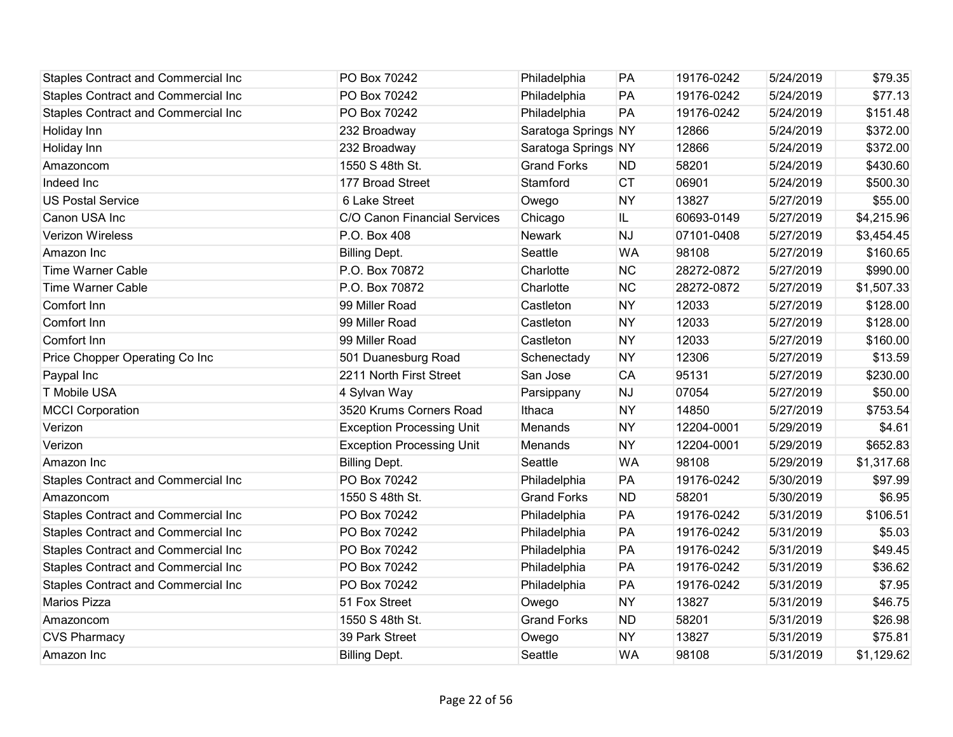| <b>Staples Contract and Commercial Inc</b> | PO Box 70242                     | Philadelphia        | PA        | 19176-0242 | 5/24/2019 | \$79.35    |
|--------------------------------------------|----------------------------------|---------------------|-----------|------------|-----------|------------|
| <b>Staples Contract and Commercial Inc</b> | PO Box 70242                     | Philadelphia        | PA        | 19176-0242 | 5/24/2019 | \$77.13    |
| <b>Staples Contract and Commercial Inc</b> | PO Box 70242                     | Philadelphia        | PA        | 19176-0242 | 5/24/2019 | \$151.48   |
| Holiday Inn                                | 232 Broadway                     | Saratoga Springs NY |           | 12866      | 5/24/2019 | \$372.00   |
| Holiday Inn                                | 232 Broadway                     | Saratoga Springs NY |           | 12866      | 5/24/2019 | \$372.00   |
| Amazoncom                                  | 1550 S 48th St.                  | <b>Grand Forks</b>  | <b>ND</b> | 58201      | 5/24/2019 | \$430.60   |
| Indeed Inc                                 | 177 Broad Street                 | Stamford            | <b>CT</b> | 06901      | 5/24/2019 | \$500.30   |
| <b>US Postal Service</b>                   | 6 Lake Street                    | Owego               | <b>NY</b> | 13827      | 5/27/2019 | \$55.00    |
| Canon USA Inc                              | C/O Canon Financial Services     | Chicago             | IL.       | 60693-0149 | 5/27/2019 | \$4,215.96 |
| <b>Verizon Wireless</b>                    | P.O. Box 408                     | Newark              | <b>NJ</b> | 07101-0408 | 5/27/2019 | \$3,454.45 |
| Amazon Inc                                 | <b>Billing Dept.</b>             | Seattle             | <b>WA</b> | 98108      | 5/27/2019 | \$160.65   |
| <b>Time Warner Cable</b>                   | P.O. Box 70872                   | Charlotte           | <b>NC</b> | 28272-0872 | 5/27/2019 | \$990.00   |
| <b>Time Warner Cable</b>                   | P.O. Box 70872                   | Charlotte           | <b>NC</b> | 28272-0872 | 5/27/2019 | \$1,507.33 |
| Comfort Inn                                | 99 Miller Road                   | Castleton           | <b>NY</b> | 12033      | 5/27/2019 | \$128.00   |
| Comfort Inn                                | 99 Miller Road                   | Castleton           | <b>NY</b> | 12033      | 5/27/2019 | \$128.00   |
| Comfort Inn                                | 99 Miller Road                   | Castleton           | <b>NY</b> | 12033      | 5/27/2019 | \$160.00   |
| Price Chopper Operating Co Inc             | 501 Duanesburg Road              | Schenectady         | <b>NY</b> | 12306      | 5/27/2019 | \$13.59    |
| Paypal Inc                                 | 2211 North First Street          | San Jose            | CA        | 95131      | 5/27/2019 | \$230.00   |
| T Mobile USA                               | 4 Sylvan Way                     | Parsippany          | <b>NJ</b> | 07054      | 5/27/2019 | \$50.00    |
| <b>MCCI Corporation</b>                    | 3520 Krums Corners Road          | Ithaca              | <b>NY</b> | 14850      | 5/27/2019 | \$753.54   |
| Verizon                                    | <b>Exception Processing Unit</b> | Menands             | <b>NY</b> | 12204-0001 | 5/29/2019 | \$4.61     |
| Verizon                                    | <b>Exception Processing Unit</b> | Menands             | <b>NY</b> | 12204-0001 | 5/29/2019 | \$652.83   |
| Amazon Inc                                 | <b>Billing Dept.</b>             | Seattle             | <b>WA</b> | 98108      | 5/29/2019 | \$1,317.68 |
| Staples Contract and Commercial Inc        | PO Box 70242                     | Philadelphia        | PA        | 19176-0242 | 5/30/2019 | \$97.99    |
| Amazoncom                                  | 1550 S 48th St.                  | <b>Grand Forks</b>  | <b>ND</b> | 58201      | 5/30/2019 | \$6.95     |
| Staples Contract and Commercial Inc        | PO Box 70242                     | Philadelphia        | PA        | 19176-0242 | 5/31/2019 | \$106.51   |
| <b>Staples Contract and Commercial Inc</b> | PO Box 70242                     | Philadelphia        | PA        | 19176-0242 | 5/31/2019 | \$5.03     |
| Staples Contract and Commercial Inc        | PO Box 70242                     | Philadelphia        | PA        | 19176-0242 | 5/31/2019 | \$49.45    |
| Staples Contract and Commercial Inc        | PO Box 70242                     | Philadelphia        | PA        | 19176-0242 | 5/31/2019 | \$36.62    |
| <b>Staples Contract and Commercial Inc</b> | PO Box 70242                     | Philadelphia        | PA        | 19176-0242 | 5/31/2019 | \$7.95     |
| <b>Marios Pizza</b>                        | 51 Fox Street                    | Owego               | <b>NY</b> | 13827      | 5/31/2019 | \$46.75    |
| Amazoncom                                  | 1550 S 48th St.                  | <b>Grand Forks</b>  | <b>ND</b> | 58201      | 5/31/2019 | \$26.98    |
| <b>CVS Pharmacy</b>                        | 39 Park Street                   | Owego               | <b>NY</b> | 13827      | 5/31/2019 | \$75.81    |
| Amazon Inc                                 | <b>Billing Dept.</b>             | Seattle             | <b>WA</b> | 98108      | 5/31/2019 | \$1,129.62 |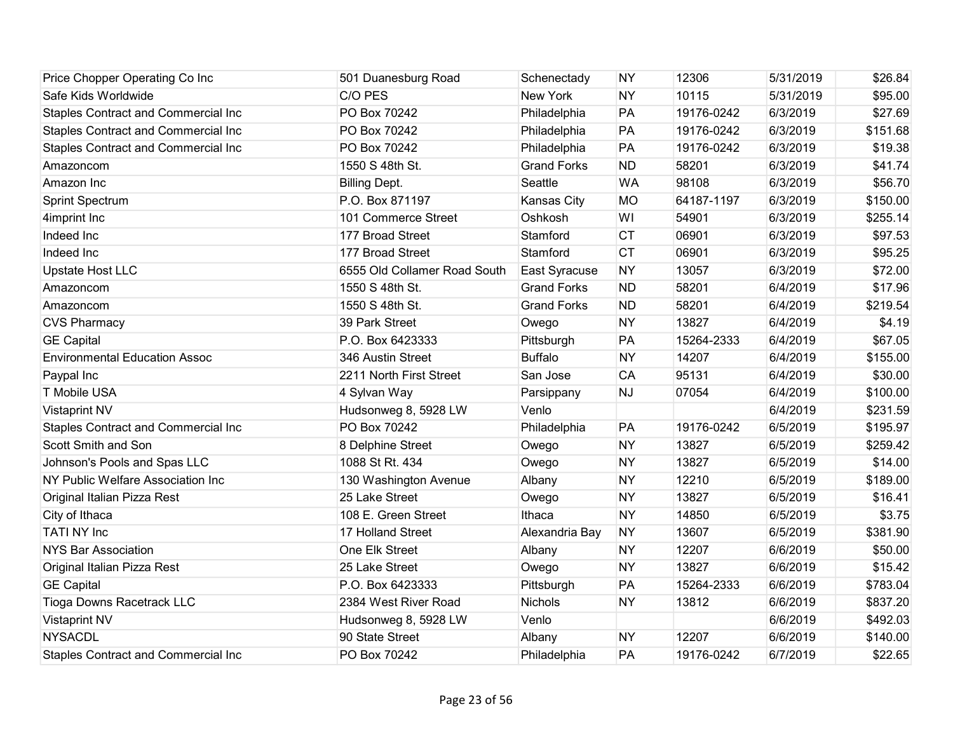| Price Chopper Operating Co Inc             | 501 Duanesburg Road          | Schenectady        | <b>NY</b> | 12306      | 5/31/2019 | \$26.84  |
|--------------------------------------------|------------------------------|--------------------|-----------|------------|-----------|----------|
| Safe Kids Worldwide                        | C/O PES                      | New York           | <b>NY</b> | 10115      | 5/31/2019 | \$95.00  |
| <b>Staples Contract and Commercial Inc</b> | PO Box 70242                 | Philadelphia       | PA        | 19176-0242 | 6/3/2019  | \$27.69  |
| <b>Staples Contract and Commercial Inc</b> | PO Box 70242                 | Philadelphia       | PA        | 19176-0242 | 6/3/2019  | \$151.68 |
| <b>Staples Contract and Commercial Inc</b> | PO Box 70242                 | Philadelphia       | PA        | 19176-0242 | 6/3/2019  | \$19.38  |
| Amazoncom                                  | 1550 S 48th St.              | <b>Grand Forks</b> | <b>ND</b> | 58201      | 6/3/2019  | \$41.74  |
| Amazon Inc                                 | <b>Billing Dept.</b>         | Seattle            | <b>WA</b> | 98108      | 6/3/2019  | \$56.70  |
| Sprint Spectrum                            | P.O. Box 871197              | Kansas City        | <b>MO</b> | 64187-1197 | 6/3/2019  | \$150.00 |
| 4imprint Inc                               | 101 Commerce Street          | Oshkosh            | WI        | 54901      | 6/3/2019  | \$255.14 |
| Indeed Inc                                 | 177 Broad Street             | Stamford           | <b>CT</b> | 06901      | 6/3/2019  | \$97.53  |
| Indeed Inc                                 | 177 Broad Street             | Stamford           | <b>CT</b> | 06901      | 6/3/2019  | \$95.25  |
| <b>Upstate Host LLC</b>                    | 6555 Old Collamer Road South | East Syracuse      | <b>NY</b> | 13057      | 6/3/2019  | \$72.00  |
| Amazoncom                                  | 1550 S 48th St.              | <b>Grand Forks</b> | <b>ND</b> | 58201      | 6/4/2019  | \$17.96  |
| Amazoncom                                  | 1550 S 48th St.              | <b>Grand Forks</b> | <b>ND</b> | 58201      | 6/4/2019  | \$219.54 |
| <b>CVS Pharmacy</b>                        | 39 Park Street               | Owego              | <b>NY</b> | 13827      | 6/4/2019  | \$4.19   |
| <b>GE Capital</b>                          | P.O. Box 6423333             | Pittsburgh         | PA        | 15264-2333 | 6/4/2019  | \$67.05  |
| <b>Environmental Education Assoc</b>       | 346 Austin Street            | <b>Buffalo</b>     | <b>NY</b> | 14207      | 6/4/2019  | \$155.00 |
| Paypal Inc                                 | 2211 North First Street      | San Jose           | CA        | 95131      | 6/4/2019  | \$30.00  |
| T Mobile USA                               | 4 Sylvan Way                 | Parsippany         | <b>NJ</b> | 07054      | 6/4/2019  | \$100.00 |
| <b>Vistaprint NV</b>                       | Hudsonweg 8, 5928 LW         | Venlo              |           |            | 6/4/2019  | \$231.59 |
| Staples Contract and Commercial Inc        | PO Box 70242                 | Philadelphia       | PA        | 19176-0242 | 6/5/2019  | \$195.97 |
| Scott Smith and Son                        | 8 Delphine Street            | Owego              | <b>NY</b> | 13827      | 6/5/2019  | \$259.42 |
| Johnson's Pools and Spas LLC               | 1088 St Rt. 434              | Owego              | <b>NY</b> | 13827      | 6/5/2019  | \$14.00  |
| NY Public Welfare Association Inc          | 130 Washington Avenue        | Albany             | <b>NY</b> | 12210      | 6/5/2019  | \$189.00 |
| Original Italian Pizza Rest                | 25 Lake Street               | Owego              | <b>NY</b> | 13827      | 6/5/2019  | \$16.41  |
| City of Ithaca                             | 108 E. Green Street          | Ithaca             | <b>NY</b> | 14850      | 6/5/2019  | \$3.75   |
| <b>TATI NY Inc</b>                         | 17 Holland Street            | Alexandria Bay     | <b>NY</b> | 13607      | 6/5/2019  | \$381.90 |
| <b>NYS Bar Association</b>                 | One Elk Street               | Albany             | <b>NY</b> | 12207      | 6/6/2019  | \$50.00  |
| Original Italian Pizza Rest                | 25 Lake Street               | Owego              | <b>NY</b> | 13827      | 6/6/2019  | \$15.42  |
| <b>GE Capital</b>                          | P.O. Box 6423333             | Pittsburgh         | PA        | 15264-2333 | 6/6/2019  | \$783.04 |
| <b>Tioga Downs Racetrack LLC</b>           | 2384 West River Road         | Nichols            | <b>NY</b> | 13812      | 6/6/2019  | \$837.20 |
| <b>Vistaprint NV</b>                       | Hudsonweg 8, 5928 LW         | Venlo              |           |            | 6/6/2019  | \$492.03 |
| <b>NYSACDL</b>                             | 90 State Street              | Albany             | <b>NY</b> | 12207      | 6/6/2019  | \$140.00 |
| <b>Staples Contract and Commercial Inc</b> | PO Box 70242                 | Philadelphia       | PA        | 19176-0242 | 6/7/2019  | \$22.65  |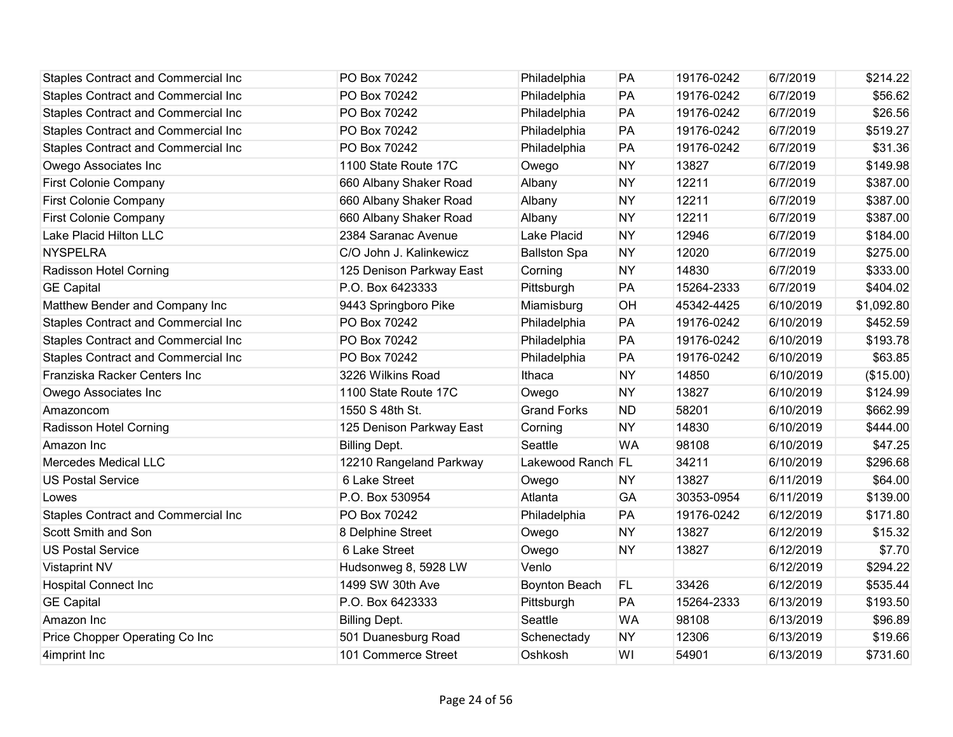| <b>Staples Contract and Commercial Inc</b> | PO Box 70242             | Philadelphia        | PA        | 19176-0242 | 6/7/2019  | \$214.22   |
|--------------------------------------------|--------------------------|---------------------|-----------|------------|-----------|------------|
| <b>Staples Contract and Commercial Inc</b> | PO Box 70242             | Philadelphia        | PA        | 19176-0242 | 6/7/2019  | \$56.62    |
| <b>Staples Contract and Commercial Inc</b> | PO Box 70242             | Philadelphia        | PA        | 19176-0242 | 6/7/2019  | \$26.56    |
| <b>Staples Contract and Commercial Inc</b> | PO Box 70242             | Philadelphia        | PA        | 19176-0242 | 6/7/2019  | \$519.27   |
| Staples Contract and Commercial Inc        | PO Box 70242             | Philadelphia        | PA        | 19176-0242 | 6/7/2019  | \$31.36    |
| Owego Associates Inc                       | 1100 State Route 17C     | Owego               | <b>NY</b> | 13827      | 6/7/2019  | \$149.98   |
| <b>First Colonie Company</b>               | 660 Albany Shaker Road   | Albany              | <b>NY</b> | 12211      | 6/7/2019  | \$387.00   |
| <b>First Colonie Company</b>               | 660 Albany Shaker Road   | Albany              | <b>NY</b> | 12211      | 6/7/2019  | \$387.00   |
| <b>First Colonie Company</b>               | 660 Albany Shaker Road   | Albany              | <b>NY</b> | 12211      | 6/7/2019  | \$387.00   |
| Lake Placid Hilton LLC                     | 2384 Saranac Avenue      | Lake Placid         | <b>NY</b> | 12946      | 6/7/2019  | \$184.00   |
| <b>NYSPELRA</b>                            | C/O John J. Kalinkewicz  | <b>Ballston Spa</b> | <b>NY</b> | 12020      | 6/7/2019  | \$275.00   |
| Radisson Hotel Corning                     | 125 Denison Parkway East | Corning             | <b>NY</b> | 14830      | 6/7/2019  | \$333.00   |
| <b>GE Capital</b>                          | P.O. Box 6423333         | Pittsburgh          | PA        | 15264-2333 | 6/7/2019  | \$404.02   |
| Matthew Bender and Company Inc             | 9443 Springboro Pike     | Miamisburg          | OH        | 45342-4425 | 6/10/2019 | \$1,092.80 |
| <b>Staples Contract and Commercial Inc</b> | PO Box 70242             | Philadelphia        | PA        | 19176-0242 | 6/10/2019 | \$452.59   |
| <b>Staples Contract and Commercial Inc</b> | PO Box 70242             | Philadelphia        | PA        | 19176-0242 | 6/10/2019 | \$193.78   |
| <b>Staples Contract and Commercial Inc</b> | PO Box 70242             | Philadelphia        | PA        | 19176-0242 | 6/10/2019 | \$63.85    |
| Franziska Racker Centers Inc               | 3226 Wilkins Road        | Ithaca              | <b>NY</b> | 14850      | 6/10/2019 | (\$15.00)  |
| Owego Associates Inc                       | 1100 State Route 17C     | Owego               | <b>NY</b> | 13827      | 6/10/2019 | \$124.99   |
| Amazoncom                                  | 1550 S 48th St.          | <b>Grand Forks</b>  | <b>ND</b> | 58201      | 6/10/2019 | \$662.99   |
| Radisson Hotel Corning                     | 125 Denison Parkway East | Corning             | <b>NY</b> | 14830      | 6/10/2019 | \$444.00   |
| Amazon Inc                                 | <b>Billing Dept.</b>     | Seattle             | <b>WA</b> | 98108      | 6/10/2019 | \$47.25    |
| <b>Mercedes Medical LLC</b>                | 12210 Rangeland Parkway  | Lakewood Ranch FL   |           | 34211      | 6/10/2019 | \$296.68   |
| <b>US Postal Service</b>                   | 6 Lake Street            | Owego               | <b>NY</b> | 13827      | 6/11/2019 | \$64.00    |
| Lowes                                      | P.O. Box 530954          | Atlanta             | GA        | 30353-0954 | 6/11/2019 | \$139.00   |
| <b>Staples Contract and Commercial Inc</b> | PO Box 70242             | Philadelphia        | PA        | 19176-0242 | 6/12/2019 | \$171.80   |
| Scott Smith and Son                        | 8 Delphine Street        | Owego               | <b>NY</b> | 13827      | 6/12/2019 | \$15.32    |
| <b>US Postal Service</b>                   | 6 Lake Street            | Owego               | <b>NY</b> | 13827      | 6/12/2019 | \$7.70     |
| <b>Vistaprint NV</b>                       | Hudsonweg 8, 5928 LW     | Venlo               |           |            | 6/12/2019 | \$294.22   |
| <b>Hospital Connect Inc</b>                | 1499 SW 30th Ave         | Boynton Beach       | FL        | 33426      | 6/12/2019 | \$535.44   |
| <b>GE Capital</b>                          | P.O. Box 6423333         | Pittsburgh          | PA        | 15264-2333 | 6/13/2019 | \$193.50   |
| Amazon Inc                                 | <b>Billing Dept.</b>     | Seattle             | <b>WA</b> | 98108      | 6/13/2019 | \$96.89    |
| Price Chopper Operating Co Inc             | 501 Duanesburg Road      | Schenectady         | <b>NY</b> | 12306      | 6/13/2019 | \$19.66    |
| 4imprint Inc                               | 101 Commerce Street      | Oshkosh             | WI        | 54901      | 6/13/2019 | \$731.60   |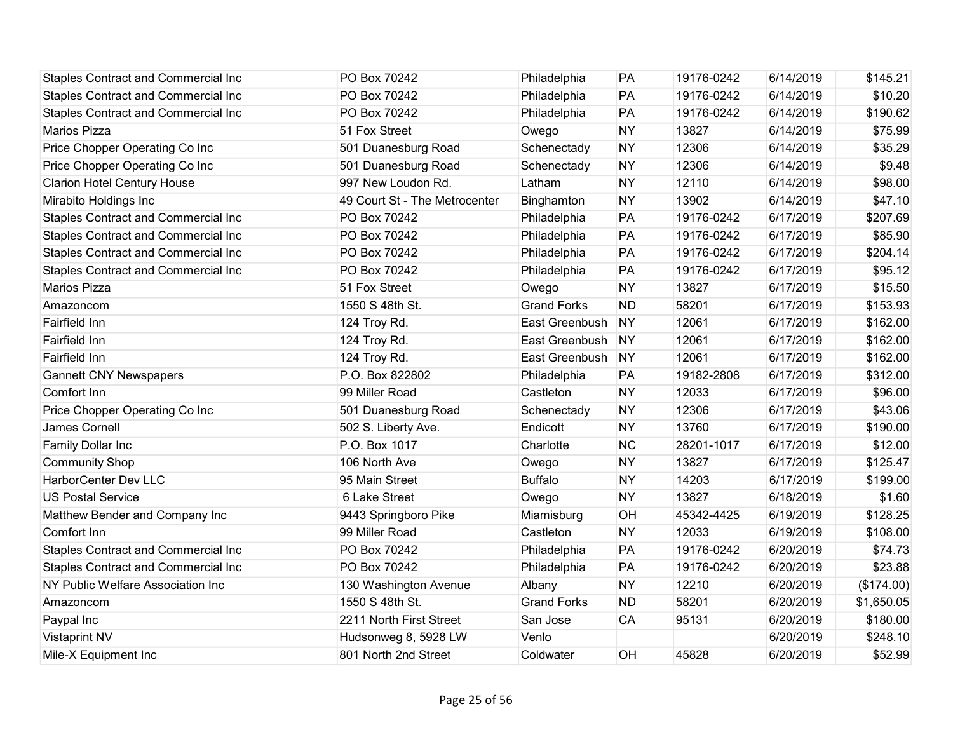| <b>Staples Contract and Commercial Inc</b> | PO Box 70242                  | Philadelphia       | PA        | 19176-0242 | 6/14/2019 | \$145.21   |
|--------------------------------------------|-------------------------------|--------------------|-----------|------------|-----------|------------|
| <b>Staples Contract and Commercial Inc</b> | PO Box 70242                  | Philadelphia       | PA        | 19176-0242 | 6/14/2019 | \$10.20    |
| <b>Staples Contract and Commercial Inc</b> | PO Box 70242                  | Philadelphia       | PA        | 19176-0242 | 6/14/2019 | \$190.62   |
| Marios Pizza                               | 51 Fox Street                 | Owego              | <b>NY</b> | 13827      | 6/14/2019 | \$75.99    |
| Price Chopper Operating Co Inc             | 501 Duanesburg Road           | Schenectady        | <b>NY</b> | 12306      | 6/14/2019 | \$35.29    |
| Price Chopper Operating Co Inc             | 501 Duanesburg Road           | Schenectady        | <b>NY</b> | 12306      | 6/14/2019 | \$9.48     |
| <b>Clarion Hotel Century House</b>         | 997 New Loudon Rd.            | Latham             | <b>NY</b> | 12110      | 6/14/2019 | \$98.00    |
| Mirabito Holdings Inc                      | 49 Court St - The Metrocenter | Binghamton         | <b>NY</b> | 13902      | 6/14/2019 | \$47.10    |
| <b>Staples Contract and Commercial Inc</b> | PO Box 70242                  | Philadelphia       | PA        | 19176-0242 | 6/17/2019 | \$207.69   |
| <b>Staples Contract and Commercial Inc</b> | PO Box 70242                  | Philadelphia       | PA        | 19176-0242 | 6/17/2019 | \$85.90    |
| <b>Staples Contract and Commercial Inc</b> | PO Box 70242                  | Philadelphia       | PA        | 19176-0242 | 6/17/2019 | \$204.14   |
| <b>Staples Contract and Commercial Inc</b> | PO Box 70242                  | Philadelphia       | PA        | 19176-0242 | 6/17/2019 | \$95.12    |
| <b>Marios Pizza</b>                        | 51 Fox Street                 | Owego              | <b>NY</b> | 13827      | 6/17/2019 | \$15.50    |
| Amazoncom                                  | 1550 S 48th St.               | <b>Grand Forks</b> | <b>ND</b> | 58201      | 6/17/2019 | \$153.93   |
| Fairfield Inn                              | 124 Troy Rd.                  | East Greenbush     | <b>NY</b> | 12061      | 6/17/2019 | \$162.00   |
| Fairfield Inn                              | 124 Troy Rd.                  | East Greenbush     | <b>NY</b> | 12061      | 6/17/2019 | \$162.00   |
| Fairfield Inn                              | 124 Troy Rd.                  | East Greenbush     | <b>NY</b> | 12061      | 6/17/2019 | \$162.00   |
| <b>Gannett CNY Newspapers</b>              | P.O. Box 822802               | Philadelphia       | PA        | 19182-2808 | 6/17/2019 | \$312.00   |
| Comfort Inn                                | 99 Miller Road                | Castleton          | <b>NY</b> | 12033      | 6/17/2019 | \$96.00    |
| Price Chopper Operating Co Inc             | 501 Duanesburg Road           | Schenectady        | <b>NY</b> | 12306      | 6/17/2019 | \$43.06    |
| James Cornell                              | 502 S. Liberty Ave.           | Endicott           | <b>NY</b> | 13760      | 6/17/2019 | \$190.00   |
| Family Dollar Inc                          | P.O. Box 1017                 | Charlotte          | <b>NC</b> | 28201-1017 | 6/17/2019 | \$12.00    |
| <b>Community Shop</b>                      | 106 North Ave                 | Owego              | <b>NY</b> | 13827      | 6/17/2019 | \$125.47   |
| HarborCenter Dev LLC                       | 95 Main Street                | <b>Buffalo</b>     | <b>NY</b> | 14203      | 6/17/2019 | \$199.00   |
| <b>US Postal Service</b>                   | 6 Lake Street                 | Owego              | <b>NY</b> | 13827      | 6/18/2019 | \$1.60     |
| Matthew Bender and Company Inc             | 9443 Springboro Pike          | Miamisburg         | OH        | 45342-4425 | 6/19/2019 | \$128.25   |
| Comfort Inn                                | 99 Miller Road                | Castleton          | <b>NY</b> | 12033      | 6/19/2019 | \$108.00   |
| <b>Staples Contract and Commercial Inc</b> | PO Box 70242                  | Philadelphia       | PA        | 19176-0242 | 6/20/2019 | \$74.73    |
| <b>Staples Contract and Commercial Inc</b> | PO Box 70242                  | Philadelphia       | PA        | 19176-0242 | 6/20/2019 | \$23.88    |
| NY Public Welfare Association Inc          | 130 Washington Avenue         | Albany             | <b>NY</b> | 12210      | 6/20/2019 | (\$174.00) |
| Amazoncom                                  | 1550 S 48th St.               | <b>Grand Forks</b> | <b>ND</b> | 58201      | 6/20/2019 | \$1,650.05 |
| Paypal Inc                                 | 2211 North First Street       | San Jose           | <b>CA</b> | 95131      | 6/20/2019 | \$180.00   |
| <b>Vistaprint NV</b>                       | Hudsonweg 8, 5928 LW          | Venlo              |           |            | 6/20/2019 | \$248.10   |
| Mile-X Equipment Inc                       | 801 North 2nd Street          | Coldwater          | OH        | 45828      | 6/20/2019 | \$52.99    |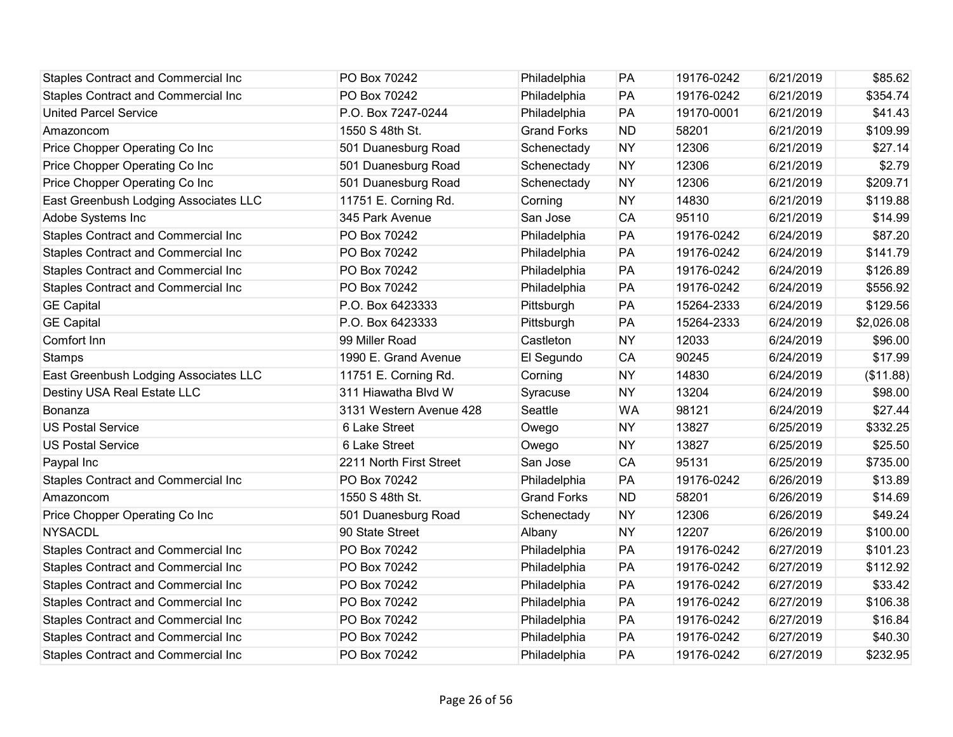| <b>Staples Contract and Commercial Inc</b> | PO Box 70242            | Philadelphia       | PA        | 19176-0242 | 6/21/2019 | \$85.62    |
|--------------------------------------------|-------------------------|--------------------|-----------|------------|-----------|------------|
| <b>Staples Contract and Commercial Inc</b> | PO Box 70242            | Philadelphia       | PA        | 19176-0242 | 6/21/2019 | \$354.74   |
| <b>United Parcel Service</b>               | P.O. Box 7247-0244      | Philadelphia       | PA        | 19170-0001 | 6/21/2019 | \$41.43    |
| Amazoncom                                  | 1550 S 48th St.         | <b>Grand Forks</b> | <b>ND</b> | 58201      | 6/21/2019 | \$109.99   |
| Price Chopper Operating Co Inc             | 501 Duanesburg Road     | Schenectady        | <b>NY</b> | 12306      | 6/21/2019 | \$27.14    |
| Price Chopper Operating Co Inc             | 501 Duanesburg Road     | Schenectady        | <b>NY</b> | 12306      | 6/21/2019 | \$2.79     |
| Price Chopper Operating Co Inc             | 501 Duanesburg Road     | Schenectady        | <b>NY</b> | 12306      | 6/21/2019 | \$209.71   |
| East Greenbush Lodging Associates LLC      | 11751 E. Corning Rd.    | Corning            | <b>NY</b> | 14830      | 6/21/2019 | \$119.88   |
| Adobe Systems Inc                          | 345 Park Avenue         | San Jose           | CA        | 95110      | 6/21/2019 | \$14.99    |
| Staples Contract and Commercial Inc        | PO Box 70242            | Philadelphia       | PA        | 19176-0242 | 6/24/2019 | \$87.20    |
| Staples Contract and Commercial Inc        | PO Box 70242            | Philadelphia       | PA        | 19176-0242 | 6/24/2019 | \$141.79   |
| Staples Contract and Commercial Inc        | PO Box 70242            | Philadelphia       | PA        | 19176-0242 | 6/24/2019 | \$126.89   |
| Staples Contract and Commercial Inc        | PO Box 70242            | Philadelphia       | PA        | 19176-0242 | 6/24/2019 | \$556.92   |
| <b>GE Capital</b>                          | P.O. Box 6423333        | Pittsburgh         | PA        | 15264-2333 | 6/24/2019 | \$129.56   |
| <b>GE Capital</b>                          | P.O. Box 6423333        | Pittsburgh         | PA        | 15264-2333 | 6/24/2019 | \$2,026.08 |
| Comfort Inn                                | 99 Miller Road          | Castleton          | <b>NY</b> | 12033      | 6/24/2019 | \$96.00    |
| <b>Stamps</b>                              | 1990 E. Grand Avenue    | El Segundo         | CA        | 90245      | 6/24/2019 | \$17.99    |
| East Greenbush Lodging Associates LLC      | 11751 E. Corning Rd.    | Corning            | <b>NY</b> | 14830      | 6/24/2019 | (\$11.88)  |
| Destiny USA Real Estate LLC                | 311 Hiawatha Blvd W     | Syracuse           | <b>NY</b> | 13204      | 6/24/2019 | \$98.00    |
| Bonanza                                    | 3131 Western Avenue 428 | Seattle            | <b>WA</b> | 98121      | 6/24/2019 | \$27.44    |
| <b>US Postal Service</b>                   | 6 Lake Street           | Owego              | <b>NY</b> | 13827      | 6/25/2019 | \$332.25   |
| <b>US Postal Service</b>                   | 6 Lake Street           | Owego              | <b>NY</b> | 13827      | 6/25/2019 | \$25.50    |
| Paypal Inc                                 | 2211 North First Street | San Jose           | CA        | 95131      | 6/25/2019 | \$735.00   |
| Staples Contract and Commercial Inc        | PO Box 70242            | Philadelphia       | PA        | 19176-0242 | 6/26/2019 | \$13.89    |
| Amazoncom                                  | 1550 S 48th St.         | <b>Grand Forks</b> | <b>ND</b> | 58201      | 6/26/2019 | \$14.69    |
| Price Chopper Operating Co Inc             | 501 Duanesburg Road     | Schenectady        | <b>NY</b> | 12306      | 6/26/2019 | \$49.24    |
| <b>NYSACDL</b>                             | 90 State Street         | Albany             | <b>NY</b> | 12207      | 6/26/2019 | \$100.00   |
| Staples Contract and Commercial Inc        | PO Box 70242            | Philadelphia       | PA        | 19176-0242 | 6/27/2019 | \$101.23   |
| <b>Staples Contract and Commercial Inc</b> | PO Box 70242            | Philadelphia       | PA        | 19176-0242 | 6/27/2019 | \$112.92   |
| <b>Staples Contract and Commercial Inc</b> | PO Box 70242            | Philadelphia       | PA        | 19176-0242 | 6/27/2019 | \$33.42    |
| Staples Contract and Commercial Inc        | PO Box 70242            | Philadelphia       | PA        | 19176-0242 | 6/27/2019 | \$106.38   |
| <b>Staples Contract and Commercial Inc</b> | PO Box 70242            | Philadelphia       | PA        | 19176-0242 | 6/27/2019 | \$16.84    |
| Staples Contract and Commercial Inc        | PO Box 70242            | Philadelphia       | PA        | 19176-0242 | 6/27/2019 | \$40.30    |
| <b>Staples Contract and Commercial Inc</b> | PO Box 70242            | Philadelphia       | PA        | 19176-0242 | 6/27/2019 | \$232.95   |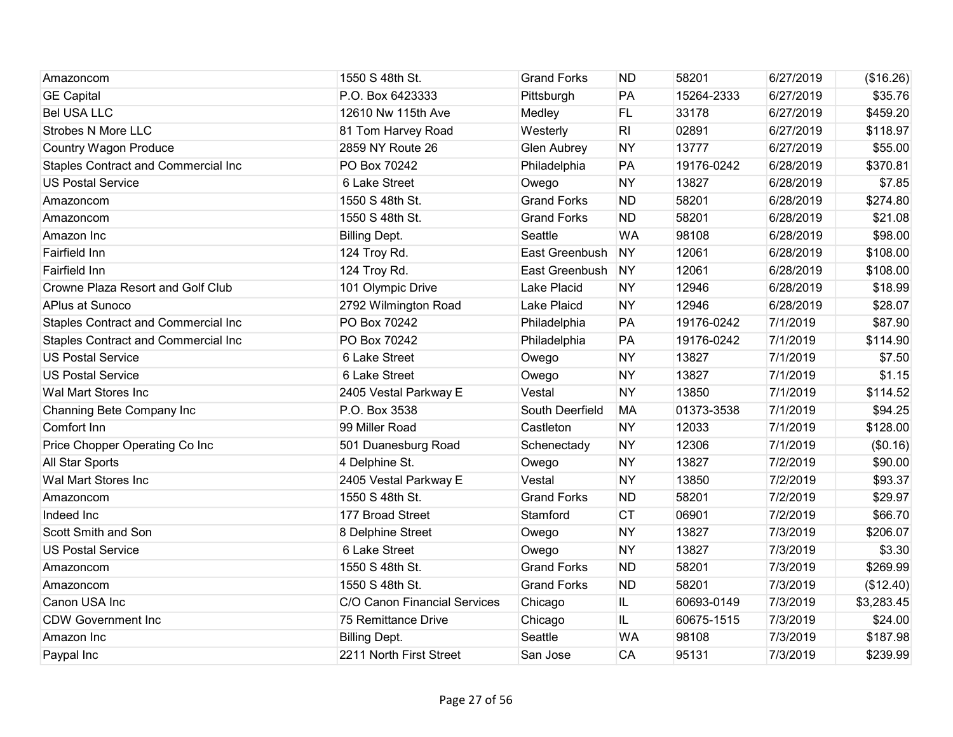| Amazoncom                                  | 1550 S 48th St.              | <b>Grand Forks</b> | <b>ND</b>      | 58201      | 6/27/2019 | (\$16.26)  |
|--------------------------------------------|------------------------------|--------------------|----------------|------------|-----------|------------|
| <b>GE Capital</b>                          | P.O. Box 6423333             | Pittsburgh         | PA             | 15264-2333 | 6/27/2019 | \$35.76    |
| <b>Bel USA LLC</b>                         | 12610 Nw 115th Ave           | Medley             | FL             | 33178      | 6/27/2019 | \$459.20   |
| <b>Strobes N More LLC</b>                  | 81 Tom Harvey Road           | Westerly           | R <sub>l</sub> | 02891      | 6/27/2019 | \$118.97   |
| <b>Country Wagon Produce</b>               | 2859 NY Route 26             | <b>Glen Aubrey</b> | <b>NY</b>      | 13777      | 6/27/2019 | \$55.00    |
| <b>Staples Contract and Commercial Inc</b> | PO Box 70242                 | Philadelphia       | PA             | 19176-0242 | 6/28/2019 | \$370.81   |
| <b>US Postal Service</b>                   | 6 Lake Street                | Owego              | <b>NY</b>      | 13827      | 6/28/2019 | \$7.85     |
| Amazoncom                                  | 1550 S 48th St.              | <b>Grand Forks</b> | <b>ND</b>      | 58201      | 6/28/2019 | \$274.80   |
| Amazoncom                                  | 1550 S 48th St.              | <b>Grand Forks</b> | <b>ND</b>      | 58201      | 6/28/2019 | \$21.08    |
| Amazon Inc                                 | <b>Billing Dept.</b>         | Seattle            | <b>WA</b>      | 98108      | 6/28/2019 | \$98.00    |
| Fairfield Inn                              | 124 Troy Rd.                 | East Greenbush     | <b>NY</b>      | 12061      | 6/28/2019 | \$108.00   |
| Fairfield Inn                              | 124 Troy Rd.                 | East Greenbush     | NY             | 12061      | 6/28/2019 | \$108.00   |
| Crowne Plaza Resort and Golf Club          | 101 Olympic Drive            | Lake Placid        | <b>NY</b>      | 12946      | 6/28/2019 | \$18.99    |
| APlus at Sunoco                            | 2792 Wilmington Road         | Lake Plaicd        | <b>NY</b>      | 12946      | 6/28/2019 | \$28.07    |
| Staples Contract and Commercial Inc        | PO Box 70242                 | Philadelphia       | PA             | 19176-0242 | 7/1/2019  | \$87.90    |
| Staples Contract and Commercial Inc        | PO Box 70242                 | Philadelphia       | PA             | 19176-0242 | 7/1/2019  | \$114.90   |
| <b>US Postal Service</b>                   | 6 Lake Street                | Owego              | <b>NY</b>      | 13827      | 7/1/2019  | \$7.50     |
| <b>US Postal Service</b>                   | 6 Lake Street                | Owego              | <b>NY</b>      | 13827      | 7/1/2019  | \$1.15     |
| Wal Mart Stores Inc                        | 2405 Vestal Parkway E        | Vestal             | <b>NY</b>      | 13850      | 7/1/2019  | \$114.52   |
| Channing Bete Company Inc                  | P.O. Box 3538                | South Deerfield    | <b>MA</b>      | 01373-3538 | 7/1/2019  | \$94.25    |
| Comfort Inn                                | 99 Miller Road               | Castleton          | <b>NY</b>      | 12033      | 7/1/2019  | \$128.00   |
| Price Chopper Operating Co Inc             | 501 Duanesburg Road          | Schenectady        | <b>NY</b>      | 12306      | 7/1/2019  | (\$0.16)   |
| All Star Sports                            | 4 Delphine St.               | Owego              | <b>NY</b>      | 13827      | 7/2/2019  | \$90.00    |
| Wal Mart Stores Inc                        | 2405 Vestal Parkway E        | Vestal             | <b>NY</b>      | 13850      | 7/2/2019  | \$93.37    |
| Amazoncom                                  | 1550 S 48th St.              | <b>Grand Forks</b> | <b>ND</b>      | 58201      | 7/2/2019  | \$29.97    |
| Indeed Inc                                 | 177 Broad Street             | Stamford           | <b>CT</b>      | 06901      | 7/2/2019  | \$66.70    |
| Scott Smith and Son                        | 8 Delphine Street            | Owego              | <b>NY</b>      | 13827      | 7/3/2019  | \$206.07   |
| <b>US Postal Service</b>                   | 6 Lake Street                | Owego              | <b>NY</b>      | 13827      | 7/3/2019  | \$3.30     |
| Amazoncom                                  | 1550 S 48th St.              | <b>Grand Forks</b> | <b>ND</b>      | 58201      | 7/3/2019  | \$269.99   |
| Amazoncom                                  | 1550 S 48th St.              | <b>Grand Forks</b> | <b>ND</b>      | 58201      | 7/3/2019  | (\$12.40)  |
| Canon USA Inc                              | C/O Canon Financial Services | Chicago            | IL             | 60693-0149 | 7/3/2019  | \$3,283.45 |
| <b>CDW Government Inc</b>                  | 75 Remittance Drive          | Chicago            | IL.            | 60675-1515 | 7/3/2019  | \$24.00    |
| Amazon Inc                                 | <b>Billing Dept.</b>         | Seattle            | <b>WA</b>      | 98108      | 7/3/2019  | \$187.98   |
| Paypal Inc                                 | 2211 North First Street      | San Jose           | CA             | 95131      | 7/3/2019  | \$239.99   |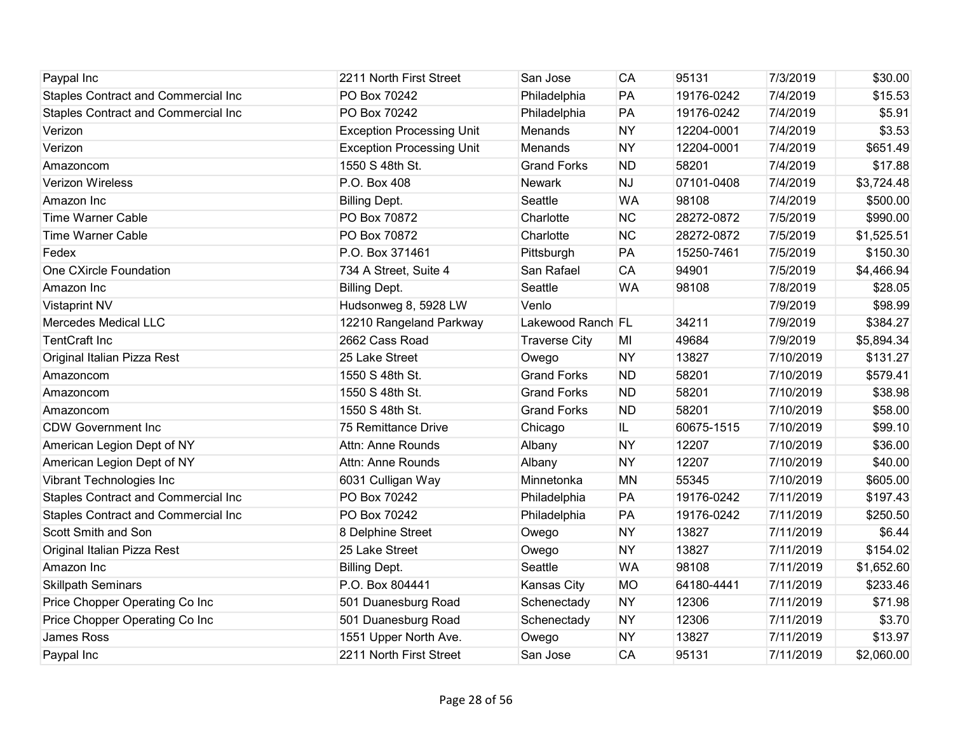| Paypal Inc                                 | 2211 North First Street          | San Jose             | CA        | 95131      | 7/3/2019  | \$30.00    |
|--------------------------------------------|----------------------------------|----------------------|-----------|------------|-----------|------------|
| <b>Staples Contract and Commercial Inc</b> | PO Box 70242                     | Philadelphia         | PA        | 19176-0242 | 7/4/2019  | \$15.53    |
| <b>Staples Contract and Commercial Inc</b> | PO Box 70242                     | Philadelphia         | PA        | 19176-0242 | 7/4/2019  | \$5.91     |
| Verizon                                    | <b>Exception Processing Unit</b> | Menands              | <b>NY</b> | 12204-0001 | 7/4/2019  | \$3.53     |
| Verizon                                    | <b>Exception Processing Unit</b> | Menands              | <b>NY</b> | 12204-0001 | 7/4/2019  | \$651.49   |
| Amazoncom                                  | 1550 S 48th St.                  | <b>Grand Forks</b>   | <b>ND</b> | 58201      | 7/4/2019  | \$17.88    |
| <b>Verizon Wireless</b>                    | P.O. Box 408                     | Newark               | <b>NJ</b> | 07101-0408 | 7/4/2019  | \$3,724.48 |
| Amazon Inc                                 | <b>Billing Dept.</b>             | Seattle              | <b>WA</b> | 98108      | 7/4/2019  | \$500.00   |
| <b>Time Warner Cable</b>                   | PO Box 70872                     | Charlotte            | <b>NC</b> | 28272-0872 | 7/5/2019  | \$990.00   |
| <b>Time Warner Cable</b>                   | PO Box 70872                     | Charlotte            | <b>NC</b> | 28272-0872 | 7/5/2019  | \$1,525.51 |
| Fedex                                      | P.O. Box 371461                  | Pittsburgh           | PA        | 15250-7461 | 7/5/2019  | \$150.30   |
| One CXircle Foundation                     | 734 A Street, Suite 4            | San Rafael           | CA        | 94901      | 7/5/2019  | \$4,466.94 |
| Amazon Inc                                 | <b>Billing Dept.</b>             | Seattle              | <b>WA</b> | 98108      | 7/8/2019  | \$28.05    |
| <b>Vistaprint NV</b>                       | Hudsonweg 8, 5928 LW             | Venlo                |           |            | 7/9/2019  | \$98.99    |
| <b>Mercedes Medical LLC</b>                | 12210 Rangeland Parkway          | Lakewood Ranch FL    |           | 34211      | 7/9/2019  | \$384.27   |
| <b>TentCraft Inc</b>                       | 2662 Cass Road                   | <b>Traverse City</b> | MI        | 49684      | 7/9/2019  | \$5,894.34 |
| Original Italian Pizza Rest                | 25 Lake Street                   | Owego                | <b>NY</b> | 13827      | 7/10/2019 | \$131.27   |
| Amazoncom                                  | 1550 S 48th St.                  | <b>Grand Forks</b>   | <b>ND</b> | 58201      | 7/10/2019 | \$579.41   |
| Amazoncom                                  | 1550 S 48th St.                  | <b>Grand Forks</b>   | <b>ND</b> | 58201      | 7/10/2019 | \$38.98    |
| Amazoncom                                  | 1550 S 48th St.                  | <b>Grand Forks</b>   | <b>ND</b> | 58201      | 7/10/2019 | \$58.00    |
| <b>CDW Government Inc</b>                  | 75 Remittance Drive              | Chicago              | IL.       | 60675-1515 | 7/10/2019 | \$99.10    |
| American Legion Dept of NY                 | Attn: Anne Rounds                | Albany               | <b>NY</b> | 12207      | 7/10/2019 | \$36.00    |
| American Legion Dept of NY                 | Attn: Anne Rounds                | Albany               | <b>NY</b> | 12207      | 7/10/2019 | \$40.00    |
| Vibrant Technologies Inc                   | 6031 Culligan Way                | Minnetonka           | <b>MN</b> | 55345      | 7/10/2019 | \$605.00   |
| Staples Contract and Commercial Inc        | PO Box 70242                     | Philadelphia         | PA        | 19176-0242 | 7/11/2019 | \$197.43   |
| Staples Contract and Commercial Inc        | PO Box 70242                     | Philadelphia         | PA        | 19176-0242 | 7/11/2019 | \$250.50   |
| Scott Smith and Son                        | 8 Delphine Street                | Owego                | <b>NY</b> | 13827      | 7/11/2019 | \$6.44     |
| Original Italian Pizza Rest                | 25 Lake Street                   | Owego                | <b>NY</b> | 13827      | 7/11/2019 | \$154.02   |
| Amazon Inc                                 | <b>Billing Dept.</b>             | Seattle              | <b>WA</b> | 98108      | 7/11/2019 | \$1,652.60 |
| <b>Skillpath Seminars</b>                  | P.O. Box 804441                  | Kansas City          | <b>MO</b> | 64180-4441 | 7/11/2019 | \$233.46   |
| Price Chopper Operating Co Inc             | 501 Duanesburg Road              | Schenectady          | <b>NY</b> | 12306      | 7/11/2019 | \$71.98    |
| Price Chopper Operating Co Inc             | 501 Duanesburg Road              | Schenectady          | <b>NY</b> | 12306      | 7/11/2019 | \$3.70     |
| <b>James Ross</b>                          | 1551 Upper North Ave.            | Owego                | <b>NY</b> | 13827      | 7/11/2019 | \$13.97    |
| Paypal Inc                                 | 2211 North First Street          | San Jose             | CA        | 95131      | 7/11/2019 | \$2,060.00 |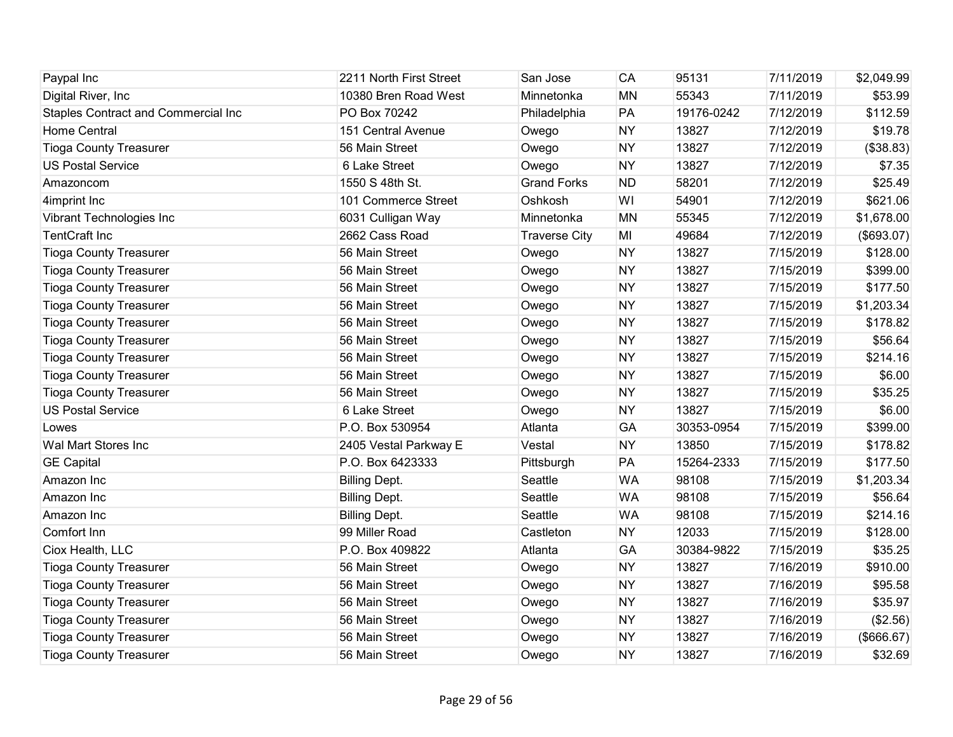| Paypal Inc                          | 2211 North First Street | San Jose             | <b>CA</b> | 95131      | 7/11/2019 | \$2,049.99 |
|-------------------------------------|-------------------------|----------------------|-----------|------------|-----------|------------|
| Digital River, Inc.                 | 10380 Bren Road West    | Minnetonka           | <b>MN</b> | 55343      | 7/11/2019 | \$53.99    |
| Staples Contract and Commercial Inc | PO Box 70242            | Philadelphia         | PA        | 19176-0242 | 7/12/2019 | \$112.59   |
| Home Central                        | 151 Central Avenue      | Owego                | <b>NY</b> | 13827      | 7/12/2019 | \$19.78    |
| <b>Tioga County Treasurer</b>       | 56 Main Street          | Owego                | <b>NY</b> | 13827      | 7/12/2019 | (\$38.83)  |
| <b>US Postal Service</b>            | 6 Lake Street           | Owego                | <b>NY</b> | 13827      | 7/12/2019 | \$7.35     |
| Amazoncom                           | 1550 S 48th St.         | <b>Grand Forks</b>   | <b>ND</b> | 58201      | 7/12/2019 | \$25.49    |
| 4imprint Inc                        | 101 Commerce Street     | Oshkosh              | WI        | 54901      | 7/12/2019 | \$621.06   |
| Vibrant Technologies Inc            | 6031 Culligan Way       | Minnetonka           | <b>MN</b> | 55345      | 7/12/2019 | \$1,678.00 |
| <b>TentCraft Inc</b>                | 2662 Cass Road          | <b>Traverse City</b> | MI        | 49684      | 7/12/2019 | (\$693.07) |
| <b>Tioga County Treasurer</b>       | 56 Main Street          | Owego                | <b>NY</b> | 13827      | 7/15/2019 | \$128.00   |
| <b>Tioga County Treasurer</b>       | 56 Main Street          | Owego                | <b>NY</b> | 13827      | 7/15/2019 | \$399.00   |
| <b>Tioga County Treasurer</b>       | 56 Main Street          | Owego                | <b>NY</b> | 13827      | 7/15/2019 | \$177.50   |
| <b>Tioga County Treasurer</b>       | 56 Main Street          | Owego                | <b>NY</b> | 13827      | 7/15/2019 | \$1,203.34 |
| <b>Tioga County Treasurer</b>       | 56 Main Street          | Owego                | <b>NY</b> | 13827      | 7/15/2019 | \$178.82   |
| <b>Tioga County Treasurer</b>       | 56 Main Street          | Owego                | <b>NY</b> | 13827      | 7/15/2019 | \$56.64    |
| <b>Tioga County Treasurer</b>       | 56 Main Street          | Owego                | <b>NY</b> | 13827      | 7/15/2019 | \$214.16   |
| <b>Tioga County Treasurer</b>       | 56 Main Street          | Owego                | <b>NY</b> | 13827      | 7/15/2019 | \$6.00     |
| <b>Tioga County Treasurer</b>       | 56 Main Street          | Owego                | <b>NY</b> | 13827      | 7/15/2019 | \$35.25    |
| <b>US Postal Service</b>            | 6 Lake Street           | Owego                | <b>NY</b> | 13827      | 7/15/2019 | \$6.00     |
| Lowes                               | P.O. Box 530954         | Atlanta              | GA        | 30353-0954 | 7/15/2019 | \$399.00   |
| Wal Mart Stores Inc                 | 2405 Vestal Parkway E   | Vestal               | <b>NY</b> | 13850      | 7/15/2019 | \$178.82   |
| <b>GE Capital</b>                   | P.O. Box 6423333        | Pittsburgh           | PA        | 15264-2333 | 7/15/2019 | \$177.50   |
| Amazon Inc                          | <b>Billing Dept.</b>    | Seattle              | <b>WA</b> | 98108      | 7/15/2019 | \$1,203.34 |
| Amazon Inc                          | <b>Billing Dept.</b>    | Seattle              | <b>WA</b> | 98108      | 7/15/2019 | \$56.64    |
| Amazon Inc                          | <b>Billing Dept.</b>    | Seattle              | <b>WA</b> | 98108      | 7/15/2019 | \$214.16   |
| Comfort Inn                         | 99 Miller Road          | Castleton            | <b>NY</b> | 12033      | 7/15/2019 | \$128.00   |
| Ciox Health, LLC                    | P.O. Box 409822         | Atlanta              | GA        | 30384-9822 | 7/15/2019 | \$35.25    |
| <b>Tioga County Treasurer</b>       | 56 Main Street          | Owego                | <b>NY</b> | 13827      | 7/16/2019 | \$910.00   |
| <b>Tioga County Treasurer</b>       | 56 Main Street          | Owego                | <b>NY</b> | 13827      | 7/16/2019 | \$95.58    |
| <b>Tioga County Treasurer</b>       | 56 Main Street          | Owego                | <b>NY</b> | 13827      | 7/16/2019 | \$35.97    |
| <b>Tioga County Treasurer</b>       | 56 Main Street          | Owego                | <b>NY</b> | 13827      | 7/16/2019 | (\$2.56)   |
| <b>Tioga County Treasurer</b>       | 56 Main Street          | Owego                | <b>NY</b> | 13827      | 7/16/2019 | (\$666.67) |
| <b>Tioga County Treasurer</b>       | 56 Main Street          | Owego                | <b>NY</b> | 13827      | 7/16/2019 | \$32.69    |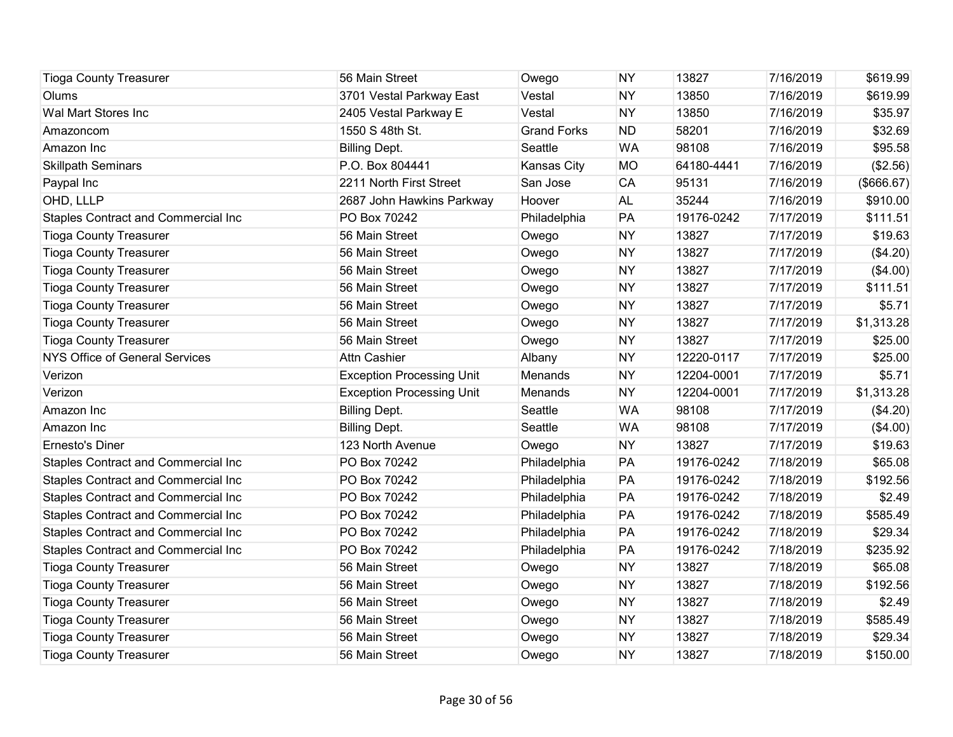| <b>Tioga County Treasurer</b>              | 56 Main Street                   | Owego              | <b>NY</b> | 13827      | 7/16/2019 | \$619.99   |
|--------------------------------------------|----------------------------------|--------------------|-----------|------------|-----------|------------|
| Olums                                      | 3701 Vestal Parkway East         | Vestal             | <b>NY</b> | 13850      | 7/16/2019 | \$619.99   |
| Wal Mart Stores Inc                        | 2405 Vestal Parkway E            | Vestal             | <b>NY</b> | 13850      | 7/16/2019 | \$35.97    |
| Amazoncom                                  | 1550 S 48th St.                  | <b>Grand Forks</b> | <b>ND</b> | 58201      | 7/16/2019 | \$32.69    |
| Amazon Inc                                 | <b>Billing Dept.</b>             | Seattle            | <b>WA</b> | 98108      | 7/16/2019 | \$95.58    |
| <b>Skillpath Seminars</b>                  | P.O. Box 804441                  | Kansas City        | <b>MO</b> | 64180-4441 | 7/16/2019 | (\$2.56)   |
| Paypal Inc                                 | 2211 North First Street          | San Jose           | <b>CA</b> | 95131      | 7/16/2019 | (\$666.67) |
| OHD, LLLP                                  | 2687 John Hawkins Parkway        | Hoover             | <b>AL</b> | 35244      | 7/16/2019 | \$910.00   |
| <b>Staples Contract and Commercial Inc</b> | PO Box 70242                     | Philadelphia       | PA        | 19176-0242 | 7/17/2019 | \$111.51   |
| <b>Tioga County Treasurer</b>              | 56 Main Street                   | Owego              | <b>NY</b> | 13827      | 7/17/2019 | \$19.63    |
| <b>Tioga County Treasurer</b>              | 56 Main Street                   | Owego              | <b>NY</b> | 13827      | 7/17/2019 | (\$4.20)   |
| <b>Tioga County Treasurer</b>              | 56 Main Street                   | Owego              | <b>NY</b> | 13827      | 7/17/2019 | (\$4.00)   |
| <b>Tioga County Treasurer</b>              | 56 Main Street                   | Owego              | <b>NY</b> | 13827      | 7/17/2019 | \$111.51   |
| <b>Tioga County Treasurer</b>              | 56 Main Street                   | Owego              | <b>NY</b> | 13827      | 7/17/2019 | \$5.71     |
| <b>Tioga County Treasurer</b>              | 56 Main Street                   | Owego              | <b>NY</b> | 13827      | 7/17/2019 | \$1,313.28 |
| <b>Tioga County Treasurer</b>              | 56 Main Street                   | Owego              | <b>NY</b> | 13827      | 7/17/2019 | \$25.00    |
| <b>NYS Office of General Services</b>      | <b>Attn Cashier</b>              | Albany             | <b>NY</b> | 12220-0117 | 7/17/2019 | \$25.00    |
| Verizon                                    | <b>Exception Processing Unit</b> | Menands            | <b>NY</b> | 12204-0001 | 7/17/2019 | \$5.71     |
| Verizon                                    | <b>Exception Processing Unit</b> | Menands            | <b>NY</b> | 12204-0001 | 7/17/2019 | \$1,313.28 |
| Amazon Inc                                 | <b>Billing Dept.</b>             | Seattle            | <b>WA</b> | 98108      | 7/17/2019 | (\$4.20)   |
| Amazon Inc                                 | <b>Billing Dept.</b>             | Seattle            | <b>WA</b> | 98108      | 7/17/2019 | (\$4.00)   |
| <b>Ernesto's Diner</b>                     | 123 North Avenue                 | Owego              | <b>NY</b> | 13827      | 7/17/2019 | \$19.63    |
| Staples Contract and Commercial Inc        | PO Box 70242                     | Philadelphia       | PA        | 19176-0242 | 7/18/2019 | \$65.08    |
| <b>Staples Contract and Commercial Inc</b> | PO Box 70242                     | Philadelphia       | PA        | 19176-0242 | 7/18/2019 | \$192.56   |
| Staples Contract and Commercial Inc        | PO Box 70242                     | Philadelphia       | PA        | 19176-0242 | 7/18/2019 | \$2.49     |
| Staples Contract and Commercial Inc        | PO Box 70242                     | Philadelphia       | PA        | 19176-0242 | 7/18/2019 | \$585.49   |
| Staples Contract and Commercial Inc        | PO Box 70242                     | Philadelphia       | PA        | 19176-0242 | 7/18/2019 | \$29.34    |
| Staples Contract and Commercial Inc        | PO Box 70242                     | Philadelphia       | PA        | 19176-0242 | 7/18/2019 | \$235.92   |
| <b>Tioga County Treasurer</b>              | 56 Main Street                   | Owego              | <b>NY</b> | 13827      | 7/18/2019 | \$65.08    |
| <b>Tioga County Treasurer</b>              | 56 Main Street                   | Owego              | <b>NY</b> | 13827      | 7/18/2019 | \$192.56   |
| <b>Tioga County Treasurer</b>              | 56 Main Street                   | Owego              | <b>NY</b> | 13827      | 7/18/2019 | \$2.49     |
| <b>Tioga County Treasurer</b>              | 56 Main Street                   | Owego              | <b>NY</b> | 13827      | 7/18/2019 | \$585.49   |
| <b>Tioga County Treasurer</b>              | 56 Main Street                   | Owego              | <b>NY</b> | 13827      | 7/18/2019 | \$29.34    |
| <b>Tioga County Treasurer</b>              | 56 Main Street                   | Owego              | <b>NY</b> | 13827      | 7/18/2019 | \$150.00   |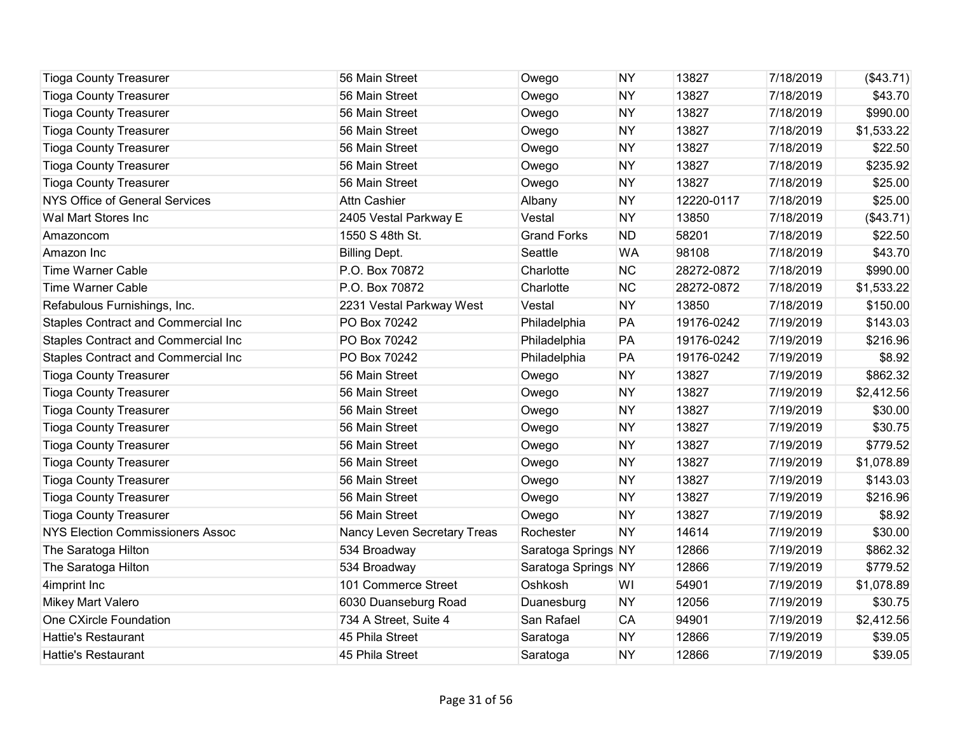| <b>Tioga County Treasurer</b>              | 56 Main Street              | Owego               | <b>NY</b> | 13827      | 7/18/2019 | (\$43.71)  |
|--------------------------------------------|-----------------------------|---------------------|-----------|------------|-----------|------------|
| <b>Tioga County Treasurer</b>              | 56 Main Street              | Owego               | <b>NY</b> | 13827      | 7/18/2019 | \$43.70    |
| <b>Tioga County Treasurer</b>              | 56 Main Street              | Owego               | <b>NY</b> | 13827      | 7/18/2019 | \$990.00   |
| <b>Tioga County Treasurer</b>              | 56 Main Street              | Owego               | <b>NY</b> | 13827      | 7/18/2019 | \$1,533.22 |
| <b>Tioga County Treasurer</b>              | 56 Main Street              | Owego               | <b>NY</b> | 13827      | 7/18/2019 | \$22.50    |
| <b>Tioga County Treasurer</b>              | 56 Main Street              | Owego               | <b>NY</b> | 13827      | 7/18/2019 | \$235.92   |
| <b>Tioga County Treasurer</b>              | 56 Main Street              | Owego               | <b>NY</b> | 13827      | 7/18/2019 | \$25.00    |
| <b>NYS Office of General Services</b>      | Attn Cashier                | Albany              | <b>NY</b> | 12220-0117 | 7/18/2019 | \$25.00    |
| Wal Mart Stores Inc                        | 2405 Vestal Parkway E       | Vestal              | <b>NY</b> | 13850      | 7/18/2019 | (\$43.71)  |
| Amazoncom                                  | 1550 S 48th St.             | <b>Grand Forks</b>  | <b>ND</b> | 58201      | 7/18/2019 | \$22.50    |
| Amazon Inc                                 | <b>Billing Dept.</b>        | Seattle             | <b>WA</b> | 98108      | 7/18/2019 | \$43.70    |
| <b>Time Warner Cable</b>                   | P.O. Box 70872              | Charlotte           | <b>NC</b> | 28272-0872 | 7/18/2019 | \$990.00   |
| <b>Time Warner Cable</b>                   | P.O. Box 70872              | Charlotte           | <b>NC</b> | 28272-0872 | 7/18/2019 | \$1,533.22 |
| Refabulous Furnishings, Inc.               | 2231 Vestal Parkway West    | Vestal              | <b>NY</b> | 13850      | 7/18/2019 | \$150.00   |
| <b>Staples Contract and Commercial Inc</b> | PO Box 70242                | Philadelphia        | PA        | 19176-0242 | 7/19/2019 | \$143.03   |
| Staples Contract and Commercial Inc        | PO Box 70242                | Philadelphia        | PA        | 19176-0242 | 7/19/2019 | \$216.96   |
| <b>Staples Contract and Commercial Inc</b> | PO Box 70242                | Philadelphia        | PA        | 19176-0242 | 7/19/2019 | \$8.92     |
| <b>Tioga County Treasurer</b>              | 56 Main Street              | Owego               | <b>NY</b> | 13827      | 7/19/2019 | \$862.32   |
| <b>Tioga County Treasurer</b>              | 56 Main Street              | Owego               | <b>NY</b> | 13827      | 7/19/2019 | \$2,412.56 |
| <b>Tioga County Treasurer</b>              | 56 Main Street              | Owego               | <b>NY</b> | 13827      | 7/19/2019 | \$30.00    |
| <b>Tioga County Treasurer</b>              | 56 Main Street              | Owego               | <b>NY</b> | 13827      | 7/19/2019 | \$30.75    |
| <b>Tioga County Treasurer</b>              | 56 Main Street              | Owego               | <b>NY</b> | 13827      | 7/19/2019 | \$779.52   |
| <b>Tioga County Treasurer</b>              | 56 Main Street              | Owego               | <b>NY</b> | 13827      | 7/19/2019 | \$1,078.89 |
| <b>Tioga County Treasurer</b>              | 56 Main Street              | Owego               | <b>NY</b> | 13827      | 7/19/2019 | \$143.03   |
| <b>Tioga County Treasurer</b>              | 56 Main Street              | Owego               | <b>NY</b> | 13827      | 7/19/2019 | \$216.96   |
| <b>Tioga County Treasurer</b>              | 56 Main Street              | Owego               | <b>NY</b> | 13827      | 7/19/2019 | \$8.92     |
| <b>NYS Election Commissioners Assoc</b>    | Nancy Leven Secretary Treas | Rochester           | <b>NY</b> | 14614      | 7/19/2019 | \$30.00    |
| The Saratoga Hilton                        | 534 Broadway                | Saratoga Springs NY |           | 12866      | 7/19/2019 | \$862.32   |
| The Saratoga Hilton                        | 534 Broadway                | Saratoga Springs NY |           | 12866      | 7/19/2019 | \$779.52   |
| 4imprint Inc                               | 101 Commerce Street         | Oshkosh             | WI        | 54901      | 7/19/2019 | \$1,078.89 |
| Mikey Mart Valero                          | 6030 Duanseburg Road        | Duanesburg          | <b>NY</b> | 12056      | 7/19/2019 | \$30.75    |
| One CXircle Foundation                     | 734 A Street, Suite 4       | San Rafael          | <b>CA</b> | 94901      | 7/19/2019 | \$2,412.56 |
| <b>Hattie's Restaurant</b>                 | 45 Phila Street             | Saratoga            | <b>NY</b> | 12866      | 7/19/2019 | \$39.05    |
| <b>Hattie's Restaurant</b>                 | 45 Phila Street             | Saratoga            | <b>NY</b> | 12866      | 7/19/2019 | \$39.05    |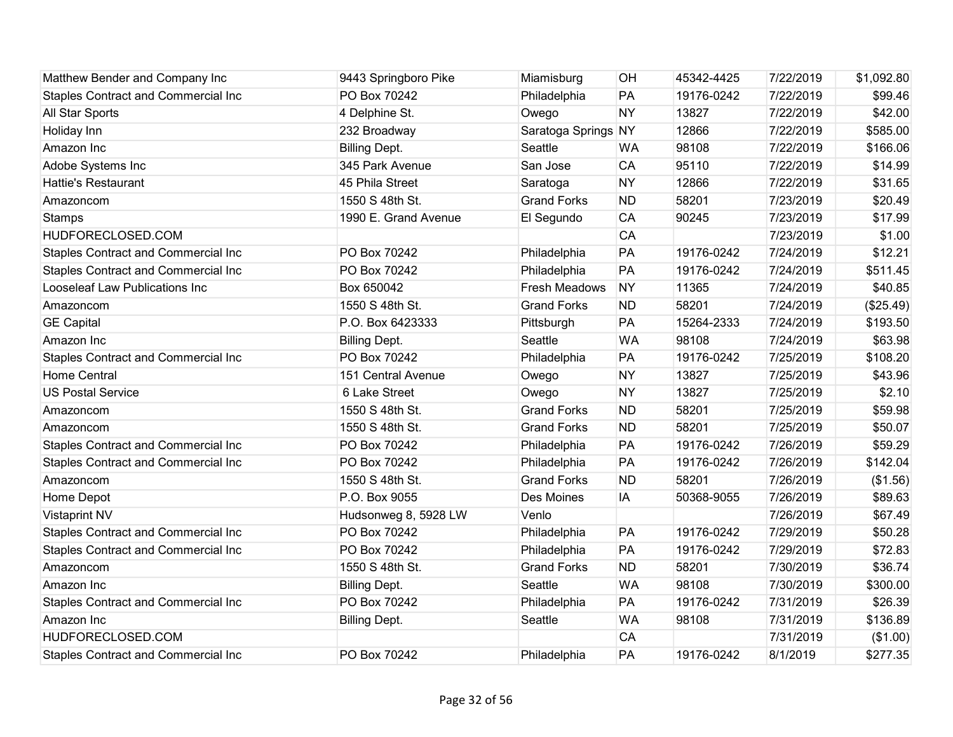| Matthew Bender and Company Inc             | 9443 Springboro Pike | Miamisburg           | OH        | 45342-4425 | 7/22/2019 | \$1,092.80 |
|--------------------------------------------|----------------------|----------------------|-----------|------------|-----------|------------|
| Staples Contract and Commercial Inc        | PO Box 70242         | Philadelphia         | PA        | 19176-0242 | 7/22/2019 | \$99.46    |
| All Star Sports                            | 4 Delphine St.       | Owego                | <b>NY</b> | 13827      | 7/22/2019 | \$42.00    |
| Holiday Inn                                | 232 Broadway         | Saratoga Springs NY  |           | 12866      | 7/22/2019 | \$585.00   |
| Amazon Inc                                 | <b>Billing Dept.</b> | Seattle              | <b>WA</b> | 98108      | 7/22/2019 | \$166.06   |
| Adobe Systems Inc                          | 345 Park Avenue      | San Jose             | <b>CA</b> | 95110      | 7/22/2019 | \$14.99    |
| <b>Hattie's Restaurant</b>                 | 45 Phila Street      | Saratoga             | <b>NY</b> | 12866      | 7/22/2019 | \$31.65    |
| Amazoncom                                  | 1550 S 48th St.      | <b>Grand Forks</b>   | <b>ND</b> | 58201      | 7/23/2019 | \$20.49    |
| <b>Stamps</b>                              | 1990 E. Grand Avenue | El Segundo           | CA        | 90245      | 7/23/2019 | \$17.99    |
| HUDFORECLOSED.COM                          |                      |                      | CA        |            | 7/23/2019 | \$1.00     |
| <b>Staples Contract and Commercial Inc</b> | PO Box 70242         | Philadelphia         | PA        | 19176-0242 | 7/24/2019 | \$12.21    |
| Staples Contract and Commercial Inc        | PO Box 70242         | Philadelphia         | PA        | 19176-0242 | 7/24/2019 | \$511.45   |
| Looseleaf Law Publications Inc             | Box 650042           | <b>Fresh Meadows</b> | <b>NY</b> | 11365      | 7/24/2019 | \$40.85    |
| Amazoncom                                  | 1550 S 48th St.      | <b>Grand Forks</b>   | <b>ND</b> | 58201      | 7/24/2019 | (\$25.49)  |
| <b>GE Capital</b>                          | P.O. Box 6423333     | Pittsburgh           | PA        | 15264-2333 | 7/24/2019 | \$193.50   |
| Amazon Inc                                 | <b>Billing Dept.</b> | Seattle              | <b>WA</b> | 98108      | 7/24/2019 | \$63.98    |
| <b>Staples Contract and Commercial Inc</b> | PO Box 70242         | Philadelphia         | PA        | 19176-0242 | 7/25/2019 | \$108.20   |
| <b>Home Central</b>                        | 151 Central Avenue   | Owego                | <b>NY</b> | 13827      | 7/25/2019 | \$43.96    |
| <b>US Postal Service</b>                   | 6 Lake Street        | Owego                | <b>NY</b> | 13827      | 7/25/2019 | \$2.10     |
| Amazoncom                                  | 1550 S 48th St.      | <b>Grand Forks</b>   | <b>ND</b> | 58201      | 7/25/2019 | \$59.98    |
| Amazoncom                                  | 1550 S 48th St.      | <b>Grand Forks</b>   | <b>ND</b> | 58201      | 7/25/2019 | \$50.07    |
| <b>Staples Contract and Commercial Inc</b> | PO Box 70242         | Philadelphia         | PA        | 19176-0242 | 7/26/2019 | \$59.29    |
| Staples Contract and Commercial Inc        | PO Box 70242         | Philadelphia         | PA        | 19176-0242 | 7/26/2019 | \$142.04   |
| Amazoncom                                  | 1550 S 48th St.      | <b>Grand Forks</b>   | <b>ND</b> | 58201      | 7/26/2019 | (\$1.56)   |
| Home Depot                                 | P.O. Box 9055        | Des Moines           | IA        | 50368-9055 | 7/26/2019 | \$89.63    |
| <b>Vistaprint NV</b>                       | Hudsonweg 8, 5928 LW | Venlo                |           |            | 7/26/2019 | \$67.49    |
| <b>Staples Contract and Commercial Inc</b> | PO Box 70242         | Philadelphia         | PA        | 19176-0242 | 7/29/2019 | \$50.28    |
| Staples Contract and Commercial Inc        | PO Box 70242         | Philadelphia         | PA        | 19176-0242 | 7/29/2019 | \$72.83    |
| Amazoncom                                  | 1550 S 48th St.      | <b>Grand Forks</b>   | <b>ND</b> | 58201      | 7/30/2019 | \$36.74    |
| Amazon Inc                                 | <b>Billing Dept.</b> | Seattle              | <b>WA</b> | 98108      | 7/30/2019 | \$300.00   |
| <b>Staples Contract and Commercial Inc</b> | PO Box 70242         | Philadelphia         | PA        | 19176-0242 | 7/31/2019 | \$26.39    |
| Amazon Inc                                 | <b>Billing Dept.</b> | Seattle              | <b>WA</b> | 98108      | 7/31/2019 | \$136.89   |
| HUDFORECLOSED.COM                          |                      |                      | CA        |            | 7/31/2019 | (\$1.00)   |
| Staples Contract and Commercial Inc        | PO Box 70242         | Philadelphia         | PA        | 19176-0242 | 8/1/2019  | \$277.35   |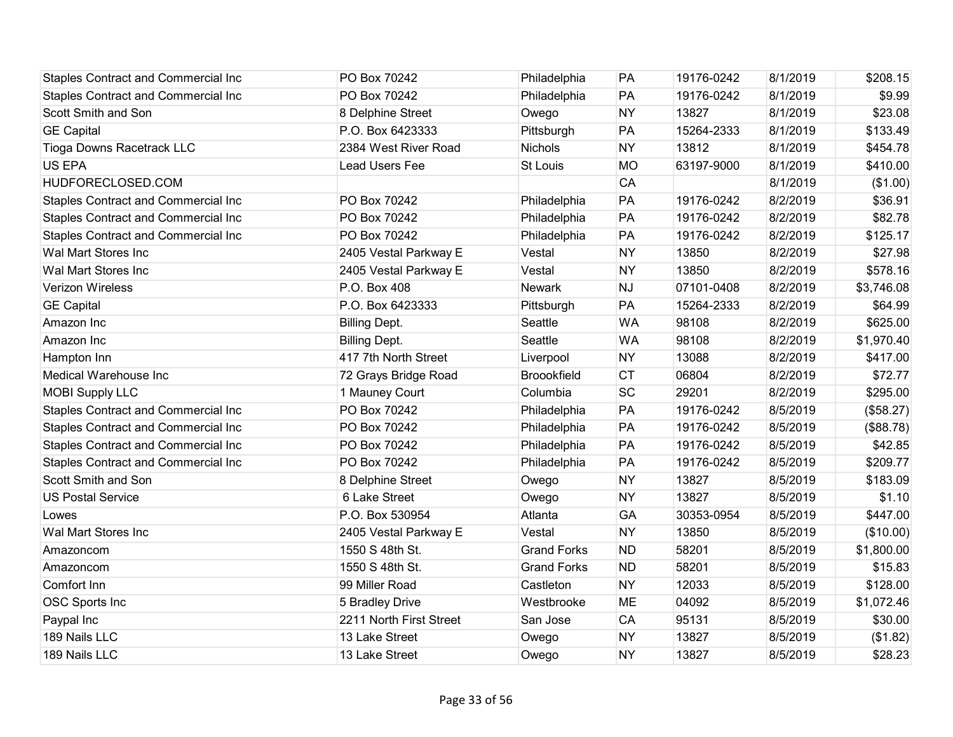| <b>Staples Contract and Commercial Inc</b> | PO Box 70242            | Philadelphia       | PA        | 19176-0242 | 8/1/2019 | \$208.15   |
|--------------------------------------------|-------------------------|--------------------|-----------|------------|----------|------------|
| <b>Staples Contract and Commercial Inc</b> | PO Box 70242            | Philadelphia       | PA        | 19176-0242 | 8/1/2019 | \$9.99     |
| Scott Smith and Son                        | 8 Delphine Street       | Owego              | <b>NY</b> | 13827      | 8/1/2019 | \$23.08    |
| <b>GE Capital</b>                          | P.O. Box 6423333        | Pittsburgh         | PA        | 15264-2333 | 8/1/2019 | \$133.49   |
| Tioga Downs Racetrack LLC                  | 2384 West River Road    | Nichols            | <b>NY</b> | 13812      | 8/1/2019 | \$454.78   |
| <b>US EPA</b>                              | Lead Users Fee          | St Louis           | <b>MO</b> | 63197-9000 | 8/1/2019 | \$410.00   |
| HUDFORECLOSED.COM                          |                         |                    | CA        |            | 8/1/2019 | (\$1.00)   |
| <b>Staples Contract and Commercial Inc</b> | PO Box 70242            | Philadelphia       | PA        | 19176-0242 | 8/2/2019 | \$36.91    |
| <b>Staples Contract and Commercial Inc</b> | PO Box 70242            | Philadelphia       | PA        | 19176-0242 | 8/2/2019 | \$82.78    |
| <b>Staples Contract and Commercial Inc</b> | PO Box 70242            | Philadelphia       | PA        | 19176-0242 | 8/2/2019 | \$125.17   |
| Wal Mart Stores Inc                        | 2405 Vestal Parkway E   | Vestal             | <b>NY</b> | 13850      | 8/2/2019 | \$27.98    |
| Wal Mart Stores Inc                        | 2405 Vestal Parkway E   | Vestal             | <b>NY</b> | 13850      | 8/2/2019 | \$578.16   |
| <b>Verizon Wireless</b>                    | P.O. Box 408            | <b>Newark</b>      | <b>NJ</b> | 07101-0408 | 8/2/2019 | \$3,746.08 |
| <b>GE Capital</b>                          | P.O. Box 6423333        | Pittsburgh         | PA        | 15264-2333 | 8/2/2019 | \$64.99    |
| Amazon Inc                                 | <b>Billing Dept.</b>    | Seattle            | <b>WA</b> | 98108      | 8/2/2019 | \$625.00   |
| Amazon Inc                                 | <b>Billing Dept.</b>    | Seattle            | <b>WA</b> | 98108      | 8/2/2019 | \$1,970.40 |
| Hampton Inn                                | 417 7th North Street    | Liverpool          | <b>NY</b> | 13088      | 8/2/2019 | \$417.00   |
| Medical Warehouse Inc                      | 72 Grays Bridge Road    | <b>Broookfield</b> | <b>CT</b> | 06804      | 8/2/2019 | \$72.77    |
| <b>MOBI Supply LLC</b>                     | 1 Mauney Court          | Columbia           | <b>SC</b> | 29201      | 8/2/2019 | \$295.00   |
| <b>Staples Contract and Commercial Inc</b> | PO Box 70242            | Philadelphia       | PA        | 19176-0242 | 8/5/2019 | (\$58.27)  |
| <b>Staples Contract and Commercial Inc</b> | PO Box 70242            | Philadelphia       | PA        | 19176-0242 | 8/5/2019 | (\$88.78)  |
| <b>Staples Contract and Commercial Inc</b> | PO Box 70242            | Philadelphia       | PA        | 19176-0242 | 8/5/2019 | \$42.85    |
| <b>Staples Contract and Commercial Inc</b> | PO Box 70242            | Philadelphia       | PA        | 19176-0242 | 8/5/2019 | \$209.77   |
| Scott Smith and Son                        | 8 Delphine Street       | Owego              | <b>NY</b> | 13827      | 8/5/2019 | \$183.09   |
| <b>US Postal Service</b>                   | 6 Lake Street           | Owego              | <b>NY</b> | 13827      | 8/5/2019 | \$1.10     |
| Lowes                                      | P.O. Box 530954         | Atlanta            | GA        | 30353-0954 | 8/5/2019 | \$447.00   |
| Wal Mart Stores Inc                        | 2405 Vestal Parkway E   | Vestal             | <b>NY</b> | 13850      | 8/5/2019 | (\$10.00)  |
| Amazoncom                                  | 1550 S 48th St.         | <b>Grand Forks</b> | <b>ND</b> | 58201      | 8/5/2019 | \$1,800.00 |
| Amazoncom                                  | 1550 S 48th St.         | <b>Grand Forks</b> | <b>ND</b> | 58201      | 8/5/2019 | \$15.83    |
| Comfort Inn                                | 99 Miller Road          | Castleton          | <b>NY</b> | 12033      | 8/5/2019 | \$128.00   |
| <b>OSC Sports Inc</b>                      | 5 Bradley Drive         | Westbrooke         | <b>ME</b> | 04092      | 8/5/2019 | \$1,072.46 |
| Paypal Inc                                 | 2211 North First Street | San Jose           | <b>CA</b> | 95131      | 8/5/2019 | \$30.00    |
| 189 Nails LLC                              | 13 Lake Street          | Owego              | <b>NY</b> | 13827      | 8/5/2019 | (\$1.82)   |
| 189 Nails LLC                              | 13 Lake Street          | Owego              | <b>NY</b> | 13827      | 8/5/2019 | \$28.23    |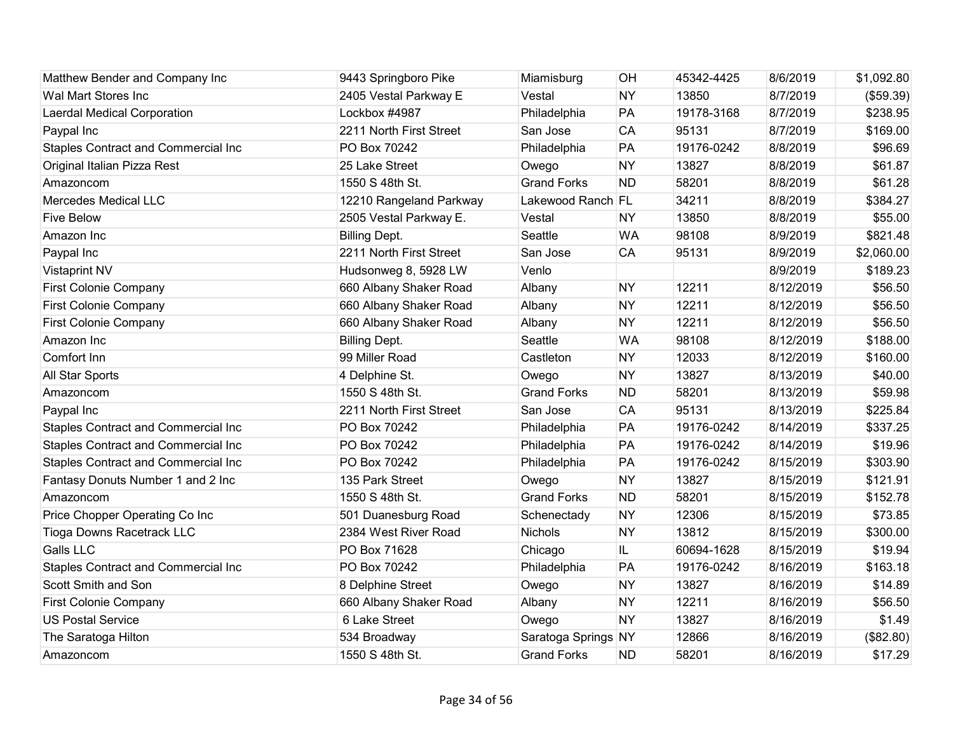| Matthew Bender and Company Inc             | 9443 Springboro Pike    | Miamisburg          | OH        | 45342-4425 | 8/6/2019  | \$1,092.80 |
|--------------------------------------------|-------------------------|---------------------|-----------|------------|-----------|------------|
| Wal Mart Stores Inc                        | 2405 Vestal Parkway E   | Vestal              | <b>NY</b> | 13850      | 8/7/2019  | (\$59.39)  |
| <b>Laerdal Medical Corporation</b>         | Lockbox #4987           | Philadelphia        | PA        | 19178-3168 | 8/7/2019  | \$238.95   |
| Paypal Inc                                 | 2211 North First Street | San Jose            | <b>CA</b> | 95131      | 8/7/2019  | \$169.00   |
| Staples Contract and Commercial Inc        | PO Box 70242            | Philadelphia        | PA        | 19176-0242 | 8/8/2019  | \$96.69    |
| Original Italian Pizza Rest                | 25 Lake Street          | Owego               | <b>NY</b> | 13827      | 8/8/2019  | \$61.87    |
| Amazoncom                                  | 1550 S 48th St.         | <b>Grand Forks</b>  | <b>ND</b> | 58201      | 8/8/2019  | \$61.28    |
| Mercedes Medical LLC                       | 12210 Rangeland Parkway | Lakewood Ranch FL   |           | 34211      | 8/8/2019  | \$384.27   |
| <b>Five Below</b>                          | 2505 Vestal Parkway E.  | Vestal              | <b>NY</b> | 13850      | 8/8/2019  | \$55.00    |
| Amazon Inc                                 | <b>Billing Dept.</b>    | Seattle             | <b>WA</b> | 98108      | 8/9/2019  | \$821.48   |
| Paypal Inc                                 | 2211 North First Street | San Jose            | CA        | 95131      | 8/9/2019  | \$2,060.00 |
| <b>Vistaprint NV</b>                       | Hudsonweg 8, 5928 LW    | Venlo               |           |            | 8/9/2019  | \$189.23   |
| First Colonie Company                      | 660 Albany Shaker Road  | Albany              | <b>NY</b> | 12211      | 8/12/2019 | \$56.50    |
| <b>First Colonie Company</b>               | 660 Albany Shaker Road  | Albany              | <b>NY</b> | 12211      | 8/12/2019 | \$56.50    |
| First Colonie Company                      | 660 Albany Shaker Road  | Albany              | <b>NY</b> | 12211      | 8/12/2019 | \$56.50    |
| Amazon Inc                                 | <b>Billing Dept.</b>    | Seattle             | <b>WA</b> | 98108      | 8/12/2019 | \$188.00   |
| Comfort Inn                                | 99 Miller Road          | Castleton           | <b>NY</b> | 12033      | 8/12/2019 | \$160.00   |
| All Star Sports                            | 4 Delphine St.          | Owego               | <b>NY</b> | 13827      | 8/13/2019 | \$40.00    |
| Amazoncom                                  | 1550 S 48th St.         | <b>Grand Forks</b>  | <b>ND</b> | 58201      | 8/13/2019 | \$59.98    |
| Paypal Inc                                 | 2211 North First Street | San Jose            | <b>CA</b> | 95131      | 8/13/2019 | \$225.84   |
| Staples Contract and Commercial Inc        | PO Box 70242            | Philadelphia        | PA        | 19176-0242 | 8/14/2019 | \$337.25   |
| <b>Staples Contract and Commercial Inc</b> | PO Box 70242            | Philadelphia        | PA        | 19176-0242 | 8/14/2019 | \$19.96    |
| Staples Contract and Commercial Inc        | PO Box 70242            | Philadelphia        | PA        | 19176-0242 | 8/15/2019 | \$303.90   |
| Fantasy Donuts Number 1 and 2 Inc          | 135 Park Street         | Owego               | <b>NY</b> | 13827      | 8/15/2019 | \$121.91   |
| Amazoncom                                  | 1550 S 48th St.         | <b>Grand Forks</b>  | <b>ND</b> | 58201      | 8/15/2019 | \$152.78   |
| Price Chopper Operating Co Inc             | 501 Duanesburg Road     | Schenectady         | <b>NY</b> | 12306      | 8/15/2019 | \$73.85    |
| <b>Tioga Downs Racetrack LLC</b>           | 2384 West River Road    | <b>Nichols</b>      | <b>NY</b> | 13812      | 8/15/2019 | \$300.00   |
| <b>Galls LLC</b>                           | PO Box 71628            | Chicago             | IL        | 60694-1628 | 8/15/2019 | \$19.94    |
| <b>Staples Contract and Commercial Inc</b> | PO Box 70242            | Philadelphia        | PA        | 19176-0242 | 8/16/2019 | \$163.18   |
| Scott Smith and Son                        | 8 Delphine Street       | Owego               | <b>NY</b> | 13827      | 8/16/2019 | \$14.89    |
| First Colonie Company                      | 660 Albany Shaker Road  | Albany              | <b>NY</b> | 12211      | 8/16/2019 | \$56.50    |
| <b>US Postal Service</b>                   | 6 Lake Street           | Owego               | <b>NY</b> | 13827      | 8/16/2019 | \$1.49     |
| The Saratoga Hilton                        | 534 Broadway            | Saratoga Springs NY |           | 12866      | 8/16/2019 | (\$82.80)  |
| Amazoncom                                  | 1550 S 48th St.         | <b>Grand Forks</b>  | <b>ND</b> | 58201      | 8/16/2019 | \$17.29    |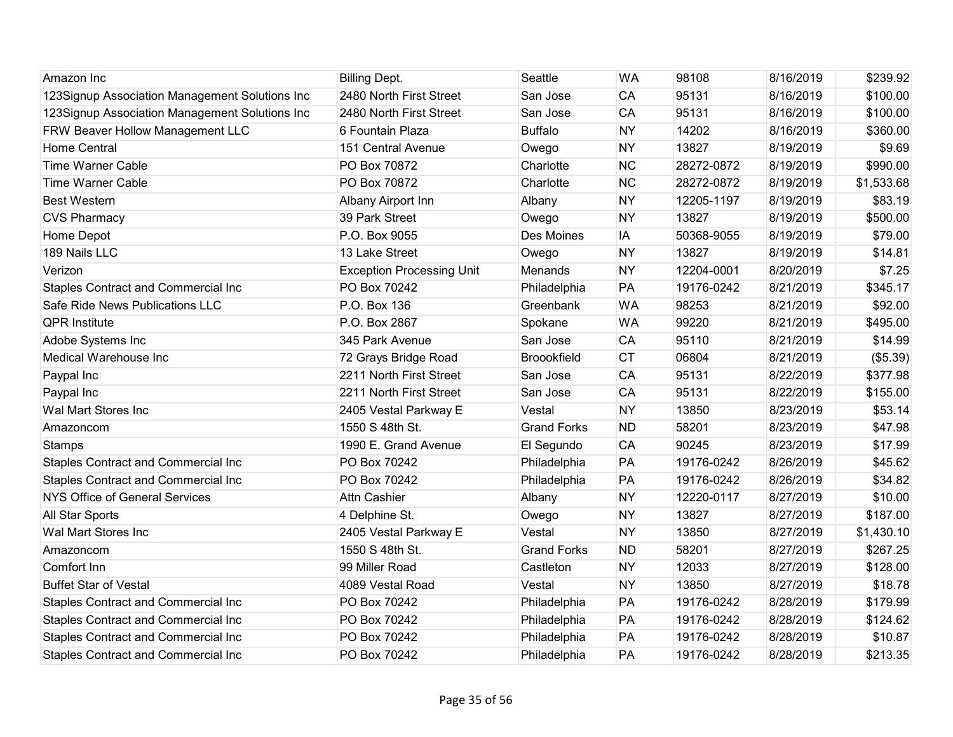| Amazon Inc                                     | <b>Billing Dept.</b>             | Seattle            | <b>WA</b> | 98108      | 8/16/2019 | \$239.92   |
|------------------------------------------------|----------------------------------|--------------------|-----------|------------|-----------|------------|
| 123Signup Association Management Solutions Inc | 2480 North First Street          | San Jose           | CA        | 95131      | 8/16/2019 | \$100.00   |
| 123Signup Association Management Solutions Inc | 2480 North First Street          | San Jose           | CA        | 95131      | 8/16/2019 | \$100.00   |
| FRW Beaver Hollow Management LLC               | 6 Fountain Plaza                 | <b>Buffalo</b>     | <b>NY</b> | 14202      | 8/16/2019 | \$360.00   |
| <b>Home Central</b>                            | 151 Central Avenue               | Owego              | <b>NY</b> | 13827      | 8/19/2019 | \$9.69     |
| <b>Time Warner Cable</b>                       | PO Box 70872                     | Charlotte          | <b>NC</b> | 28272-0872 | 8/19/2019 | \$990.00   |
| <b>Time Warner Cable</b>                       | PO Box 70872                     | Charlotte          | <b>NC</b> | 28272-0872 | 8/19/2019 | \$1,533.68 |
| <b>Best Western</b>                            | Albany Airport Inn               | Albany             | <b>NY</b> | 12205-1197 | 8/19/2019 | \$83.19    |
| <b>CVS Pharmacy</b>                            | 39 Park Street                   | Owego              | <b>NY</b> | 13827      | 8/19/2019 | \$500.00   |
| Home Depot                                     | P.O. Box 9055                    | Des Moines         | IA        | 50368-9055 | 8/19/2019 | \$79.00    |
| 189 Nails LLC                                  | 13 Lake Street                   | Owego              | <b>NY</b> | 13827      | 8/19/2019 | \$14.81    |
| Verizon                                        | <b>Exception Processing Unit</b> | Menands            | <b>NY</b> | 12204-0001 | 8/20/2019 | \$7.25     |
| Staples Contract and Commercial Inc            | PO Box 70242                     | Philadelphia       | PA        | 19176-0242 | 8/21/2019 | \$345.17   |
| Safe Ride News Publications LLC                | P.O. Box 136                     | Greenbank          | <b>WA</b> | 98253      | 8/21/2019 | \$92.00    |
| <b>QPR Institute</b>                           | P.O. Box 2867                    | Spokane            | <b>WA</b> | 99220      | 8/21/2019 | \$495.00   |
| Adobe Systems Inc                              | 345 Park Avenue                  | San Jose           | CA        | 95110      | 8/21/2019 | \$14.99    |
| Medical Warehouse Inc                          | 72 Grays Bridge Road             | <b>Broookfield</b> | <b>CT</b> | 06804      | 8/21/2019 | (\$5.39)   |
| Paypal Inc                                     | 2211 North First Street          | San Jose           | CA        | 95131      | 8/22/2019 | \$377.98   |
| Paypal Inc                                     | 2211 North First Street          | San Jose           | CA        | 95131      | 8/22/2019 | \$155.00   |
| Wal Mart Stores Inc                            | 2405 Vestal Parkway E            | Vestal             | <b>NY</b> | 13850      | 8/23/2019 | \$53.14    |
| Amazoncom                                      | 1550 S 48th St.                  | <b>Grand Forks</b> | <b>ND</b> | 58201      | 8/23/2019 | \$47.98    |
| Stamps                                         | 1990 E. Grand Avenue             | El Segundo         | <b>CA</b> | 90245      | 8/23/2019 | \$17.99    |
| Staples Contract and Commercial Inc            | PO Box 70242                     | Philadelphia       | PA        | 19176-0242 | 8/26/2019 | \$45.62    |
| <b>Staples Contract and Commercial Inc</b>     | PO Box 70242                     | Philadelphia       | PA        | 19176-0242 | 8/26/2019 | \$34.82    |
| <b>NYS Office of General Services</b>          | Attn Cashier                     | Albany             | <b>NY</b> | 12220-0117 | 8/27/2019 | \$10.00    |
| <b>All Star Sports</b>                         | 4 Delphine St.                   | Owego              | <b>NY</b> | 13827      | 8/27/2019 | \$187.00   |
| Wal Mart Stores Inc                            | 2405 Vestal Parkway E            | Vestal             | <b>NY</b> | 13850      | 8/27/2019 | \$1,430.10 |
| Amazoncom                                      | 1550 S 48th St.                  | <b>Grand Forks</b> | <b>ND</b> | 58201      | 8/27/2019 | \$267.25   |
| Comfort Inn                                    | 99 Miller Road                   | Castleton          | <b>NY</b> | 12033      | 8/27/2019 | \$128.00   |
| <b>Buffet Star of Vestal</b>                   | 4089 Vestal Road                 | Vestal             | <b>NY</b> | 13850      | 8/27/2019 | \$18.78    |
| Staples Contract and Commercial Inc            | PO Box 70242                     | Philadelphia       | PA        | 19176-0242 | 8/28/2019 | \$179.99   |
| Staples Contract and Commercial Inc            | PO Box 70242                     | Philadelphia       | PA        | 19176-0242 | 8/28/2019 | \$124.62   |
| Staples Contract and Commercial Inc            | PO Box 70242                     | Philadelphia       | PA        | 19176-0242 | 8/28/2019 | \$10.87    |
| <b>Staples Contract and Commercial Inc</b>     | PO Box 70242                     | Philadelphia       | PA        | 19176-0242 | 8/28/2019 | \$213.35   |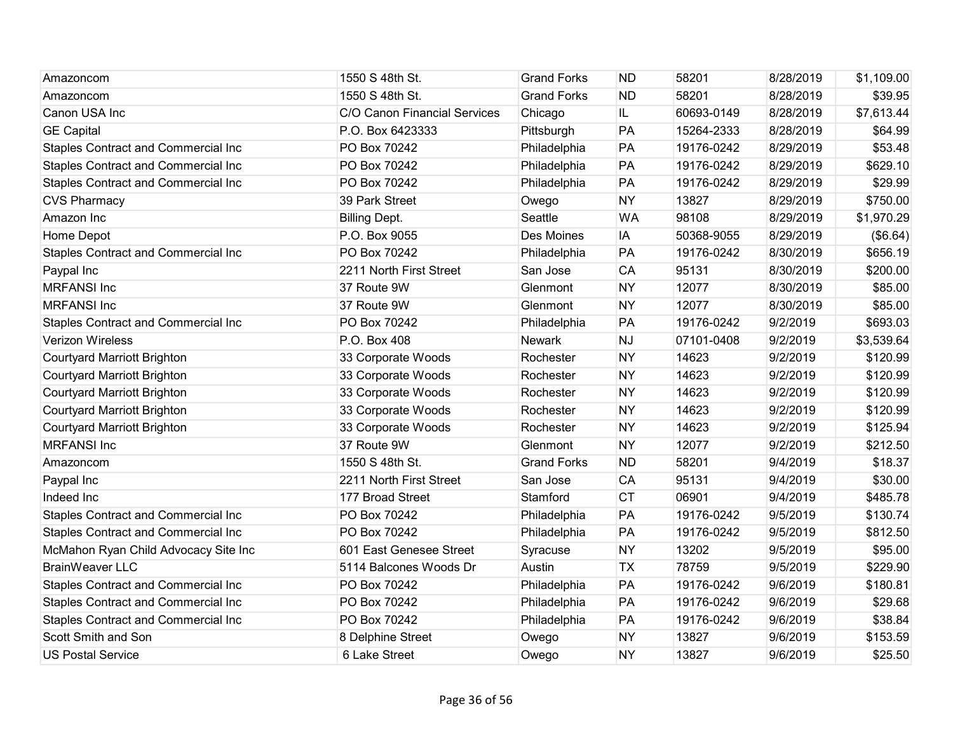| Amazoncom                                  | 1550 S 48th St.              | <b>Grand Forks</b> | <b>ND</b> | 58201      | 8/28/2019 | \$1,109.00 |
|--------------------------------------------|------------------------------|--------------------|-----------|------------|-----------|------------|
| Amazoncom                                  | 1550 S 48th St.              | <b>Grand Forks</b> | <b>ND</b> | 58201      | 8/28/2019 | \$39.95    |
| Canon USA Inc                              | C/O Canon Financial Services | Chicago            | IL.       | 60693-0149 | 8/28/2019 | \$7,613.44 |
| <b>GE Capital</b>                          | P.O. Box 6423333             | Pittsburgh         | PA        | 15264-2333 | 8/28/2019 | \$64.99    |
| Staples Contract and Commercial Inc        | PO Box 70242                 | Philadelphia       | PA        | 19176-0242 | 8/29/2019 | \$53.48    |
| Staples Contract and Commercial Inc        | PO Box 70242                 | Philadelphia       | PA        | 19176-0242 | 8/29/2019 | \$629.10   |
| Staples Contract and Commercial Inc        | PO Box 70242                 | Philadelphia       | PA        | 19176-0242 | 8/29/2019 | \$29.99    |
| <b>CVS Pharmacy</b>                        | 39 Park Street               | Owego              | <b>NY</b> | 13827      | 8/29/2019 | \$750.00   |
| Amazon Inc                                 | <b>Billing Dept.</b>         | Seattle            | <b>WA</b> | 98108      | 8/29/2019 | \$1,970.29 |
| Home Depot                                 | P.O. Box 9055                | Des Moines         | IA        | 50368-9055 | 8/29/2019 | (\$6.64)   |
| Staples Contract and Commercial Inc        | PO Box 70242                 | Philadelphia       | PA        | 19176-0242 | 8/30/2019 | \$656.19   |
| Paypal Inc                                 | 2211 North First Street      | San Jose           | <b>CA</b> | 95131      | 8/30/2019 | \$200.00   |
| <b>MRFANSI Inc</b>                         | 37 Route 9W                  | Glenmont           | <b>NY</b> | 12077      | 8/30/2019 | \$85.00    |
| <b>MRFANSI Inc</b>                         | 37 Route 9W                  | Glenmont           | <b>NY</b> | 12077      | 8/30/2019 | \$85.00    |
| Staples Contract and Commercial Inc        | PO Box 70242                 | Philadelphia       | PA        | 19176-0242 | 9/2/2019  | \$693.03   |
| <b>Verizon Wireless</b>                    | P.O. Box 408                 | Newark             | <b>NJ</b> | 07101-0408 | 9/2/2019  | \$3,539.64 |
| <b>Courtyard Marriott Brighton</b>         | 33 Corporate Woods           | Rochester          | <b>NY</b> | 14623      | 9/2/2019  | \$120.99   |
| <b>Courtyard Marriott Brighton</b>         | 33 Corporate Woods           | Rochester          | <b>NY</b> | 14623      | 9/2/2019  | \$120.99   |
| <b>Courtyard Marriott Brighton</b>         | 33 Corporate Woods           | Rochester          | <b>NY</b> | 14623      | 9/2/2019  | \$120.99   |
| <b>Courtyard Marriott Brighton</b>         | 33 Corporate Woods           | Rochester          | <b>NY</b> | 14623      | 9/2/2019  | \$120.99   |
| <b>Courtyard Marriott Brighton</b>         | 33 Corporate Woods           | Rochester          | <b>NY</b> | 14623      | 9/2/2019  | \$125.94   |
| <b>MRFANSI Inc</b>                         | 37 Route 9W                  | Glenmont           | <b>NY</b> | 12077      | 9/2/2019  | \$212.50   |
| Amazoncom                                  | 1550 S 48th St.              | <b>Grand Forks</b> | <b>ND</b> | 58201      | 9/4/2019  | \$18.37    |
| Paypal Inc                                 | 2211 North First Street      | San Jose           | CA        | 95131      | 9/4/2019  | \$30.00    |
| Indeed Inc                                 | 177 Broad Street             | Stamford           | <b>CT</b> | 06901      | 9/4/2019  | \$485.78   |
| Staples Contract and Commercial Inc        | PO Box 70242                 | Philadelphia       | PA        | 19176-0242 | 9/5/2019  | \$130.74   |
| <b>Staples Contract and Commercial Inc</b> | PO Box 70242                 | Philadelphia       | PA        | 19176-0242 | 9/5/2019  | \$812.50   |
| McMahon Ryan Child Advocacy Site Inc       | 601 East Genesee Street      | Syracuse           | <b>NY</b> | 13202      | 9/5/2019  | \$95.00    |
| <b>BrainWeaver LLC</b>                     | 5114 Balcones Woods Dr       | Austin             | <b>TX</b> | 78759      | 9/5/2019  | \$229.90   |
| <b>Staples Contract and Commercial Inc</b> | PO Box 70242                 | Philadelphia       | PA        | 19176-0242 | 9/6/2019  | \$180.81   |
| Staples Contract and Commercial Inc        | PO Box 70242                 | Philadelphia       | PA        | 19176-0242 | 9/6/2019  | \$29.68    |
| Staples Contract and Commercial Inc        | PO Box 70242                 | Philadelphia       | PA        | 19176-0242 | 9/6/2019  | \$38.84    |
| Scott Smith and Son                        | 8 Delphine Street            | Owego              | <b>NY</b> | 13827      | 9/6/2019  | \$153.59   |
| <b>US Postal Service</b>                   | 6 Lake Street                | Owego              | <b>NY</b> | 13827      | 9/6/2019  | \$25.50    |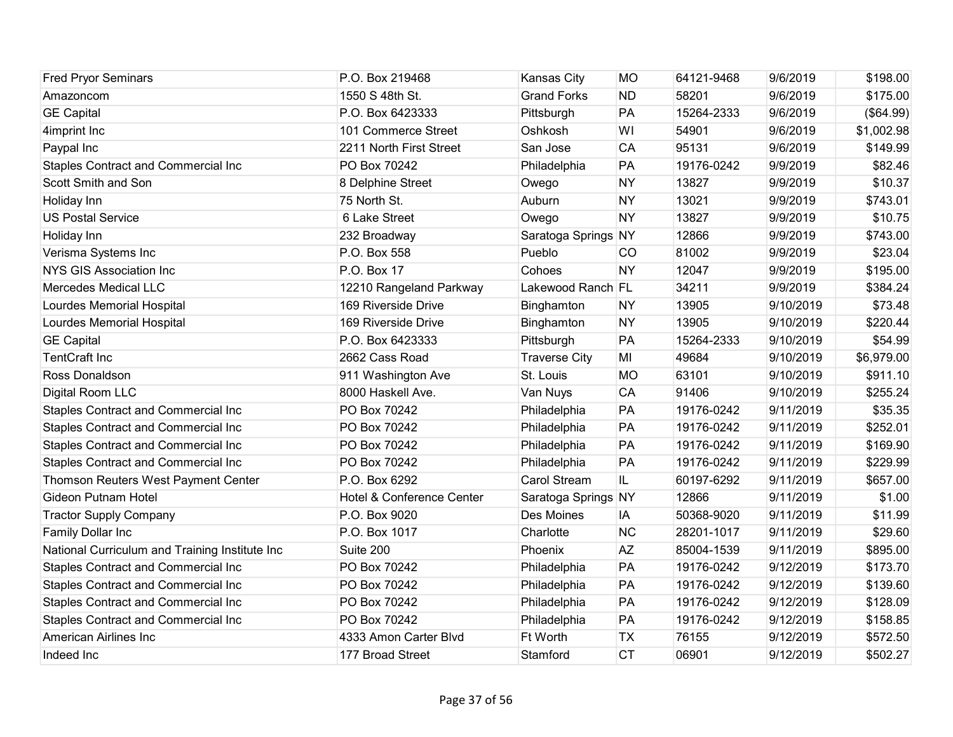| <b>Fred Pryor Seminars</b>                     | P.O. Box 219468                      | Kansas City          | <b>MO</b> | 64121-9468 | 9/6/2019  | \$198.00   |
|------------------------------------------------|--------------------------------------|----------------------|-----------|------------|-----------|------------|
| Amazoncom                                      | 1550 S 48th St.                      | <b>Grand Forks</b>   | <b>ND</b> | 58201      | 9/6/2019  | \$175.00   |
| <b>GE Capital</b>                              | P.O. Box 6423333                     | Pittsburgh           | PA        | 15264-2333 | 9/6/2019  | (\$64.99)  |
| 4imprint Inc                                   | 101 Commerce Street                  | Oshkosh              | WI        | 54901      | 9/6/2019  | \$1,002.98 |
| Paypal Inc                                     | 2211 North First Street              | San Jose             | CA        | 95131      | 9/6/2019  | \$149.99   |
| Staples Contract and Commercial Inc            | PO Box 70242                         | Philadelphia         | PA        | 19176-0242 | 9/9/2019  | \$82.46    |
| Scott Smith and Son                            | 8 Delphine Street                    | Owego                | <b>NY</b> | 13827      | 9/9/2019  | \$10.37    |
| Holiday Inn                                    | 75 North St.                         | Auburn               | <b>NY</b> | 13021      | 9/9/2019  | \$743.01   |
| <b>US Postal Service</b>                       | 6 Lake Street                        | Owego                | <b>NY</b> | 13827      | 9/9/2019  | \$10.75    |
| Holiday Inn                                    | 232 Broadway                         | Saratoga Springs NY  |           | 12866      | 9/9/2019  | \$743.00   |
| Verisma Systems Inc                            | P.O. Box 558                         | Pueblo               | CO        | 81002      | 9/9/2019  | \$23.04    |
| NYS GIS Association Inc                        | P.O. Box 17                          | Cohoes               | <b>NY</b> | 12047      | 9/9/2019  | \$195.00   |
| <b>Mercedes Medical LLC</b>                    | 12210 Rangeland Parkway              | Lakewood Ranch FL    |           | 34211      | 9/9/2019  | \$384.24   |
| Lourdes Memorial Hospital                      | 169 Riverside Drive                  | Binghamton           | <b>NY</b> | 13905      | 9/10/2019 | \$73.48    |
| Lourdes Memorial Hospital                      | 169 Riverside Drive                  | Binghamton           | <b>NY</b> | 13905      | 9/10/2019 | \$220.44   |
| <b>GE Capital</b>                              | P.O. Box 6423333                     | Pittsburgh           | PA        | 15264-2333 | 9/10/2019 | \$54.99    |
| <b>TentCraft Inc</b>                           | 2662 Cass Road                       | <b>Traverse City</b> | MI        | 49684      | 9/10/2019 | \$6,979.00 |
| Ross Donaldson                                 | 911 Washington Ave                   | St. Louis            | <b>MO</b> | 63101      | 9/10/2019 | \$911.10   |
| Digital Room LLC                               | 8000 Haskell Ave.                    | Van Nuys             | <b>CA</b> | 91406      | 9/10/2019 | \$255.24   |
| Staples Contract and Commercial Inc            | PO Box 70242                         | Philadelphia         | PA        | 19176-0242 | 9/11/2019 | \$35.35    |
| Staples Contract and Commercial Inc            | PO Box 70242                         | Philadelphia         | PA        | 19176-0242 | 9/11/2019 | \$252.01   |
| Staples Contract and Commercial Inc            | PO Box 70242                         | Philadelphia         | PA        | 19176-0242 | 9/11/2019 | \$169.90   |
| Staples Contract and Commercial Inc            | PO Box 70242                         | Philadelphia         | PA        | 19176-0242 | 9/11/2019 | \$229.99   |
| Thomson Reuters West Payment Center            | P.O. Box 6292                        | Carol Stream         | IL.       | 60197-6292 | 9/11/2019 | \$657.00   |
| <b>Gideon Putnam Hotel</b>                     | <b>Hotel &amp; Conference Center</b> | Saratoga Springs NY  |           | 12866      | 9/11/2019 | \$1.00     |
| <b>Tractor Supply Company</b>                  | P.O. Box 9020                        | Des Moines           | IA        | 50368-9020 | 9/11/2019 | \$11.99    |
| Family Dollar Inc                              | P.O. Box 1017                        | Charlotte            | <b>NC</b> | 28201-1017 | 9/11/2019 | \$29.60    |
| National Curriculum and Training Institute Inc | Suite 200                            | Phoenix              | <b>AZ</b> | 85004-1539 | 9/11/2019 | \$895.00   |
| <b>Staples Contract and Commercial Inc</b>     | PO Box 70242                         | Philadelphia         | PA        | 19176-0242 | 9/12/2019 | \$173.70   |
| <b>Staples Contract and Commercial Inc</b>     | PO Box 70242                         | Philadelphia         | PA        | 19176-0242 | 9/12/2019 | \$139.60   |
| <b>Staples Contract and Commercial Inc</b>     | PO Box 70242                         | Philadelphia         | PA        | 19176-0242 | 9/12/2019 | \$128.09   |
| Staples Contract and Commercial Inc            | PO Box 70242                         | Philadelphia         | PA        | 19176-0242 | 9/12/2019 | \$158.85   |
| American Airlines Inc                          | 4333 Amon Carter Blvd                | Ft Worth             | <b>TX</b> | 76155      | 9/12/2019 | \$572.50   |
| Indeed Inc                                     | 177 Broad Street                     | Stamford             | <b>CT</b> | 06901      | 9/12/2019 | \$502.27   |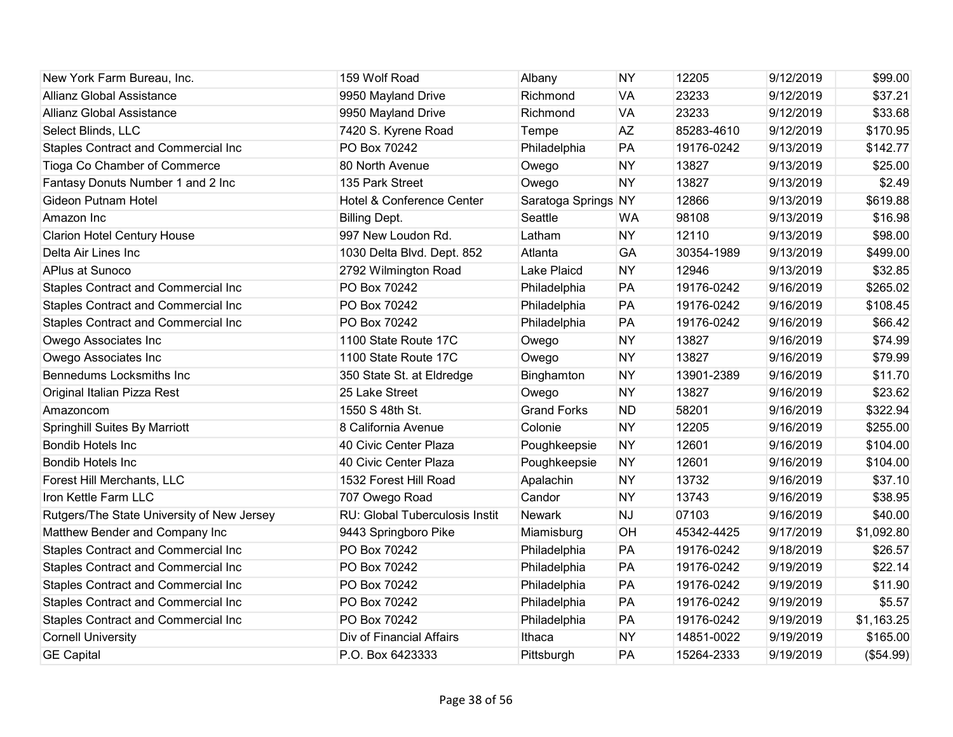| New York Farm Bureau, Inc.                 | 159 Wolf Road                  | Albany              | <b>NY</b> | 12205      | 9/12/2019 | \$99.00    |
|--------------------------------------------|--------------------------------|---------------------|-----------|------------|-----------|------------|
| <b>Allianz Global Assistance</b>           | 9950 Mayland Drive             | Richmond            | <b>VA</b> | 23233      | 9/12/2019 | \$37.21    |
| <b>Allianz Global Assistance</b>           | 9950 Mayland Drive             | Richmond            | <b>VA</b> | 23233      | 9/12/2019 | \$33.68    |
| Select Blinds, LLC                         | 7420 S. Kyrene Road            | Tempe               | <b>AZ</b> | 85283-4610 | 9/12/2019 | \$170.95   |
| Staples Contract and Commercial Inc        | PO Box 70242                   | Philadelphia        | PA        | 19176-0242 | 9/13/2019 | \$142.77   |
| Tioga Co Chamber of Commerce               | 80 North Avenue                | Owego               | <b>NY</b> | 13827      | 9/13/2019 | \$25.00    |
| Fantasy Donuts Number 1 and 2 Inc          | 135 Park Street                | Owego               | <b>NY</b> | 13827      | 9/13/2019 | \$2.49     |
| <b>Gideon Putnam Hotel</b>                 | Hotel & Conference Center      | Saratoga Springs NY |           | 12866      | 9/13/2019 | \$619.88   |
| Amazon Inc                                 | <b>Billing Dept.</b>           | Seattle             | <b>WA</b> | 98108      | 9/13/2019 | \$16.98    |
| <b>Clarion Hotel Century House</b>         | 997 New Loudon Rd.             | Latham              | <b>NY</b> | 12110      | 9/13/2019 | \$98.00    |
| Delta Air Lines Inc                        | 1030 Delta Blvd. Dept. 852     | Atlanta             | GA        | 30354-1989 | 9/13/2019 | \$499.00   |
| APlus at Sunoco                            | 2792 Wilmington Road           | Lake Plaicd         | <b>NY</b> | 12946      | 9/13/2019 | \$32.85    |
| Staples Contract and Commercial Inc        | PO Box 70242                   | Philadelphia        | PA        | 19176-0242 | 9/16/2019 | \$265.02   |
| <b>Staples Contract and Commercial Inc</b> | PO Box 70242                   | Philadelphia        | PA        | 19176-0242 | 9/16/2019 | \$108.45   |
| Staples Contract and Commercial Inc        | PO Box 70242                   | Philadelphia        | PA        | 19176-0242 | 9/16/2019 | \$66.42    |
| Owego Associates Inc                       | 1100 State Route 17C           | Owego               | <b>NY</b> | 13827      | 9/16/2019 | \$74.99    |
| Owego Associates Inc                       | 1100 State Route 17C           | Owego               | <b>NY</b> | 13827      | 9/16/2019 | \$79.99    |
| Bennedums Locksmiths Inc                   | 350 State St. at Eldredge      | Binghamton          | <b>NY</b> | 13901-2389 | 9/16/2019 | \$11.70    |
| Original Italian Pizza Rest                | 25 Lake Street                 | Owego               | <b>NY</b> | 13827      | 9/16/2019 | \$23.62    |
| Amazoncom                                  | 1550 S 48th St.                | <b>Grand Forks</b>  | <b>ND</b> | 58201      | 9/16/2019 | \$322.94   |
| <b>Springhill Suites By Marriott</b>       | 8 California Avenue            | Colonie             | <b>NY</b> | 12205      | 9/16/2019 | \$255.00   |
| <b>Bondib Hotels Inc</b>                   | 40 Civic Center Plaza          | Poughkeepsie        | <b>NY</b> | 12601      | 9/16/2019 | \$104.00   |
| Bondib Hotels Inc.                         | 40 Civic Center Plaza          | Poughkeepsie        | <b>NY</b> | 12601      | 9/16/2019 | \$104.00   |
| Forest Hill Merchants, LLC                 | 1532 Forest Hill Road          | Apalachin           | <b>NY</b> | 13732      | 9/16/2019 | \$37.10    |
| Iron Kettle Farm LLC                       | 707 Owego Road                 | Candor              | <b>NY</b> | 13743      | 9/16/2019 | \$38.95    |
| Rutgers/The State University of New Jersey | RU: Global Tuberculosis Instit | <b>Newark</b>       | <b>NJ</b> | 07103      | 9/16/2019 | \$40.00    |
| Matthew Bender and Company Inc             | 9443 Springboro Pike           | Miamisburg          | <b>OH</b> | 45342-4425 | 9/17/2019 | \$1,092.80 |
| Staples Contract and Commercial Inc        | PO Box 70242                   | Philadelphia        | PA        | 19176-0242 | 9/18/2019 | \$26.57    |
| Staples Contract and Commercial Inc        | PO Box 70242                   | Philadelphia        | PA        | 19176-0242 | 9/19/2019 | \$22.14    |
| <b>Staples Contract and Commercial Inc</b> | PO Box 70242                   | Philadelphia        | PA        | 19176-0242 | 9/19/2019 | \$11.90    |
| Staples Contract and Commercial Inc        | PO Box 70242                   | Philadelphia        | PA        | 19176-0242 | 9/19/2019 | \$5.57     |
| Staples Contract and Commercial Inc        | PO Box 70242                   | Philadelphia        | PA        | 19176-0242 | 9/19/2019 | \$1,163.25 |
| <b>Cornell University</b>                  | Div of Financial Affairs       | Ithaca              | <b>NY</b> | 14851-0022 | 9/19/2019 | \$165.00   |
| <b>GE Capital</b>                          | P.O. Box 6423333               | Pittsburgh          | PA        | 15264-2333 | 9/19/2019 | (\$54.99)  |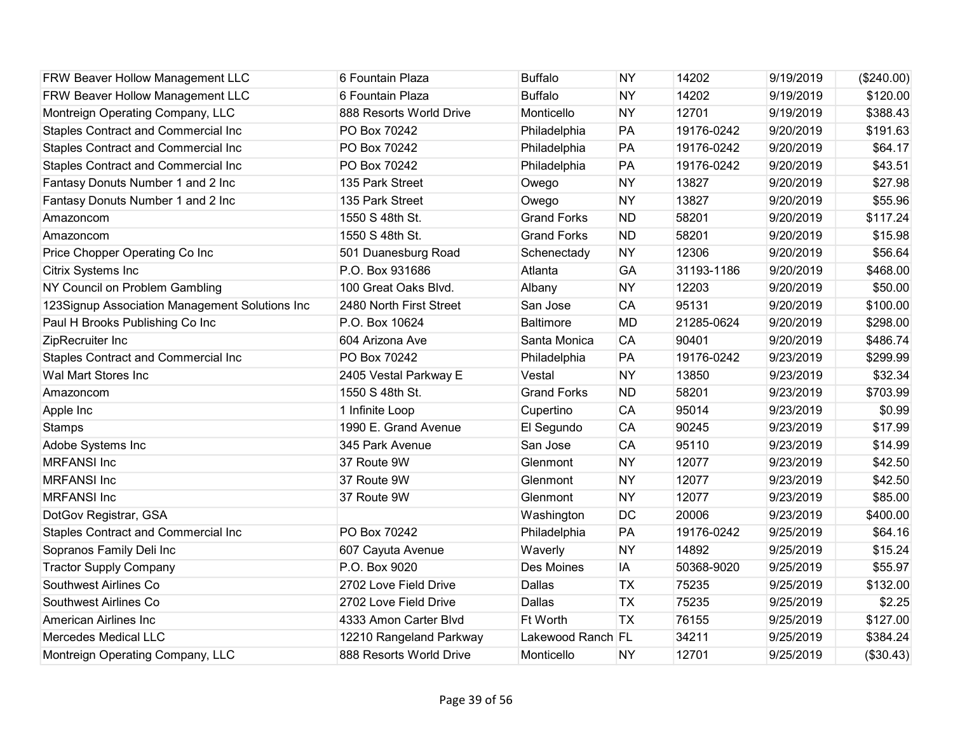| FRW Beaver Hollow Management LLC               | 6 Fountain Plaza        | <b>Buffalo</b>     | <b>NY</b> | 14202      | 9/19/2019 | (\$240.00) |
|------------------------------------------------|-------------------------|--------------------|-----------|------------|-----------|------------|
| FRW Beaver Hollow Management LLC               | 6 Fountain Plaza        | <b>Buffalo</b>     | <b>NY</b> | 14202      | 9/19/2019 | \$120.00   |
| Montreign Operating Company, LLC               | 888 Resorts World Drive | Monticello         | <b>NY</b> | 12701      | 9/19/2019 | \$388.43   |
| Staples Contract and Commercial Inc            | PO Box 70242            | Philadelphia       | PA        | 19176-0242 | 9/20/2019 | \$191.63   |
| Staples Contract and Commercial Inc            | PO Box 70242            | Philadelphia       | PA        | 19176-0242 | 9/20/2019 | \$64.17    |
| Staples Contract and Commercial Inc            | PO Box 70242            | Philadelphia       | PA        | 19176-0242 | 9/20/2019 | \$43.51    |
| Fantasy Donuts Number 1 and 2 Inc              | 135 Park Street         | Owego              | <b>NY</b> | 13827      | 9/20/2019 | \$27.98    |
| Fantasy Donuts Number 1 and 2 Inc              | 135 Park Street         | Owego              | <b>NY</b> | 13827      | 9/20/2019 | \$55.96    |
| Amazoncom                                      | 1550 S 48th St.         | <b>Grand Forks</b> | <b>ND</b> | 58201      | 9/20/2019 | \$117.24   |
| Amazoncom                                      | 1550 S 48th St.         | <b>Grand Forks</b> | <b>ND</b> | 58201      | 9/20/2019 | \$15.98    |
| Price Chopper Operating Co Inc                 | 501 Duanesburg Road     | Schenectady        | <b>NY</b> | 12306      | 9/20/2019 | \$56.64    |
| Citrix Systems Inc                             | P.O. Box 931686         | Atlanta            | GA        | 31193-1186 | 9/20/2019 | \$468.00   |
| NY Council on Problem Gambling                 | 100 Great Oaks Blvd.    | Albany             | <b>NY</b> | 12203      | 9/20/2019 | \$50.00    |
| 123Signup Association Management Solutions Inc | 2480 North First Street | San Jose           | CA        | 95131      | 9/20/2019 | \$100.00   |
| Paul H Brooks Publishing Co Inc                | P.O. Box 10624          | <b>Baltimore</b>   | <b>MD</b> | 21285-0624 | 9/20/2019 | \$298.00   |
| ZipRecruiter Inc                               | 604 Arizona Ave         | Santa Monica       | CA        | 90401      | 9/20/2019 | \$486.74   |
| Staples Contract and Commercial Inc            | PO Box 70242            | Philadelphia       | PA        | 19176-0242 | 9/23/2019 | \$299.99   |
| Wal Mart Stores Inc                            | 2405 Vestal Parkway E   | Vestal             | <b>NY</b> | 13850      | 9/23/2019 | \$32.34    |
| Amazoncom                                      | 1550 S 48th St.         | <b>Grand Forks</b> | <b>ND</b> | 58201      | 9/23/2019 | \$703.99   |
| Apple Inc                                      | 1 Infinite Loop         | Cupertino          | CA        | 95014      | 9/23/2019 | \$0.99     |
| <b>Stamps</b>                                  | 1990 E. Grand Avenue    | El Segundo         | CA        | 90245      | 9/23/2019 | \$17.99    |
| Adobe Systems Inc                              | 345 Park Avenue         | San Jose           | <b>CA</b> | 95110      | 9/23/2019 | \$14.99    |
| <b>MRFANSI Inc</b>                             | 37 Route 9W             | Glenmont           | <b>NY</b> | 12077      | 9/23/2019 | \$42.50    |
| <b>MRFANSI Inc</b>                             | 37 Route 9W             | Glenmont           | <b>NY</b> | 12077      | 9/23/2019 | \$42.50    |
| <b>MRFANSI Inc</b>                             | 37 Route 9W             | Glenmont           | <b>NY</b> | 12077      | 9/23/2019 | \$85.00    |
| DotGov Registrar, GSA                          |                         | Washington         | DC        | 20006      | 9/23/2019 | \$400.00   |
| Staples Contract and Commercial Inc            | PO Box 70242            | Philadelphia       | PA        | 19176-0242 | 9/25/2019 | \$64.16    |
| Sopranos Family Deli Inc                       | 607 Cayuta Avenue       | Waverly            | <b>NY</b> | 14892      | 9/25/2019 | \$15.24    |
| <b>Tractor Supply Company</b>                  | P.O. Box 9020           | <b>Des Moines</b>  | IA        | 50368-9020 | 9/25/2019 | \$55.97    |
| Southwest Airlines Co                          | 2702 Love Field Drive   | Dallas             | <b>TX</b> | 75235      | 9/25/2019 | \$132.00   |
| Southwest Airlines Co                          | 2702 Love Field Drive   | Dallas             | <b>TX</b> | 75235      | 9/25/2019 | \$2.25     |
| American Airlines Inc                          | 4333 Amon Carter Blvd   | <b>Ft Worth</b>    | <b>TX</b> | 76155      | 9/25/2019 | \$127.00   |
| <b>Mercedes Medical LLC</b>                    | 12210 Rangeland Parkway | Lakewood Ranch FL  |           | 34211      | 9/25/2019 | \$384.24   |
| Montreign Operating Company, LLC               | 888 Resorts World Drive | Monticello         | <b>NY</b> | 12701      | 9/25/2019 | (\$30.43)  |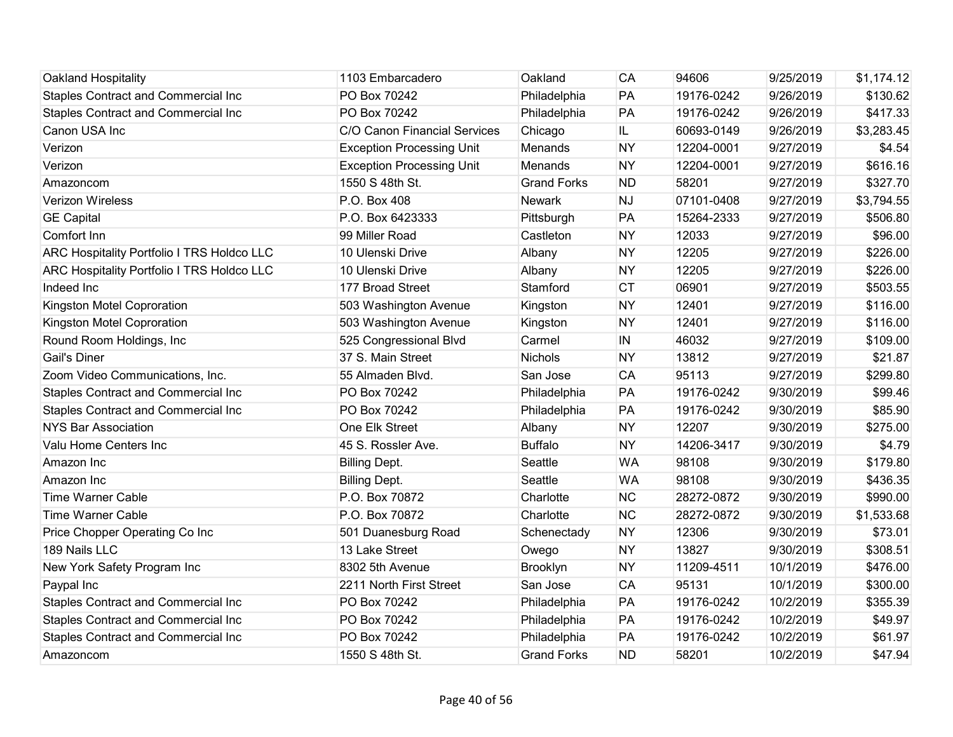| Oakland Hospitality                        | 1103 Embarcadero                 | Oakland            | CA        | 94606      | 9/25/2019 | \$1,174.12 |
|--------------------------------------------|----------------------------------|--------------------|-----------|------------|-----------|------------|
| Staples Contract and Commercial Inc        | PO Box 70242                     | Philadelphia       | PA        | 19176-0242 | 9/26/2019 | \$130.62   |
| Staples Contract and Commercial Inc        | PO Box 70242                     | Philadelphia       | PA        | 19176-0242 | 9/26/2019 | \$417.33   |
| Canon USA Inc                              | C/O Canon Financial Services     | Chicago            | IL        | 60693-0149 | 9/26/2019 | \$3,283.45 |
| Verizon                                    | <b>Exception Processing Unit</b> | Menands            | <b>NY</b> | 12204-0001 | 9/27/2019 | \$4.54     |
| Verizon                                    | <b>Exception Processing Unit</b> | Menands            | <b>NY</b> | 12204-0001 | 9/27/2019 | \$616.16   |
| Amazoncom                                  | 1550 S 48th St.                  | <b>Grand Forks</b> | <b>ND</b> | 58201      | 9/27/2019 | \$327.70   |
| <b>Verizon Wireless</b>                    | P.O. Box 408                     | Newark             | <b>NJ</b> | 07101-0408 | 9/27/2019 | \$3,794.55 |
| <b>GE Capital</b>                          | P.O. Box 6423333                 | Pittsburgh         | PA        | 15264-2333 | 9/27/2019 | \$506.80   |
| Comfort Inn                                | 99 Miller Road                   | Castleton          | <b>NY</b> | 12033      | 9/27/2019 | \$96.00    |
| ARC Hospitality Portfolio I TRS Holdco LLC | 10 Ulenski Drive                 | Albany             | <b>NY</b> | 12205      | 9/27/2019 | \$226.00   |
| ARC Hospitality Portfolio I TRS Holdco LLC | 10 Ulenski Drive                 | Albany             | <b>NY</b> | 12205      | 9/27/2019 | \$226.00   |
| Indeed Inc                                 | 177 Broad Street                 | Stamford           | <b>CT</b> | 06901      | 9/27/2019 | \$503.55   |
| Kingston Motel Coproration                 | 503 Washington Avenue            | Kingston           | <b>NY</b> | 12401      | 9/27/2019 | \$116.00   |
| Kingston Motel Coproration                 | 503 Washington Avenue            | Kingston           | <b>NY</b> | 12401      | 9/27/2019 | \$116.00   |
| Round Room Holdings, Inc.                  | 525 Congressional Blvd           | Carmel             | IN        | 46032      | 9/27/2019 | \$109.00   |
| <b>Gail's Diner</b>                        | 37 S. Main Street                | <b>Nichols</b>     | <b>NY</b> | 13812      | 9/27/2019 | \$21.87    |
| Zoom Video Communications, Inc.            | 55 Almaden Blvd.                 | San Jose           | <b>CA</b> | 95113      | 9/27/2019 | \$299.80   |
| <b>Staples Contract and Commercial Inc</b> | PO Box 70242                     | Philadelphia       | PA        | 19176-0242 | 9/30/2019 | \$99.46    |
| Staples Contract and Commercial Inc        | PO Box 70242                     | Philadelphia       | PA        | 19176-0242 | 9/30/2019 | \$85.90    |
| <b>NYS Bar Association</b>                 | One Elk Street                   | Albany             | <b>NY</b> | 12207      | 9/30/2019 | \$275.00   |
| Valu Home Centers Inc                      | 45 S. Rossler Ave.               | <b>Buffalo</b>     | <b>NY</b> | 14206-3417 | 9/30/2019 | \$4.79     |
| Amazon Inc                                 | <b>Billing Dept.</b>             | Seattle            | <b>WA</b> | 98108      | 9/30/2019 | \$179.80   |
| Amazon Inc                                 | <b>Billing Dept.</b>             | Seattle            | <b>WA</b> | 98108      | 9/30/2019 | \$436.35   |
| <b>Time Warner Cable</b>                   | P.O. Box 70872                   | Charlotte          | <b>NC</b> | 28272-0872 | 9/30/2019 | \$990.00   |
| <b>Time Warner Cable</b>                   | P.O. Box 70872                   | Charlotte          | <b>NC</b> | 28272-0872 | 9/30/2019 | \$1,533.68 |
| Price Chopper Operating Co Inc             | 501 Duanesburg Road              | Schenectady        | <b>NY</b> | 12306      | 9/30/2019 | \$73.01    |
| 189 Nails LLC                              | 13 Lake Street                   | Owego              | <b>NY</b> | 13827      | 9/30/2019 | \$308.51   |
| New York Safety Program Inc                | 8302 5th Avenue                  | Brooklyn           | <b>NY</b> | 11209-4511 | 10/1/2019 | \$476.00   |
| Paypal Inc                                 | 2211 North First Street          | San Jose           | <b>CA</b> | 95131      | 10/1/2019 | \$300.00   |
| Staples Contract and Commercial Inc        | PO Box 70242                     | Philadelphia       | PA        | 19176-0242 | 10/2/2019 | \$355.39   |
| Staples Contract and Commercial Inc        | PO Box 70242                     | Philadelphia       | PA        | 19176-0242 | 10/2/2019 | \$49.97    |
| Staples Contract and Commercial Inc        | PO Box 70242                     | Philadelphia       | PA        | 19176-0242 | 10/2/2019 | \$61.97    |
| Amazoncom                                  | 1550 S 48th St.                  | <b>Grand Forks</b> | <b>ND</b> | 58201      | 10/2/2019 | \$47.94    |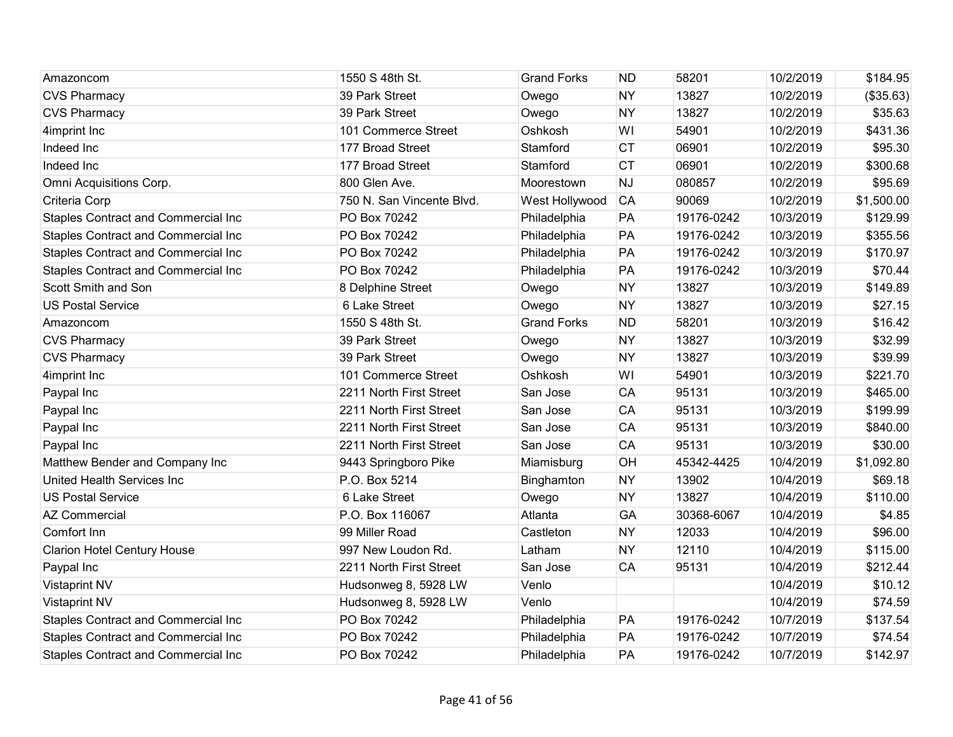| Amazoncom                                  | 1550 S 48th St.           | <b>Grand Forks</b> | <b>ND</b> | 58201      | 10/2/2019 | \$184.95   |
|--------------------------------------------|---------------------------|--------------------|-----------|------------|-----------|------------|
| <b>CVS Pharmacy</b>                        | 39 Park Street            | Owego              | <b>NY</b> | 13827      | 10/2/2019 | ( \$35.63) |
| <b>CVS Pharmacy</b>                        | 39 Park Street            | Owego              | <b>NY</b> | 13827      | 10/2/2019 | \$35.63    |
| 4imprint Inc                               | 101 Commerce Street       | Oshkosh            | WI        | 54901      | 10/2/2019 | \$431.36   |
| Indeed Inc                                 | 177 Broad Street          | Stamford           | <b>CT</b> | 06901      | 10/2/2019 | \$95.30    |
| Indeed Inc                                 | 177 Broad Street          | Stamford           | <b>CT</b> | 06901      | 10/2/2019 | \$300.68   |
| Omni Acquisitions Corp.                    | 800 Glen Ave.             | Moorestown         | <b>NJ</b> | 080857     | 10/2/2019 | \$95.69    |
| Criteria Corp                              | 750 N. San Vincente Blvd. | West Hollywood     | <b>CA</b> | 90069      | 10/2/2019 | \$1,500.00 |
| <b>Staples Contract and Commercial Inc</b> | PO Box 70242              | Philadelphia       | PA        | 19176-0242 | 10/3/2019 | \$129.99   |
| Staples Contract and Commercial Inc        | PO Box 70242              | Philadelphia       | PA        | 19176-0242 | 10/3/2019 | \$355.56   |
| <b>Staples Contract and Commercial Inc</b> | PO Box 70242              | Philadelphia       | PA        | 19176-0242 | 10/3/2019 | \$170.97   |
| Staples Contract and Commercial Inc        | PO Box 70242              | Philadelphia       | PA        | 19176-0242 | 10/3/2019 | \$70.44    |
| Scott Smith and Son                        | 8 Delphine Street         | Owego              | <b>NY</b> | 13827      | 10/3/2019 | \$149.89   |
| <b>US Postal Service</b>                   | 6 Lake Street             | Owego              | <b>NY</b> | 13827      | 10/3/2019 | \$27.15    |
| Amazoncom                                  | 1550 S 48th St.           | <b>Grand Forks</b> | <b>ND</b> | 58201      | 10/3/2019 | \$16.42    |
| <b>CVS Pharmacy</b>                        | 39 Park Street            | Owego              | <b>NY</b> | 13827      | 10/3/2019 | \$32.99    |
| <b>CVS Pharmacy</b>                        | 39 Park Street            | Owego              | <b>NY</b> | 13827      | 10/3/2019 | \$39.99    |
| 4imprint Inc                               | 101 Commerce Street       | Oshkosh            | WI        | 54901      | 10/3/2019 | \$221.70   |
| Paypal Inc                                 | 2211 North First Street   | San Jose           | CA        | 95131      | 10/3/2019 | \$465.00   |
| Paypal Inc                                 | 2211 North First Street   | San Jose           | CA        | 95131      | 10/3/2019 | \$199.99   |
| Paypal Inc                                 | 2211 North First Street   | San Jose           | CA        | 95131      | 10/3/2019 | \$840.00   |
| Paypal Inc                                 | 2211 North First Street   | San Jose           | CA        | 95131      | 10/3/2019 | \$30.00    |
| Matthew Bender and Company Inc             | 9443 Springboro Pike      | Miamisburg         | OH        | 45342-4425 | 10/4/2019 | \$1,092.80 |
| United Health Services Inc                 | P.O. Box 5214             | Binghamton         | <b>NY</b> | 13902      | 10/4/2019 | \$69.18    |
| <b>US Postal Service</b>                   | 6 Lake Street             | Owego              | <b>NY</b> | 13827      | 10/4/2019 | \$110.00   |
| <b>AZ Commercial</b>                       | P.O. Box 116067           | Atlanta            | GA        | 30368-6067 | 10/4/2019 | \$4.85     |
| Comfort Inn                                | 99 Miller Road            | Castleton          | <b>NY</b> | 12033      | 10/4/2019 | \$96.00    |
| <b>Clarion Hotel Century House</b>         | 997 New Loudon Rd.        | Latham             | <b>NY</b> | 12110      | 10/4/2019 | \$115.00   |
| Paypal Inc                                 | 2211 North First Street   | San Jose           | CA        | 95131      | 10/4/2019 | \$212.44   |
| <b>Vistaprint NV</b>                       | Hudsonweg 8, 5928 LW      | Venlo              |           |            | 10/4/2019 | \$10.12    |
| <b>Vistaprint NV</b>                       | Hudsonweg 8, 5928 LW      | Venlo              |           |            | 10/4/2019 | \$74.59    |
| Staples Contract and Commercial Inc        | PO Box 70242              | Philadelphia       | PA        | 19176-0242 | 10/7/2019 | \$137.54   |
| Staples Contract and Commercial Inc        | PO Box 70242              | Philadelphia       | PA        | 19176-0242 | 10/7/2019 | \$74.54    |
| <b>Staples Contract and Commercial Inc</b> | PO Box 70242              | Philadelphia       | PA        | 19176-0242 | 10/7/2019 | \$142.97   |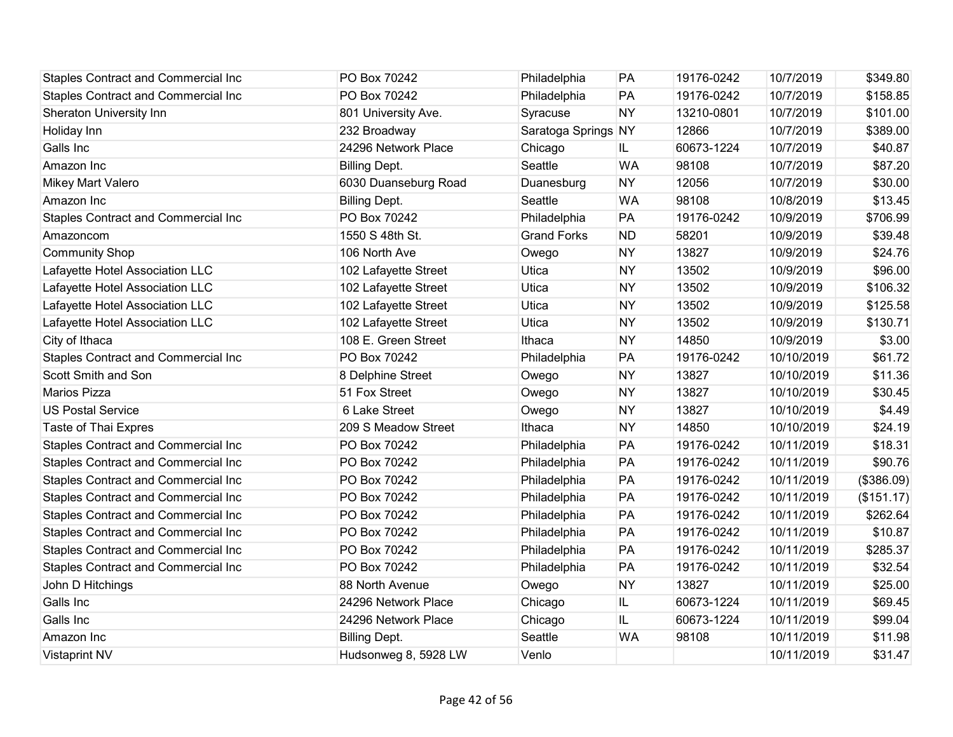| <b>Staples Contract and Commercial Inc</b> | PO Box 70242         | Philadelphia        | PA        | 19176-0242 | 10/7/2019  | \$349.80   |
|--------------------------------------------|----------------------|---------------------|-----------|------------|------------|------------|
| <b>Staples Contract and Commercial Inc</b> | PO Box 70242         | Philadelphia        | PA        | 19176-0242 | 10/7/2019  | \$158.85   |
| Sheraton University Inn                    | 801 University Ave.  | Syracuse            | <b>NY</b> | 13210-0801 | 10/7/2019  | \$101.00   |
| Holiday Inn                                | 232 Broadway         | Saratoga Springs NY |           | 12866      | 10/7/2019  | \$389.00   |
| Galls Inc                                  | 24296 Network Place  | Chicago             | IL.       | 60673-1224 | 10/7/2019  | \$40.87    |
| Amazon Inc                                 | <b>Billing Dept.</b> | Seattle             | <b>WA</b> | 98108      | 10/7/2019  | \$87.20    |
| Mikey Mart Valero                          | 6030 Duanseburg Road | Duanesburg          | <b>NY</b> | 12056      | 10/7/2019  | \$30.00    |
| Amazon Inc                                 | <b>Billing Dept.</b> | Seattle             | <b>WA</b> | 98108      | 10/8/2019  | \$13.45    |
| <b>Staples Contract and Commercial Inc</b> | PO Box 70242         | Philadelphia        | PA        | 19176-0242 | 10/9/2019  | \$706.99   |
| Amazoncom                                  | 1550 S 48th St.      | <b>Grand Forks</b>  | <b>ND</b> | 58201      | 10/9/2019  | \$39.48    |
| <b>Community Shop</b>                      | 106 North Ave        | Owego               | <b>NY</b> | 13827      | 10/9/2019  | \$24.76    |
| Lafayette Hotel Association LLC            | 102 Lafayette Street | Utica               | <b>NY</b> | 13502      | 10/9/2019  | \$96.00    |
| Lafayette Hotel Association LLC            | 102 Lafayette Street | Utica               | <b>NY</b> | 13502      | 10/9/2019  | \$106.32   |
| Lafayette Hotel Association LLC            | 102 Lafayette Street | Utica               | <b>NY</b> | 13502      | 10/9/2019  | \$125.58   |
| Lafayette Hotel Association LLC            | 102 Lafayette Street | Utica               | <b>NY</b> | 13502      | 10/9/2019  | \$130.71   |
| City of Ithaca                             | 108 E. Green Street  | Ithaca              | <b>NY</b> | 14850      | 10/9/2019  | \$3.00     |
| <b>Staples Contract and Commercial Inc</b> | PO Box 70242         | Philadelphia        | PA        | 19176-0242 | 10/10/2019 | \$61.72    |
| Scott Smith and Son                        | 8 Delphine Street    | Owego               | <b>NY</b> | 13827      | 10/10/2019 | \$11.36    |
| Marios Pizza                               | 51 Fox Street        | Owego               | <b>NY</b> | 13827      | 10/10/2019 | \$30.45    |
| <b>US Postal Service</b>                   | 6 Lake Street        | Owego               | <b>NY</b> | 13827      | 10/10/2019 | \$4.49     |
| Taste of Thai Expres                       | 209 S Meadow Street  | Ithaca              | <b>NY</b> | 14850      | 10/10/2019 | \$24.19    |
| <b>Staples Contract and Commercial Inc</b> | PO Box 70242         | Philadelphia        | PA        | 19176-0242 | 10/11/2019 | \$18.31    |
| <b>Staples Contract and Commercial Inc</b> | PO Box 70242         | Philadelphia        | PA        | 19176-0242 | 10/11/2019 | \$90.76    |
| <b>Staples Contract and Commercial Inc</b> | PO Box 70242         | Philadelphia        | PA        | 19176-0242 | 10/11/2019 | (\$386.09) |
| <b>Staples Contract and Commercial Inc</b> | PO Box 70242         | Philadelphia        | PA        | 19176-0242 | 10/11/2019 | (\$151.17) |
| <b>Staples Contract and Commercial Inc</b> | PO Box 70242         | Philadelphia        | PA        | 19176-0242 | 10/11/2019 | \$262.64   |
| <b>Staples Contract and Commercial Inc</b> | PO Box 70242         | Philadelphia        | PA        | 19176-0242 | 10/11/2019 | \$10.87    |
| <b>Staples Contract and Commercial Inc</b> | PO Box 70242         | Philadelphia        | PA        | 19176-0242 | 10/11/2019 | \$285.37   |
| Staples Contract and Commercial Inc        | PO Box 70242         | Philadelphia        | PA        | 19176-0242 | 10/11/2019 | \$32.54    |
| John D Hitchings                           | 88 North Avenue      | Owego               | <b>NY</b> | 13827      | 10/11/2019 | \$25.00    |
| Galls Inc                                  | 24296 Network Place  | Chicago             | IL        | 60673-1224 | 10/11/2019 | \$69.45    |
| Galls Inc                                  | 24296 Network Place  | Chicago             | IL.       | 60673-1224 | 10/11/2019 | \$99.04    |
| Amazon Inc                                 | <b>Billing Dept.</b> | Seattle             | <b>WA</b> | 98108      | 10/11/2019 | \$11.98    |
| <b>Vistaprint NV</b>                       | Hudsonweg 8, 5928 LW | Venlo               |           |            | 10/11/2019 | \$31.47    |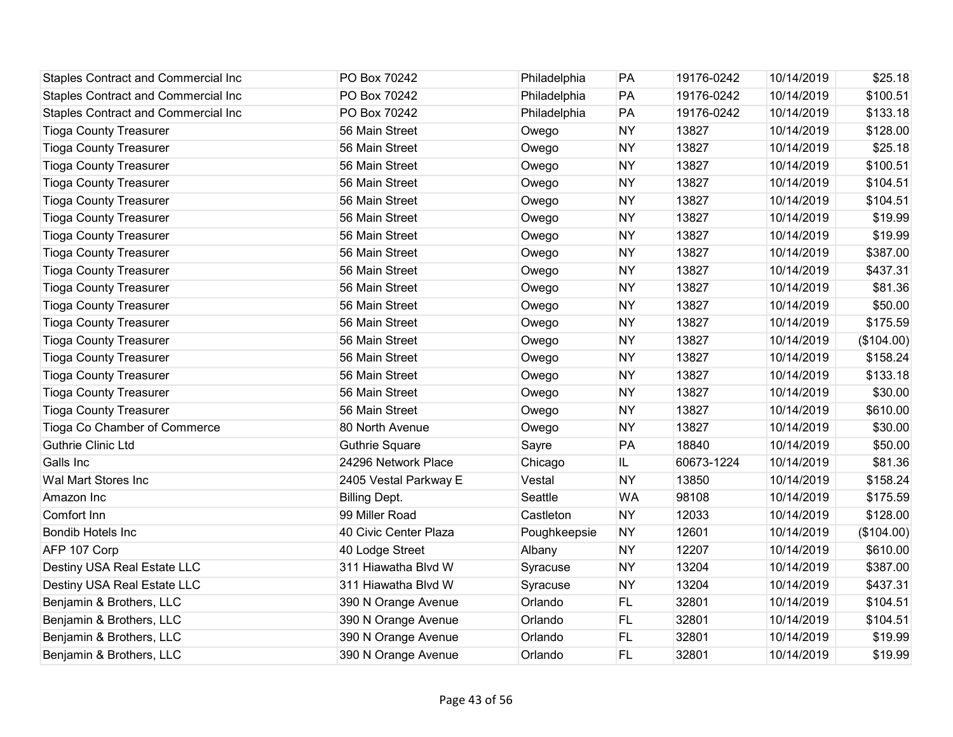| <b>Staples Contract and Commercial Inc</b> | PO Box 70242          | Philadelphia | PA        | 19176-0242 | 10/14/2019 | \$25.18    |
|--------------------------------------------|-----------------------|--------------|-----------|------------|------------|------------|
| Staples Contract and Commercial Inc        | PO Box 70242          | Philadelphia | PA        | 19176-0242 | 10/14/2019 | \$100.51   |
| Staples Contract and Commercial Inc        | PO Box 70242          | Philadelphia | PA        | 19176-0242 | 10/14/2019 | \$133.18   |
| <b>Tioga County Treasurer</b>              | 56 Main Street        | Owego        | <b>NY</b> | 13827      | 10/14/2019 | \$128.00   |
| <b>Tioga County Treasurer</b>              | 56 Main Street        | Owego        | <b>NY</b> | 13827      | 10/14/2019 | \$25.18    |
| <b>Tioga County Treasurer</b>              | 56 Main Street        | Owego        | <b>NY</b> | 13827      | 10/14/2019 | \$100.51   |
| <b>Tioga County Treasurer</b>              | 56 Main Street        | Owego        | <b>NY</b> | 13827      | 10/14/2019 | \$104.51   |
| <b>Tioga County Treasurer</b>              | 56 Main Street        | Owego        | <b>NY</b> | 13827      | 10/14/2019 | \$104.51   |
| <b>Tioga County Treasurer</b>              | 56 Main Street        | Owego        | <b>NY</b> | 13827      | 10/14/2019 | \$19.99    |
| <b>Tioga County Treasurer</b>              | 56 Main Street        | Owego        | <b>NY</b> | 13827      | 10/14/2019 | \$19.99    |
| <b>Tioga County Treasurer</b>              | 56 Main Street        | Owego        | <b>NY</b> | 13827      | 10/14/2019 | \$387.00   |
| <b>Tioga County Treasurer</b>              | 56 Main Street        | Owego        | <b>NY</b> | 13827      | 10/14/2019 | \$437.31   |
| <b>Tioga County Treasurer</b>              | 56 Main Street        | Owego        | <b>NY</b> | 13827      | 10/14/2019 | \$81.36    |
| <b>Tioga County Treasurer</b>              | 56 Main Street        | Owego        | <b>NY</b> | 13827      | 10/14/2019 | \$50.00    |
| <b>Tioga County Treasurer</b>              | 56 Main Street        | Owego        | <b>NY</b> | 13827      | 10/14/2019 | \$175.59   |
| <b>Tioga County Treasurer</b>              | 56 Main Street        | Owego        | <b>NY</b> | 13827      | 10/14/2019 | (\$104.00) |
| <b>Tioga County Treasurer</b>              | 56 Main Street        | Owego        | <b>NY</b> | 13827      | 10/14/2019 | \$158.24   |
| <b>Tioga County Treasurer</b>              | 56 Main Street        | Owego        | <b>NY</b> | 13827      | 10/14/2019 | \$133.18   |
| <b>Tioga County Treasurer</b>              | 56 Main Street        | Owego        | <b>NY</b> | 13827      | 10/14/2019 | \$30.00    |
| <b>Tioga County Treasurer</b>              | 56 Main Street        | Owego        | <b>NY</b> | 13827      | 10/14/2019 | \$610.00   |
| Tioga Co Chamber of Commerce               | 80 North Avenue       | Owego        | <b>NY</b> | 13827      | 10/14/2019 | \$30.00    |
| <b>Guthrie Clinic Ltd</b>                  | <b>Guthrie Square</b> | Sayre        | PA        | 18840      | 10/14/2019 | \$50.00    |
| Galls Inc                                  | 24296 Network Place   | Chicago      | IL.       | 60673-1224 | 10/14/2019 | \$81.36    |
| Wal Mart Stores Inc                        | 2405 Vestal Parkway E | Vestal       | <b>NY</b> | 13850      | 10/14/2019 | \$158.24   |
| Amazon Inc                                 | <b>Billing Dept.</b>  | Seattle      | <b>WA</b> | 98108      | 10/14/2019 | \$175.59   |
| Comfort Inn                                | 99 Miller Road        | Castleton    | <b>NY</b> | 12033      | 10/14/2019 | \$128.00   |
| <b>Bondib Hotels Inc</b>                   | 40 Civic Center Plaza | Poughkeepsie | <b>NY</b> | 12601      | 10/14/2019 | (\$104.00) |
| AFP 107 Corp                               | 40 Lodge Street       | Albany       | <b>NY</b> | 12207      | 10/14/2019 | \$610.00   |
| Destiny USA Real Estate LLC                | 311 Hiawatha Blvd W   | Syracuse     | <b>NY</b> | 13204      | 10/14/2019 | \$387.00   |
| Destiny USA Real Estate LLC                | 311 Hiawatha Blvd W   | Syracuse     | <b>NY</b> | 13204      | 10/14/2019 | \$437.31   |
| Benjamin & Brothers, LLC                   | 390 N Orange Avenue   | Orlando      | FL.       | 32801      | 10/14/2019 | \$104.51   |
| Benjamin & Brothers, LLC                   | 390 N Orange Avenue   | Orlando      | <b>FL</b> | 32801      | 10/14/2019 | \$104.51   |
| Benjamin & Brothers, LLC                   | 390 N Orange Avenue   | Orlando      | <b>FL</b> | 32801      | 10/14/2019 | \$19.99    |
| Benjamin & Brothers, LLC                   | 390 N Orange Avenue   | Orlando      | FL.       | 32801      | 10/14/2019 | \$19.99    |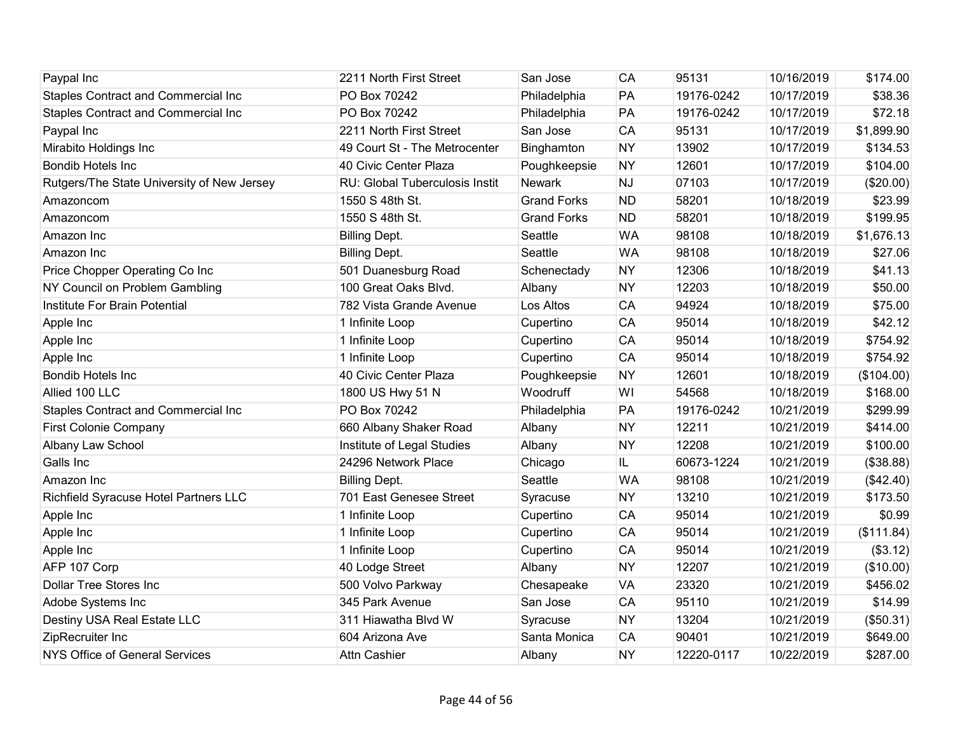| Paypal Inc                                 | 2211 North First Street        | San Jose           | CA        | 95131      | 10/16/2019 | \$174.00   |
|--------------------------------------------|--------------------------------|--------------------|-----------|------------|------------|------------|
| Staples Contract and Commercial Inc        | PO Box 70242                   | Philadelphia       | PA        | 19176-0242 | 10/17/2019 | \$38.36    |
| <b>Staples Contract and Commercial Inc</b> | PO Box 70242                   | Philadelphia       | PA        | 19176-0242 | 10/17/2019 | \$72.18    |
| Paypal Inc                                 | 2211 North First Street        | San Jose           | CA        | 95131      | 10/17/2019 | \$1,899.90 |
| Mirabito Holdings Inc                      | 49 Court St - The Metrocenter  | Binghamton         | <b>NY</b> | 13902      | 10/17/2019 | \$134.53   |
| <b>Bondib Hotels Inc</b>                   | 40 Civic Center Plaza          | Poughkeepsie       | <b>NY</b> | 12601      | 10/17/2019 | \$104.00   |
| Rutgers/The State University of New Jersey | RU: Global Tuberculosis Instit | Newark             | <b>NJ</b> | 07103      | 10/17/2019 | (\$20.00)  |
| Amazoncom                                  | 1550 S 48th St.                | <b>Grand Forks</b> | <b>ND</b> | 58201      | 10/18/2019 | \$23.99    |
| Amazoncom                                  | 1550 S 48th St.                | <b>Grand Forks</b> | <b>ND</b> | 58201      | 10/18/2019 | \$199.95   |
| Amazon Inc                                 | <b>Billing Dept.</b>           | Seattle            | <b>WA</b> | 98108      | 10/18/2019 | \$1,676.13 |
| Amazon Inc                                 | <b>Billing Dept.</b>           | Seattle            | <b>WA</b> | 98108      | 10/18/2019 | \$27.06    |
| Price Chopper Operating Co Inc             | 501 Duanesburg Road            | Schenectady        | <b>NY</b> | 12306      | 10/18/2019 | \$41.13    |
| NY Council on Problem Gambling             | 100 Great Oaks Blvd.           | Albany             | <b>NY</b> | 12203      | 10/18/2019 | \$50.00    |
| Institute For Brain Potential              | 782 Vista Grande Avenue        | Los Altos          | <b>CA</b> | 94924      | 10/18/2019 | \$75.00    |
| Apple Inc                                  | 1 Infinite Loop                | Cupertino          | CA        | 95014      | 10/18/2019 | \$42.12    |
| Apple Inc                                  | 1 Infinite Loop                | Cupertino          | CA        | 95014      | 10/18/2019 | \$754.92   |
| Apple Inc                                  | 1 Infinite Loop                | Cupertino          | CA        | 95014      | 10/18/2019 | \$754.92   |
| <b>Bondib Hotels Inc</b>                   | 40 Civic Center Plaza          | Poughkeepsie       | <b>NY</b> | 12601      | 10/18/2019 | (\$104.00) |
| Allied 100 LLC                             | 1800 US Hwy 51 N               | Woodruff           | WI        | 54568      | 10/18/2019 | \$168.00   |
| <b>Staples Contract and Commercial Inc</b> | PO Box 70242                   | Philadelphia       | PA        | 19176-0242 | 10/21/2019 | \$299.99   |
| <b>First Colonie Company</b>               | 660 Albany Shaker Road         | Albany             | <b>NY</b> | 12211      | 10/21/2019 | \$414.00   |
| Albany Law School                          | Institute of Legal Studies     | Albany             | <b>NY</b> | 12208      | 10/21/2019 | \$100.00   |
| Galls Inc                                  | 24296 Network Place            | Chicago            | IL.       | 60673-1224 | 10/21/2019 | (\$38.88)  |
| Amazon Inc                                 | <b>Billing Dept.</b>           | Seattle            | <b>WA</b> | 98108      | 10/21/2019 | (\$42.40)  |
| Richfield Syracuse Hotel Partners LLC      | 701 East Genesee Street        | Syracuse           | <b>NY</b> | 13210      | 10/21/2019 | \$173.50   |
| Apple Inc                                  | 1 Infinite Loop                | Cupertino          | CA        | 95014      | 10/21/2019 | \$0.99     |
| Apple Inc                                  | 1 Infinite Loop                | Cupertino          | CA        | 95014      | 10/21/2019 | (\$111.84) |
| Apple Inc                                  | 1 Infinite Loop                | Cupertino          | CA        | 95014      | 10/21/2019 | (\$3.12)   |
| AFP 107 Corp                               | 40 Lodge Street                | Albany             | <b>NY</b> | 12207      | 10/21/2019 | (\$10.00)  |
| Dollar Tree Stores Inc                     | 500 Volvo Parkway              | Chesapeake         | <b>VA</b> | 23320      | 10/21/2019 | \$456.02   |
| Adobe Systems Inc                          | 345 Park Avenue                | San Jose           | CA        | 95110      | 10/21/2019 | \$14.99    |
| Destiny USA Real Estate LLC                | 311 Hiawatha Blvd W            | Syracuse           | <b>NY</b> | 13204      | 10/21/2019 | (\$50.31)  |
| ZipRecruiter Inc                           | 604 Arizona Ave                | Santa Monica       | <b>CA</b> | 90401      | 10/21/2019 | \$649.00   |
| <b>NYS Office of General Services</b>      | <b>Attn Cashier</b>            | Albany             | <b>NY</b> | 12220-0117 | 10/22/2019 | \$287.00   |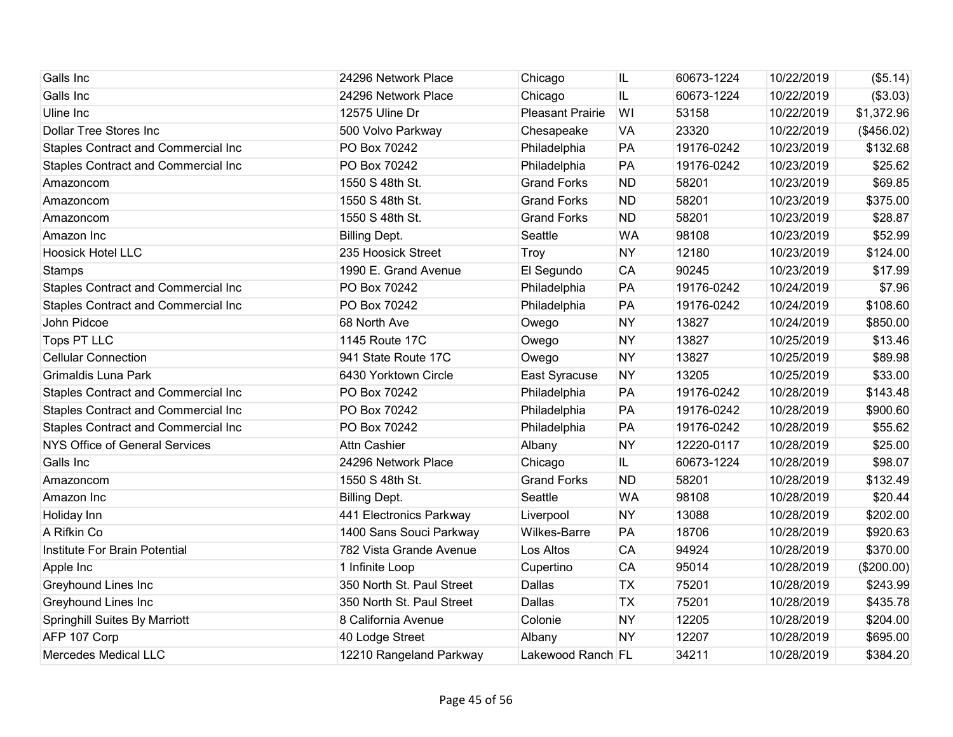| Galls Inc                                  | 24296 Network Place       | Chicago                 | IL        | 60673-1224 | 10/22/2019 | (\$5.14)   |
|--------------------------------------------|---------------------------|-------------------------|-----------|------------|------------|------------|
| Galls Inc                                  | 24296 Network Place       | Chicago                 | IL.       | 60673-1224 | 10/22/2019 | (\$3.03)   |
| Uline Inc                                  | 12575 Uline Dr            | <b>Pleasant Prairie</b> | WI        | 53158      | 10/22/2019 | \$1,372.96 |
| <b>Dollar Tree Stores Inc</b>              | 500 Volvo Parkway         | Chesapeake              | <b>VA</b> | 23320      | 10/22/2019 | (\$456.02) |
| <b>Staples Contract and Commercial Inc</b> | PO Box 70242              | Philadelphia            | PA        | 19176-0242 | 10/23/2019 | \$132.68   |
| <b>Staples Contract and Commercial Inc</b> | PO Box 70242              | Philadelphia            | PA        | 19176-0242 | 10/23/2019 | \$25.62    |
| Amazoncom                                  | 1550 S 48th St.           | <b>Grand Forks</b>      | <b>ND</b> | 58201      | 10/23/2019 | \$69.85    |
| Amazoncom                                  | 1550 S 48th St.           | <b>Grand Forks</b>      | <b>ND</b> | 58201      | 10/23/2019 | \$375.00   |
| Amazoncom                                  | 1550 S 48th St.           | <b>Grand Forks</b>      | <b>ND</b> | 58201      | 10/23/2019 | \$28.87    |
| Amazon Inc                                 | <b>Billing Dept.</b>      | Seattle                 | <b>WA</b> | 98108      | 10/23/2019 | \$52.99    |
| <b>Hoosick Hotel LLC</b>                   | 235 Hoosick Street        | Troy                    | <b>NY</b> | 12180      | 10/23/2019 | \$124.00   |
| <b>Stamps</b>                              | 1990 E. Grand Avenue      | El Segundo              | <b>CA</b> | 90245      | 10/23/2019 | \$17.99    |
| Staples Contract and Commercial Inc        | PO Box 70242              | Philadelphia            | PA        | 19176-0242 | 10/24/2019 | \$7.96     |
| <b>Staples Contract and Commercial Inc</b> | PO Box 70242              | Philadelphia            | PA        | 19176-0242 | 10/24/2019 | \$108.60   |
| John Pidcoe                                | 68 North Ave              | Owego                   | <b>NY</b> | 13827      | 10/24/2019 | \$850.00   |
| <b>Tops PT LLC</b>                         | 1145 Route 17C            | Owego                   | <b>NY</b> | 13827      | 10/25/2019 | \$13.46    |
| <b>Cellular Connection</b>                 | 941 State Route 17C       | Owego                   | <b>NY</b> | 13827      | 10/25/2019 | \$89.98    |
| Grimaldis Luna Park                        | 6430 Yorktown Circle      | East Syracuse           | <b>NY</b> | 13205      | 10/25/2019 | \$33.00    |
| <b>Staples Contract and Commercial Inc</b> | PO Box 70242              | Philadelphia            | PA        | 19176-0242 | 10/28/2019 | \$143.48   |
| <b>Staples Contract and Commercial Inc</b> | PO Box 70242              | Philadelphia            | PA        | 19176-0242 | 10/28/2019 | \$900.60   |
| Staples Contract and Commercial Inc        | PO Box 70242              | Philadelphia            | PA        | 19176-0242 | 10/28/2019 | \$55.62    |
| <b>NYS Office of General Services</b>      | Attn Cashier              | Albany                  | <b>NY</b> | 12220-0117 | 10/28/2019 | \$25.00    |
| Galls Inc                                  | 24296 Network Place       | Chicago                 | IL.       | 60673-1224 | 10/28/2019 | \$98.07    |
| Amazoncom                                  | 1550 S 48th St.           | <b>Grand Forks</b>      | <b>ND</b> | 58201      | 10/28/2019 | \$132.49   |
| Amazon Inc                                 | <b>Billing Dept.</b>      | Seattle                 | <b>WA</b> | 98108      | 10/28/2019 | \$20.44    |
| Holiday Inn                                | 441 Electronics Parkway   | Liverpool               | <b>NY</b> | 13088      | 10/28/2019 | \$202.00   |
| A Rifkin Co                                | 1400 Sans Souci Parkway   | Wilkes-Barre            | PA        | 18706      | 10/28/2019 | \$920.63   |
| Institute For Brain Potential              | 782 Vista Grande Avenue   | Los Altos               | CA        | 94924      | 10/28/2019 | \$370.00   |
| Apple Inc                                  | 1 Infinite Loop           | Cupertino               | CA        | 95014      | 10/28/2019 | (\$200.00) |
| <b>Greyhound Lines Inc</b>                 | 350 North St. Paul Street | Dallas                  | <b>TX</b> | 75201      | 10/28/2019 | \$243.99   |
| Greyhound Lines Inc                        | 350 North St. Paul Street | Dallas                  | <b>TX</b> | 75201      | 10/28/2019 | \$435.78   |
| <b>Springhill Suites By Marriott</b>       | 8 California Avenue       | Colonie                 | <b>NY</b> | 12205      | 10/28/2019 | \$204.00   |
| AFP 107 Corp                               | 40 Lodge Street           | Albany                  | <b>NY</b> | 12207      | 10/28/2019 | \$695.00   |
| <b>Mercedes Medical LLC</b>                | 12210 Rangeland Parkway   | Lakewood Ranch FL       |           | 34211      | 10/28/2019 | \$384.20   |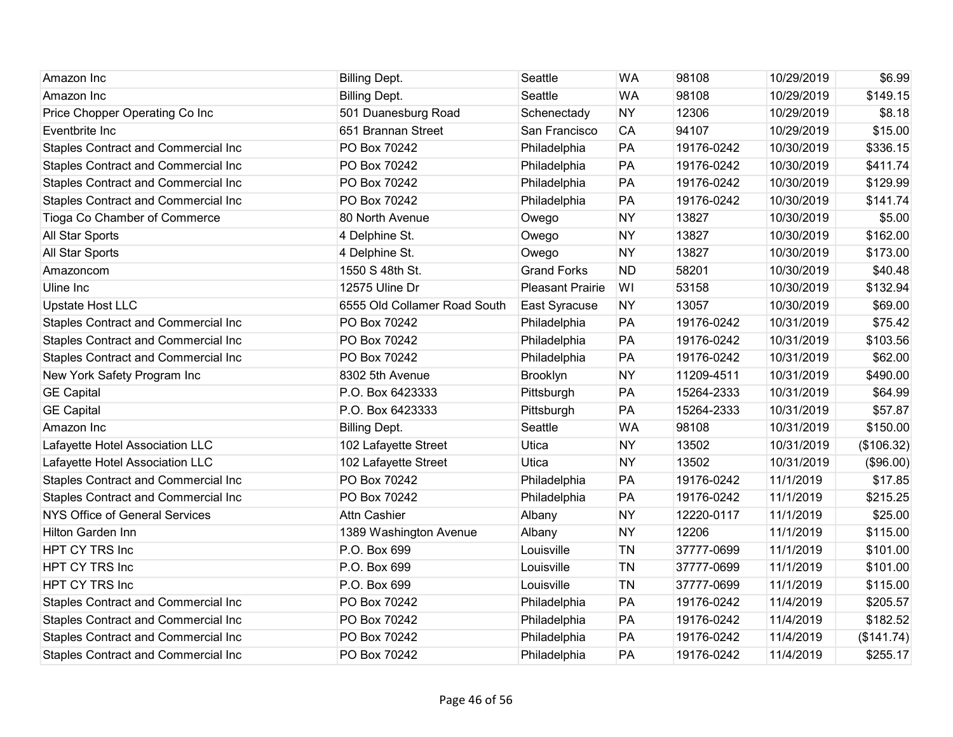| Amazon Inc                            | <b>Billing Dept.</b>         | Seattle                 | <b>WA</b> | 98108      | 10/29/2019 | \$6.99     |
|---------------------------------------|------------------------------|-------------------------|-----------|------------|------------|------------|
| Amazon Inc                            | <b>Billing Dept.</b>         | Seattle                 | <b>WA</b> | 98108      | 10/29/2019 | \$149.15   |
| Price Chopper Operating Co Inc        | 501 Duanesburg Road          | Schenectady             | <b>NY</b> | 12306      | 10/29/2019 | \$8.18     |
| Eventbrite Inc                        | 651 Brannan Street           | San Francisco           | CA        | 94107      | 10/29/2019 | \$15.00    |
| Staples Contract and Commercial Inc   | PO Box 70242                 | Philadelphia            | PA        | 19176-0242 | 10/30/2019 | \$336.15   |
| Staples Contract and Commercial Inc   | PO Box 70242                 | Philadelphia            | PA        | 19176-0242 | 10/30/2019 | \$411.74   |
| Staples Contract and Commercial Inc   | PO Box 70242                 | Philadelphia            | PA        | 19176-0242 | 10/30/2019 | \$129.99   |
| Staples Contract and Commercial Inc   | PO Box 70242                 | Philadelphia            | PA        | 19176-0242 | 10/30/2019 | \$141.74   |
| Tioga Co Chamber of Commerce          | 80 North Avenue              | Owego                   | <b>NY</b> | 13827      | 10/30/2019 | \$5.00     |
| All Star Sports                       | 4 Delphine St.               | Owego                   | <b>NY</b> | 13827      | 10/30/2019 | \$162.00   |
| All Star Sports                       | 4 Delphine St.               | Owego                   | <b>NY</b> | 13827      | 10/30/2019 | \$173.00   |
| Amazoncom                             | 1550 S 48th St.              | <b>Grand Forks</b>      | <b>ND</b> | 58201      | 10/30/2019 | \$40.48    |
| Uline Inc                             | 12575 Uline Dr               | <b>Pleasant Prairie</b> | WI        | 53158      | 10/30/2019 | \$132.94   |
| <b>Upstate Host LLC</b>               | 6555 Old Collamer Road South | East Syracuse           | <b>NY</b> | 13057      | 10/30/2019 | \$69.00    |
| Staples Contract and Commercial Inc   | PO Box 70242                 | Philadelphia            | PA        | 19176-0242 | 10/31/2019 | \$75.42    |
| Staples Contract and Commercial Inc   | PO Box 70242                 | Philadelphia            | PA        | 19176-0242 | 10/31/2019 | \$103.56   |
| Staples Contract and Commercial Inc   | PO Box 70242                 | Philadelphia            | PA        | 19176-0242 | 10/31/2019 | \$62.00    |
| New York Safety Program Inc           | 8302 5th Avenue              | Brooklyn                | <b>NY</b> | 11209-4511 | 10/31/2019 | \$490.00   |
| <b>GE Capital</b>                     | P.O. Box 6423333             | Pittsburgh              | PA        | 15264-2333 | 10/31/2019 | \$64.99    |
| <b>GE Capital</b>                     | P.O. Box 6423333             | Pittsburgh              | PA        | 15264-2333 | 10/31/2019 | \$57.87    |
| Amazon Inc                            | <b>Billing Dept.</b>         | Seattle                 | <b>WA</b> | 98108      | 10/31/2019 | \$150.00   |
| Lafayette Hotel Association LLC       | 102 Lafayette Street         | Utica                   | <b>NY</b> | 13502      | 10/31/2019 | (\$106.32) |
| Lafayette Hotel Association LLC       | 102 Lafayette Street         | Utica                   | <b>NY</b> | 13502      | 10/31/2019 | (\$96.00)  |
| Staples Contract and Commercial Inc   | PO Box 70242                 | Philadelphia            | PA        | 19176-0242 | 11/1/2019  | \$17.85    |
| Staples Contract and Commercial Inc   | PO Box 70242                 | Philadelphia            | PA        | 19176-0242 | 11/1/2019  | \$215.25   |
| <b>NYS Office of General Services</b> | <b>Attn Cashier</b>          | Albany                  | <b>NY</b> | 12220-0117 | 11/1/2019  | \$25.00    |
| Hilton Garden Inn                     | 1389 Washington Avenue       | Albany                  | <b>NY</b> | 12206      | 11/1/2019  | \$115.00   |
| HPT CY TRS Inc                        | P.O. Box 699                 | Louisville              | TN        | 37777-0699 | 11/1/2019  | \$101.00   |
| HPT CY TRS Inc                        | P.O. Box 699                 | Louisville              | <b>TN</b> | 37777-0699 | 11/1/2019  | \$101.00   |
| HPT CY TRS Inc                        | P.O. Box 699                 | Louisville              | TN        | 37777-0699 | 11/1/2019  | \$115.00   |
| Staples Contract and Commercial Inc   | PO Box 70242                 | Philadelphia            | PA        | 19176-0242 | 11/4/2019  | \$205.57   |
| Staples Contract and Commercial Inc   | PO Box 70242                 | Philadelphia            | PA        | 19176-0242 | 11/4/2019  | \$182.52   |
| Staples Contract and Commercial Inc   | PO Box 70242                 | Philadelphia            | PA        | 19176-0242 | 11/4/2019  | (\$141.74) |
| Staples Contract and Commercial Inc   | PO Box 70242                 | Philadelphia            | PA        | 19176-0242 | 11/4/2019  | \$255.17   |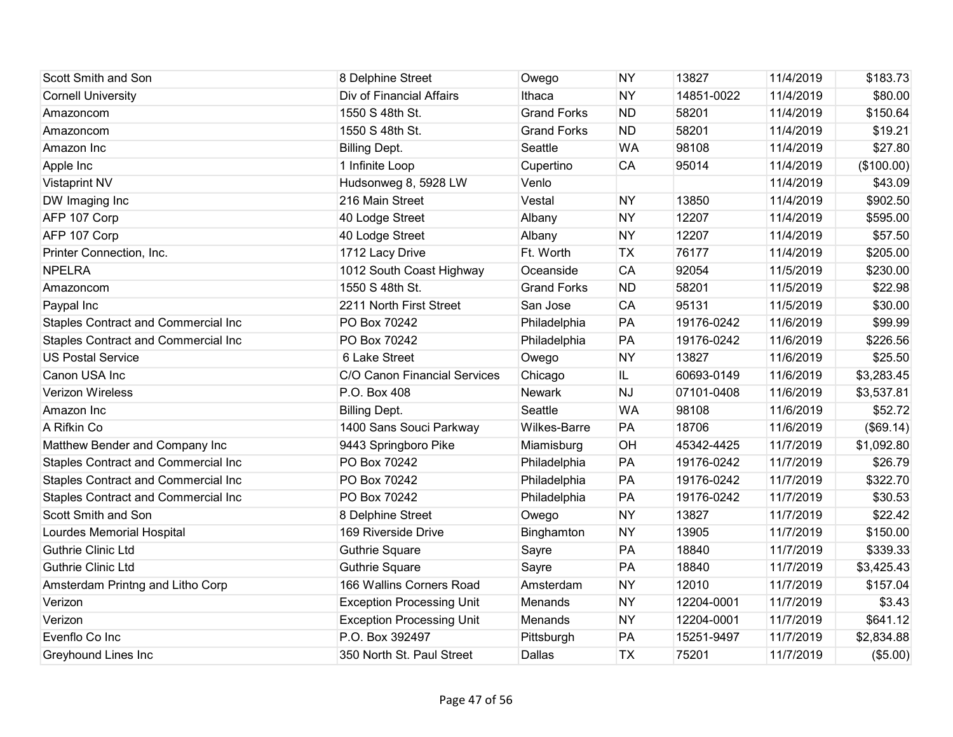| Scott Smith and Son                        | 8 Delphine Street                | Owego              | <b>NY</b> | 13827      | 11/4/2019 | \$183.73   |
|--------------------------------------------|----------------------------------|--------------------|-----------|------------|-----------|------------|
| <b>Cornell University</b>                  | Div of Financial Affairs         | Ithaca             | <b>NY</b> | 14851-0022 | 11/4/2019 | \$80.00    |
| Amazoncom                                  | 1550 S 48th St.                  | <b>Grand Forks</b> | <b>ND</b> | 58201      | 11/4/2019 | \$150.64   |
| Amazoncom                                  | 1550 S 48th St.                  | <b>Grand Forks</b> | <b>ND</b> | 58201      | 11/4/2019 | \$19.21    |
| Amazon Inc                                 | <b>Billing Dept.</b>             | Seattle            | <b>WA</b> | 98108      | 11/4/2019 | \$27.80    |
| Apple Inc                                  | 1 Infinite Loop                  | Cupertino          | CA        | 95014      | 11/4/2019 | (\$100.00) |
| <b>Vistaprint NV</b>                       | Hudsonweg 8, 5928 LW             | Venlo              |           |            | 11/4/2019 | \$43.09    |
| DW Imaging Inc                             | 216 Main Street                  | Vestal             | <b>NY</b> | 13850      | 11/4/2019 | \$902.50   |
| AFP 107 Corp                               | 40 Lodge Street                  | Albany             | <b>NY</b> | 12207      | 11/4/2019 | \$595.00   |
| AFP 107 Corp                               | 40 Lodge Street                  | Albany             | <b>NY</b> | 12207      | 11/4/2019 | \$57.50    |
| Printer Connection, Inc.                   | 1712 Lacy Drive                  | Ft. Worth          | <b>TX</b> | 76177      | 11/4/2019 | \$205.00   |
| <b>NPELRA</b>                              | 1012 South Coast Highway         | Oceanside          | <b>CA</b> | 92054      | 11/5/2019 | \$230.00   |
| Amazoncom                                  | 1550 S 48th St.                  | <b>Grand Forks</b> | <b>ND</b> | 58201      | 11/5/2019 | \$22.98    |
| Paypal Inc                                 | 2211 North First Street          | San Jose           | <b>CA</b> | 95131      | 11/5/2019 | \$30.00    |
| Staples Contract and Commercial Inc        | PO Box 70242                     | Philadelphia       | PA        | 19176-0242 | 11/6/2019 | \$99.99    |
| Staples Contract and Commercial Inc        | PO Box 70242                     | Philadelphia       | PA        | 19176-0242 | 11/6/2019 | \$226.56   |
| <b>US Postal Service</b>                   | 6 Lake Street                    | Owego              | <b>NY</b> | 13827      | 11/6/2019 | \$25.50    |
| Canon USA Inc                              | C/O Canon Financial Services     | Chicago            | IL        | 60693-0149 | 11/6/2019 | \$3,283.45 |
| Verizon Wireless                           | P.O. Box 408                     | Newark             | <b>NJ</b> | 07101-0408 | 11/6/2019 | \$3,537.81 |
| Amazon Inc                                 | <b>Billing Dept.</b>             | Seattle            | <b>WA</b> | 98108      | 11/6/2019 | \$52.72    |
| A Rifkin Co                                | 1400 Sans Souci Parkway          | Wilkes-Barre       | PA        | 18706      | 11/6/2019 | (\$69.14)  |
| Matthew Bender and Company Inc             | 9443 Springboro Pike             | Miamisburg         | OH        | 45342-4425 | 11/7/2019 | \$1,092.80 |
| <b>Staples Contract and Commercial Inc</b> | PO Box 70242                     | Philadelphia       | PA        | 19176-0242 | 11/7/2019 | \$26.79    |
| Staples Contract and Commercial Inc        | PO Box 70242                     | Philadelphia       | PA        | 19176-0242 | 11/7/2019 | \$322.70   |
| Staples Contract and Commercial Inc        | PO Box 70242                     | Philadelphia       | PA        | 19176-0242 | 11/7/2019 | \$30.53    |
| Scott Smith and Son                        | 8 Delphine Street                | Owego              | <b>NY</b> | 13827      | 11/7/2019 | \$22.42    |
| Lourdes Memorial Hospital                  | 169 Riverside Drive              | Binghamton         | <b>NY</b> | 13905      | 11/7/2019 | \$150.00   |
| <b>Guthrie Clinic Ltd</b>                  | <b>Guthrie Square</b>            | Sayre              | PA        | 18840      | 11/7/2019 | \$339.33   |
| <b>Guthrie Clinic Ltd</b>                  | Guthrie Square                   | Sayre              | PA        | 18840      | 11/7/2019 | \$3,425.43 |
| Amsterdam Printng and Litho Corp           | 166 Wallins Corners Road         | Amsterdam          | <b>NY</b> | 12010      | 11/7/2019 | \$157.04   |
| Verizon                                    | <b>Exception Processing Unit</b> | Menands            | <b>NY</b> | 12204-0001 | 11/7/2019 | \$3.43     |
| Verizon                                    | <b>Exception Processing Unit</b> | Menands            | <b>NY</b> | 12204-0001 | 11/7/2019 | \$641.12   |
| Evenflo Co Inc                             | P.O. Box 392497                  | Pittsburgh         | PA        | 15251-9497 | 11/7/2019 | \$2,834.88 |
| Greyhound Lines Inc                        | 350 North St. Paul Street        | Dallas             | <b>TX</b> | 75201      | 11/7/2019 | (\$5.00)   |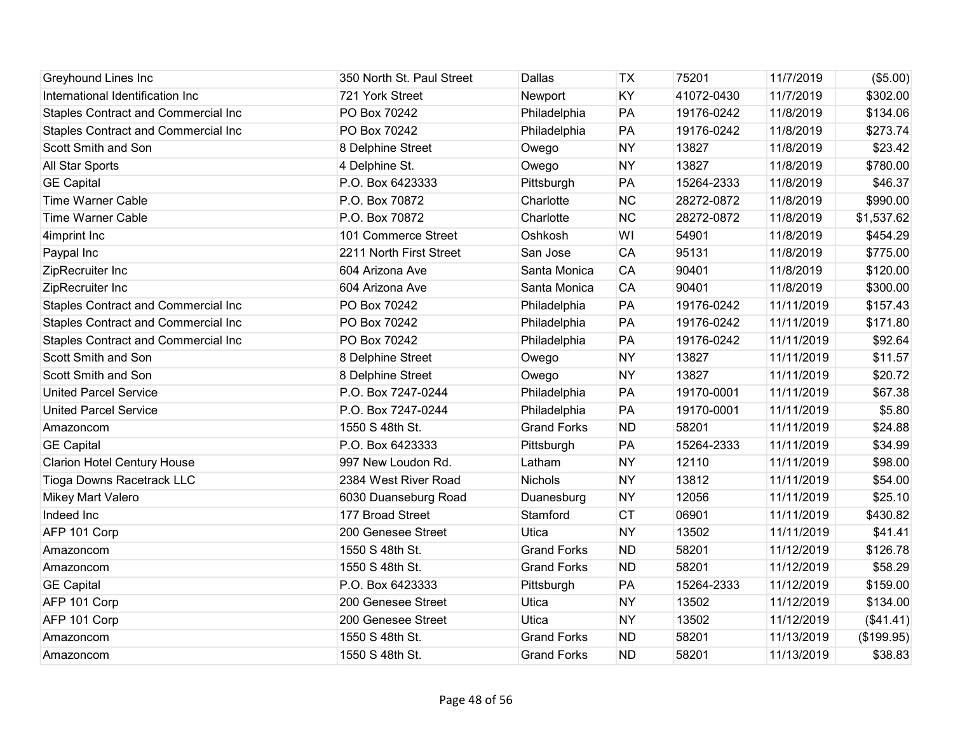| <b>Greyhound Lines Inc</b>                 | 350 North St. Paul Street | Dallas             | <b>TX</b> | 75201      | 11/7/2019  | (\$5.00)   |
|--------------------------------------------|---------------------------|--------------------|-----------|------------|------------|------------|
| International Identification Inc           | 721 York Street           | Newport            | KY        | 41072-0430 | 11/7/2019  | \$302.00   |
| <b>Staples Contract and Commercial Inc</b> | PO Box 70242              | Philadelphia       | PA        | 19176-0242 | 11/8/2019  | \$134.06   |
| Staples Contract and Commercial Inc        | PO Box 70242              | Philadelphia       | PA        | 19176-0242 | 11/8/2019  | \$273.74   |
| Scott Smith and Son                        | 8 Delphine Street         | Owego              | <b>NY</b> | 13827      | 11/8/2019  | \$23.42    |
| All Star Sports                            | 4 Delphine St.            | Owego              | <b>NY</b> | 13827      | 11/8/2019  | \$780.00   |
| <b>GE Capital</b>                          | P.O. Box 6423333          | Pittsburgh         | PA        | 15264-2333 | 11/8/2019  | \$46.37    |
| <b>Time Warner Cable</b>                   | P.O. Box 70872            | Charlotte          | <b>NC</b> | 28272-0872 | 11/8/2019  | \$990.00   |
| <b>Time Warner Cable</b>                   | P.O. Box 70872            | Charlotte          | <b>NC</b> | 28272-0872 | 11/8/2019  | \$1,537.62 |
| 4imprint Inc                               | 101 Commerce Street       | Oshkosh            | WI        | 54901      | 11/8/2019  | \$454.29   |
| Paypal Inc                                 | 2211 North First Street   | San Jose           | <b>CA</b> | 95131      | 11/8/2019  | \$775.00   |
| ZipRecruiter Inc                           | 604 Arizona Ave           | Santa Monica       | <b>CA</b> | 90401      | 11/8/2019  | \$120.00   |
| ZipRecruiter Inc                           | 604 Arizona Ave           | Santa Monica       | <b>CA</b> | 90401      | 11/8/2019  | \$300.00   |
| <b>Staples Contract and Commercial Inc</b> | PO Box 70242              | Philadelphia       | PA        | 19176-0242 | 11/11/2019 | \$157.43   |
| Staples Contract and Commercial Inc        | PO Box 70242              | Philadelphia       | PA        | 19176-0242 | 11/11/2019 | \$171.80   |
| Staples Contract and Commercial Inc        | PO Box 70242              | Philadelphia       | PA        | 19176-0242 | 11/11/2019 | \$92.64    |
| Scott Smith and Son                        | 8 Delphine Street         | Owego              | <b>NY</b> | 13827      | 11/11/2019 | \$11.57    |
| Scott Smith and Son                        | 8 Delphine Street         | Owego              | <b>NY</b> | 13827      | 11/11/2019 | \$20.72    |
| <b>United Parcel Service</b>               | P.O. Box 7247-0244        | Philadelphia       | PA        | 19170-0001 | 11/11/2019 | \$67.38    |
| <b>United Parcel Service</b>               | P.O. Box 7247-0244        | Philadelphia       | PA        | 19170-0001 | 11/11/2019 | \$5.80     |
| Amazoncom                                  | 1550 S 48th St.           | <b>Grand Forks</b> | <b>ND</b> | 58201      | 11/11/2019 | \$24.88    |
| <b>GE Capital</b>                          | P.O. Box 6423333          | Pittsburgh         | PA        | 15264-2333 | 11/11/2019 | \$34.99    |
| <b>Clarion Hotel Century House</b>         | 997 New Loudon Rd.        | Latham             | <b>NY</b> | 12110      | 11/11/2019 | \$98.00    |
| Tioga Downs Racetrack LLC                  | 2384 West River Road      | Nichols            | <b>NY</b> | 13812      | 11/11/2019 | \$54.00    |
| Mikey Mart Valero                          | 6030 Duanseburg Road      | Duanesburg         | <b>NY</b> | 12056      | 11/11/2019 | \$25.10    |
| Indeed Inc                                 | 177 Broad Street          | Stamford           | <b>CT</b> | 06901      | 11/11/2019 | \$430.82   |
| AFP 101 Corp                               | 200 Genesee Street        | Utica              | <b>NY</b> | 13502      | 11/11/2019 | \$41.41    |
| Amazoncom                                  | 1550 S 48th St.           | <b>Grand Forks</b> | <b>ND</b> | 58201      | 11/12/2019 | \$126.78   |
| Amazoncom                                  | 1550 S 48th St.           | <b>Grand Forks</b> | <b>ND</b> | 58201      | 11/12/2019 | \$58.29    |
| <b>GE Capital</b>                          | P.O. Box 6423333          | Pittsburgh         | PA        | 15264-2333 | 11/12/2019 | \$159.00   |
| AFP 101 Corp                               | 200 Genesee Street        | Utica              | <b>NY</b> | 13502      | 11/12/2019 | \$134.00   |
| AFP 101 Corp                               | 200 Genesee Street        | Utica              | <b>NY</b> | 13502      | 11/12/2019 | (\$41.41)  |
| Amazoncom                                  | 1550 S 48th St.           | <b>Grand Forks</b> | <b>ND</b> | 58201      | 11/13/2019 | (\$199.95) |
| Amazoncom                                  | 1550 S 48th St.           | <b>Grand Forks</b> | <b>ND</b> | 58201      | 11/13/2019 | \$38.83    |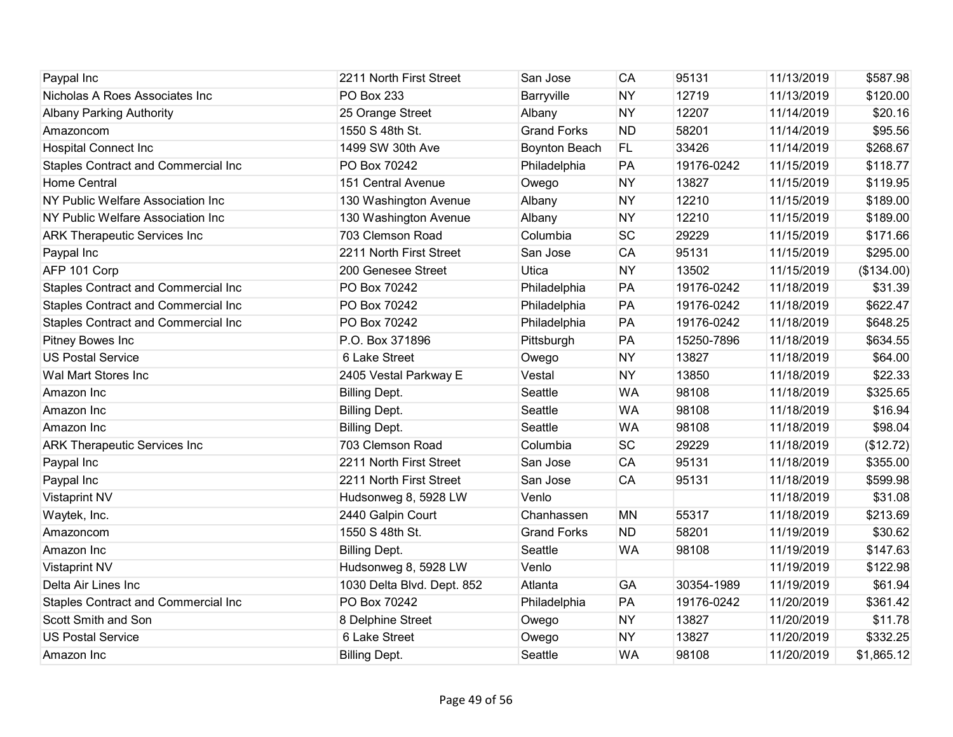| Paypal Inc                                 | 2211 North First Street    | San Jose             | CA        | 95131      | 11/13/2019 | \$587.98   |
|--------------------------------------------|----------------------------|----------------------|-----------|------------|------------|------------|
| Nicholas A Roes Associates Inc             | PO Box 233                 | Barryville           | <b>NY</b> | 12719      | 11/13/2019 | \$120.00   |
| <b>Albany Parking Authority</b>            | 25 Orange Street           | Albany               | <b>NY</b> | 12207      | 11/14/2019 | \$20.16    |
| Amazoncom                                  | 1550 S 48th St.            | <b>Grand Forks</b>   | <b>ND</b> | 58201      | 11/14/2019 | \$95.56    |
| <b>Hospital Connect Inc</b>                | 1499 SW 30th Ave           | <b>Boynton Beach</b> | <b>FL</b> | 33426      | 11/14/2019 | \$268.67   |
| Staples Contract and Commercial Inc        | PO Box 70242               | Philadelphia         | PA        | 19176-0242 | 11/15/2019 | \$118.77   |
| Home Central                               | 151 Central Avenue         | Owego                | <b>NY</b> | 13827      | 11/15/2019 | \$119.95   |
| NY Public Welfare Association Inc          | 130 Washington Avenue      | Albany               | <b>NY</b> | 12210      | 11/15/2019 | \$189.00   |
| NY Public Welfare Association Inc          | 130 Washington Avenue      | Albany               | <b>NY</b> | 12210      | 11/15/2019 | \$189.00   |
| <b>ARK Therapeutic Services Inc</b>        | 703 Clemson Road           | Columbia             | <b>SC</b> | 29229      | 11/15/2019 | \$171.66   |
| Paypal Inc                                 | 2211 North First Street    | San Jose             | CA        | 95131      | 11/15/2019 | \$295.00   |
| AFP 101 Corp                               | 200 Genesee Street         | Utica                | <b>NY</b> | 13502      | 11/15/2019 | (\$134.00) |
| Staples Contract and Commercial Inc        | PO Box 70242               | Philadelphia         | PA        | 19176-0242 | 11/18/2019 | \$31.39    |
| <b>Staples Contract and Commercial Inc</b> | PO Box 70242               | Philadelphia         | PA        | 19176-0242 | 11/18/2019 | \$622.47   |
| Staples Contract and Commercial Inc        | PO Box 70242               | Philadelphia         | PA        | 19176-0242 | 11/18/2019 | \$648.25   |
| Pitney Bowes Inc                           | P.O. Box 371896            | Pittsburgh           | PA        | 15250-7896 | 11/18/2019 | \$634.55   |
| <b>US Postal Service</b>                   | 6 Lake Street              | Owego                | <b>NY</b> | 13827      | 11/18/2019 | \$64.00    |
| Wal Mart Stores Inc                        | 2405 Vestal Parkway E      | Vestal               | <b>NY</b> | 13850      | 11/18/2019 | \$22.33    |
| Amazon Inc                                 | <b>Billing Dept.</b>       | Seattle              | <b>WA</b> | 98108      | 11/18/2019 | \$325.65   |
| Amazon Inc                                 | <b>Billing Dept.</b>       | Seattle              | <b>WA</b> | 98108      | 11/18/2019 | \$16.94    |
| Amazon Inc                                 | <b>Billing Dept.</b>       | Seattle              | <b>WA</b> | 98108      | 11/18/2019 | \$98.04    |
| <b>ARK Therapeutic Services Inc</b>        | 703 Clemson Road           | Columbia             | <b>SC</b> | 29229      | 11/18/2019 | (\$12.72)  |
| Paypal Inc                                 | 2211 North First Street    | San Jose             | CA        | 95131      | 11/18/2019 | \$355.00   |
| Paypal Inc                                 | 2211 North First Street    | San Jose             | CA        | 95131      | 11/18/2019 | \$599.98   |
| <b>Vistaprint NV</b>                       | Hudsonweg 8, 5928 LW       | Venlo                |           |            | 11/18/2019 | \$31.08    |
| Waytek, Inc.                               | 2440 Galpin Court          | Chanhassen           | <b>MN</b> | 55317      | 11/18/2019 | \$213.69   |
| Amazoncom                                  | 1550 S 48th St.            | <b>Grand Forks</b>   | <b>ND</b> | 58201      | 11/19/2019 | \$30.62    |
| Amazon Inc                                 | <b>Billing Dept.</b>       | Seattle              | <b>WA</b> | 98108      | 11/19/2019 | \$147.63   |
| <b>Vistaprint NV</b>                       | Hudsonweg 8, 5928 LW       | Venlo                |           |            | 11/19/2019 | \$122.98   |
| Delta Air Lines Inc                        | 1030 Delta Blvd. Dept. 852 | Atlanta              | GA        | 30354-1989 | 11/19/2019 | \$61.94    |
| Staples Contract and Commercial Inc        | PO Box 70242               | Philadelphia         | PA        | 19176-0242 | 11/20/2019 | \$361.42   |
| Scott Smith and Son                        | 8 Delphine Street          | Owego                | <b>NY</b> | 13827      | 11/20/2019 | \$11.78    |
| <b>US Postal Service</b>                   | <b>6 Lake Street</b>       | Owego                | <b>NY</b> | 13827      | 11/20/2019 | \$332.25   |
| Amazon Inc                                 | <b>Billing Dept.</b>       | Seattle              | <b>WA</b> | 98108      | 11/20/2019 | \$1,865.12 |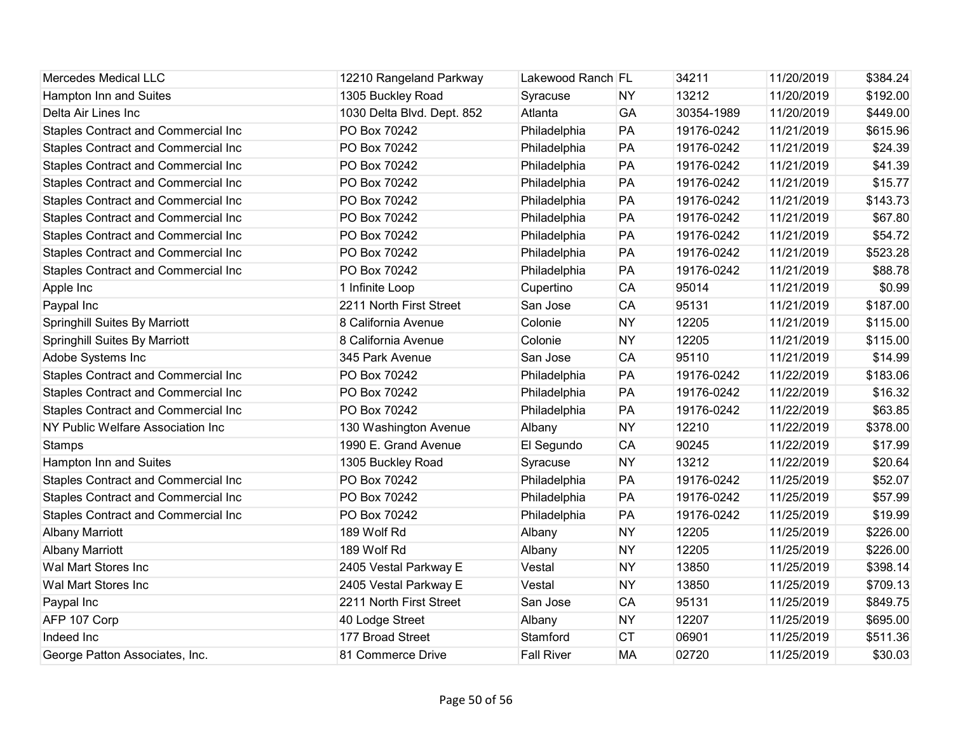| <b>Mercedes Medical LLC</b>                | 12210 Rangeland Parkway    | Lakewood Ranch FL |           | 34211      | 11/20/2019 | \$384.24 |
|--------------------------------------------|----------------------------|-------------------|-----------|------------|------------|----------|
| Hampton Inn and Suites                     | 1305 Buckley Road          | Syracuse          | <b>NY</b> | 13212      | 11/20/2019 | \$192.00 |
| Delta Air Lines Inc                        | 1030 Delta Blvd. Dept. 852 | Atlanta           | GA        | 30354-1989 | 11/20/2019 | \$449.00 |
| <b>Staples Contract and Commercial Inc</b> | PO Box 70242               | Philadelphia      | PA        | 19176-0242 | 11/21/2019 | \$615.96 |
| <b>Staples Contract and Commercial Inc</b> | PO Box 70242               | Philadelphia      | PA        | 19176-0242 | 11/21/2019 | \$24.39  |
| <b>Staples Contract and Commercial Inc</b> | PO Box 70242               | Philadelphia      | PA        | 19176-0242 | 11/21/2019 | \$41.39  |
| <b>Staples Contract and Commercial Inc</b> | PO Box 70242               | Philadelphia      | PA        | 19176-0242 | 11/21/2019 | \$15.77  |
| <b>Staples Contract and Commercial Inc</b> | PO Box 70242               | Philadelphia      | PA        | 19176-0242 | 11/21/2019 | \$143.73 |
| <b>Staples Contract and Commercial Inc</b> | PO Box 70242               | Philadelphia      | PA        | 19176-0242 | 11/21/2019 | \$67.80  |
| <b>Staples Contract and Commercial Inc</b> | PO Box 70242               | Philadelphia      | PA        | 19176-0242 | 11/21/2019 | \$54.72  |
| <b>Staples Contract and Commercial Inc</b> | PO Box 70242               | Philadelphia      | PA        | 19176-0242 | 11/21/2019 | \$523.28 |
| <b>Staples Contract and Commercial Inc</b> | PO Box 70242               | Philadelphia      | PA        | 19176-0242 | 11/21/2019 | \$88.78  |
| Apple Inc                                  | 1 Infinite Loop            | Cupertino         | <b>CA</b> | 95014      | 11/21/2019 | \$0.99   |
| Paypal Inc                                 | 2211 North First Street    | San Jose          | <b>CA</b> | 95131      | 11/21/2019 | \$187.00 |
| <b>Springhill Suites By Marriott</b>       | 8 California Avenue        | Colonie           | <b>NY</b> | 12205      | 11/21/2019 | \$115.00 |
| <b>Springhill Suites By Marriott</b>       | 8 California Avenue        | Colonie           | <b>NY</b> | 12205      | 11/21/2019 | \$115.00 |
| Adobe Systems Inc                          | 345 Park Avenue            | San Jose          | <b>CA</b> | 95110      | 11/21/2019 | \$14.99  |
| <b>Staples Contract and Commercial Inc</b> | PO Box 70242               | Philadelphia      | PA        | 19176-0242 | 11/22/2019 | \$183.06 |
| <b>Staples Contract and Commercial Inc</b> | PO Box 70242               | Philadelphia      | PA        | 19176-0242 | 11/22/2019 | \$16.32  |
| <b>Staples Contract and Commercial Inc</b> | PO Box 70242               | Philadelphia      | PA        | 19176-0242 | 11/22/2019 | \$63.85  |
| NY Public Welfare Association Inc          | 130 Washington Avenue      | Albany            | <b>NY</b> | 12210      | 11/22/2019 | \$378.00 |
| <b>Stamps</b>                              | 1990 E. Grand Avenue       | El Segundo        | <b>CA</b> | 90245      | 11/22/2019 | \$17.99  |
| Hampton Inn and Suites                     | 1305 Buckley Road          | Syracuse          | <b>NY</b> | 13212      | 11/22/2019 | \$20.64  |
| Staples Contract and Commercial Inc        | PO Box 70242               | Philadelphia      | PA        | 19176-0242 | 11/25/2019 | \$52.07  |
| Staples Contract and Commercial Inc        | PO Box 70242               | Philadelphia      | PA        | 19176-0242 | 11/25/2019 | \$57.99  |
| <b>Staples Contract and Commercial Inc</b> | PO Box 70242               | Philadelphia      | PA        | 19176-0242 | 11/25/2019 | \$19.99  |
| <b>Albany Marriott</b>                     | 189 Wolf Rd                | Albany            | <b>NY</b> | 12205      | 11/25/2019 | \$226.00 |
| <b>Albany Marriott</b>                     | 189 Wolf Rd                | Albany            | <b>NY</b> | 12205      | 11/25/2019 | \$226.00 |
| Wal Mart Stores Inc                        | 2405 Vestal Parkway E      | Vestal            | <b>NY</b> | 13850      | 11/25/2019 | \$398.14 |
| Wal Mart Stores Inc                        | 2405 Vestal Parkway E      | Vestal            | <b>NY</b> | 13850      | 11/25/2019 | \$709.13 |
| Paypal Inc                                 | 2211 North First Street    | San Jose          | <b>CA</b> | 95131      | 11/25/2019 | \$849.75 |
| AFP 107 Corp                               | 40 Lodge Street            | Albany            | <b>NY</b> | 12207      | 11/25/2019 | \$695.00 |
| Indeed Inc                                 | 177 Broad Street           | Stamford          | <b>CT</b> | 06901      | 11/25/2019 | \$511.36 |
| George Patton Associates, Inc.             | 81 Commerce Drive          | <b>Fall River</b> | <b>MA</b> | 02720      | 11/25/2019 | \$30.03  |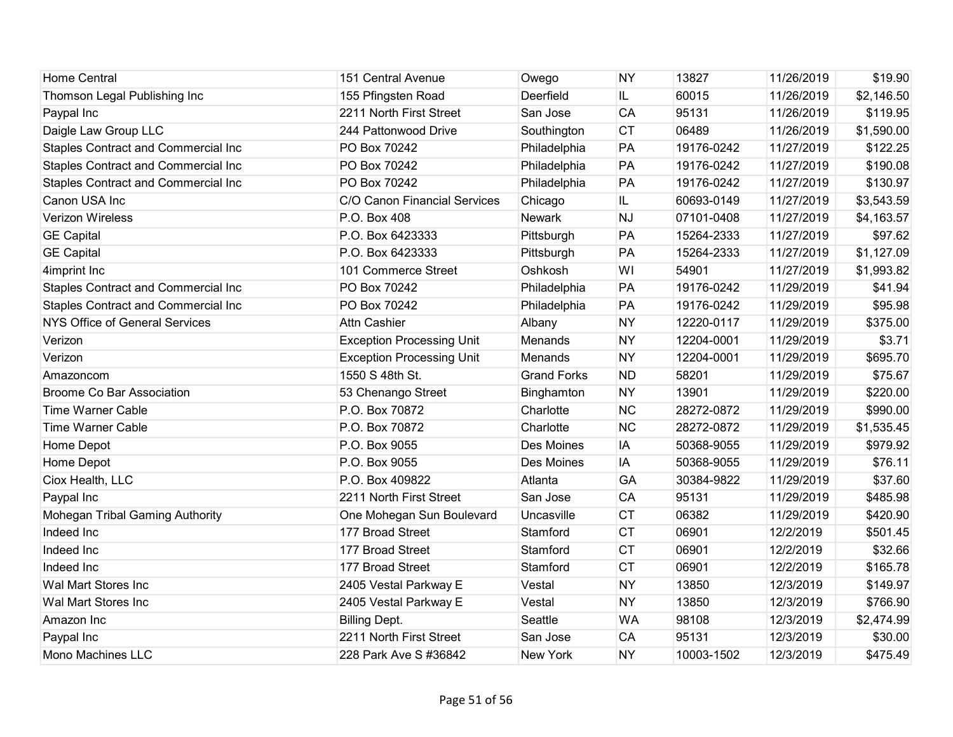| <b>Home Central</b>                        | 151 Central Avenue               | Owego              | <b>NY</b> | 13827      | 11/26/2019 | \$19.90    |
|--------------------------------------------|----------------------------------|--------------------|-----------|------------|------------|------------|
| Thomson Legal Publishing Inc               | 155 Pfingsten Road               | Deerfield          | IL.       | 60015      | 11/26/2019 | \$2,146.50 |
| Paypal Inc                                 | 2211 North First Street          | San Jose           | CA        | 95131      | 11/26/2019 | \$119.95   |
| Daigle Law Group LLC                       | 244 Pattonwood Drive             | Southington        | <b>CT</b> | 06489      | 11/26/2019 | \$1,590.00 |
| <b>Staples Contract and Commercial Inc</b> | PO Box 70242                     | Philadelphia       | PA        | 19176-0242 | 11/27/2019 | \$122.25   |
| Staples Contract and Commercial Inc        | PO Box 70242                     | Philadelphia       | PA        | 19176-0242 | 11/27/2019 | \$190.08   |
| Staples Contract and Commercial Inc        | PO Box 70242                     | Philadelphia       | PA        | 19176-0242 | 11/27/2019 | \$130.97   |
| Canon USA Inc                              | C/O Canon Financial Services     | Chicago            | IL.       | 60693-0149 | 11/27/2019 | \$3,543.59 |
| Verizon Wireless                           | P.O. Box 408                     | <b>Newark</b>      | <b>NJ</b> | 07101-0408 | 11/27/2019 | \$4,163.57 |
| <b>GE Capital</b>                          | P.O. Box 6423333                 | Pittsburgh         | PA        | 15264-2333 | 11/27/2019 | \$97.62    |
| <b>GE Capital</b>                          | P.O. Box 6423333                 | Pittsburgh         | PA        | 15264-2333 | 11/27/2019 | \$1,127.09 |
| 4imprint Inc                               | 101 Commerce Street              | Oshkosh            | WI        | 54901      | 11/27/2019 | \$1,993.82 |
| Staples Contract and Commercial Inc        | PO Box 70242                     | Philadelphia       | PA        | 19176-0242 | 11/29/2019 | \$41.94    |
| <b>Staples Contract and Commercial Inc</b> | PO Box 70242                     | Philadelphia       | PA        | 19176-0242 | 11/29/2019 | \$95.98    |
| <b>NYS Office of General Services</b>      | <b>Attn Cashier</b>              | Albany             | <b>NY</b> | 12220-0117 | 11/29/2019 | \$375.00   |
| Verizon                                    | <b>Exception Processing Unit</b> | Menands            | <b>NY</b> | 12204-0001 | 11/29/2019 | \$3.71     |
| Verizon                                    | <b>Exception Processing Unit</b> | Menands            | <b>NY</b> | 12204-0001 | 11/29/2019 | \$695.70   |
| Amazoncom                                  | 1550 S 48th St.                  | <b>Grand Forks</b> | <b>ND</b> | 58201      | 11/29/2019 | \$75.67    |
| <b>Broome Co Bar Association</b>           | 53 Chenango Street               | Binghamton         | <b>NY</b> | 13901      | 11/29/2019 | \$220.00   |
| <b>Time Warner Cable</b>                   | P.O. Box 70872                   | Charlotte          | <b>NC</b> | 28272-0872 | 11/29/2019 | \$990.00   |
| <b>Time Warner Cable</b>                   | P.O. Box 70872                   | Charlotte          | <b>NC</b> | 28272-0872 | 11/29/2019 | \$1,535.45 |
| Home Depot                                 | P.O. Box 9055                    | Des Moines         | IA        | 50368-9055 | 11/29/2019 | \$979.92   |
| Home Depot                                 | P.O. Box 9055                    | Des Moines         | IA        | 50368-9055 | 11/29/2019 | \$76.11    |
| Ciox Health, LLC                           | P.O. Box 409822                  | Atlanta            | GA        | 30384-9822 | 11/29/2019 | \$37.60    |
| Paypal Inc                                 | 2211 North First Street          | San Jose           | CA        | 95131      | 11/29/2019 | \$485.98   |
| Mohegan Tribal Gaming Authority            | One Mohegan Sun Boulevard        | Uncasville         | <b>CT</b> | 06382      | 11/29/2019 | \$420.90   |
| Indeed Inc                                 | 177 Broad Street                 | Stamford           | <b>CT</b> | 06901      | 12/2/2019  | \$501.45   |
| Indeed Inc                                 | 177 Broad Street                 | Stamford           | <b>CT</b> | 06901      | 12/2/2019  | \$32.66    |
| Indeed Inc                                 | 177 Broad Street                 | Stamford           | <b>CT</b> | 06901      | 12/2/2019  | \$165.78   |
| Wal Mart Stores Inc                        | 2405 Vestal Parkway E            | Vestal             | <b>NY</b> | 13850      | 12/3/2019  | \$149.97   |
| Wal Mart Stores Inc                        | 2405 Vestal Parkway E            | Vestal             | <b>NY</b> | 13850      | 12/3/2019  | \$766.90   |
| Amazon Inc                                 | <b>Billing Dept.</b>             | Seattle            | <b>WA</b> | 98108      | 12/3/2019  | \$2,474.99 |
| Paypal Inc                                 | 2211 North First Street          | San Jose           | CA        | 95131      | 12/3/2019  | \$30.00    |
| <b>Mono Machines LLC</b>                   | 228 Park Ave S #36842            | New York           | <b>NY</b> | 10003-1502 | 12/3/2019  | \$475.49   |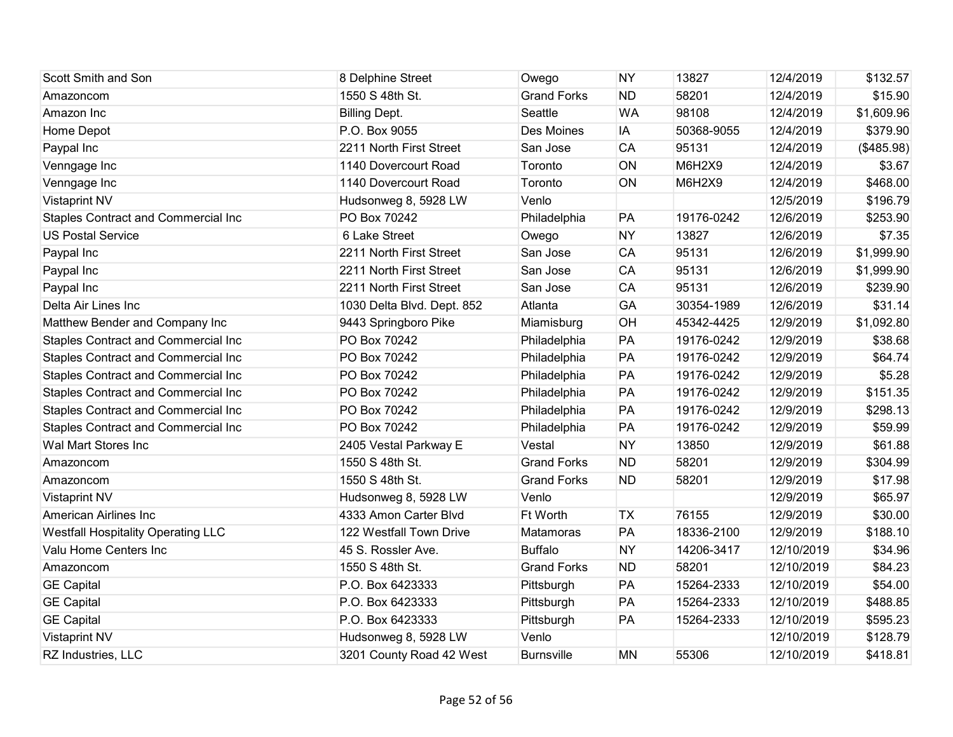| Scott Smith and Son                       | 8 Delphine Street          | Owego              | <b>NY</b> | 13827      | 12/4/2019  | \$132.57   |
|-------------------------------------------|----------------------------|--------------------|-----------|------------|------------|------------|
| Amazoncom                                 | 1550 S 48th St.            | <b>Grand Forks</b> | <b>ND</b> | 58201      | 12/4/2019  | \$15.90    |
| Amazon Inc                                | <b>Billing Dept.</b>       | Seattle            | <b>WA</b> | 98108      | 12/4/2019  | \$1,609.96 |
| Home Depot                                | P.O. Box 9055              | Des Moines         | IA        | 50368-9055 | 12/4/2019  | \$379.90   |
| Paypal Inc                                | 2211 North First Street    | San Jose           | CA        | 95131      | 12/4/2019  | (\$485.98) |
| Venngage Inc                              | 1140 Dovercourt Road       | Toronto            | ON        | M6H2X9     | 12/4/2019  | \$3.67     |
| Venngage Inc                              | 1140 Dovercourt Road       | Toronto            | ON        | M6H2X9     | 12/4/2019  | \$468.00   |
| <b>Vistaprint NV</b>                      | Hudsonweg 8, 5928 LW       | Venlo              |           |            | 12/5/2019  | \$196.79   |
| Staples Contract and Commercial Inc       | PO Box 70242               | Philadelphia       | PA        | 19176-0242 | 12/6/2019  | \$253.90   |
| <b>US Postal Service</b>                  | 6 Lake Street              | Owego              | <b>NY</b> | 13827      | 12/6/2019  | \$7.35     |
| Paypal Inc                                | 2211 North First Street    | San Jose           | CA        | 95131      | 12/6/2019  | \$1,999.90 |
| Paypal Inc                                | 2211 North First Street    | San Jose           | <b>CA</b> | 95131      | 12/6/2019  | \$1,999.90 |
| Paypal Inc                                | 2211 North First Street    | San Jose           | <b>CA</b> | 95131      | 12/6/2019  | \$239.90   |
| Delta Air Lines Inc                       | 1030 Delta Blvd. Dept. 852 | Atlanta            | GA        | 30354-1989 | 12/6/2019  | \$31.14    |
| Matthew Bender and Company Inc            | 9443 Springboro Pike       | Miamisburg         | OH        | 45342-4425 | 12/9/2019  | \$1,092.80 |
| Staples Contract and Commercial Inc       | PO Box 70242               | Philadelphia       | PA        | 19176-0242 | 12/9/2019  | \$38.68    |
| Staples Contract and Commercial Inc       | PO Box 70242               | Philadelphia       | PA        | 19176-0242 | 12/9/2019  | \$64.74    |
| Staples Contract and Commercial Inc       | PO Box 70242               | Philadelphia       | PA        | 19176-0242 | 12/9/2019  | \$5.28     |
| Staples Contract and Commercial Inc       | PO Box 70242               | Philadelphia       | PA        | 19176-0242 | 12/9/2019  | \$151.35   |
| Staples Contract and Commercial Inc       | PO Box 70242               | Philadelphia       | PA        | 19176-0242 | 12/9/2019  | \$298.13   |
| Staples Contract and Commercial Inc       | PO Box 70242               | Philadelphia       | PA        | 19176-0242 | 12/9/2019  | \$59.99    |
| Wal Mart Stores Inc                       | 2405 Vestal Parkway E      | Vestal             | <b>NY</b> | 13850      | 12/9/2019  | \$61.88    |
| Amazoncom                                 | 1550 S 48th St.            | <b>Grand Forks</b> | <b>ND</b> | 58201      | 12/9/2019  | \$304.99   |
| Amazoncom                                 | 1550 S 48th St.            | <b>Grand Forks</b> | <b>ND</b> | 58201      | 12/9/2019  | \$17.98    |
| <b>Vistaprint NV</b>                      | Hudsonweg 8, 5928 LW       | Venlo              |           |            | 12/9/2019  | \$65.97    |
| American Airlines Inc                     | 4333 Amon Carter Blvd      | Ft Worth           | <b>TX</b> | 76155      | 12/9/2019  | \$30.00    |
| <b>Westfall Hospitality Operating LLC</b> | 122 Westfall Town Drive    | Matamoras          | PA        | 18336-2100 | 12/9/2019  | \$188.10   |
| Valu Home Centers Inc                     | 45 S. Rossler Ave.         | <b>Buffalo</b>     | <b>NY</b> | 14206-3417 | 12/10/2019 | \$34.96    |
| Amazoncom                                 | 1550 S 48th St.            | <b>Grand Forks</b> | <b>ND</b> | 58201      | 12/10/2019 | \$84.23    |
| <b>GE Capital</b>                         | P.O. Box 6423333           | Pittsburgh         | PA        | 15264-2333 | 12/10/2019 | \$54.00    |
| <b>GE Capital</b>                         | P.O. Box 6423333           | Pittsburgh         | PA        | 15264-2333 | 12/10/2019 | \$488.85   |
| <b>GE Capital</b>                         | P.O. Box 6423333           | Pittsburgh         | PA        | 15264-2333 | 12/10/2019 | \$595.23   |
| <b>Vistaprint NV</b>                      | Hudsonweg 8, 5928 LW       | Venlo              |           |            | 12/10/2019 | \$128.79   |
| RZ Industries, LLC                        | 3201 County Road 42 West   | <b>Burnsville</b>  | <b>MN</b> | 55306      | 12/10/2019 | \$418.81   |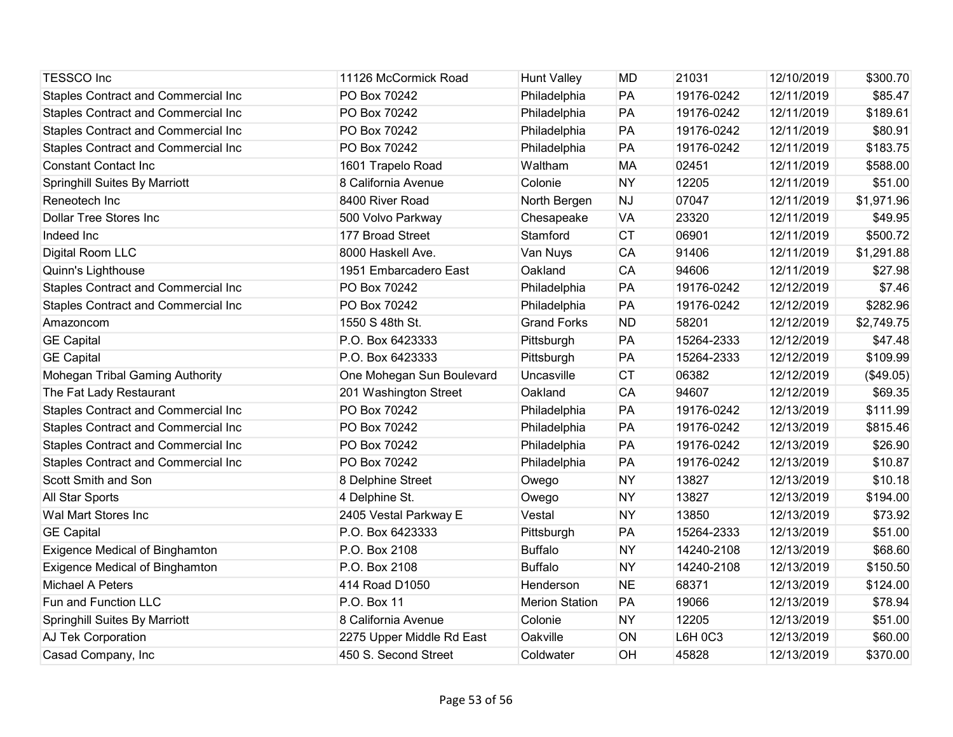| <b>TESSCO Inc</b>                          | 11126 McCormick Road      | <b>Hunt Valley</b>    | <b>MD</b> | 21031          | 12/10/2019 | \$300.70   |
|--------------------------------------------|---------------------------|-----------------------|-----------|----------------|------------|------------|
| Staples Contract and Commercial Inc        | PO Box 70242              | Philadelphia          | PA        | 19176-0242     | 12/11/2019 | \$85.47    |
| <b>Staples Contract and Commercial Inc</b> | PO Box 70242              | Philadelphia          | PA        | 19176-0242     | 12/11/2019 | \$189.61   |
| Staples Contract and Commercial Inc        | PO Box 70242              | Philadelphia          | PA        | 19176-0242     | 12/11/2019 | \$80.91    |
| Staples Contract and Commercial Inc        | PO Box 70242              | Philadelphia          | PA        | 19176-0242     | 12/11/2019 | \$183.75   |
| <b>Constant Contact Inc</b>                | 1601 Trapelo Road         | Waltham               | <b>MA</b> | 02451          | 12/11/2019 | \$588.00   |
| <b>Springhill Suites By Marriott</b>       | 8 California Avenue       | Colonie               | <b>NY</b> | 12205          | 12/11/2019 | \$51.00    |
| Reneotech Inc                              | 8400 River Road           | North Bergen          | <b>NJ</b> | 07047          | 12/11/2019 | \$1,971.96 |
| <b>Dollar Tree Stores Inc</b>              | 500 Volvo Parkway         | Chesapeake            | <b>VA</b> | 23320          | 12/11/2019 | \$49.95    |
| Indeed Inc                                 | 177 Broad Street          | Stamford              | <b>CT</b> | 06901          | 12/11/2019 | \$500.72   |
| Digital Room LLC                           | 8000 Haskell Ave.         | Van Nuys              | CA        | 91406          | 12/11/2019 | \$1,291.88 |
| Quinn's Lighthouse                         | 1951 Embarcadero East     | Oakland               | CA        | 94606          | 12/11/2019 | \$27.98    |
| Staples Contract and Commercial Inc        | PO Box 70242              | Philadelphia          | PA        | 19176-0242     | 12/12/2019 | \$7.46     |
| Staples Contract and Commercial Inc        | PO Box 70242              | Philadelphia          | PA        | 19176-0242     | 12/12/2019 | \$282.96   |
| Amazoncom                                  | 1550 S 48th St.           | <b>Grand Forks</b>    | <b>ND</b> | 58201          | 12/12/2019 | \$2,749.75 |
| <b>GE Capital</b>                          | P.O. Box 6423333          | Pittsburgh            | PA        | 15264-2333     | 12/12/2019 | \$47.48    |
| <b>GE Capital</b>                          | P.O. Box 6423333          | Pittsburgh            | PA        | 15264-2333     | 12/12/2019 | \$109.99   |
| Mohegan Tribal Gaming Authority            | One Mohegan Sun Boulevard | Uncasville            | <b>CT</b> | 06382          | 12/12/2019 | (\$49.05)  |
| The Fat Lady Restaurant                    | 201 Washington Street     | Oakland               | CA        | 94607          | 12/12/2019 | \$69.35    |
| Staples Contract and Commercial Inc        | PO Box 70242              | Philadelphia          | PA        | 19176-0242     | 12/13/2019 | \$111.99   |
| Staples Contract and Commercial Inc        | PO Box 70242              | Philadelphia          | PA        | 19176-0242     | 12/13/2019 | \$815.46   |
| Staples Contract and Commercial Inc        | PO Box 70242              | Philadelphia          | PA        | 19176-0242     | 12/13/2019 | \$26.90    |
| <b>Staples Contract and Commercial Inc</b> | PO Box 70242              | Philadelphia          | PA        | 19176-0242     | 12/13/2019 | \$10.87    |
| Scott Smith and Son                        | 8 Delphine Street         | Owego                 | <b>NY</b> | 13827          | 12/13/2019 | \$10.18    |
| All Star Sports                            | 4 Delphine St.            | Owego                 | <b>NY</b> | 13827          | 12/13/2019 | \$194.00   |
| Wal Mart Stores Inc                        | 2405 Vestal Parkway E     | Vestal                | <b>NY</b> | 13850          | 12/13/2019 | \$73.92    |
| <b>GE Capital</b>                          | P.O. Box 6423333          | Pittsburgh            | PA        | 15264-2333     | 12/13/2019 | \$51.00    |
| <b>Exigence Medical of Binghamton</b>      | P.O. Box 2108             | <b>Buffalo</b>        | <b>NY</b> | 14240-2108     | 12/13/2019 | \$68.60    |
| <b>Exigence Medical of Binghamton</b>      | P.O. Box 2108             | <b>Buffalo</b>        | <b>NY</b> | 14240-2108     | 12/13/2019 | \$150.50   |
| Michael A Peters                           | 414 Road D1050            | Henderson             | <b>NE</b> | 68371          | 12/13/2019 | \$124.00   |
| Fun and Function LLC                       | P.O. Box 11               | <b>Merion Station</b> | PA        | 19066          | 12/13/2019 | \$78.94    |
| <b>Springhill Suites By Marriott</b>       | 8 California Avenue       | Colonie               | <b>NY</b> | 12205          | 12/13/2019 | \$51.00    |
| AJ Tek Corporation                         | 2275 Upper Middle Rd East | Oakville              | ON        | <b>L6H 0C3</b> | 12/13/2019 | \$60.00    |
| Casad Company, Inc                         | 450 S. Second Street      | Coldwater             | OH        | 45828          | 12/13/2019 | \$370.00   |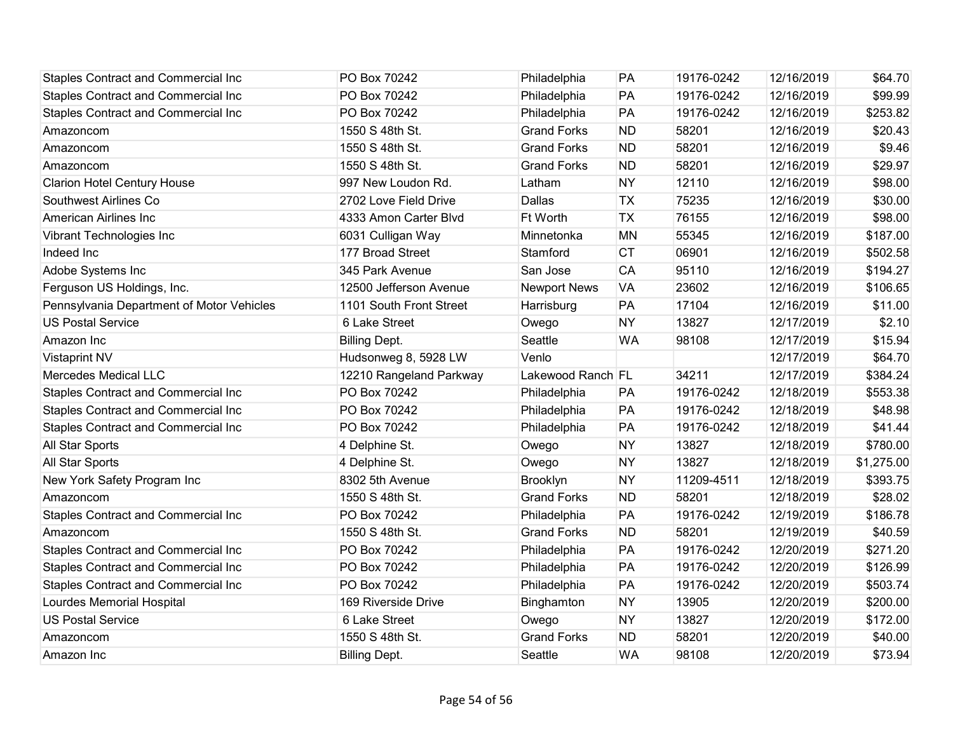| <b>Staples Contract and Commercial Inc</b> | PO Box 70242            | Philadelphia        | PA        | 19176-0242 | 12/16/2019 | \$64.70    |
|--------------------------------------------|-------------------------|---------------------|-----------|------------|------------|------------|
| Staples Contract and Commercial Inc        | PO Box 70242            | Philadelphia        | PA        | 19176-0242 | 12/16/2019 | \$99.99    |
| Staples Contract and Commercial Inc        | PO Box 70242            | Philadelphia        | PA        | 19176-0242 | 12/16/2019 | \$253.82   |
| Amazoncom                                  | 1550 S 48th St.         | <b>Grand Forks</b>  | <b>ND</b> | 58201      | 12/16/2019 | \$20.43    |
| Amazoncom                                  | 1550 S 48th St.         | <b>Grand Forks</b>  | <b>ND</b> | 58201      | 12/16/2019 | \$9.46     |
| Amazoncom                                  | 1550 S 48th St.         | <b>Grand Forks</b>  | <b>ND</b> | 58201      | 12/16/2019 | \$29.97    |
| <b>Clarion Hotel Century House</b>         | 997 New Loudon Rd.      | Latham              | <b>NY</b> | 12110      | 12/16/2019 | \$98.00    |
| Southwest Airlines Co                      | 2702 Love Field Drive   | Dallas              | <b>TX</b> | 75235      | 12/16/2019 | \$30.00    |
| American Airlines Inc                      | 4333 Amon Carter Blvd   | Ft Worth            | <b>TX</b> | 76155      | 12/16/2019 | \$98.00    |
| Vibrant Technologies Inc                   | 6031 Culligan Way       | Minnetonka          | <b>MN</b> | 55345      | 12/16/2019 | \$187.00   |
| Indeed Inc                                 | 177 Broad Street        | Stamford            | <b>CT</b> | 06901      | 12/16/2019 | \$502.58   |
| Adobe Systems Inc                          | 345 Park Avenue         | San Jose            | <b>CA</b> | 95110      | 12/16/2019 | \$194.27   |
| Ferguson US Holdings, Inc.                 | 12500 Jefferson Avenue  | <b>Newport News</b> | <b>VA</b> | 23602      | 12/16/2019 | \$106.65   |
| Pennsylvania Department of Motor Vehicles  | 1101 South Front Street | Harrisburg          | PA        | 17104      | 12/16/2019 | \$11.00    |
| <b>US Postal Service</b>                   | 6 Lake Street           | Owego               | <b>NY</b> | 13827      | 12/17/2019 | \$2.10     |
| Amazon Inc                                 | <b>Billing Dept.</b>    | Seattle             | <b>WA</b> | 98108      | 12/17/2019 | \$15.94    |
| <b>Vistaprint NV</b>                       | Hudsonweg 8, 5928 LW    | Venlo               |           |            | 12/17/2019 | \$64.70    |
| Mercedes Medical LLC                       | 12210 Rangeland Parkway | Lakewood Ranch FL   |           | 34211      | 12/17/2019 | \$384.24   |
| Staples Contract and Commercial Inc        | PO Box 70242            | Philadelphia        | PA        | 19176-0242 | 12/18/2019 | \$553.38   |
| Staples Contract and Commercial Inc        | PO Box 70242            | Philadelphia        | PA        | 19176-0242 | 12/18/2019 | \$48.98    |
| <b>Staples Contract and Commercial Inc</b> | PO Box 70242            | Philadelphia        | PA        | 19176-0242 | 12/18/2019 | \$41.44    |
| All Star Sports                            | 4 Delphine St.          | Owego               | <b>NY</b> | 13827      | 12/18/2019 | \$780.00   |
| All Star Sports                            | 4 Delphine St.          | Owego               | <b>NY</b> | 13827      | 12/18/2019 | \$1,275.00 |
| New York Safety Program Inc                | 8302 5th Avenue         | Brooklyn            | <b>NY</b> | 11209-4511 | 12/18/2019 | \$393.75   |
| Amazoncom                                  | 1550 S 48th St.         | <b>Grand Forks</b>  | <b>ND</b> | 58201      | 12/18/2019 | \$28.02    |
| Staples Contract and Commercial Inc        | PO Box 70242            | Philadelphia        | PA        | 19176-0242 | 12/19/2019 | \$186.78   |
| Amazoncom                                  | 1550 S 48th St.         | <b>Grand Forks</b>  | <b>ND</b> | 58201      | 12/19/2019 | \$40.59    |
| <b>Staples Contract and Commercial Inc</b> | PO Box 70242            | Philadelphia        | PA        | 19176-0242 | 12/20/2019 | \$271.20   |
| Staples Contract and Commercial Inc        | PO Box 70242            | Philadelphia        | PA        | 19176-0242 | 12/20/2019 | \$126.99   |
| Staples Contract and Commercial Inc        | PO Box 70242            | Philadelphia        | PA        | 19176-0242 | 12/20/2019 | \$503.74   |
| Lourdes Memorial Hospital                  | 169 Riverside Drive     | Binghamton          | <b>NY</b> | 13905      | 12/20/2019 | \$200.00   |
| <b>US Postal Service</b>                   | 6 Lake Street           | Owego               | <b>NY</b> | 13827      | 12/20/2019 | \$172.00   |
| Amazoncom                                  | 1550 S 48th St.         | <b>Grand Forks</b>  | <b>ND</b> | 58201      | 12/20/2019 | \$40.00    |
| Amazon Inc                                 | <b>Billing Dept.</b>    | Seattle             | <b>WA</b> | 98108      | 12/20/2019 | \$73.94    |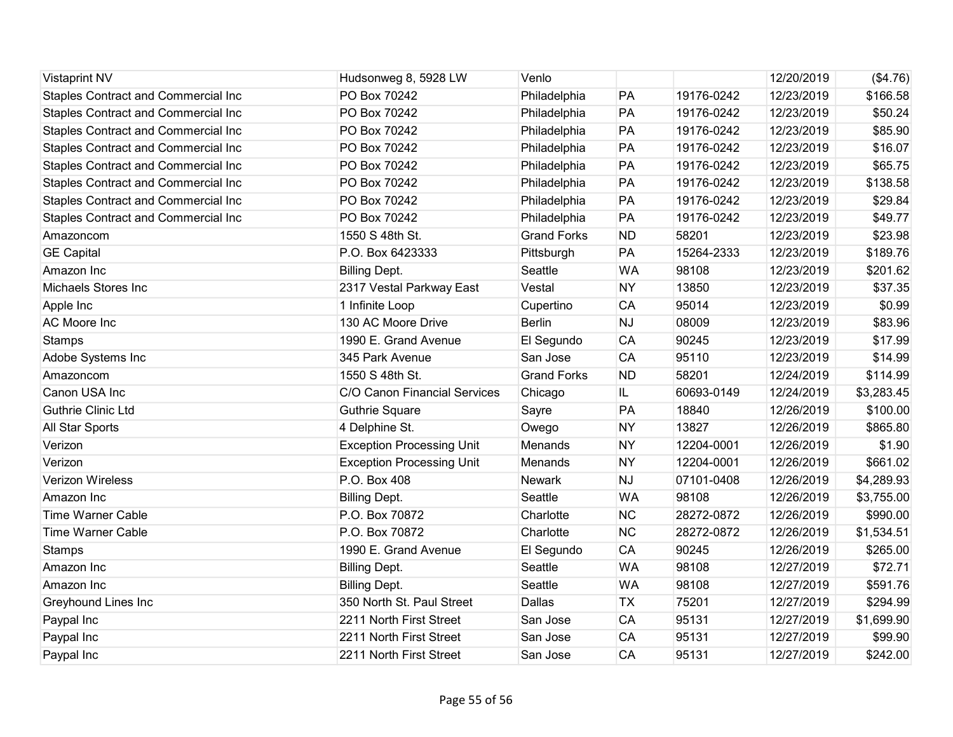| <b>Vistaprint NV</b>                       | Hudsonweg 8, 5928 LW             | Venlo              |           |            | 12/20/2019 | (\$4.76)   |
|--------------------------------------------|----------------------------------|--------------------|-----------|------------|------------|------------|
| <b>Staples Contract and Commercial Inc</b> | PO Box 70242                     | Philadelphia       | PA        | 19176-0242 | 12/23/2019 | \$166.58   |
| Staples Contract and Commercial Inc        | PO Box 70242                     | Philadelphia       | PA        | 19176-0242 | 12/23/2019 | \$50.24    |
| Staples Contract and Commercial Inc        | PO Box 70242                     | Philadelphia       | PA        | 19176-0242 | 12/23/2019 | \$85.90    |
| <b>Staples Contract and Commercial Inc</b> | PO Box 70242                     | Philadelphia       | PA        | 19176-0242 | 12/23/2019 | \$16.07    |
| Staples Contract and Commercial Inc        | PO Box 70242                     | Philadelphia       | PA        | 19176-0242 | 12/23/2019 | \$65.75    |
| Staples Contract and Commercial Inc        | PO Box 70242                     | Philadelphia       | PA        | 19176-0242 | 12/23/2019 | \$138.58   |
| <b>Staples Contract and Commercial Inc</b> | PO Box 70242                     | Philadelphia       | PA        | 19176-0242 | 12/23/2019 | \$29.84    |
| Staples Contract and Commercial Inc        | PO Box 70242                     | Philadelphia       | PA        | 19176-0242 | 12/23/2019 | \$49.77    |
| Amazoncom                                  | 1550 S 48th St.                  | <b>Grand Forks</b> | <b>ND</b> | 58201      | 12/23/2019 | \$23.98    |
| <b>GE Capital</b>                          | P.O. Box 6423333                 | Pittsburgh         | PA        | 15264-2333 | 12/23/2019 | \$189.76   |
| Amazon Inc                                 | <b>Billing Dept.</b>             | Seattle            | <b>WA</b> | 98108      | 12/23/2019 | \$201.62   |
| <b>Michaels Stores Inc</b>                 | 2317 Vestal Parkway East         | Vestal             | <b>NY</b> | 13850      | 12/23/2019 | \$37.35    |
| Apple Inc                                  | 1 Infinite Loop                  | Cupertino          | <b>CA</b> | 95014      | 12/23/2019 | \$0.99     |
| AC Moore Inc                               | 130 AC Moore Drive               | <b>Berlin</b>      | NJ        | 08009      | 12/23/2019 | \$83.96    |
| <b>Stamps</b>                              | 1990 E. Grand Avenue             | El Segundo         | <b>CA</b> | 90245      | 12/23/2019 | \$17.99    |
| Adobe Systems Inc                          | 345 Park Avenue                  | San Jose           | <b>CA</b> | 95110      | 12/23/2019 | \$14.99    |
| Amazoncom                                  | 1550 S 48th St.                  | <b>Grand Forks</b> | <b>ND</b> | 58201      | 12/24/2019 | \$114.99   |
| Canon USA Inc                              | C/O Canon Financial Services     | Chicago            | IL        | 60693-0149 | 12/24/2019 | \$3,283.45 |
| <b>Guthrie Clinic Ltd</b>                  | <b>Guthrie Square</b>            | Sayre              | PA        | 18840      | 12/26/2019 | \$100.00   |
| All Star Sports                            | 4 Delphine St.                   | Owego              | <b>NY</b> | 13827      | 12/26/2019 | \$865.80   |
| Verizon                                    | <b>Exception Processing Unit</b> | <b>Menands</b>     | <b>NY</b> | 12204-0001 | 12/26/2019 | \$1.90     |
| Verizon                                    | <b>Exception Processing Unit</b> | Menands            | <b>NY</b> | 12204-0001 | 12/26/2019 | \$661.02   |
| <b>Verizon Wireless</b>                    | P.O. Box 408                     | Newark             | <b>NJ</b> | 07101-0408 | 12/26/2019 | \$4,289.93 |
| Amazon Inc                                 | <b>Billing Dept.</b>             | Seattle            | <b>WA</b> | 98108      | 12/26/2019 | \$3,755.00 |
| <b>Time Warner Cable</b>                   | P.O. Box 70872                   | Charlotte          | <b>NC</b> | 28272-0872 | 12/26/2019 | \$990.00   |
| <b>Time Warner Cable</b>                   | P.O. Box 70872                   | Charlotte          | <b>NC</b> | 28272-0872 | 12/26/2019 | \$1,534.51 |
| <b>Stamps</b>                              | 1990 E. Grand Avenue             | El Segundo         | <b>CA</b> | 90245      | 12/26/2019 | \$265.00   |
| Amazon Inc                                 | <b>Billing Dept.</b>             | Seattle            | <b>WA</b> | 98108      | 12/27/2019 | \$72.71    |
| Amazon Inc                                 | <b>Billing Dept.</b>             | Seattle            | <b>WA</b> | 98108      | 12/27/2019 | \$591.76   |
| Greyhound Lines Inc                        | 350 North St. Paul Street        | Dallas             | <b>TX</b> | 75201      | 12/27/2019 | \$294.99   |
| Paypal Inc                                 | 2211 North First Street          | San Jose           | <b>CA</b> | 95131      | 12/27/2019 | \$1,699.90 |
| Paypal Inc                                 | 2211 North First Street          | San Jose           | <b>CA</b> | 95131      | 12/27/2019 | \$99.90    |
| Paypal Inc                                 | 2211 North First Street          | San Jose           | CA        | 95131      | 12/27/2019 | \$242.00   |